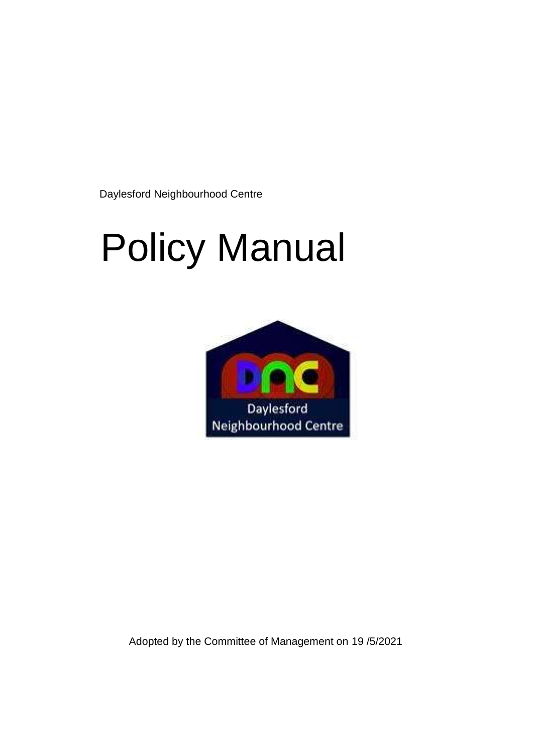Daylesford Neighbourhood Centre

# Policy Manual



Adopted by the Committee of Management on 19 /5/2021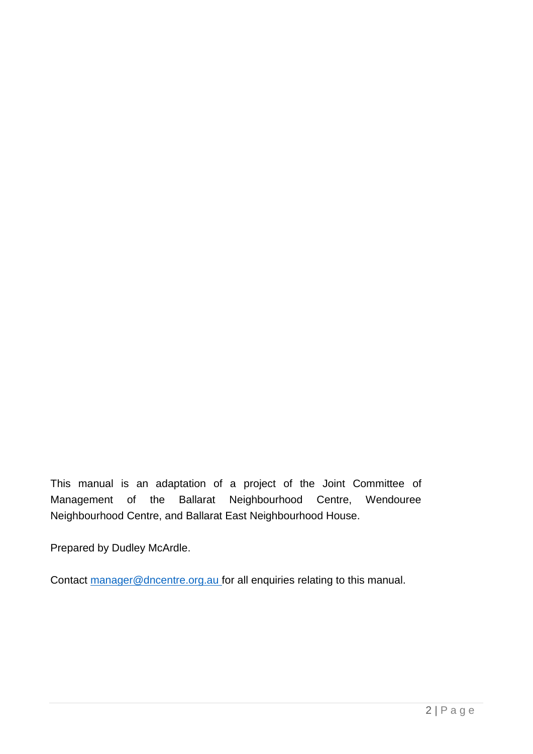This manual is an adaptation of a project of the Joint Committee of Management of the Ballarat Neighbourhood Centre, Wendouree Neighbourhood Centre, and Ballarat East Neighbourhood House.

Prepared by Dudley McArdle.

Contact [manager@dncentre.org.au f](mailto:manager@dncentre.org.au)or all enquiries relating to this manual.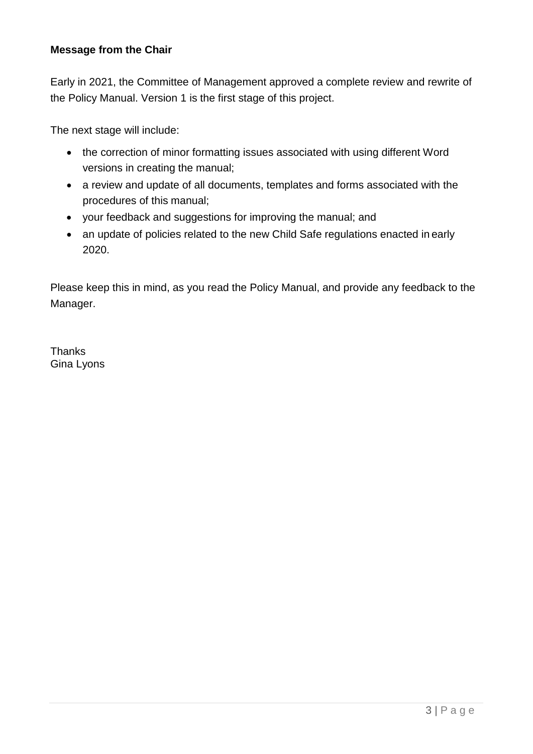#### **Message from the Chair**

Early in 2021, the Committee of Management approved a complete review and rewrite of the Policy Manual. Version 1 is the first stage of this project.

The next stage will include:

- the correction of minor formatting issues associated with using different Word versions in creating the manual;
- a review and update of all documents, templates and forms associated with the procedures of this manual;
- your feedback and suggestions for improving the manual; and
- an update of policies related to the new Child Safe regulations enacted in early 2020.

Please keep this in mind, as you read the Policy Manual, and provide any feedback to the Manager.

**Thanks** Gina Lyons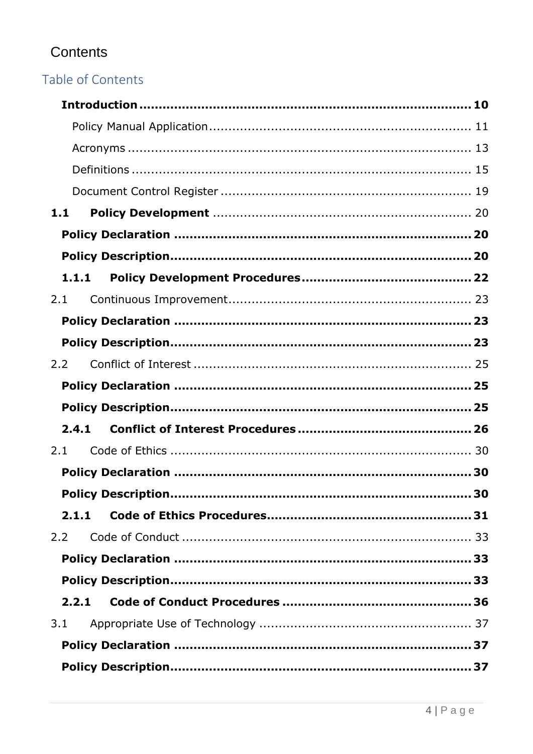### Contents

### Table of Contents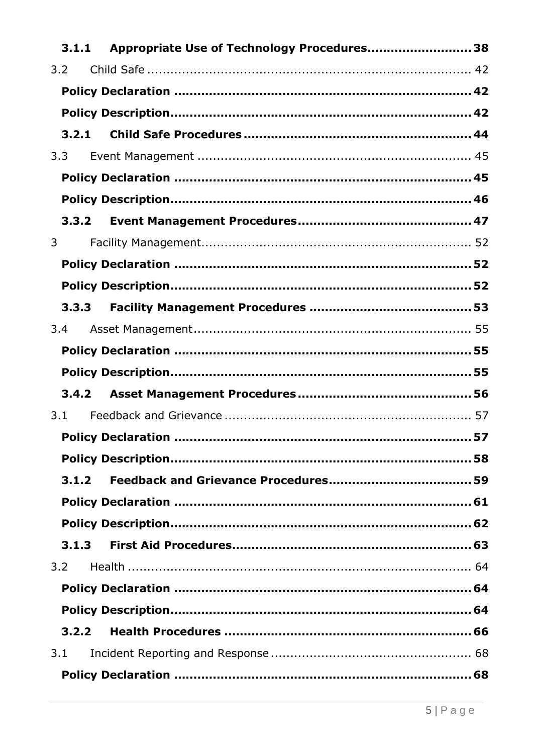|              |       | 3.1.1 Appropriate Use of Technology Procedures 38 |    |
|--------------|-------|---------------------------------------------------|----|
|              | 3.2   |                                                   |    |
|              |       |                                                   |    |
|              |       |                                                   |    |
|              | 3.2.1 |                                                   |    |
|              | 3.3   |                                                   |    |
|              |       |                                                   |    |
|              |       |                                                   |    |
|              |       |                                                   |    |
| $\mathbf{3}$ |       |                                                   |    |
|              |       |                                                   |    |
|              |       |                                                   |    |
|              |       |                                                   |    |
|              | 3.4   |                                                   |    |
|              |       |                                                   |    |
|              |       |                                                   |    |
|              | 3.4.2 |                                                   |    |
|              | 3.1   |                                                   |    |
|              |       | <b>Policy Declaration </b>                        | 57 |
|              |       |                                                   |    |
|              | 3.1.2 |                                                   |    |
|              |       |                                                   |    |
|              |       |                                                   |    |
|              | 3.1.3 |                                                   |    |
|              | 3.2   |                                                   |    |
|              |       |                                                   |    |
|              |       |                                                   |    |
|              | 3.2.2 |                                                   |    |
|              | 3.1   |                                                   |    |
|              |       |                                                   |    |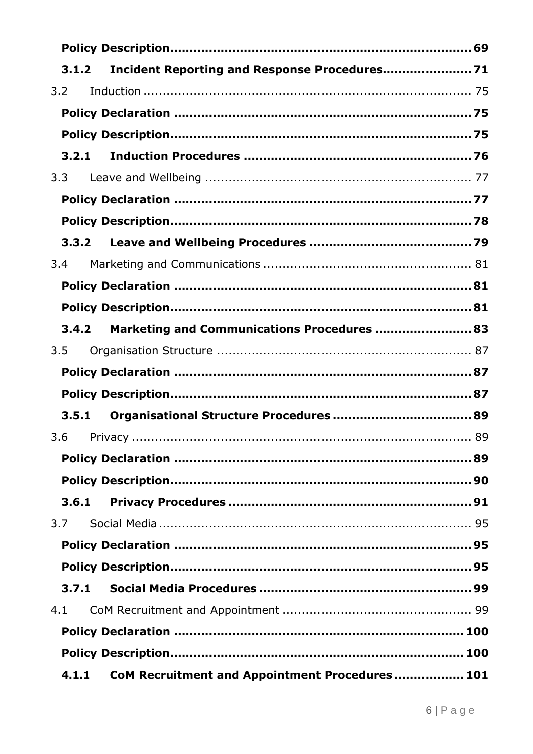| Incident Reporting and Response Procedures 71<br>3.1.2 |  |
|--------------------------------------------------------|--|
| 3.2                                                    |  |
|                                                        |  |
|                                                        |  |
| 3.2.1                                                  |  |
| 3.3                                                    |  |
|                                                        |  |
|                                                        |  |
|                                                        |  |
| 3.4                                                    |  |
|                                                        |  |
|                                                        |  |
| Marketing and Communications Procedures  83<br>3.4.2   |  |
| 3.5                                                    |  |
|                                                        |  |
|                                                        |  |
| 3.5.1                                                  |  |
|                                                        |  |
|                                                        |  |
|                                                        |  |
| 3.6.1                                                  |  |
| 3.7                                                    |  |
|                                                        |  |
|                                                        |  |
|                                                        |  |
| 3.7.1                                                  |  |
| 4.1                                                    |  |
|                                                        |  |
|                                                        |  |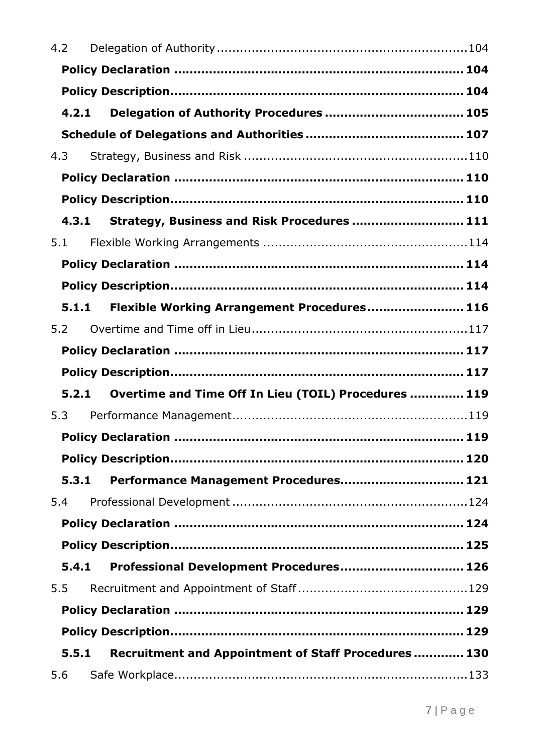| 4.2 |                                                               |     |
|-----|---------------------------------------------------------------|-----|
|     |                                                               |     |
|     |                                                               |     |
|     | 4.2.1                                                         |     |
|     |                                                               |     |
| 4.3 |                                                               |     |
|     |                                                               |     |
|     |                                                               |     |
|     | Strategy, Business and Risk Procedures  111<br>4.3.1          |     |
| 5.1 |                                                               |     |
|     |                                                               |     |
|     |                                                               |     |
|     | Flexible Working Arrangement Procedures 116<br>5.1.1          |     |
| 5.2 |                                                               |     |
|     |                                                               |     |
|     |                                                               |     |
|     |                                                               |     |
|     | Overtime and Time Off In Lieu (TOIL) Procedures  119<br>5.2.1 |     |
| 5.3 |                                                               |     |
|     |                                                               | 119 |
|     |                                                               |     |
|     | Performance Management Procedures 121<br>5.3.1                |     |
| 5.4 |                                                               |     |
|     |                                                               |     |
|     |                                                               |     |
|     | Professional Development Procedures 126<br>5.4.1              |     |
| 5.5 |                                                               |     |
|     |                                                               |     |
|     |                                                               |     |
|     | Recruitment and Appointment of Staff Procedures 130<br>5.5.1  |     |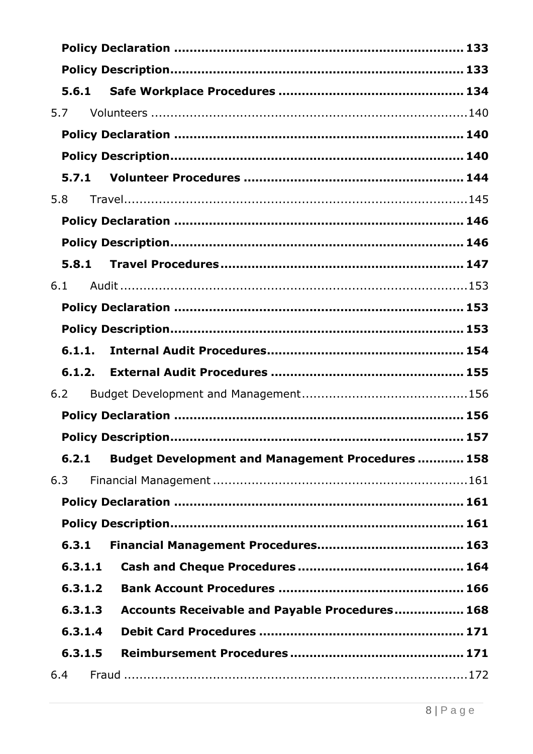| 5.6.1   |                                                          |  |
|---------|----------------------------------------------------------|--|
| 5.7     |                                                          |  |
|         |                                                          |  |
|         |                                                          |  |
| 5.7.1   |                                                          |  |
| 5.8     |                                                          |  |
|         |                                                          |  |
|         |                                                          |  |
|         |                                                          |  |
| 6.1     |                                                          |  |
|         |                                                          |  |
|         |                                                          |  |
| 6.1.1.  |                                                          |  |
|         |                                                          |  |
| 6.1.2.  |                                                          |  |
| 6.2     |                                                          |  |
|         |                                                          |  |
|         |                                                          |  |
| 6.2.1   | <b>Budget Development and Management Procedures  158</b> |  |
| 6.3     |                                                          |  |
|         |                                                          |  |
|         |                                                          |  |
| 6.3.1   |                                                          |  |
| 6.3.1.1 |                                                          |  |
| 6.3.1.2 |                                                          |  |
| 6.3.1.3 | Accounts Receivable and Payable Procedures 168           |  |
| 6.3.1.4 |                                                          |  |
| 6.3.1.5 |                                                          |  |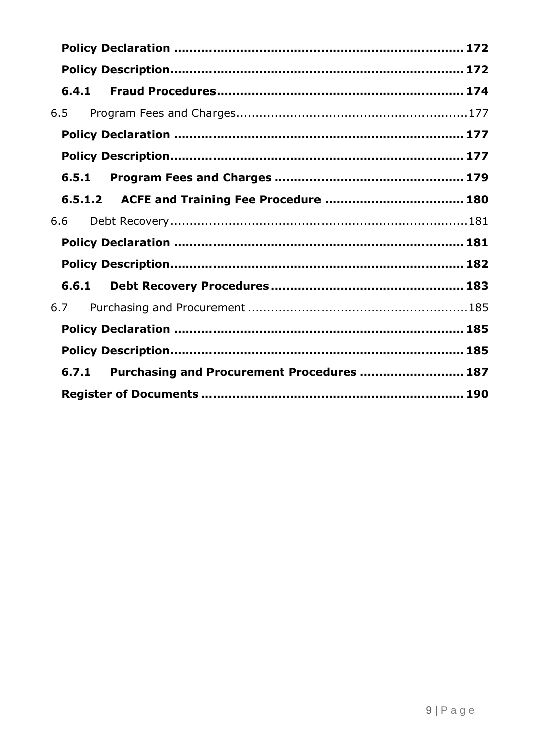| 6.4.1                                               |  |
|-----------------------------------------------------|--|
| 6.5                                                 |  |
|                                                     |  |
|                                                     |  |
| 6.5.1                                               |  |
|                                                     |  |
| 6.6                                                 |  |
|                                                     |  |
|                                                     |  |
| 6.6.1                                               |  |
| 6.7                                                 |  |
|                                                     |  |
|                                                     |  |
| Purchasing and Procurement Procedures  187<br>6.7.1 |  |
|                                                     |  |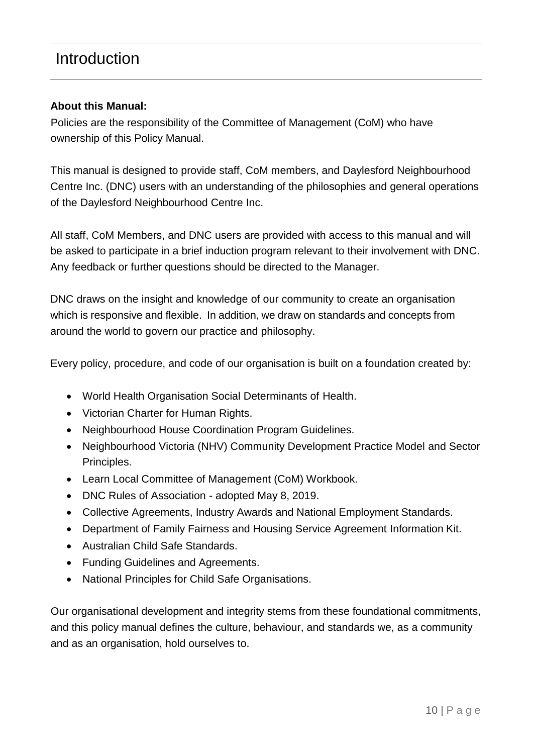### <span id="page-9-0"></span>Introduction

#### **About this Manual:**

Policies are the responsibility of the Committee of Management (CoM) who have ownership of this Policy Manual.

This manual is designed to provide staff, CoM members, and Daylesford Neighbourhood Centre Inc. (DNC) users with an understanding of the philosophies and general operations of the Daylesford Neighbourhood Centre Inc.

All staff, CoM Members, and DNC users are provided with access to this manual and will be asked to participate in a brief induction program relevant to their involvement with DNC. Any feedback or further questions should be directed to the Manager.

DNC draws on the insight and knowledge of our community to create an organisation which is responsive and flexible. In addition, we draw on standards and concepts from around the world to govern our practice and philosophy.

Every policy, procedure, and code of our organisation is built on a foundation created by:

- World Health Organisation Social Determinants of Health.
- Victorian Charter for Human Rights.
- Neighbourhood House Coordination Program Guidelines.
- Neighbourhood Victoria (NHV) Community Development Practice Model and Sector Principles.
- Learn Local Committee of Management (CoM) Workbook.
- DNC Rules of Association adopted May 8, 2019.
- Collective Agreements, Industry Awards and National Employment Standards.
- Department of Family Fairness and Housing Service Agreement Information Kit.
- Australian Child Safe Standards.
- Funding Guidelines and Agreements.
- National Principles for Child Safe Organisations.

Our organisational development and integrity stems from these foundational commitments, and this policy manual defines the culture, behaviour, and standards we, as a community and as an organisation, hold ourselves to.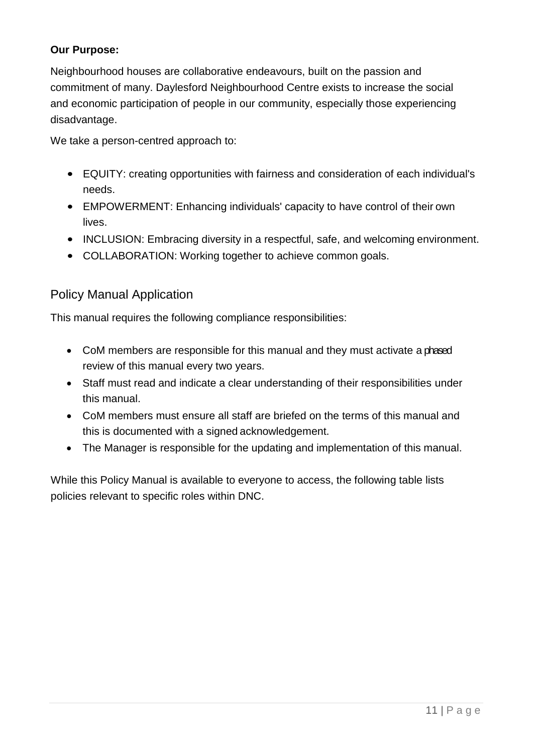### **Our Purpose:**

Neighbourhood houses are collaborative endeavours, built on the passion and commitment of many. Daylesford Neighbourhood Centre exists to increase the social and economic participation of people in our community, especially those experiencing disadvantage.

We take a person-centred approach to:

- EQUITY: creating opportunities with fairness and consideration of each individual's needs.
- EMPOWERMENT: Enhancing individuals' capacity to have control of their own lives.
- INCLUSION: Embracing diversity in a respectful, safe, and welcoming environment.
- COLLABORATION: Working together to achieve common goals.

### <span id="page-10-0"></span>Policy Manual Application

This manual requires the following compliance responsibilities:

- CoM members are responsible for this manual and they must activate a phased review of this manual every two years.
- Staff must read and indicate a clear understanding of their responsibilities under this manual.
- CoM members must ensure all staff are briefed on the terms of this manual and this is documented with a signed acknowledgement.
- The Manager is responsible for the updating and implementation of this manual.

While this Policy Manual is available to everyone to access, the following table lists policies relevant to specific roles within DNC.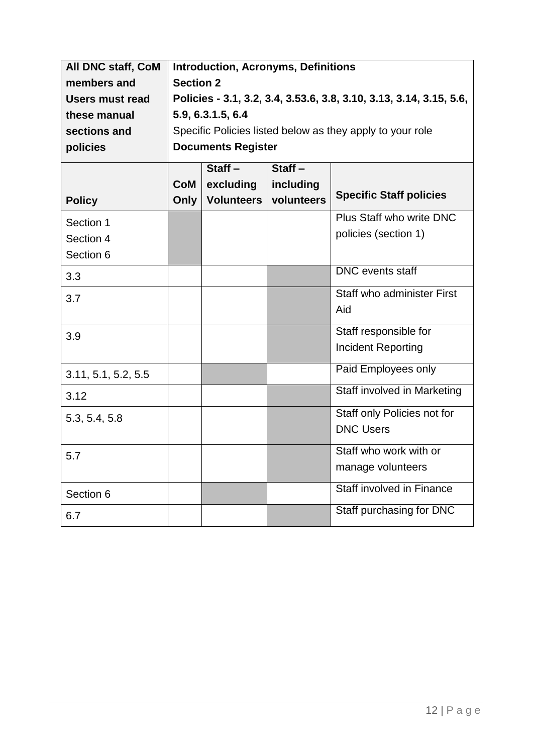| All DNC staff, CoM     | <b>Introduction, Acronyms, Definitions</b>                          |                           |            |                                |
|------------------------|---------------------------------------------------------------------|---------------------------|------------|--------------------------------|
| members and            | <b>Section 2</b>                                                    |                           |            |                                |
| <b>Users must read</b> | Policies - 3.1, 3.2, 3.4, 3.53.6, 3.8, 3.10, 3.13, 3.14, 3.15, 5.6, |                           |            |                                |
| these manual           |                                                                     | 5.9, 6.3.1.5, 6.4         |            |                                |
| sections and           | Specific Policies listed below as they apply to your role           |                           |            |                                |
| policies               |                                                                     | <b>Documents Register</b> |            |                                |
|                        |                                                                     | $Start -$                 | $Start -$  |                                |
|                        | <b>CoM</b>                                                          | excluding                 | including  |                                |
| <b>Policy</b>          | Only                                                                | <b>Volunteers</b>         | volunteers | <b>Specific Staff policies</b> |
| Section 1              |                                                                     |                           |            | Plus Staff who write DNC       |
| Section 4              |                                                                     |                           |            | policies (section 1)           |
| Section 6              |                                                                     |                           |            |                                |
| 3.3                    |                                                                     |                           |            | <b>DNC</b> events staff        |
| 3.7                    |                                                                     |                           |            | Staff who administer First     |
|                        |                                                                     |                           |            | Aid                            |
| 3.9                    |                                                                     |                           |            | Staff responsible for          |
|                        |                                                                     |                           |            | <b>Incident Reporting</b>      |
| 3.11, 5.1, 5.2, 5.5    |                                                                     |                           |            | Paid Employees only            |
| 3.12                   |                                                                     |                           |            | Staff involved in Marketing    |
| 5.3, 5.4, 5.8          |                                                                     |                           |            | Staff only Policies not for    |
|                        |                                                                     |                           |            | <b>DNC Users</b>               |
| 5.7                    |                                                                     |                           |            | Staff who work with or         |
|                        |                                                                     |                           |            | manage volunteers              |
| Section 6              |                                                                     |                           |            | Staff involved in Finance      |
| 6.7                    |                                                                     |                           |            | Staff purchasing for DNC       |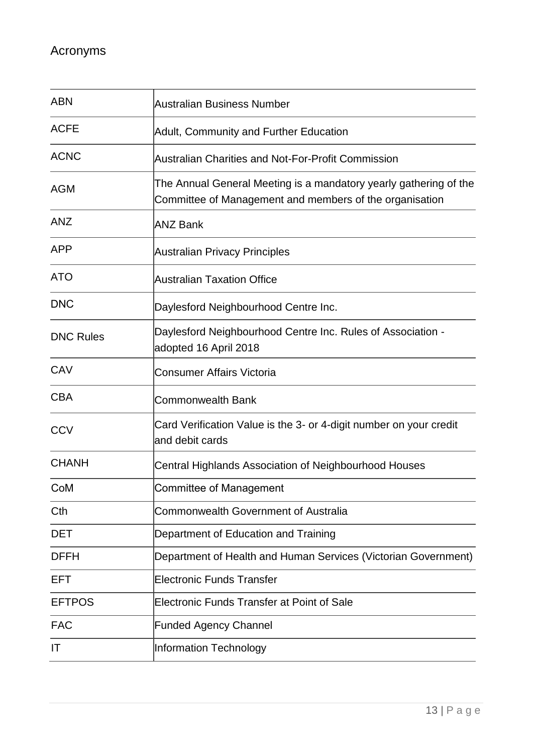<span id="page-12-0"></span>

| <b>ABN</b>       | Australian Business Number                                                                                                   |
|------------------|------------------------------------------------------------------------------------------------------------------------------|
| <b>ACFE</b>      | Adult, Community and Further Education                                                                                       |
| <b>ACNC</b>      | <b>Australian Charities and Not-For-Profit Commission</b>                                                                    |
| <b>AGM</b>       | The Annual General Meeting is a mandatory yearly gathering of the<br>Committee of Management and members of the organisation |
| <b>ANZ</b>       | <b>ANZ Bank</b>                                                                                                              |
| <b>APP</b>       | <b>Australian Privacy Principles</b>                                                                                         |
| <b>ATO</b>       | <b>Australian Taxation Office</b>                                                                                            |
| <b>DNC</b>       | Daylesford Neighbourhood Centre Inc.                                                                                         |
| <b>DNC Rules</b> | Daylesford Neighbourhood Centre Inc. Rules of Association -<br>adopted 16 April 2018                                         |
| CAV              | <b>Consumer Affairs Victoria</b>                                                                                             |
| <b>CBA</b>       | <b>Commonwealth Bank</b>                                                                                                     |
| <b>CCV</b>       | Card Verification Value is the 3- or 4-digit number on your credit<br>and debit cards                                        |
| <b>CHANH</b>     | Central Highlands Association of Neighbourhood Houses                                                                        |
| CoM              | <b>Committee of Management</b>                                                                                               |
| Cth              | <b>Commonwealth Government of Australia</b>                                                                                  |
| <b>DET</b>       | Department of Education and Training                                                                                         |
| <b>DFFH</b>      | Department of Health and Human Services (Victorian Government)                                                               |
| EFT              | <b>Electronic Funds Transfer</b>                                                                                             |
| <b>EFTPOS</b>    | Electronic Funds Transfer at Point of Sale                                                                                   |
| <b>FAC</b>       | <b>Funded Agency Channel</b>                                                                                                 |
| IT               | Information Technology                                                                                                       |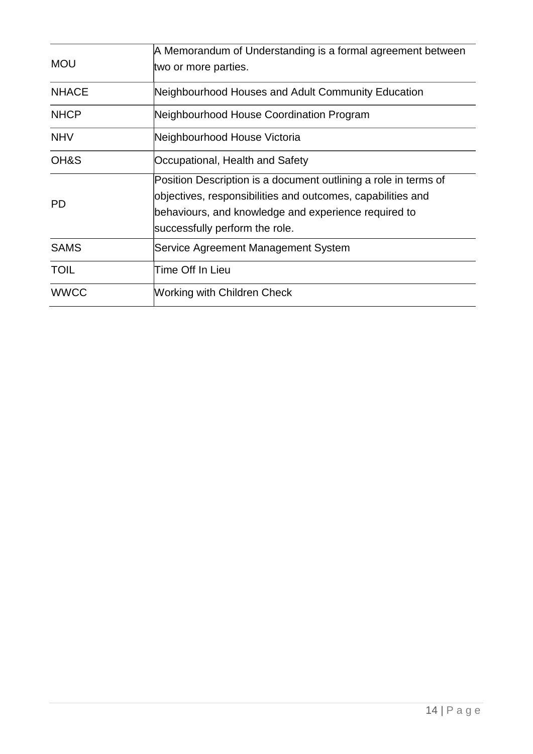| <b>MOU</b>   | A Memorandum of Understanding is a formal agreement between<br>two or more parties.                                                                                                                                      |
|--------------|--------------------------------------------------------------------------------------------------------------------------------------------------------------------------------------------------------------------------|
| <b>NHACE</b> | Neighbourhood Houses and Adult Community Education                                                                                                                                                                       |
| <b>NHCP</b>  | Neighbourhood House Coordination Program                                                                                                                                                                                 |
| <b>NHV</b>   | Neighbourhood House Victoria                                                                                                                                                                                             |
| OH&S         | Occupational, Health and Safety                                                                                                                                                                                          |
| <b>PD</b>    | Position Description is a document outlining a role in terms of<br>objectives, responsibilities and outcomes, capabilities and<br>behaviours, and knowledge and experience required to<br>successfully perform the role. |
| <b>SAMS</b>  | Service Agreement Management System                                                                                                                                                                                      |
| <b>TOIL</b>  | Time Off In Lieu                                                                                                                                                                                                         |
| <b>WWCC</b>  | Working with Children Check                                                                                                                                                                                              |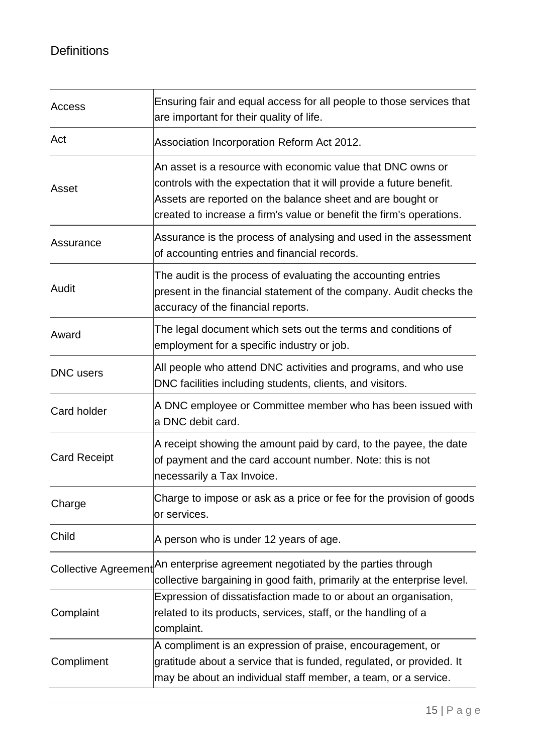### <span id="page-14-0"></span>**Definitions**

| Access                      | Ensuring fair and equal access for all people to those services that<br>are important for their quality of life.                                                                                                                                                          |
|-----------------------------|---------------------------------------------------------------------------------------------------------------------------------------------------------------------------------------------------------------------------------------------------------------------------|
| Act                         | Association Incorporation Reform Act 2012.                                                                                                                                                                                                                                |
| Asset                       | An asset is a resource with economic value that DNC owns or<br>controls with the expectation that it will provide a future benefit.<br>Assets are reported on the balance sheet and are bought or<br>created to increase a firm's value or benefit the firm's operations. |
| Assurance                   | Assurance is the process of analysing and used in the assessment<br>of accounting entries and financial records.                                                                                                                                                          |
| Audit                       | The audit is the process of evaluating the accounting entries<br>present in the financial statement of the company. Audit checks the<br>accuracy of the financial reports.                                                                                                |
| Award                       | The legal document which sets out the terms and conditions of<br>employment for a specific industry or job.                                                                                                                                                               |
| <b>DNC</b> users            | All people who attend DNC activities and programs, and who use<br>DNC facilities including students, clients, and visitors.                                                                                                                                               |
| Card holder                 | A DNC employee or Committee member who has been issued with<br>a DNC debit card.                                                                                                                                                                                          |
| <b>Card Receipt</b>         | A receipt showing the amount paid by card, to the payee, the date<br>of payment and the card account number. Note: this is not<br>necessarily a Tax Invoice.                                                                                                              |
| Charge                      | Charge to impose or ask as a price or fee for the provision of goods<br>or services.                                                                                                                                                                                      |
| Child                       | A person who is under 12 years of age.                                                                                                                                                                                                                                    |
| <b>Collective Agreement</b> | An enterprise agreement negotiated by the parties through<br>collective bargaining in good faith, primarily at the enterprise level.                                                                                                                                      |
| Complaint                   | Expression of dissatisfaction made to or about an organisation,<br>related to its products, services, staff, or the handling of a<br>complaint.                                                                                                                           |
| Compliment                  | A compliment is an expression of praise, encouragement, or<br>gratitude about a service that is funded, regulated, or provided. It<br>may be about an individual staff member, a team, or a service.                                                                      |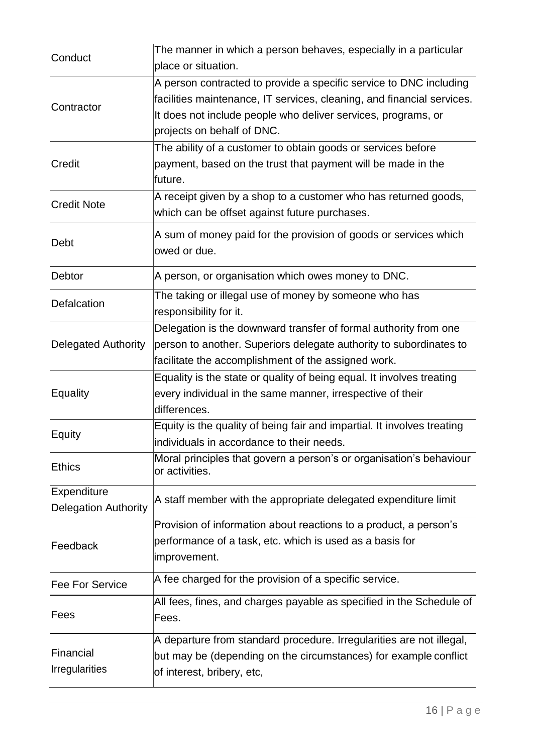| Conduct                                    | The manner in which a person behaves, especially in a particular<br>place or situation.                                                                                                                                                     |
|--------------------------------------------|---------------------------------------------------------------------------------------------------------------------------------------------------------------------------------------------------------------------------------------------|
| Contractor                                 | A person contracted to provide a specific service to DNC including<br>facilities maintenance, IT services, cleaning, and financial services.<br>It does not include people who deliver services, programs, or<br>projects on behalf of DNC. |
| Credit                                     | The ability of a customer to obtain goods or services before<br>payment, based on the trust that payment will be made in the<br>future.                                                                                                     |
| <b>Credit Note</b>                         | A receipt given by a shop to a customer who has returned goods,<br>which can be offset against future purchases.                                                                                                                            |
| Debt                                       | A sum of money paid for the provision of goods or services which<br>lowed or due.                                                                                                                                                           |
| Debtor                                     | A person, or organisation which owes money to DNC.                                                                                                                                                                                          |
| Defalcation                                | The taking or illegal use of money by someone who has<br>responsibility for it.                                                                                                                                                             |
| <b>Delegated Authority</b>                 | Delegation is the downward transfer of formal authority from one<br>person to another. Superiors delegate authority to subordinates to<br>facilitate the accomplishment of the assigned work.                                               |
| Equality                                   | Equality is the state or quality of being equal. It involves treating<br>every individual in the same manner, irrespective of their<br>differences.                                                                                         |
| Equity                                     | Equity is the quality of being fair and impartial. It involves treating<br>lindividuals in accordance to their needs.                                                                                                                       |
| <b>Ethics</b>                              | Moral principles that govern a person's or organisation's behaviour<br>or activities.                                                                                                                                                       |
| Expenditure<br><b>Delegation Authority</b> | A staff member with the appropriate delegated expenditure limit                                                                                                                                                                             |
| Feedback                                   | Provision of information about reactions to a product, a person's<br>performance of a task, etc. which is used as a basis for<br>improvement.                                                                                               |
| Fee For Service                            | A fee charged for the provision of a specific service.                                                                                                                                                                                      |
| Fees                                       | All fees, fines, and charges payable as specified in the Schedule of<br>Fees.                                                                                                                                                               |
| Financial<br><b>Irregularities</b>         | A departure from standard procedure. Irregularities are not illegal,<br>but may be (depending on the circumstances) for example conflict<br>of interest, bribery, etc,                                                                      |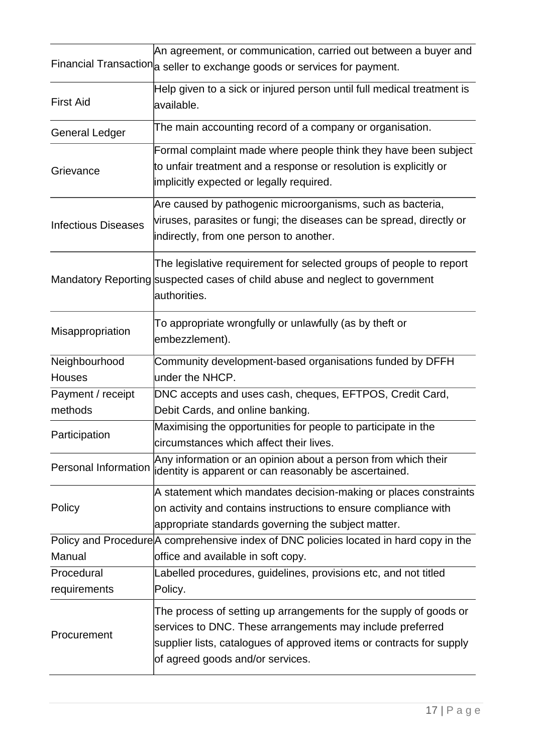|                                | An agreement, or communication, carried out between a buyer and<br>Financial Transaction a seller to exchange goods or services for payment.                                                                                               |
|--------------------------------|--------------------------------------------------------------------------------------------------------------------------------------------------------------------------------------------------------------------------------------------|
| <b>First Aid</b>               | Help given to a sick or injured person until full medical treatment is<br>available.                                                                                                                                                       |
| <b>General Ledger</b>          | The main accounting record of a company or organisation.                                                                                                                                                                                   |
| Grievance                      | Formal complaint made where people think they have been subject<br>to unfair treatment and a response or resolution is explicitly or<br>implicitly expected or legally required.                                                           |
| <b>Infectious Diseases</b>     | Are caused by pathogenic microorganisms, such as bacteria,<br>viruses, parasites or fungi; the diseases can be spread, directly or<br>indirectly, from one person to another.                                                              |
|                                | The legislative requirement for selected groups of people to report<br>Mandatory Reporting suspected cases of child abuse and neglect to government<br>authorities.                                                                        |
| Misappropriation               | To appropriate wrongfully or unlawfully (as by theft or<br>embezzlement).                                                                                                                                                                  |
| Neighbourhood<br><b>Houses</b> | Community development-based organisations funded by DFFH<br>under the NHCP.                                                                                                                                                                |
| Payment / receipt<br>methods   | DNC accepts and uses cash, cheques, EFTPOS, Credit Card,<br>Debit Cards, and online banking.                                                                                                                                               |
| Participation                  | Maximising the opportunities for people to participate in the<br>circumstances which affect their lives.                                                                                                                                   |
| <b>Personal Information</b>    | Any information or an opinion about a person from which their<br>identity is apparent or can reasonably be ascertained.                                                                                                                    |
| Policy                         | A statement which mandates decision-making or places constraints<br>on activity and contains instructions to ensure compliance with<br>appropriate standards governing the subject matter.                                                 |
|                                | Policy and Procedure A comprehensive index of DNC policies located in hard copy in the                                                                                                                                                     |
| Manual                         | office and available in soft copy.                                                                                                                                                                                                         |
| Procedural                     | Labelled procedures, guidelines, provisions etc, and not titled                                                                                                                                                                            |
| requirements                   | Policy.                                                                                                                                                                                                                                    |
| Procurement                    | The process of setting up arrangements for the supply of goods or<br>services to DNC. These arrangements may include preferred<br>supplier lists, catalogues of approved items or contracts for supply<br>of agreed goods and/or services. |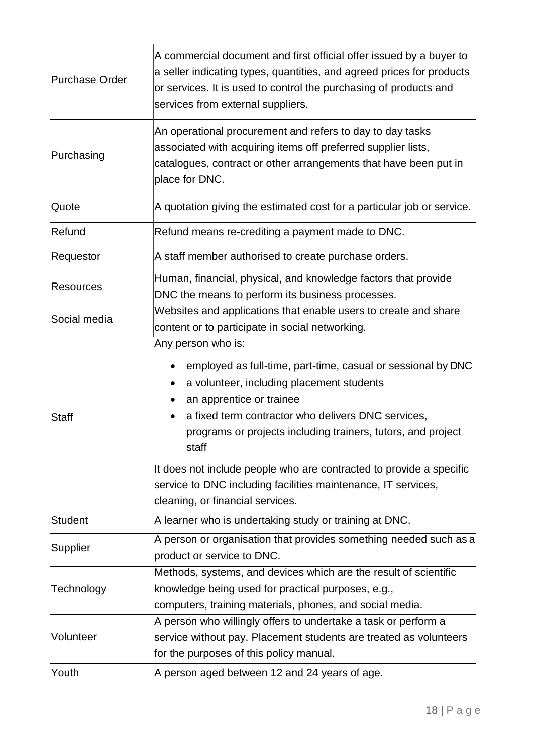| <b>Purchase Order</b> | A commercial document and first official offer issued by a buyer to<br>a seller indicating types, quantities, and agreed prices for products<br>or services. It is used to control the purchasing of products and<br>services from external suppliers.                                     |  |  |
|-----------------------|--------------------------------------------------------------------------------------------------------------------------------------------------------------------------------------------------------------------------------------------------------------------------------------------|--|--|
| Purchasing            | An operational procurement and refers to day to day tasks<br>associated with acquiring items off preferred supplier lists,<br>catalogues, contract or other arrangements that have been put in<br>place for DNC.                                                                           |  |  |
| Quote                 | A quotation giving the estimated cost for a particular job or service.                                                                                                                                                                                                                     |  |  |
| Refund                | Refund means re-crediting a payment made to DNC.                                                                                                                                                                                                                                           |  |  |
| Requestor             | A staff member authorised to create purchase orders.                                                                                                                                                                                                                                       |  |  |
| <b>Resources</b>      | Human, financial, physical, and knowledge factors that provide<br>DNC the means to perform its business processes.                                                                                                                                                                         |  |  |
| Social media          | Websites and applications that enable users to create and share<br>content or to participate in social networking.                                                                                                                                                                         |  |  |
| <b>Staff</b>          | Any person who is:<br>employed as full-time, part-time, casual or sessional by DNC<br>a volunteer, including placement students<br>an apprentice or trainee<br>a fixed term contractor who delivers DNC services,<br>programs or projects including trainers, tutors, and project<br>staff |  |  |
|                       | It does not include people who are contracted to provide a specific<br>service to DNC including facilities maintenance, IT services,<br>cleaning, or financial services.                                                                                                                   |  |  |
| <b>Student</b>        | A learner who is undertaking study or training at DNC.                                                                                                                                                                                                                                     |  |  |
| Supplier              | A person or organisation that provides something needed such as a<br>product or service to DNC.                                                                                                                                                                                            |  |  |
| Technology            | Methods, systems, and devices which are the result of scientific<br>knowledge being used for practical purposes, e.g.,<br>computers, training materials, phones, and social media.                                                                                                         |  |  |
| Volunteer             | A person who willingly offers to undertake a task or perform a<br>service without pay. Placement students are treated as volunteers<br>for the purposes of this policy manual.                                                                                                             |  |  |
| Youth                 | A person aged between 12 and 24 years of age.                                                                                                                                                                                                                                              |  |  |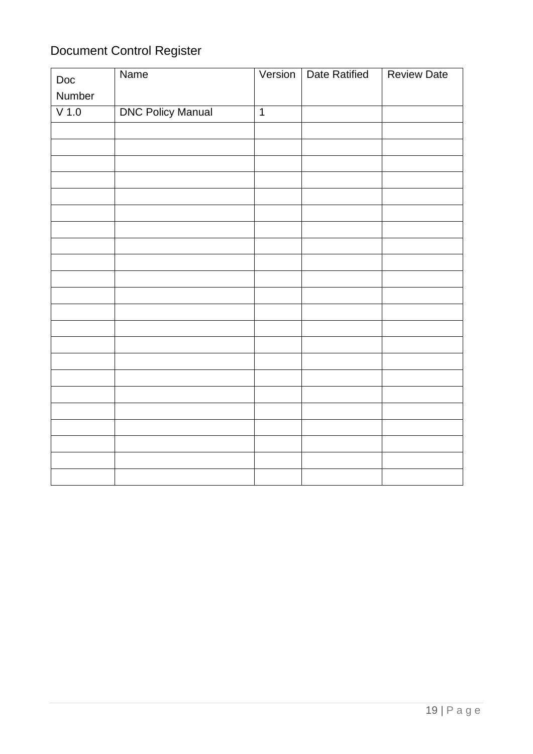# <span id="page-18-0"></span>Document Control Register

| Doc     | Name                     | Version        | <b>Date Ratified</b> | <b>Review Date</b> |
|---------|--------------------------|----------------|----------------------|--------------------|
| Number  |                          |                |                      |                    |
| $V$ 1.0 | <b>DNC Policy Manual</b> | $\overline{1}$ |                      |                    |
|         |                          |                |                      |                    |
|         |                          |                |                      |                    |
|         |                          |                |                      |                    |
|         |                          |                |                      |                    |
|         |                          |                |                      |                    |
|         |                          |                |                      |                    |
|         |                          |                |                      |                    |
|         |                          |                |                      |                    |
|         |                          |                |                      |                    |
|         |                          |                |                      |                    |
|         |                          |                |                      |                    |
|         |                          |                |                      |                    |
|         |                          |                |                      |                    |
|         |                          |                |                      |                    |
|         |                          |                |                      |                    |
|         |                          |                |                      |                    |
|         |                          |                |                      |                    |
|         |                          |                |                      |                    |
|         |                          |                |                      |                    |
|         |                          |                |                      |                    |
|         |                          |                |                      |                    |
|         |                          |                |                      |                    |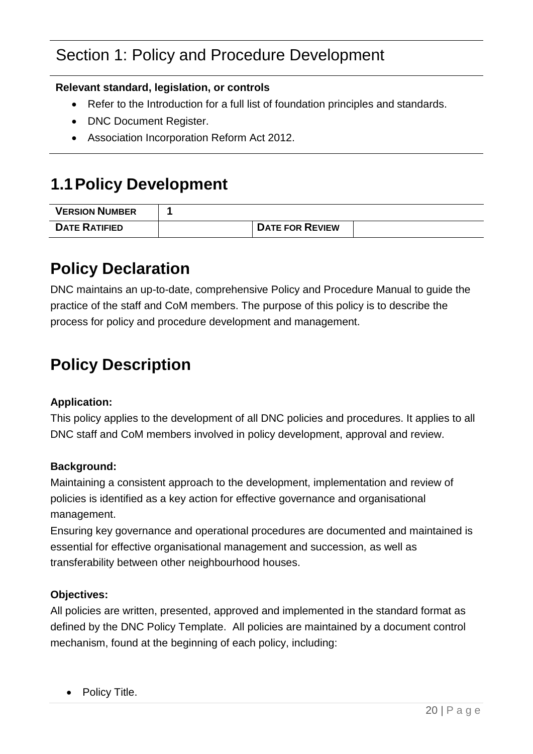# Section 1: Policy and Procedure Development

#### **Relevant standard, legislation, or controls**

- Refer to the Introduction for a full list of foundation principles and standards.
- DNC Document Register.
- Association Incorporation Reform Act 2012.

# <span id="page-19-0"></span>**1.1Policy Development**

| <b>VERSION NUMBER</b> |                        |  |
|-----------------------|------------------------|--|
| <b>DATE RATIFIED</b>  | <b>DATE FOR REVIEW</b> |  |

### <span id="page-19-1"></span>**Policy Declaration**

DNC maintains an up-to-date, comprehensive Policy and Procedure Manual to guide the practice of the staff and CoM members. The purpose of this policy is to describe the process for policy and procedure development and management.

# <span id="page-19-2"></span>**Policy Description**

#### **Application:**

This policy applies to the development of all DNC policies and procedures. It applies to all DNC staff and CoM members involved in policy development, approval and review.

#### **Background:**

Maintaining a consistent approach to the development, implementation and review of policies is identified as a key action for effective governance and organisational management.

Ensuring key governance and operational procedures are documented and maintained is essential for effective organisational management and succession, as well as transferability between other neighbourhood houses.

#### **Objectives:**

All policies are written, presented, approved and implemented in the standard format as defined by the DNC Policy Template. All policies are maintained by a document control mechanism, found at the beginning of each policy, including:

• Policy Title.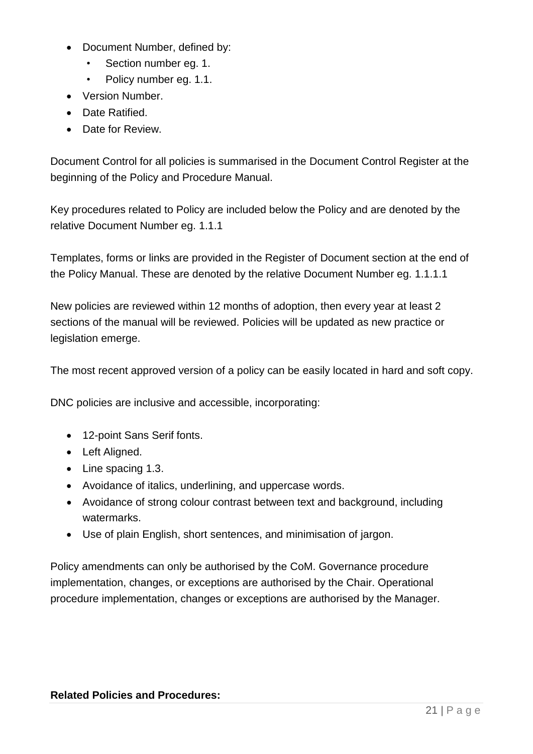- Document Number, defined by:
	- Section number eg. 1.
	- Policy number eg. 1.1.
- Version Number.
- Date Ratified.
- Date for Review.

Document Control for all policies is summarised in the Document Control Register at the beginning of the Policy and Procedure Manual.

Key procedures related to Policy are included below the Policy and are denoted by the relative Document Number eg. 1.1.1

Templates, forms or links are provided in the Register of Document section at the end of the Policy Manual. These are denoted by the relative Document Number eg. 1.1.1.1

New policies are reviewed within 12 months of adoption, then every year at least 2 sections of the manual will be reviewed. Policies will be updated as new practice or legislation emerge.

The most recent approved version of a policy can be easily located in hard and soft copy.

DNC policies are inclusive and accessible, incorporating:

- 12-point Sans Serif fonts.
- Left Aligned.
- Line spacing 1.3.
- Avoidance of italics, underlining, and uppercase words.
- Avoidance of strong colour contrast between text and background, including watermarks.
- Use of plain English, short sentences, and minimisation of jargon.

Policy amendments can only be authorised by the CoM. Governance procedure implementation, changes, or exceptions are authorised by the Chair. Operational procedure implementation, changes or exceptions are authorised by the Manager.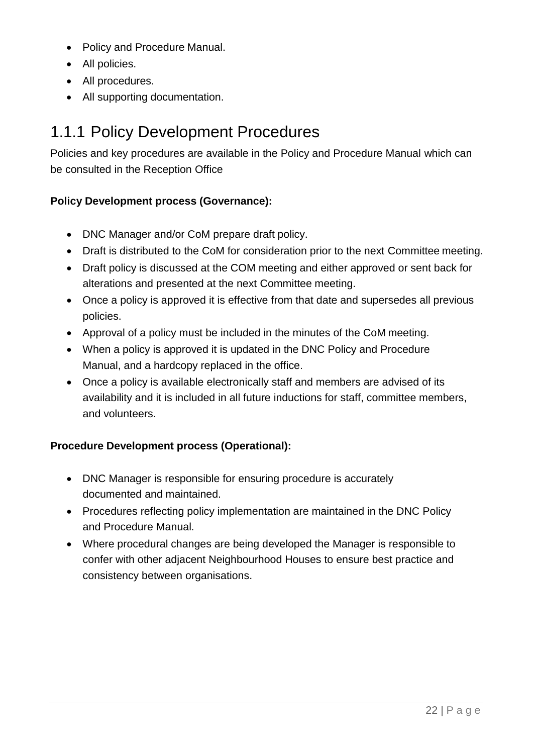- Policy and Procedure Manual.
- All policies.
- All procedures.
- All supporting documentation.

# <span id="page-21-0"></span>1.1.1 Policy Development Procedures

Policies and key procedures are available in the Policy and Procedure Manual which can be consulted in the Reception Office

### **Policy Development process (Governance):**

- DNC Manager and/or CoM prepare draft policy.
- Draft is distributed to the CoM for consideration prior to the next Committee meeting.
- Draft policy is discussed at the COM meeting and either approved or sent back for alterations and presented at the next Committee meeting.
- Once a policy is approved it is effective from that date and supersedes all previous policies.
- Approval of a policy must be included in the minutes of the CoM meeting.
- When a policy is approved it is updated in the DNC Policy and Procedure Manual, and a hardcopy replaced in the office.
- Once a policy is available electronically staff and members are advised of its availability and it is included in all future inductions for staff, committee members, and volunteers.

### **Procedure Development process (Operational):**

- DNC Manager is responsible for ensuring procedure is accurately documented and maintained.
- Procedures reflecting policy implementation are maintained in the DNC Policy and Procedure Manual.
- Where procedural changes are being developed the Manager is responsible to confer with other adjacent Neighbourhood Houses to ensure best practice and consistency between organisations.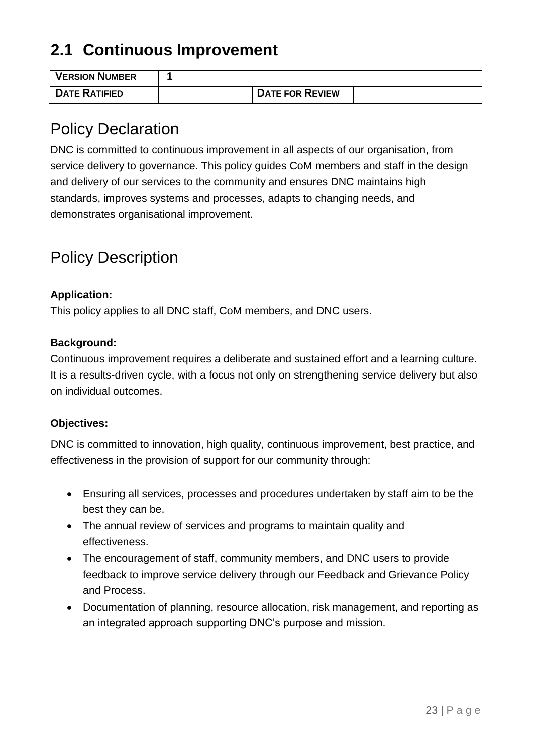# <span id="page-22-0"></span>**2.1 Continuous Improvement**

| <b>VERSION NUMBER</b> |                        |  |
|-----------------------|------------------------|--|
| <b>DATE RATIFIED</b>  | <b>DATE FOR REVIEW</b> |  |

## <span id="page-22-1"></span>Policy Declaration

DNC is committed to continuous improvement in all aspects of our organisation, from service delivery to governance. This policy guides CoM members and staff in the design and delivery of our services to the community and ensures DNC maintains high standards, improves systems and processes, adapts to changing needs, and demonstrates organisational improvement.

# <span id="page-22-2"></span>Policy Description

#### **Application:**

This policy applies to all DNC staff, CoM members, and DNC users.

#### **Background:**

Continuous improvement requires a deliberate and sustained effort and a learning culture. It is a results-driven cycle, with a focus not only on strengthening service delivery but also on individual outcomes.

#### **Objectives:**

DNC is committed to innovation, high quality, continuous improvement, best practice, and effectiveness in the provision of support for our community through:

- Ensuring all services, processes and procedures undertaken by staff aim to be the best they can be.
- The annual review of services and programs to maintain quality and effectiveness.
- The encouragement of staff, community members, and DNC users to provide feedback to improve service delivery through our Feedback and Grievance Policy and Process.
- Documentation of planning, resource allocation, risk management, and reporting as an integrated approach supporting DNC's purpose and mission.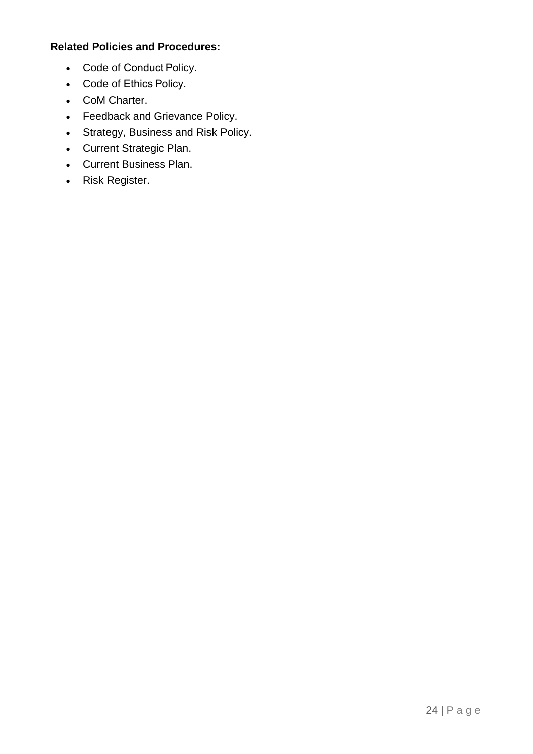#### **Related Policies and Procedures:**

- Code of Conduct Policy.
- Code of Ethics Policy.
- CoM Charter.
- Feedback and Grievance Policy.
- Strategy, Business and Risk Policy.
- Current Strategic Plan.
- Current Business Plan.
- Risk Register.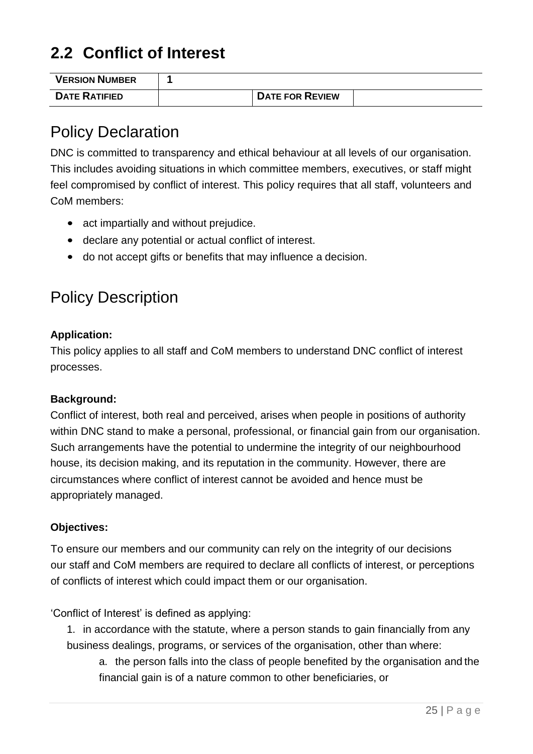# <span id="page-24-0"></span>**2.2 Conflict of Interest**

| <b>VERSION NUMBER</b> |                        |  |
|-----------------------|------------------------|--|
| <b>DATE RATIFIED</b>  | <b>DATE FOR REVIEW</b> |  |

## <span id="page-24-1"></span>Policy Declaration

DNC is committed to transparency and ethical behaviour at all levels of our organisation. This includes avoiding situations in which committee members, executives, or staff might feel compromised by conflict of interest. This policy requires that all staff, volunteers and CoM members:

- act impartially and without prejudice.
- declare any potential or actual conflict of interest.
- do not accept gifts or benefits that may influence a decision.

# <span id="page-24-2"></span>Policy Description

#### **Application:**

This policy applies to all staff and CoM members to understand DNC conflict of interest processes.

#### **Background:**

Conflict of interest, both real and perceived, arises when people in positions of authority within DNC stand to make a personal, professional, or financial gain from our organisation. Such arrangements have the potential to undermine the integrity of our neighbourhood house, its decision making, and its reputation in the community. However, there are circumstances where conflict of interest cannot be avoided and hence must be appropriately managed.

#### **Objectives:**

To ensure our members and our community can rely on the integrity of our decisions our staff and CoM members are required to declare all conflicts of interest, or perceptions of conflicts of interest which could impact them or our organisation.

'Conflict of Interest' is defined as applying:

1. in accordance with the statute, where a person stands to gain financially from any business dealings, programs, or services of the organisation, other than where:

a. the person falls into the class of people benefited by the organisation and the financial gain is of a nature common to other beneficiaries, or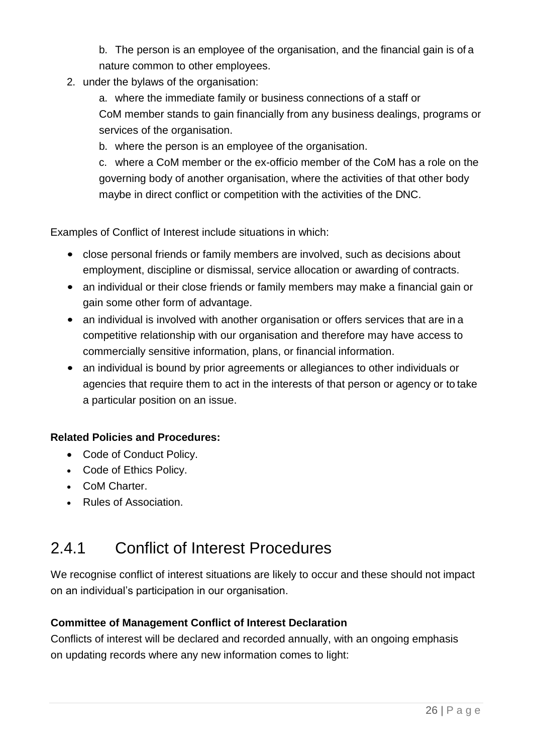b. The person is an employee of the organisation, and the financial gain is of a nature common to other employees.

2. under the bylaws of the organisation:

a. where the immediate family or business connections of a staff or CoM member stands to gain financially from any business dealings, programs or services of the organisation.

b. where the person is an employee of the organisation.

c. where a CoM member or the ex-officio member of the CoM has a role on the governing body of another organisation, where the activities of that other body maybe in direct conflict or competition with the activities of the DNC.

Examples of Conflict of Interest include situations in which:

- close personal friends or family members are involved, such as decisions about employment, discipline or dismissal, service allocation or awarding of contracts.
- an individual or their close friends or family members may make a financial gain or gain some other form of advantage.
- an individual is involved with another organisation or offers services that are in a competitive relationship with our organisation and therefore may have access to commercially sensitive information, plans, or financial information.
- an individual is bound by prior agreements or allegiances to other individuals or agencies that require them to act in the interests of that person or agency or to take a particular position on an issue.

#### **Related Policies and Procedures:**

- Code of Conduct Policy.
- Code of Ethics Policy.
- CoM Charter.
- Rules of Association.

### <span id="page-25-0"></span>2.4.1 Conflict of Interest Procedures

We recognise conflict of interest situations are likely to occur and these should not impact on an individual's participation in our organisation.

#### **Committee of Management Conflict of Interest Declaration**

Conflicts of interest will be declared and recorded annually, with an ongoing emphasis on updating records where any new information comes to light: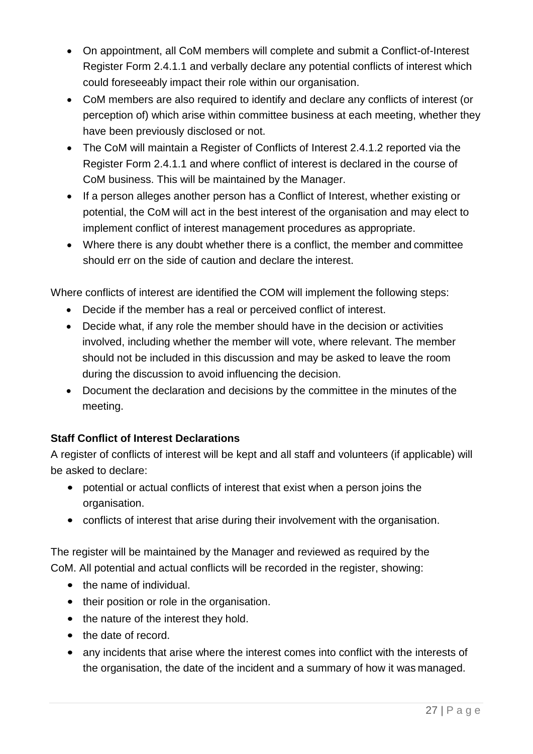- On appointment, all CoM members will complete and submit a Conflict-of-Interest Register Form 2.4.1.1 and verbally declare any potential conflicts of interest which could foreseeably impact their role within our organisation.
- CoM members are also required to identify and declare any conflicts of interest (or perception of) which arise within committee business at each meeting, whether they have been previously disclosed or not.
- The CoM will maintain a Register of Conflicts of Interest 2.4.1.2 reported via the Register Form 2.4.1.1 and where conflict of interest is declared in the course of CoM business. This will be maintained by the Manager.
- If a person alleges another person has a Conflict of Interest, whether existing or potential, the CoM will act in the best interest of the organisation and may elect to implement conflict of interest management procedures as appropriate.
- Where there is any doubt whether there is a conflict, the member and committee should err on the side of caution and declare the interest.

Where conflicts of interest are identified the COM will implement the following steps:

- Decide if the member has a real or perceived conflict of interest.
- Decide what, if any role the member should have in the decision or activities involved, including whether the member will vote, where relevant. The member should not be included in this discussion and may be asked to leave the room during the discussion to avoid influencing the decision.
- Document the declaration and decisions by the committee in the minutes of the meeting.

### **Staff Conflict of Interest Declarations**

A register of conflicts of interest will be kept and all staff and volunteers (if applicable) will be asked to declare:

- potential or actual conflicts of interest that exist when a person joins the organisation.
- conflicts of interest that arise during their involvement with the organisation.

The register will be maintained by the Manager and reviewed as required by the CoM. All potential and actual conflicts will be recorded in the register, showing:

- the name of individual.
- their position or role in the organisation.
- the nature of the interest they hold.
- the date of record.
- any incidents that arise where the interest comes into conflict with the interests of the organisation, the date of the incident and a summary of how it was managed.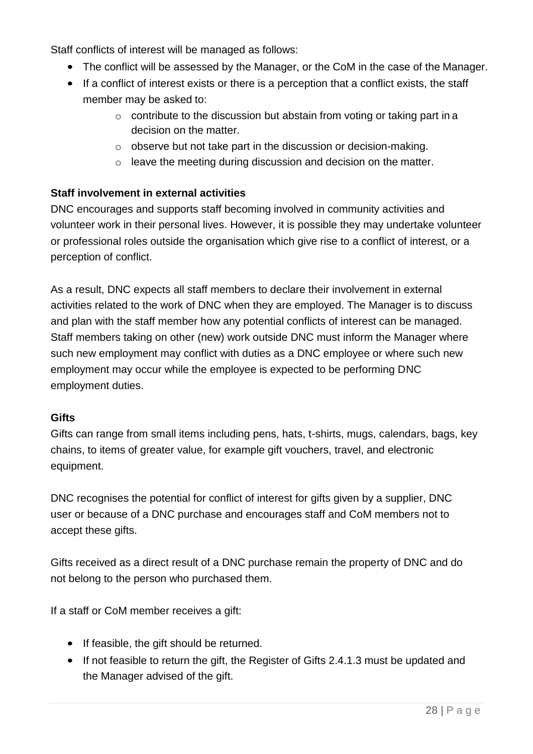Staff conflicts of interest will be managed as follows:

- The conflict will be assessed by the Manager, or the CoM in the case of the Manager.
- If a conflict of interest exists or there is a perception that a conflict exists, the staff member may be asked to:
	- o contribute to the discussion but abstain from voting or taking part in a decision on the matter.
	- o observe but not take part in the discussion or decision-making.
	- o leave the meeting during discussion and decision on the matter.

### **Staff involvement in external activities**

DNC encourages and supports staff becoming involved in community activities and volunteer work in their personal lives. However, it is possible they may undertake volunteer or professional roles outside the organisation which give rise to a conflict of interest, or a perception of conflict.

As a result, DNC expects all staff members to declare their involvement in external activities related to the work of DNC when they are employed. The Manager is to discuss and plan with the staff member how any potential conflicts of interest can be managed. Staff members taking on other (new) work outside DNC must inform the Manager where such new employment may conflict with duties as a DNC employee or where such new employment may occur while the employee is expected to be performing DNC employment duties.

### **Gifts**

Gifts can range from small items including pens, hats, t-shirts, mugs, calendars, bags, key chains, to items of greater value, for example gift vouchers, travel, and electronic equipment.

DNC recognises the potential for conflict of interest for gifts given by a supplier, DNC user or because of a DNC purchase and encourages staff and CoM members not to accept these gifts.

Gifts received as a direct result of a DNC purchase remain the property of DNC and do not belong to the person who purchased them.

If a staff or CoM member receives a gift:

- If feasible, the gift should be returned.
- If not feasible to return the gift, the Register of Gifts 2.4.1.3 must be updated and the Manager advised of the gift.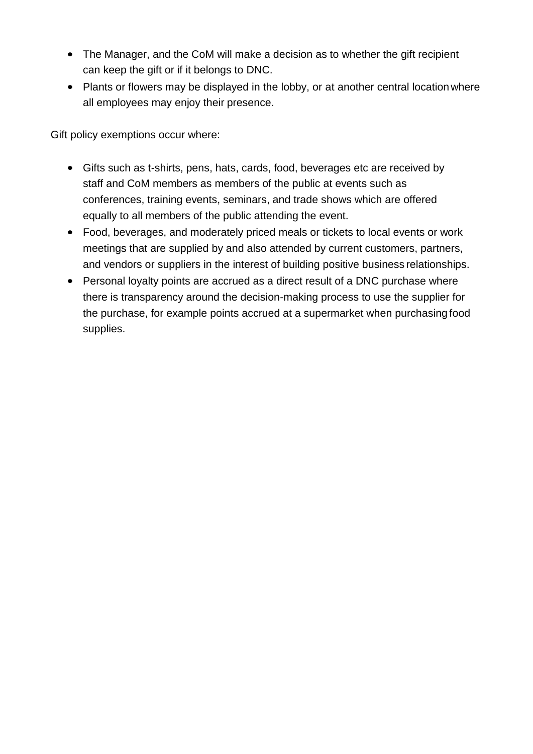- The Manager, and the CoM will make a decision as to whether the gift recipient can keep the gift or if it belongs to DNC.
- Plants or flowers may be displayed in the lobby, or at another central location where all employees may enjoy their presence.

Gift policy exemptions occur where:

- Gifts such as t-shirts, pens, hats, cards, food, beverages etc are received by staff and CoM members as members of the public at events such as conferences, training events, seminars, and trade shows which are offered equally to all members of the public attending the event.
- Food, beverages, and moderately priced meals or tickets to local events or work meetings that are supplied by and also attended by current customers, partners, and vendors or suppliers in the interest of building positive business relationships.
- Personal loyalty points are accrued as a direct result of a DNC purchase where there is transparency around the decision-making process to use the supplier for the purchase, for example points accrued at a supermarket when purchasing food supplies.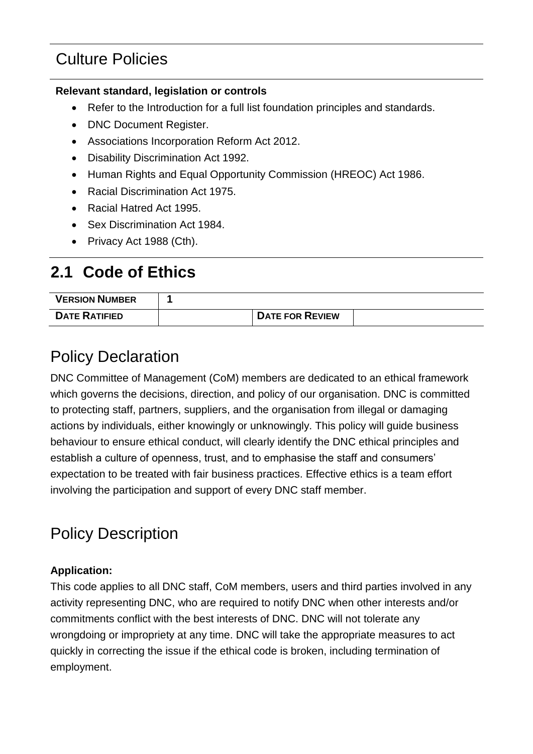# Culture Policies

#### **Relevant standard, legislation or controls**

- Refer to the Introduction for a full list foundation principles and standards.
- DNC Document Register.
- Associations Incorporation Reform Act 2012.
- Disability Discrimination Act 1992.
- Human Rights and Equal Opportunity Commission (HREOC) Act 1986.
- Racial Discrimination Act 1975.
- Racial Hatred Act 1995.
- Sex Discrimination Act 1984.
- Privacy Act 1988 (Cth).

# <span id="page-29-0"></span>**2.1 Code of Ethics**

| <b>VERSION NUMBER</b> |                        |  |
|-----------------------|------------------------|--|
| <b>DATE RATIFIED</b>  | <b>DATE FOR REVIEW</b> |  |

# <span id="page-29-1"></span>Policy Declaration

DNC Committee of Management (CoM) members are dedicated to an ethical framework which governs the decisions, direction, and policy of our organisation. DNC is committed to protecting staff, partners, suppliers, and the organisation from illegal or damaging actions by individuals, either knowingly or unknowingly. This policy will guide business behaviour to ensure ethical conduct, will clearly identify the DNC ethical principles and establish a culture of openness, trust, and to emphasise the staff and consumers' expectation to be treated with fair business practices. Effective ethics is a team effort involving the participation and support of every DNC staff member.

# <span id="page-29-2"></span>Policy Description

### **Application:**

This code applies to all DNC staff, CoM members, users and third parties involved in any activity representing DNC, who are required to notify DNC when other interests and/or commitments conflict with the best interests of DNC. DNC will not tolerate any wrongdoing or impropriety at any time. DNC will take the appropriate measures to act quickly in correcting the issue if the ethical code is broken, including termination of employment.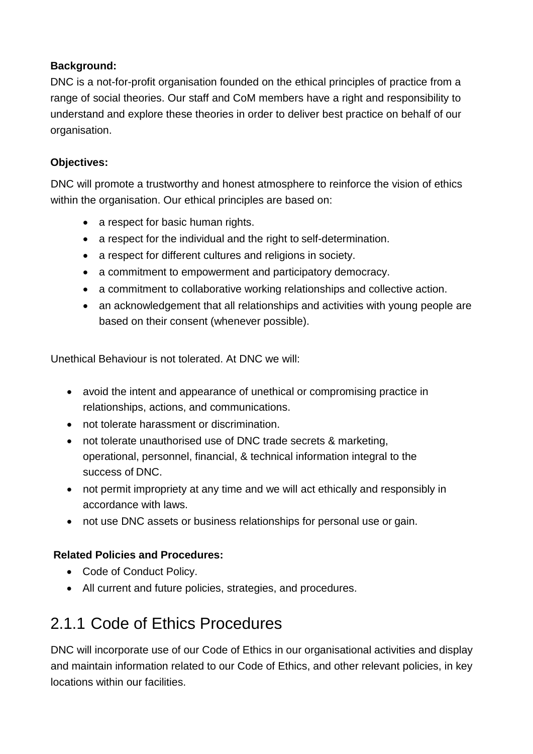### **Background:**

DNC is a not-for-profit organisation founded on the ethical principles of practice from a range of social theories. Our staff and CoM members have a right and responsibility to understand and explore these theories in order to deliver best practice on behalf of our organisation.

### **Objectives:**

DNC will promote a trustworthy and honest atmosphere to reinforce the vision of ethics within the organisation. Our ethical principles are based on:

- a respect for basic human rights.
- a respect for the individual and the right to self-determination.
- a respect for different cultures and religions in society.
- a commitment to empowerment and participatory democracy.
- a commitment to collaborative working relationships and collective action.
- an acknowledgement that all relationships and activities with young people are based on their consent (whenever possible).

Unethical Behaviour is not tolerated. At DNC we will:

- avoid the intent and appearance of unethical or compromising practice in relationships, actions, and communications.
- not tolerate harassment or discrimination.
- not tolerate unauthorised use of DNC trade secrets & marketing, operational, personnel, financial, & technical information integral to the success of DNC.
- not permit impropriety at any time and we will act ethically and responsibly in accordance with laws.
- not use DNC assets or business relationships for personal use or gain.

### **Related Policies and Procedures:**

- Code of Conduct Policy.
- All current and future policies, strategies, and procedures.

# <span id="page-30-0"></span>2.1.1 Code of Ethics Procedures

DNC will incorporate use of our Code of Ethics in our organisational activities and display and maintain information related to our Code of Ethics, and other relevant policies, in key locations within our facilities.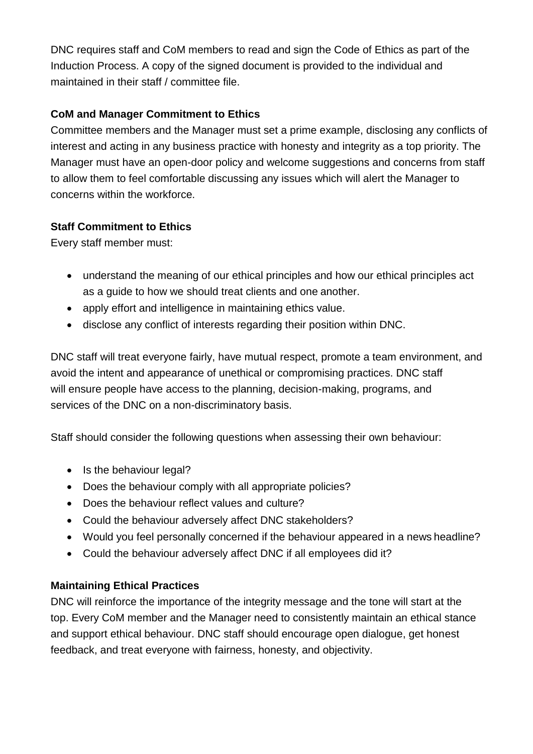DNC requires staff and CoM members to read and sign the Code of Ethics as part of the Induction Process. A copy of the signed document is provided to the individual and maintained in their staff / committee file.

### **CoM and Manager Commitment to Ethics**

Committee members and the Manager must set a prime example, disclosing any conflicts of interest and acting in any business practice with honesty and integrity as a top priority. The Manager must have an open-door policy and welcome suggestions and concerns from staff to allow them to feel comfortable discussing any issues which will alert the Manager to concerns within the workforce.

### **Staff Commitment to Ethics**

Every staff member must:

- understand the meaning of our ethical principles and how our ethical principles act as a guide to how we should treat clients and one another.
- apply effort and intelligence in maintaining ethics value.
- disclose any conflict of interests regarding their position within DNC.

DNC staff will treat everyone fairly, have mutual respect, promote a team environment, and avoid the intent and appearance of unethical or compromising practices. DNC staff will ensure people have access to the planning, decision-making, programs, and services of the DNC on a non-discriminatory basis.

Staff should consider the following questions when assessing their own behaviour:

- Is the behaviour legal?
- Does the behaviour comply with all appropriate policies?
- Does the behaviour reflect values and culture?
- Could the behaviour adversely affect DNC stakeholders?
- Would you feel personally concerned if the behaviour appeared in a news headline?
- Could the behaviour adversely affect DNC if all employees did it?

### **Maintaining Ethical Practices**

DNC will reinforce the importance of the integrity message and the tone will start at the top. Every CoM member and the Manager need to consistently maintain an ethical stance and support ethical behaviour. DNC staff should encourage open dialogue, get honest feedback, and treat everyone with fairness, honesty, and objectivity.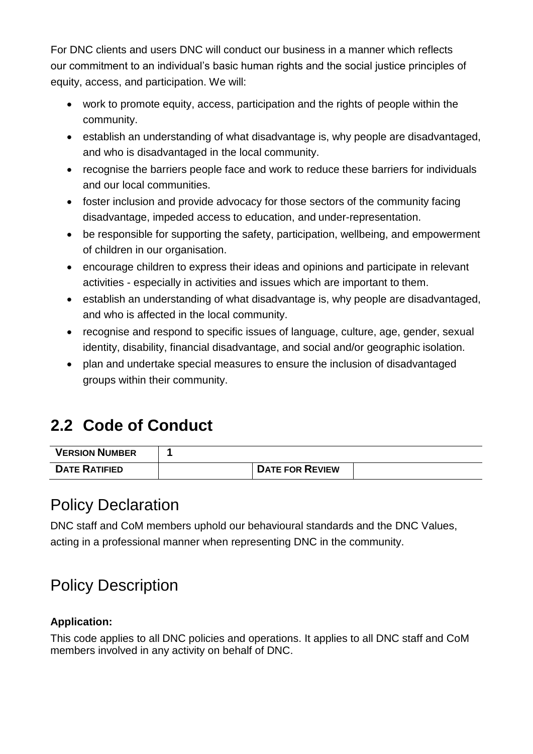For DNC clients and users DNC will conduct our business in a manner which reflects our commitment to an individual's basic human rights and the social justice principles of equity, access, and participation. We will:

- work to promote equity, access, participation and the rights of people within the community.
- establish an understanding of what disadvantage is, why people are disadvantaged, and who is disadvantaged in the local community.
- recognise the barriers people face and work to reduce these barriers for individuals and our local communities.
- foster inclusion and provide advocacy for those sectors of the community facing disadvantage, impeded access to education, and under-representation.
- be responsible for supporting the safety, participation, wellbeing, and empowerment of children in our organisation.
- encourage children to express their ideas and opinions and participate in relevant activities - especially in activities and issues which are important to them.
- establish an understanding of what disadvantage is, why people are disadvantaged, and who is affected in the local community.
- recognise and respond to specific issues of language, culture, age, gender, sexual identity, disability, financial disadvantage, and social and/or geographic isolation.
- plan and undertake special measures to ensure the inclusion of disadvantaged groups within their community.

# <span id="page-32-0"></span>**2.2 Code of Conduct**

| <b>VERSION NUMBER</b> |                        |  |
|-----------------------|------------------------|--|
| <b>DATE RATIFIED</b>  | <b>DATE FOR REVIEW</b> |  |

### <span id="page-32-1"></span>Policy Declaration

DNC staff and CoM members uphold our behavioural standards and the DNC Values, acting in a professional manner when representing DNC in the community.

# <span id="page-32-2"></span>Policy Description

### **Application:**

This code applies to all DNC policies and operations. It applies to all DNC staff and CoM members involved in any activity on behalf of DNC.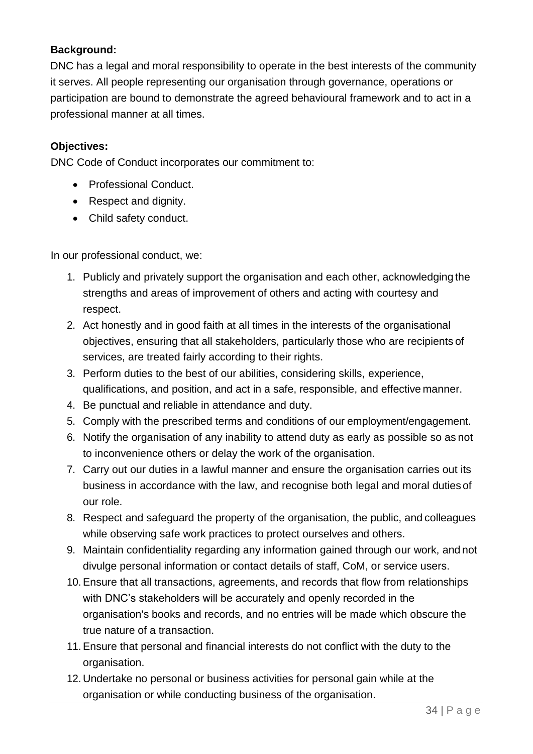### **Background:**

DNC has a legal and moral responsibility to operate in the best interests of the community it serves. All people representing our organisation through governance, operations or participation are bound to demonstrate the agreed behavioural framework and to act in a professional manner at all times.

### **Objectives:**

DNC Code of Conduct incorporates our commitment to:

- Professional Conduct.
- Respect and dignity.
- Child safety conduct.

In our professional conduct, we:

- 1. Publicly and privately support the organisation and each other, acknowledging the strengths and areas of improvement of others and acting with courtesy and respect.
- 2. Act honestly and in good faith at all times in the interests of the organisational objectives, ensuring that all stakeholders, particularly those who are recipients of services, are treated fairly according to their rights.
- 3. Perform duties to the best of our abilities, considering skills, experience, qualifications, and position, and act in a safe, responsible, and effective manner.
- 4. Be punctual and reliable in attendance and duty.
- 5. Comply with the prescribed terms and conditions of our employment/engagement.
- 6. Notify the organisation of any inability to attend duty as early as possible so as not to inconvenience others or delay the work of the organisation.
- 7. Carry out our duties in a lawful manner and ensure the organisation carries out its business in accordance with the law, and recognise both legal and moral duties of our role.
- 8. Respect and safeguard the property of the organisation, the public, and colleagues while observing safe work practices to protect ourselves and others.
- 9. Maintain confidentiality regarding any information gained through our work, and not divulge personal information or contact details of staff, CoM, or service users.
- 10.Ensure that all transactions, agreements, and records that flow from relationships with DNC's stakeholders will be accurately and openly recorded in the organisation's books and records, and no entries will be made which obscure the true nature of a transaction.
- 11.Ensure that personal and financial interests do not conflict with the duty to the organisation.
- 12. Undertake no personal or business activities for personal gain while at the organisation or while conducting business of the organisation.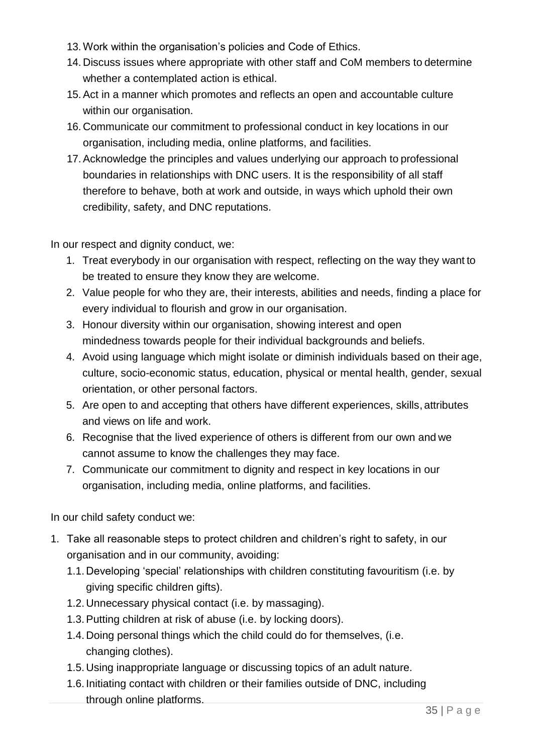- 13. Work within the organisation's policies and Code of Ethics.
- 14. Discuss issues where appropriate with other staff and CoM members to determine whether a contemplated action is ethical.
- 15.Act in a manner which promotes and reflects an open and accountable culture within our organisation.
- 16. Communicate our commitment to professional conduct in key locations in our organisation, including media, online platforms, and facilities.
- 17.Acknowledge the principles and values underlying our approach to professional boundaries in relationships with DNC users. It is the responsibility of all staff therefore to behave, both at work and outside, in ways which uphold their own credibility, safety, and DNC reputations.

In our respect and dignity conduct, we:

- 1. Treat everybody in our organisation with respect, reflecting on the way they want to be treated to ensure they know they are welcome.
- 2. Value people for who they are, their interests, abilities and needs, finding a place for every individual to flourish and grow in our organisation.
- 3. Honour diversity within our organisation, showing interest and open mindedness towards people for their individual backgrounds and beliefs.
- 4. Avoid using language which might isolate or diminish individuals based on their age, culture, socio-economic status, education, physical or mental health, gender, sexual orientation, or other personal factors.
- 5. Are open to and accepting that others have different experiences, skills, attributes and views on life and work.
- 6. Recognise that the lived experience of others is different from our own and we cannot assume to know the challenges they may face.
- 7. Communicate our commitment to dignity and respect in key locations in our organisation, including media, online platforms, and facilities.

In our child safety conduct we:

- 1. Take all reasonable steps to protect children and children's right to safety, in our organisation and in our community, avoiding:
	- 1.1. Developing 'special' relationships with children constituting favouritism (i.e. by giving specific children gifts).
	- 1.2. Unnecessary physical contact (i.e. by massaging).
	- 1.3.Putting children at risk of abuse (i.e. by locking doors).
	- 1.4. Doing personal things which the child could do for themselves, (i.e. changing clothes).
	- 1.5. Using inappropriate language or discussing topics of an adult nature.
	- 1.6. Initiating contact with children or their families outside of DNC, including through online platforms.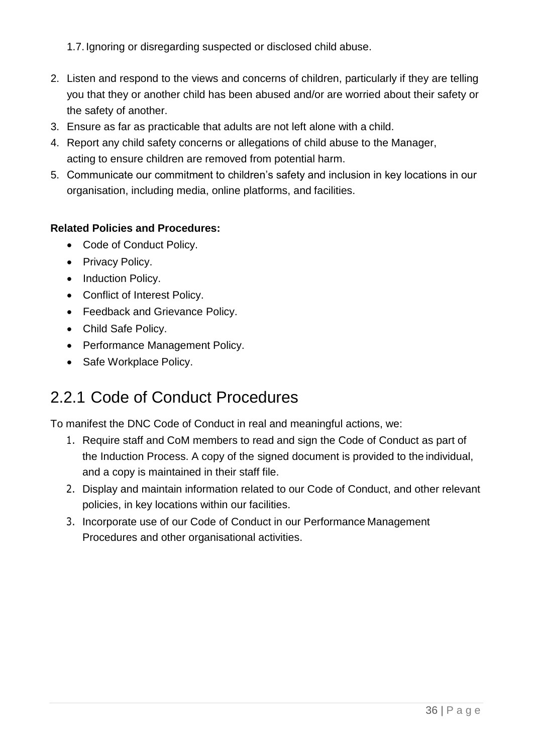1.7. Ignoring or disregarding suspected or disclosed child abuse.

- 2. Listen and respond to the views and concerns of children, particularly if they are telling you that they or another child has been abused and/or are worried about their safety or the safety of another.
- 3. Ensure as far as practicable that adults are not left alone with a child.
- 4. Report any child safety concerns or allegations of child abuse to the Manager, acting to ensure children are removed from potential harm.
- 5. Communicate our commitment to children's safety and inclusion in key locations in our organisation, including media, online platforms, and facilities.

#### **Related Policies and Procedures:**

- Code of Conduct Policy.
- Privacy Policy.
- Induction Policy.
- Conflict of Interest Policy.
- Feedback and Grievance Policy.
- Child Safe Policy.
- Performance Management Policy.
- Safe Workplace Policy.

# <span id="page-35-0"></span>2.2.1 Code of Conduct Procedures

To manifest the DNC Code of Conduct in real and meaningful actions, we:

- 1. Require staff and CoM members to read and sign the Code of Conduct as part of the Induction Process. A copy of the signed document is provided to the individual, and a copy is maintained in their staff file.
- 2. Display and maintain information related to our Code of Conduct, and other relevant policies, in key locations within our facilities.
- 3. Incorporate use of our Code of Conduct in our Performance Management Procedures and other organisational activities.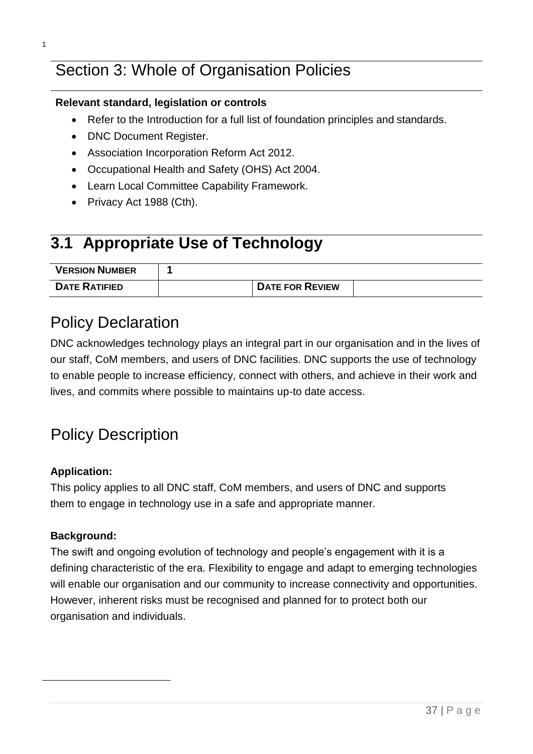# Section 3: Whole of Organisation Policies

#### **Relevant standard, legislation or controls**

- Refer to the Introduction for a full list of foundation principles and standards.
- DNC Document Register.
- Association Incorporation Reform Act 2012.
- Occupational Health and Safety (OHS) Act 2004.
- Learn Local Committee Capability Framework.
- Privacy Act 1988 (Cth).

# **3.1 Appropriate Use of Technology**

| <b>VERSION NUMBER</b> |                        |  |
|-----------------------|------------------------|--|
| <b>DATE RATIFIED</b>  | <b>DATE FOR REVIEW</b> |  |

## Policy Declaration

DNC acknowledges technology plays an integral part in our organisation and in the lives of our staff, CoM members, and users of DNC facilities. DNC supports the use of technology to enable people to increase efficiency, connect with others, and achieve in their work and lives, and commits where possible to maintains up-to date access.

# Policy Description

#### **Application:**

This policy applies to all DNC staff, CoM members, and users of DNC and supports them to engage in technology use in a safe and appropriate manner.

#### **Background:**

The swift and ongoing evolution of technology and people's engagement with it is a defining characteristic of the era. Flexibility to engage and adapt to emerging technologies will enable our organisation and our community to increase connectivity and opportunities. However, inherent risks must be recognised and planned for to protect both our organisation and individuals.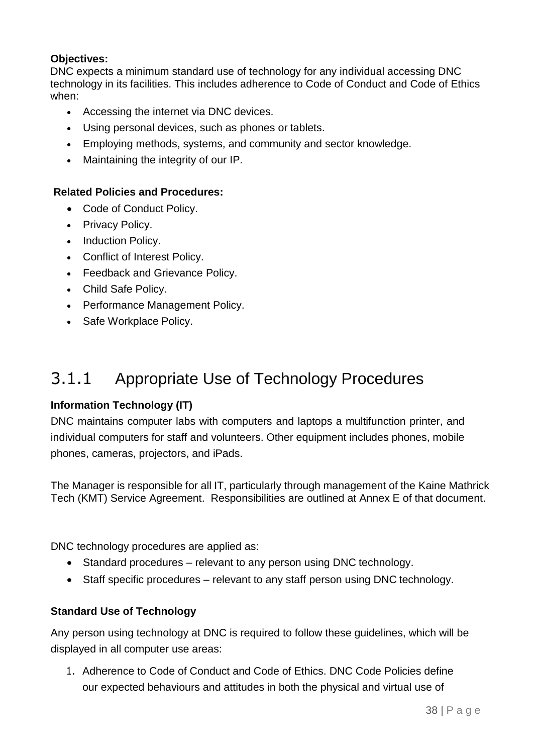#### **Objectives:**

DNC expects a minimum standard use of technology for any individual accessing DNC technology in its facilities. This includes adherence to Code of Conduct and Code of Ethics when:

- Accessing the internet via DNC devices.
- Using personal devices, such as phones or tablets.
- Employing methods, systems, and community and sector knowledge.
- Maintaining the integrity of our IP.

### **Related Policies and Procedures:**

- Code of Conduct Policy.
- Privacy Policy.
- Induction Policy.
- Conflict of Interest Policy.
- Feedback and Grievance Policy.
- Child Safe Policy.
- Performance Management Policy.
- Safe Workplace Policy.

# 3.1.1 Appropriate Use of Technology Procedures

## **Information Technology (IT)**

DNC maintains computer labs with computers and laptops a multifunction printer, and individual computers for staff and volunteers. Other equipment includes phones, mobile phones, cameras, projectors, and iPads.

The Manager is responsible for all IT, particularly through management of the Kaine Mathrick Tech (KMT) Service Agreement. Responsibilities are outlined at Annex E of that document.

DNC technology procedures are applied as:

- Standard procedures relevant to any person using DNC technology.
- Staff specific procedures relevant to any staff person using DNC technology.

## **Standard Use of Technology**

Any person using technology at DNC is required to follow these guidelines, which will be displayed in all computer use areas:

1. Adherence to Code of Conduct and Code of Ethics. DNC Code Policies define our expected behaviours and attitudes in both the physical and virtual use of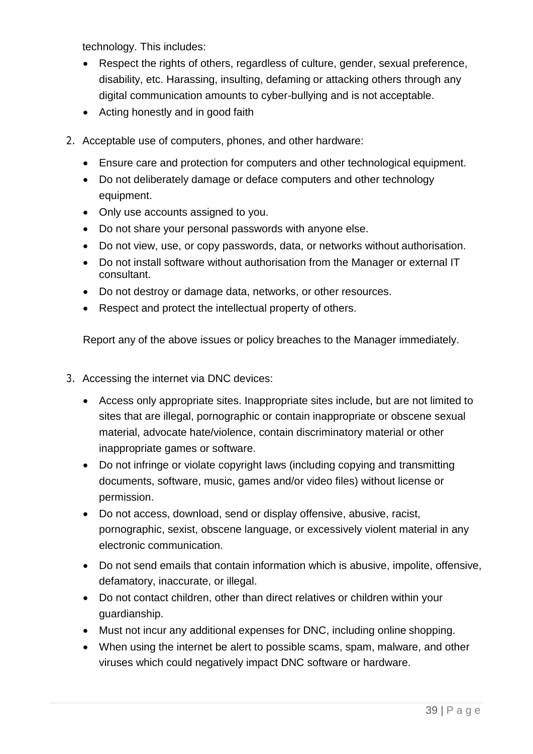technology. This includes:

- Respect the rights of others, regardless of culture, gender, sexual preference, disability, etc. Harassing, insulting, defaming or attacking others through any digital communication amounts to cyber-bullying and is not acceptable.
- Acting honestly and in good faith
- 2. Acceptable use of computers, phones, and other hardware:
	- Ensure care and protection for computers and other technological equipment.
	- Do not deliberately damage or deface computers and other technology equipment.
	- Only use accounts assigned to you.
	- Do not share your personal passwords with anyone else.
	- Do not view, use, or copy passwords, data, or networks without authorisation.
	- Do not install software without authorisation from the Manager or external IT consultant.
	- Do not destroy or damage data, networks, or other resources.
	- Respect and protect the intellectual property of others.

Report any of the above issues or policy breaches to the Manager immediately.

- 3. Accessing the internet via DNC devices:
	- Access only appropriate sites. Inappropriate sites include, but are not limited to sites that are illegal, pornographic or contain inappropriate or obscene sexual material, advocate hate/violence, contain discriminatory material or other inappropriate games or software.
	- Do not infringe or violate copyright laws (including copying and transmitting documents, software, music, games and/or video files) without license or permission.
	- Do not access, download, send or display offensive, abusive, racist, pornographic, sexist, obscene language, or excessively violent material in any electronic communication.
	- Do not send emails that contain information which is abusive, impolite, offensive, defamatory, inaccurate, or illegal.
	- Do not contact children, other than direct relatives or children within your guardianship.
	- Must not incur any additional expenses for DNC, including online shopping.
	- When using the internet be alert to possible scams, spam, malware, and other viruses which could negatively impact DNC software or hardware.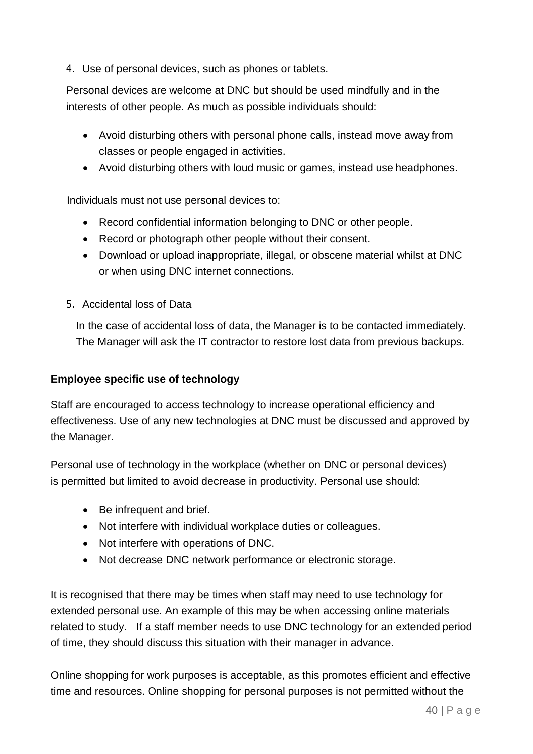4. Use of personal devices, such as phones or tablets.

Personal devices are welcome at DNC but should be used mindfully and in the interests of other people. As much as possible individuals should:

- Avoid disturbing others with personal phone calls, instead move away from classes or people engaged in activities.
- Avoid disturbing others with loud music or games, instead use headphones.

Individuals must not use personal devices to:

- Record confidential information belonging to DNC or other people.
- Record or photograph other people without their consent.
- Download or upload inappropriate, illegal, or obscene material whilst at DNC or when using DNC internet connections.
- 5. Accidental loss of Data

In the case of accidental loss of data, the Manager is to be contacted immediately. The Manager will ask the IT contractor to restore lost data from previous backups.

## **Employee specific use of technology**

Staff are encouraged to access technology to increase operational efficiency and effectiveness. Use of any new technologies at DNC must be discussed and approved by the Manager.

Personal use of technology in the workplace (whether on DNC or personal devices) is permitted but limited to avoid decrease in productivity. Personal use should:

- Be infrequent and brief.
- Not interfere with individual workplace duties or colleagues.
- Not interfere with operations of DNC.
- Not decrease DNC network performance or electronic storage.

It is recognised that there may be times when staff may need to use technology for extended personal use. An example of this may be when accessing online materials related to study. If a staff member needs to use DNC technology for an extended period of time, they should discuss this situation with their manager in advance.

Online shopping for work purposes is acceptable, as this promotes efficient and effective time and resources. Online shopping for personal purposes is not permitted without the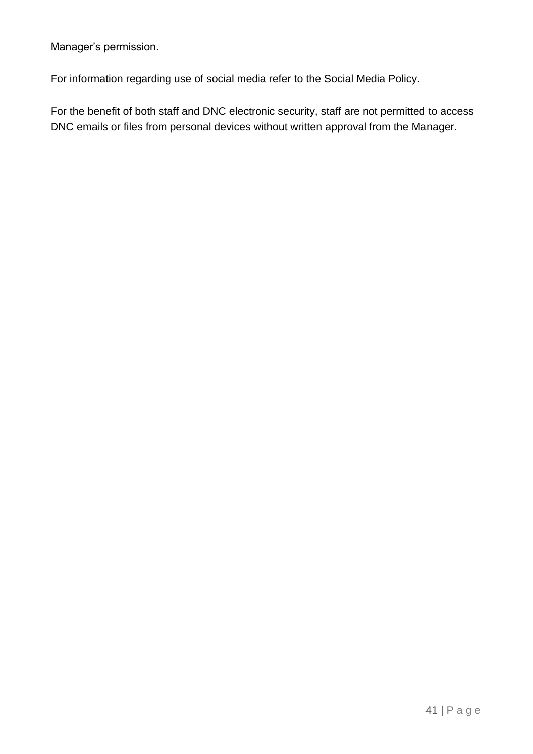Manager's permission.

For information regarding use of social media refer to the Social Media Policy.

For the benefit of both staff and DNC electronic security, staff are not permitted to access DNC emails or files from personal devices without written approval from the Manager.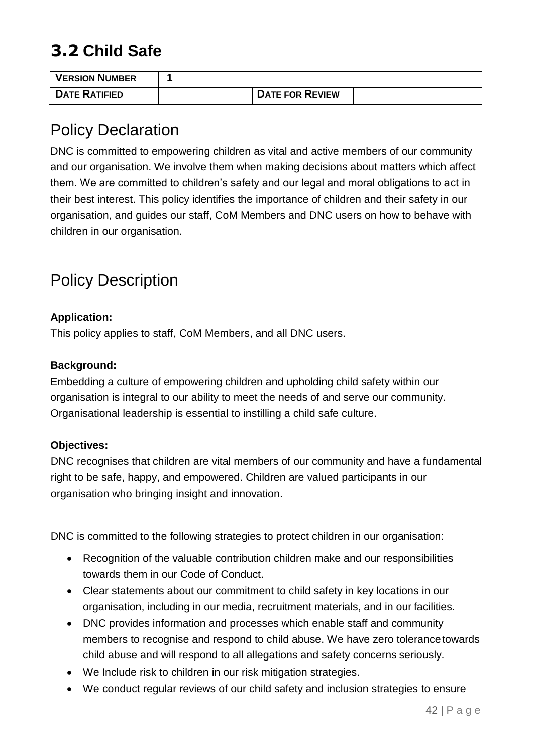# **3.2 Child Safe**

| <b>VERSION NUMBER</b> |                        |  |
|-----------------------|------------------------|--|
| <b>DATE RATIFIED</b>  | <b>DATE FOR REVIEW</b> |  |

# Policy Declaration

DNC is committed to empowering children as vital and active members of our community and our organisation. We involve them when making decisions about matters which affect them. We are committed to children's safety and our legal and moral obligations to act in their best interest. This policy identifies the importance of children and their safety in our organisation, and guides our staff, CoM Members and DNC users on how to behave with children in our organisation.

# Policy Description

### **Application:**

This policy applies to staff, CoM Members, and all DNC users.

#### **Background:**

Embedding a culture of empowering children and upholding child safety within our organisation is integral to our ability to meet the needs of and serve our community. Organisational leadership is essential to instilling a child safe culture.

## **Objectives:**

DNC recognises that children are vital members of our community and have a fundamental right to be safe, happy, and empowered. Children are valued participants in our organisation who bringing insight and innovation.

DNC is committed to the following strategies to protect children in our organisation:

- Recognition of the valuable contribution children make and our responsibilities towards them in our Code of Conduct.
- Clear statements about our commitment to child safety in key locations in our organisation, including in our media, recruitment materials, and in our facilities.
- DNC provides information and processes which enable staff and community members to recognise and respond to child abuse. We have zero tolerancetowards child abuse and will respond to all allegations and safety concerns seriously.
- We Include risk to children in our risk mitigation strategies.
- We conduct regular reviews of our child safety and inclusion strategies to ensure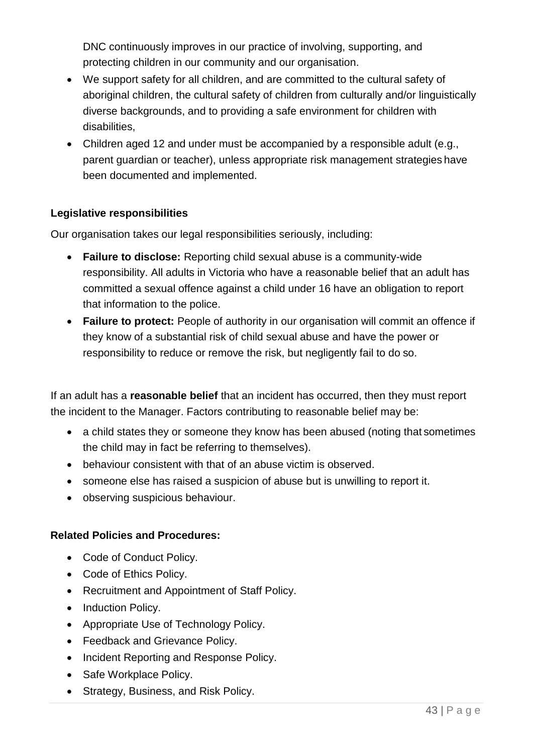DNC continuously improves in our practice of involving, supporting, and protecting children in our community and our organisation.

- We support safety for all children, and are committed to the cultural safety of aboriginal children, the cultural safety of children from culturally and/or linguistically diverse backgrounds, and to providing a safe environment for children with disabilities,
- Children aged 12 and under must be accompanied by a responsible adult (e.g., parent guardian or teacher), unless appropriate risk management strategies have been documented and implemented.

#### **Legislative responsibilities**

Our organisation takes our legal responsibilities seriously, including:

- **Failure to disclose:** Reporting child sexual abuse is a community-wide responsibility. All adults in Victoria who have a reasonable belief that an adult has committed a sexual offence against a child under 16 have an obligation to report that information to the police.
- **Failure to protect:** People of authority in our organisation will commit an offence if they know of a substantial risk of child sexual abuse and have the power or responsibility to reduce or remove the risk, but negligently fail to do so.

If an adult has a **reasonable belief** that an incident has occurred, then they must report the incident to the Manager. Factors contributing to reasonable belief may be:

- a child states they or someone they know has been abused (noting that sometimes the child may in fact be referring to themselves).
- behaviour consistent with that of an abuse victim is observed.
- someone else has raised a suspicion of abuse but is unwilling to report it.
- observing suspicious behaviour.

#### **Related Policies and Procedures:**

- Code of Conduct Policy.
- Code of Ethics Policy.
- Recruitment and Appointment of Staff Policy.
- Induction Policy.
- Appropriate Use of Technology Policy.
- Feedback and Grievance Policy.
- Incident Reporting and Response Policy.
- Safe Workplace Policy.
- Strategy, Business, and Risk Policy.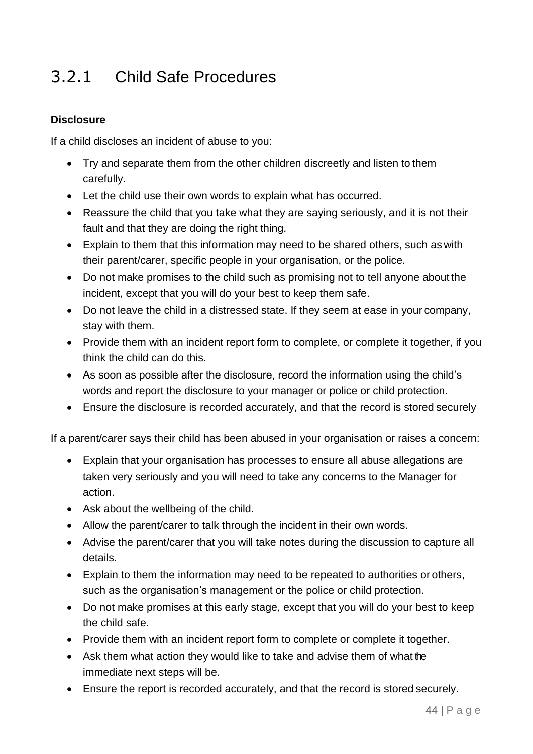# 3.2.1 Child Safe Procedures

### **Disclosure**

If a child discloses an incident of abuse to you:

- Try and separate them from the other children discreetly and listen to them carefully.
- Let the child use their own words to explain what has occurred.
- Reassure the child that you take what they are saying seriously, and it is not their fault and that they are doing the right thing.
- Explain to them that this information may need to be shared others, such as with their parent/carer, specific people in your organisation, or the police.
- Do not make promises to the child such as promising not to tell anyone about the incident, except that you will do your best to keep them safe.
- Do not leave the child in a distressed state. If they seem at ease in your company, stay with them.
- Provide them with an incident report form to complete, or complete it together, if you think the child can do this.
- As soon as possible after the disclosure, record the information using the child's words and report the disclosure to your manager or police or child protection.
- Ensure the disclosure is recorded accurately, and that the record is stored securely

If a parent/carer says their child has been abused in your organisation or raises a concern:

- Explain that your organisation has processes to ensure all abuse allegations are taken very seriously and you will need to take any concerns to the Manager for action.
- Ask about the wellbeing of the child.
- Allow the parent/carer to talk through the incident in their own words.
- Advise the parent/carer that you will take notes during the discussion to capture all details.
- Explain to them the information may need to be repeated to authorities or others, such as the organisation's management or the police or child protection.
- Do not make promises at this early stage, except that you will do your best to keep the child safe.
- Provide them with an incident report form to complete or complete it together.
- Ask them what action they would like to take and advise them of what the immediate next steps will be.
- Ensure the report is recorded accurately, and that the record is stored securely.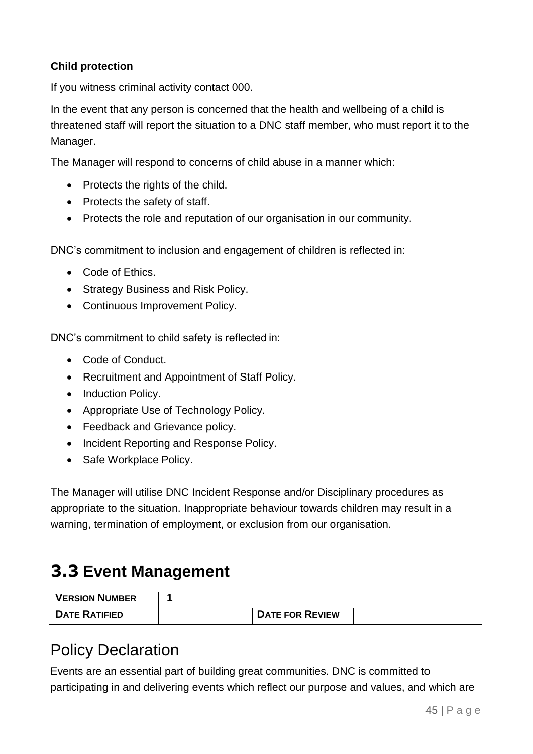### **Child protection**

If you witness criminal activity contact 000.

In the event that any person is concerned that the health and wellbeing of a child is threatened staff will report the situation to a DNC staff member, who must report it to the Manager.

The Manager will respond to concerns of child abuse in a manner which:

- Protects the rights of the child.
- Protects the safety of staff.
- Protects the role and reputation of our organisation in our community.

DNC's commitment to inclusion and engagement of children is reflected in:

- Code of Ethics.
- Strategy Business and Risk Policy.
- Continuous Improvement Policy.

DNC's commitment to child safety is reflected in:

- Code of Conduct.
- Recruitment and Appointment of Staff Policy.
- Induction Policy.
- Appropriate Use of Technology Policy.
- Feedback and Grievance policy.
- Incident Reporting and Response Policy.
- Safe Workplace Policy.

The Manager will utilise DNC Incident Response and/or Disciplinary procedures as appropriate to the situation. Inappropriate behaviour towards children may result in a warning, termination of employment, or exclusion from our organisation.

# **3.3 Event Management**

| <b>VERSION NUMBER</b> |                        |  |
|-----------------------|------------------------|--|
| <b>DATE RATIFIED</b>  | <b>DATE FOR REVIEW</b> |  |

## Policy Declaration

Events are an essential part of building great communities. DNC is committed to participating in and delivering events which reflect our purpose and values, and which are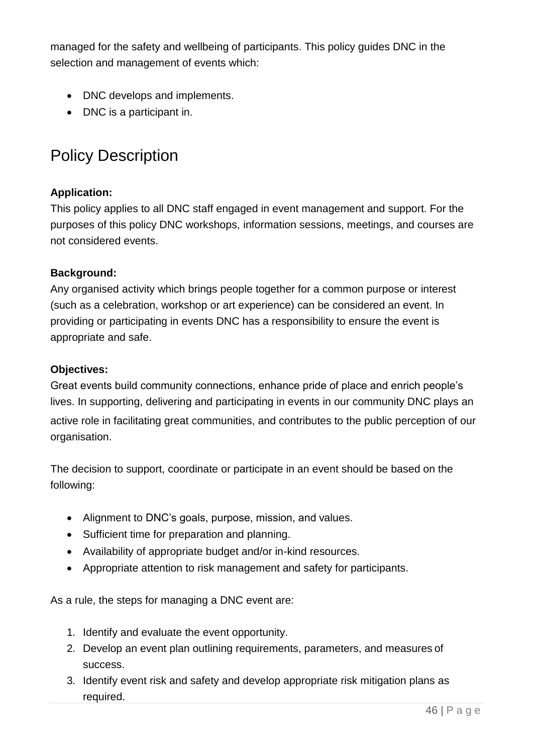managed for the safety and wellbeing of participants. This policy guides DNC in the selection and management of events which:

- DNC develops and implements.
- DNC is a participant in.

# Policy Description

## **Application:**

This policy applies to all DNC staff engaged in event management and support. For the purposes of this policy DNC workshops, information sessions, meetings, and courses are not considered events.

### **Background:**

Any organised activity which brings people together for a common purpose or interest (such as a celebration, workshop or art experience) can be considered an event. In providing or participating in events DNC has a responsibility to ensure the event is appropriate and safe.

### **Objectives:**

Great events build community connections, enhance pride of place and enrich people's lives. In supporting, delivering and participating in events in our community DNC plays an active role in facilitating great communities, and contributes to the public perception of our organisation.

The decision to support, coordinate or participate in an event should be based on the following:

- Alignment to DNC's goals, purpose, mission, and values.
- Sufficient time for preparation and planning.
- Availability of appropriate budget and/or in-kind resources.
- Appropriate attention to risk management and safety for participants.

As a rule, the steps for managing a DNC event are:

- 1. Identify and evaluate the event opportunity.
- 2. Develop an event plan outlining requirements, parameters, and measures of success.
- 3. Identify event risk and safety and develop appropriate risk mitigation plans as required.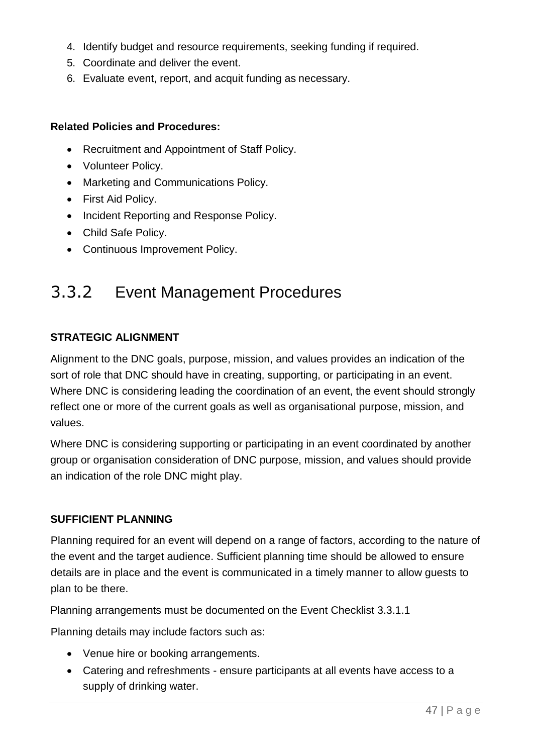- 4. Identify budget and resource requirements, seeking funding if required.
- 5. Coordinate and deliver the event.
- 6. Evaluate event, report, and acquit funding as necessary.

#### **Related Policies and Procedures:**

- Recruitment and Appointment of Staff Policy.
- Volunteer Policy.
- Marketing and Communications Policy.
- First Aid Policy.
- Incident Reporting and Response Policy.
- Child Safe Policy.
- Continuous Improvement Policy.

# 3.3.2 Event Management Procedures

### **STRATEGIC ALIGNMENT**

Alignment to the DNC goals, purpose, mission, and values provides an indication of the sort of role that DNC should have in creating, supporting, or participating in an event. Where DNC is considering leading the coordination of an event, the event should strongly reflect one or more of the current goals as well as organisational purpose, mission, and values.

Where DNC is considering supporting or participating in an event coordinated by another group or organisation consideration of DNC purpose, mission, and values should provide an indication of the role DNC might play.

#### **SUFFICIENT PLANNING**

Planning required for an event will depend on a range of factors, according to the nature of the event and the target audience. Sufficient planning time should be allowed to ensure details are in place and the event is communicated in a timely manner to allow guests to plan to be there.

Planning arrangements must be documented on the Event Checklist 3.3.1.1

Planning details may include factors such as:

- Venue hire or booking arrangements.
- Catering and refreshments ensure participants at all events have access to a supply of drinking water.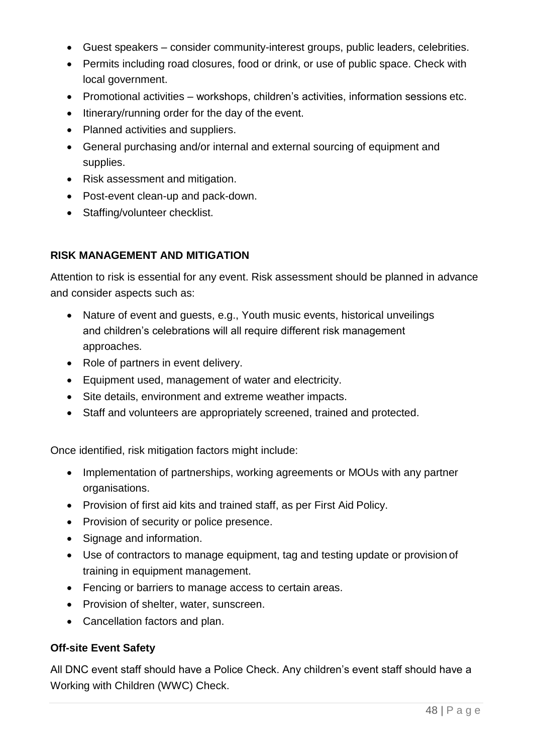- Guest speakers consider community-interest groups, public leaders, celebrities.
- Permits including road closures, food or drink, or use of public space. Check with local government.
- Promotional activities workshops, children's activities, information sessions etc.
- Itinerary/running order for the day of the event.
- Planned activities and suppliers.
- General purchasing and/or internal and external sourcing of equipment and supplies.
- Risk assessment and mitigation.
- Post-event clean-up and pack-down.
- Staffing/volunteer checklist.

## **RISK MANAGEMENT AND MITIGATION**

Attention to risk is essential for any event. Risk assessment should be planned in advance and consider aspects such as:

- Nature of event and guests, e.g., Youth music events, historical unveilings and children's celebrations will all require different risk management approaches.
- Role of partners in event delivery.
- Equipment used, management of water and electricity.
- Site details, environment and extreme weather impacts.
- Staff and volunteers are appropriately screened, trained and protected.

Once identified, risk mitigation factors might include:

- Implementation of partnerships, working agreements or MOUs with any partner organisations.
- Provision of first aid kits and trained staff, as per First Aid Policy.
- Provision of security or police presence.
- Signage and information.
- Use of contractors to manage equipment, tag and testing update or provision of training in equipment management.
- Fencing or barriers to manage access to certain areas.
- Provision of shelter, water, sunscreen.
- Cancellation factors and plan.

#### **Off-site Event Safety**

All DNC event staff should have a Police Check. Any children's event staff should have a Working with Children (WWC) Check.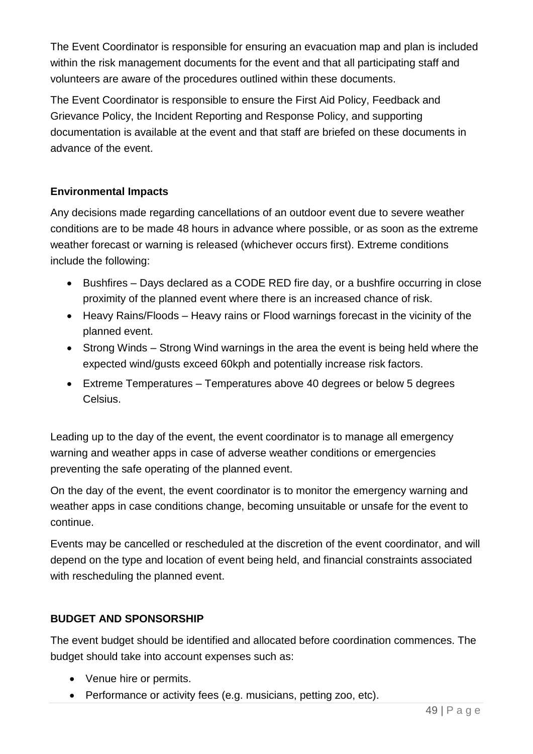The Event Coordinator is responsible for ensuring an evacuation map and plan is included within the risk management documents for the event and that all participating staff and volunteers are aware of the procedures outlined within these documents.

The Event Coordinator is responsible to ensure the First Aid Policy, Feedback and Grievance Policy, the Incident Reporting and Response Policy, and supporting documentation is available at the event and that staff are briefed on these documents in advance of the event.

## **Environmental Impacts**

Any decisions made regarding cancellations of an outdoor event due to severe weather conditions are to be made 48 hours in advance where possible, or as soon as the extreme weather forecast or warning is released (whichever occurs first). Extreme conditions include the following:

- Bushfires Days declared as a CODE RED fire day, or a bushfire occurring in close proximity of the planned event where there is an increased chance of risk.
- Heavy Rains/Floods Heavy rains or Flood warnings forecast in the vicinity of the planned event.
- Strong Winds Strong Wind warnings in the area the event is being held where the expected wind/gusts exceed 60kph and potentially increase risk factors.
- Extreme Temperatures Temperatures above 40 degrees or below 5 degrees Celsius.

Leading up to the day of the event, the event coordinator is to manage all emergency warning and weather apps in case of adverse weather conditions or emergencies preventing the safe operating of the planned event.

On the day of the event, the event coordinator is to monitor the emergency warning and weather apps in case conditions change, becoming unsuitable or unsafe for the event to continue.

Events may be cancelled or rescheduled at the discretion of the event coordinator, and will depend on the type and location of event being held, and financial constraints associated with rescheduling the planned event.

## **BUDGET AND SPONSORSHIP**

The event budget should be identified and allocated before coordination commences. The budget should take into account expenses such as:

- Venue hire or permits.
- Performance or activity fees (e.g. musicians, petting zoo, etc).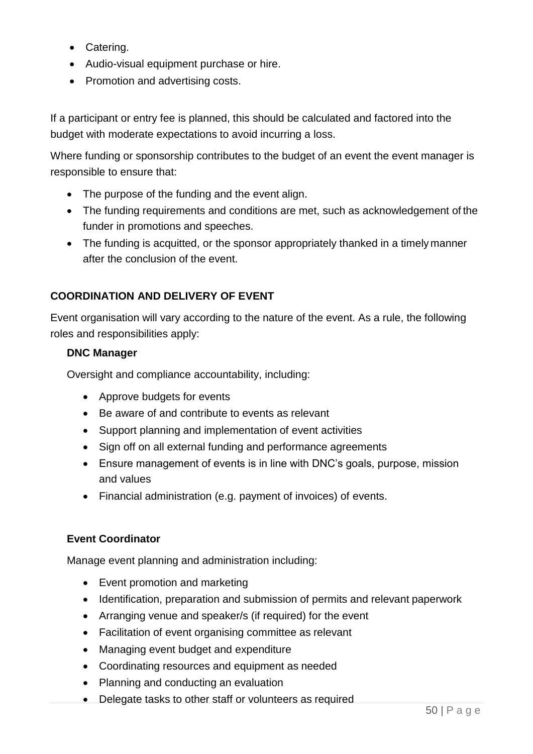- Catering.
- Audio-visual equipment purchase or hire.
- Promotion and advertising costs.

If a participant or entry fee is planned, this should be calculated and factored into the budget with moderate expectations to avoid incurring a loss.

Where funding or sponsorship contributes to the budget of an event the event manager is responsible to ensure that:

- The purpose of the funding and the event align.
- The funding requirements and conditions are met, such as acknowledgement of the funder in promotions and speeches.
- The funding is acquitted, or the sponsor appropriately thanked in a timely manner after the conclusion of the event.

### **COORDINATION AND DELIVERY OF EVENT**

Event organisation will vary according to the nature of the event. As a rule, the following roles and responsibilities apply:

#### **DNC Manager**

Oversight and compliance accountability, including:

- Approve budgets for events
- Be aware of and contribute to events as relevant
- Support planning and implementation of event activities
- Sign off on all external funding and performance agreements
- Ensure management of events is in line with DNC's goals, purpose, mission and values
- Financial administration (e.g. payment of invoices) of events.

#### **Event Coordinator**

Manage event planning and administration including:

- Event promotion and marketing
- Identification, preparation and submission of permits and relevant paperwork
- Arranging venue and speaker/s (if required) for the event
- Facilitation of event organising committee as relevant
- Managing event budget and expenditure
- Coordinating resources and equipment as needed
- Planning and conducting an evaluation
- Delegate tasks to other staff or volunteers as required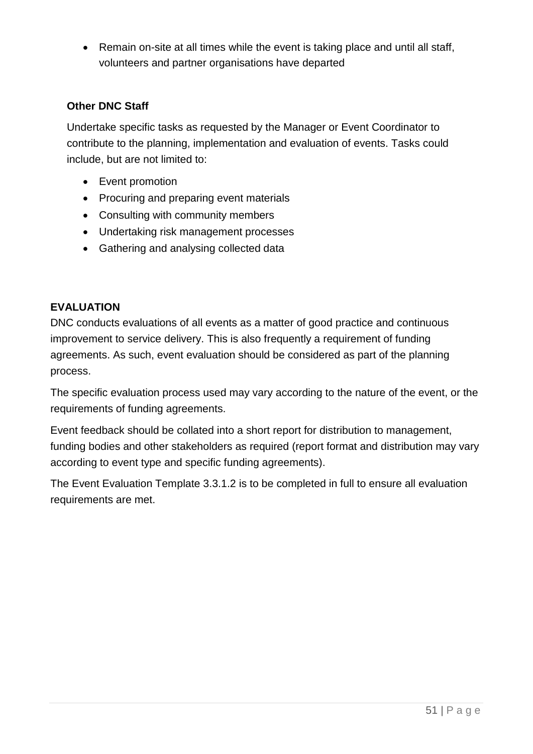• Remain on-site at all times while the event is taking place and until all staff, volunteers and partner organisations have departed

### **Other DNC Staff**

Undertake specific tasks as requested by the Manager or Event Coordinator to contribute to the planning, implementation and evaluation of events. Tasks could include, but are not limited to:

- Event promotion
- Procuring and preparing event materials
- Consulting with community members
- Undertaking risk management processes
- Gathering and analysing collected data

#### **EVALUATION**

DNC conducts evaluations of all events as a matter of good practice and continuous improvement to service delivery. This is also frequently a requirement of funding agreements. As such, event evaluation should be considered as part of the planning process.

The specific evaluation process used may vary according to the nature of the event, or the requirements of funding agreements.

Event feedback should be collated into a short report for distribution to management, funding bodies and other stakeholders as required (report format and distribution may vary according to event type and specific funding agreements).

The Event Evaluation Template 3.3.1.2 is to be completed in full to ensure all evaluation requirements are met.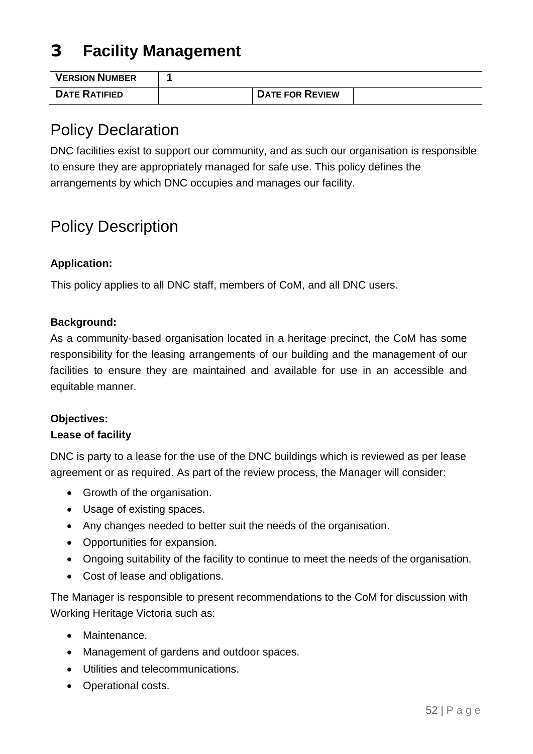# **3 Facility Management**

| <b>VERSION NUMBER</b> |                        |  |
|-----------------------|------------------------|--|
| <b>DATE RATIFIED</b>  | <b>DATE FOR REVIEW</b> |  |

## Policy Declaration

DNC facilities exist to support our community, and as such our organisation is responsible to ensure they are appropriately managed for safe use. This policy defines the arrangements by which DNC occupies and manages our facility.

# Policy Description

### **Application:**

This policy applies to all DNC staff, members of CoM, and all DNC users.

#### **Background:**

As a community-based organisation located in a heritage precinct, the CoM has some responsibility for the leasing arrangements of our building and the management of our facilities to ensure they are maintained and available for use in an accessible and equitable manner.

#### **Objectives:**

#### **Lease of facility**

DNC is party to a lease for the use of the DNC buildings which is reviewed as per lease agreement or as required. As part of the review process, the Manager will consider:

- Growth of the organisation.
- Usage of existing spaces.
- Any changes needed to better suit the needs of the organisation.
- Opportunities for expansion.
- Ongoing suitability of the facility to continue to meet the needs of the organisation.
- Cost of lease and obligations.

The Manager is responsible to present recommendations to the CoM for discussion with Working Heritage Victoria such as:

- Maintenance.
- Management of gardens and outdoor spaces.
- Utilities and telecommunications.
- Operational costs.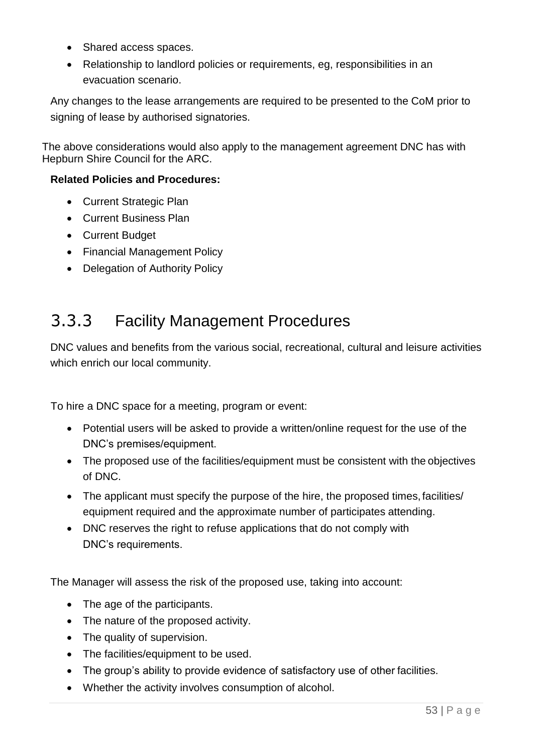- Shared access spaces.
- Relationship to landlord policies or requirements, eg, responsibilities in an evacuation scenario.

Any changes to the lease arrangements are required to be presented to the CoM prior to signing of lease by authorised signatories.

The above considerations would also apply to the management agreement DNC has with Hepburn Shire Council for the ARC.

#### **Related Policies and Procedures:**

- Current Strategic Plan
- Current Business Plan
- Current Budget
- Financial Management Policy
- Delegation of Authority Policy

# 3.3.3 Facility Management Procedures

DNC values and benefits from the various social, recreational, cultural and leisure activities which enrich our local community.

To hire a DNC space for a meeting, program or event:

- Potential users will be asked to provide a written/online request for the use of the DNC's premises/equipment.
- The proposed use of the facilities/equipment must be consistent with the objectives of DNC.
- The applicant must specify the purpose of the hire, the proposed times, facilities/ equipment required and the approximate number of participates attending.
- DNC reserves the right to refuse applications that do not comply with DNC's requirements.

The Manager will assess the risk of the proposed use, taking into account:

- The age of the participants.
- The nature of the proposed activity.
- The quality of supervision.
- The facilities/equipment to be used.
- The group's ability to provide evidence of satisfactory use of other facilities.
- Whether the activity involves consumption of alcohol.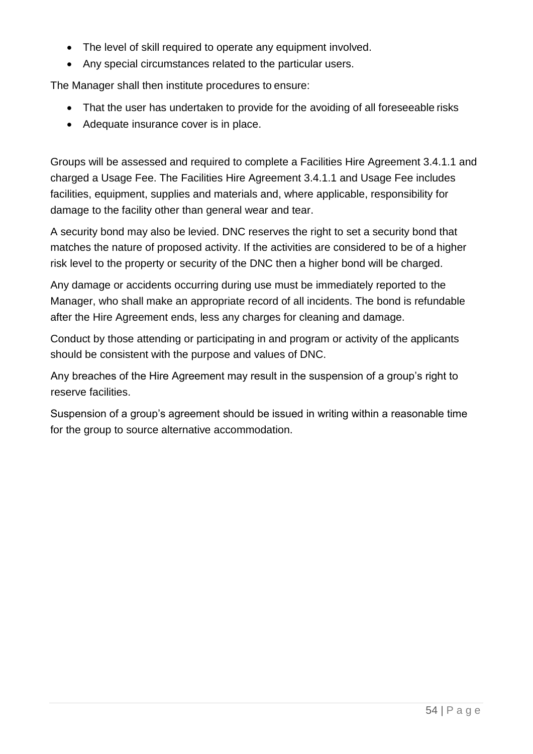- The level of skill required to operate any equipment involved.
- Any special circumstances related to the particular users.

The Manager shall then institute procedures to ensure:

- That the user has undertaken to provide for the avoiding of all foreseeable risks
- Adequate insurance cover is in place.

Groups will be assessed and required to complete a Facilities Hire Agreement 3.4.1.1 and charged a Usage Fee. The Facilities Hire Agreement 3.4.1.1 and Usage Fee includes facilities, equipment, supplies and materials and, where applicable, responsibility for damage to the facility other than general wear and tear.

A security bond may also be levied. DNC reserves the right to set a security bond that matches the nature of proposed activity. If the activities are considered to be of a higher risk level to the property or security of the DNC then a higher bond will be charged.

Any damage or accidents occurring during use must be immediately reported to the Manager, who shall make an appropriate record of all incidents. The bond is refundable after the Hire Agreement ends, less any charges for cleaning and damage.

Conduct by those attending or participating in and program or activity of the applicants should be consistent with the purpose and values of DNC.

Any breaches of the Hire Agreement may result in the suspension of a group's right to reserve facilities.

Suspension of a group's agreement should be issued in writing within a reasonable time for the group to source alternative accommodation.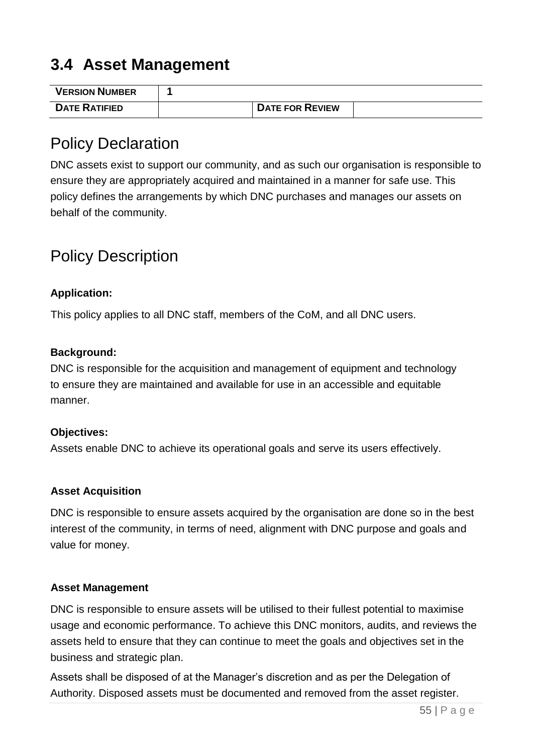# **3.4 Asset Management**

| <b>VERSION NUMBER</b> |                        |  |
|-----------------------|------------------------|--|
| <b>DATE RATIFIED</b>  | <b>DATE FOR REVIEW</b> |  |

## Policy Declaration

DNC assets exist to support our community, and as such our organisation is responsible to ensure they are appropriately acquired and maintained in a manner for safe use. This policy defines the arrangements by which DNC purchases and manages our assets on behalf of the community.

# Policy Description

### **Application:**

This policy applies to all DNC staff, members of the CoM, and all DNC users.

#### **Background:**

DNC is responsible for the acquisition and management of equipment and technology to ensure they are maintained and available for use in an accessible and equitable manner.

#### **Objectives:**

Assets enable DNC to achieve its operational goals and serve its users effectively.

#### **Asset Acquisition**

DNC is responsible to ensure assets acquired by the organisation are done so in the best interest of the community, in terms of need, alignment with DNC purpose and goals and value for money.

#### **Asset Management**

DNC is responsible to ensure assets will be utilised to their fullest potential to maximise usage and economic performance. To achieve this DNC monitors, audits, and reviews the assets held to ensure that they can continue to meet the goals and objectives set in the business and strategic plan.

Assets shall be disposed of at the Manager's discretion and as per the Delegation of Authority. Disposed assets must be documented and removed from the asset register.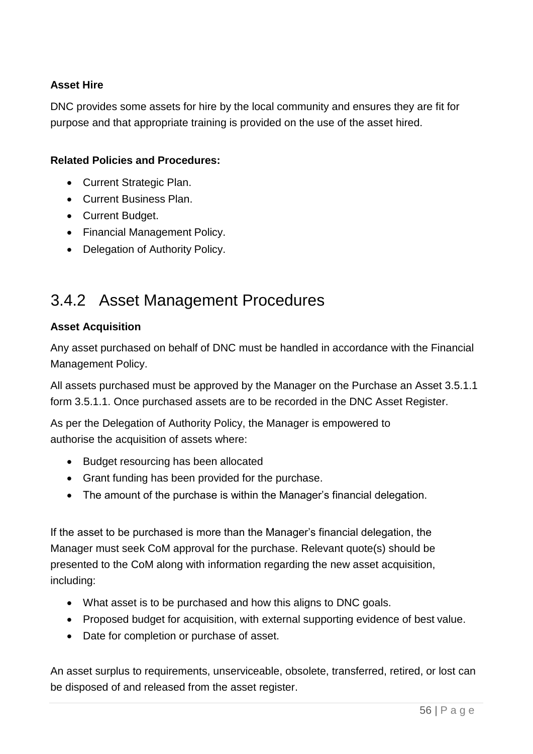### **Asset Hire**

DNC provides some assets for hire by the local community and ensures they are fit for purpose and that appropriate training is provided on the use of the asset hired.

#### **Related Policies and Procedures:**

- Current Strategic Plan.
- Current Business Plan.
- Current Budget.
- Financial Management Policy.
- Delegation of Authority Policy.

# 3.4.2 Asset Management Procedures

#### **Asset Acquisition**

Any asset purchased on behalf of DNC must be handled in accordance with the Financial Management Policy.

All assets purchased must be approved by the Manager on the Purchase an Asset 3.5.1.1 form 3.5.1.1. Once purchased assets are to be recorded in the DNC Asset Register.

As per the Delegation of Authority Policy, the Manager is empowered to authorise the acquisition of assets where:

- Budget resourcing has been allocated
- Grant funding has been provided for the purchase.
- The amount of the purchase is within the Manager's financial delegation.

If the asset to be purchased is more than the Manager's financial delegation, the Manager must seek CoM approval for the purchase. Relevant quote(s) should be presented to the CoM along with information regarding the new asset acquisition, including:

- What asset is to be purchased and how this aligns to DNC goals.
- Proposed budget for acquisition, with external supporting evidence of best value.
- Date for completion or purchase of asset.

An asset surplus to requirements, unserviceable, obsolete, transferred, retired, or lost can be disposed of and released from the asset register.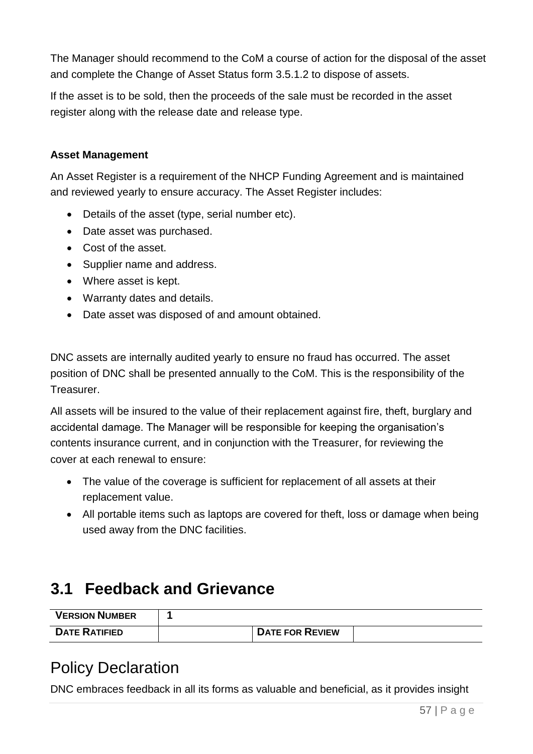The Manager should recommend to the CoM a course of action for the disposal of the asset and complete the Change of Asset Status form 3.5.1.2 to dispose of assets.

If the asset is to be sold, then the proceeds of the sale must be recorded in the asset register along with the release date and release type.

#### **Asset Management**

An Asset Register is a requirement of the NHCP Funding Agreement and is maintained and reviewed yearly to ensure accuracy. The Asset Register includes:

- Details of the asset (type, serial number etc).
- Date asset was purchased.
- Cost of the asset.
- Supplier name and address.
- Where asset is kept.
- Warranty dates and details.
- Date asset was disposed of and amount obtained.

DNC assets are internally audited yearly to ensure no fraud has occurred. The asset position of DNC shall be presented annually to the CoM. This is the responsibility of the Treasurer.

All assets will be insured to the value of their replacement against fire, theft, burglary and accidental damage. The Manager will be responsible for keeping the organisation's contents insurance current, and in conjunction with the Treasurer, for reviewing the cover at each renewal to ensure:

- The value of the coverage is sufficient for replacement of all assets at their replacement value.
- All portable items such as laptops are covered for theft, loss or damage when being used away from the DNC facilities.

# **3.1 Feedback and Grievance**

| <b>VERSION NUMBER</b> |                        |  |
|-----------------------|------------------------|--|
| <b>DATE RATIFIED</b>  | <b>DATE FOR REVIEW</b> |  |

# Policy Declaration

DNC embraces feedback in all its forms as valuable and beneficial, as it provides insight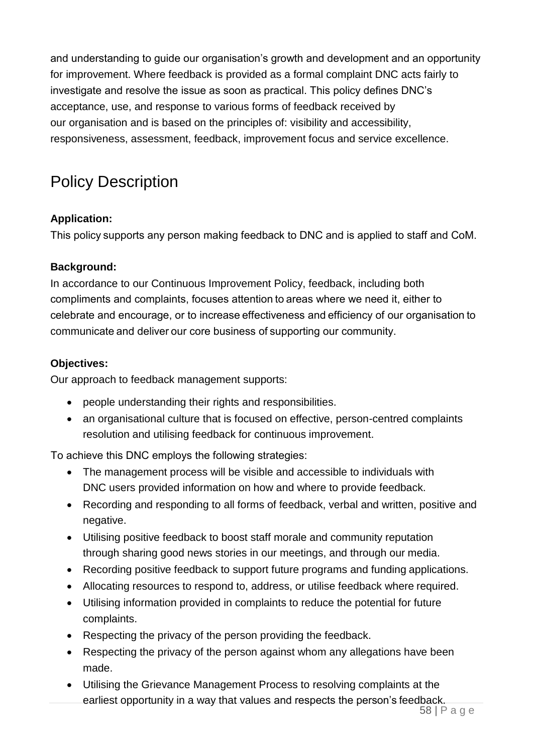and understanding to guide our organisation's growth and development and an opportunity for improvement. Where feedback is provided as a formal complaint DNC acts fairly to investigate and resolve the issue as soon as practical. This policy defines DNC's acceptance, use, and response to various forms of feedback received by our organisation and is based on the principles of: visibility and accessibility, responsiveness, assessment, feedback, improvement focus and service excellence.

# Policy Description

## **Application:**

This policy supports any person making feedback to DNC and is applied to staff and CoM.

#### **Background:**

In accordance to our Continuous Improvement Policy, feedback, including both compliments and complaints, focuses attention to areas where we need it, either to celebrate and encourage, or to increase effectiveness and efficiency of our organisation to communicate and deliver our core business of supporting our community.

#### **Objectives:**

Our approach to feedback management supports:

- people understanding their rights and responsibilities.
- an organisational culture that is focused on effective, person-centred complaints resolution and utilising feedback for continuous improvement.

To achieve this DNC employs the following strategies: 

- The management process will be visible and accessible to individuals with DNC users provided information on how and where to provide feedback.
- Recording and responding to all forms of feedback, verbal and written, positive and negative.
- Utilising positive feedback to boost staff morale and community reputation through sharing good news stories in our meetings, and through our media.
- Recording positive feedback to support future programs and funding applications.
- Allocating resources to respond to, address, or utilise feedback where required.
- Utilising information provided in complaints to reduce the potential for future complaints.
- Respecting the privacy of the person providing the feedback.
- Respecting the privacy of the person against whom any allegations have been made.
- Utilising the Grievance Management Process to resolving complaints at the earliest opportunity in a way that values and respects the person's feedback.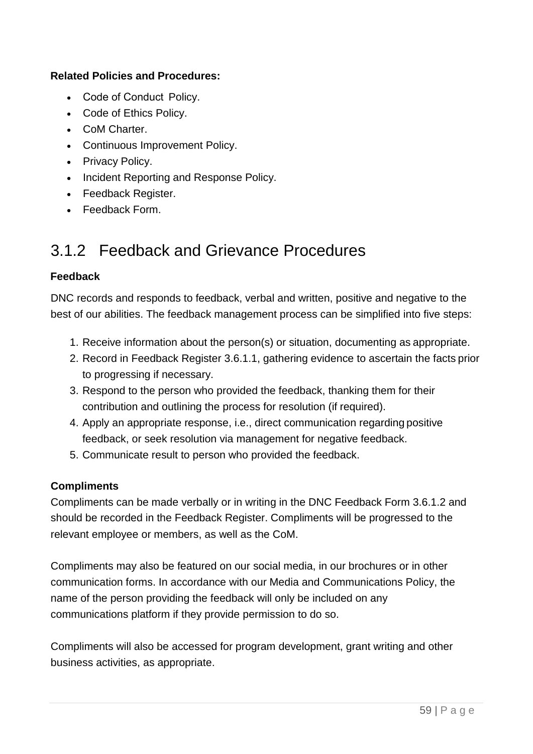#### **Related Policies and Procedures:**

- Code of Conduct  Policy.
- Code of Ethics Policy.
- CoM Charter.
- Continuous Improvement Policy.
- Privacy Policy.
- Incident Reporting and Response Policy.
- Feedback Register.
- Feedback Form.

# 3.1.2 Feedback and Grievance Procedures

#### **Feedback**

DNC records and responds to feedback, verbal and written, positive and negative to the best of our abilities. The feedback management process can be simplified into five steps:

- 1. Receive information about the person(s) or situation, documenting as appropriate.
- 2. Record in Feedback Register 3.6.1.1, gathering evidence to ascertain the facts prior to progressing if necessary.
- 3. Respond to the person who provided the feedback, thanking them for their contribution and outlining the process for resolution (if required).
- 4. Apply an appropriate response, i.e., direct communication regarding positive feedback, or seek resolution via management for negative feedback.
- 5. Communicate result to person who provided the feedback.

#### **Compliments**

Compliments can be made verbally or in writing in the DNC Feedback Form 3.6.1.2 and should be recorded in the Feedback Register. Compliments will be progressed to the relevant employee or members, as well as the CoM.

Compliments may also be featured on our social media, in our brochures or in other communication forms. In accordance with our Media and Communications Policy, the name of the person providing the feedback will only be included on any communications platform if they provide permission to do so.

Compliments will also be accessed for program development, grant writing and other business activities, as appropriate.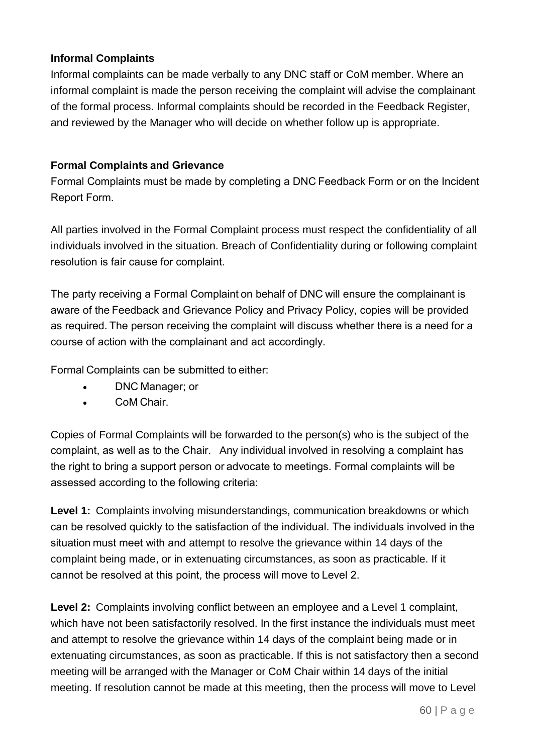### **Informal Complaints**

Informal complaints can be made verbally to any DNC staff or CoM member. Where an informal complaint is made the person receiving the complaint will advise the complainant of the formal process. Informal complaints should be recorded in the Feedback Register, and reviewed by the Manager who will decide on whether follow up is appropriate.

#### **Formal Complaints and Grievance**

Formal Complaints must be made by completing a DNC Feedback Form or on the Incident Report Form. 

All parties involved in the Formal Complaint process must respect the confidentiality of all individuals involved in the situation. Breach of Confidentiality during or following complaint resolution is fair cause for complaint.   

The party receiving a Formal Complaint on behalf of DNC will ensure the complainant is aware of the Feedback and Grievance Policy and Privacy Policy, copies will be provided as required. The person receiving the complaint will discuss whether there is a need for a course of action with the complainant and act accordingly.  

Formal Complaints can be submitted to either: 

- DNC Manager; or
- CoM Chair.

Copies of Formal Complaints will be forwarded to the person(s) who is the subject of the complaint, as well as to the Chair.  Any individual involved in resolving a complaint has the right to bring a support person or advocate to meetings. Formal complaints will be assessed according to the following criteria: 

**Level 1:** Complaints involving misunderstandings, communication breakdowns or which can be resolved quickly to the satisfaction of the individual. The individuals involved in the situation must meet with and attempt to resolve the grievance within 14 days of the complaint being made, or in extenuating circumstances, as soon as practicable. If it cannot be resolved at this point, the process will move to Level 2. 

**Level 2:** Complaints involving conflict between an employee and a Level 1 complaint, which have not been satisfactorily resolved. In the first instance the individuals must meet and attempt to resolve the grievance within 14 days of the complaint being made or in extenuating circumstances, as soon as practicable. If this is not satisfactory then a second meeting will be arranged with the Manager or CoM Chair within 14 days of the initial meeting. If resolution cannot be made at this meeting, then the process will move to Level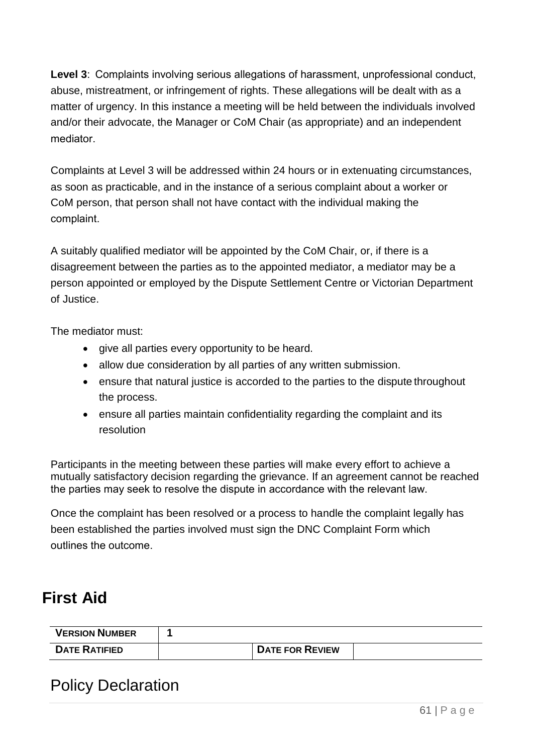**Level 3**:  Complaints involving serious allegations of harassment, unprofessional conduct, abuse, mistreatment, or infringement of rights. These allegations will be dealt with as a matter of urgency. In this instance a meeting will be held between the individuals involved and/or their advocate, the Manager or CoM Chair (as appropriate) and an independent mediator.  

Complaints at Level 3 will be addressed within 24 hours or in extenuating circumstances, as soon as practicable, and in the instance of a serious complaint about a worker or CoM person, that person shall not have contact with the individual making the complaint. 

A suitably qualified mediator will be appointed by the CoM Chair, or, if there is a disagreement between the parties as to the appointed mediator, a mediator may be a person appointed or employed by the Dispute Settlement Centre or Victorian Department of Justice.

The mediator must:

- give all parties every opportunity to be heard.
- allow due consideration by all parties of any written submission.
- ensure that natural justice is accorded to the parties to the dispute throughout the process.
- ensure all parties maintain confidentiality regarding the complaint and its resolution

Participants in the meeting between these parties will make every effort to achieve a mutually satisfactory decision regarding the grievance. If an agreement cannot be reached the parties may seek to resolve the dispute in accordance with the relevant law.  

Once the complaint has been resolved or a process to handle the complaint legally has been established the parties involved must sign the DNC Complaint Form which outlines the outcome. 

# **First Aid**

| <b>VERSION NUMBER</b> |                        |  |
|-----------------------|------------------------|--|
| <b>DATE RATIFIED</b>  | <b>DATE FOR REVIEW</b> |  |

# Policy Declaration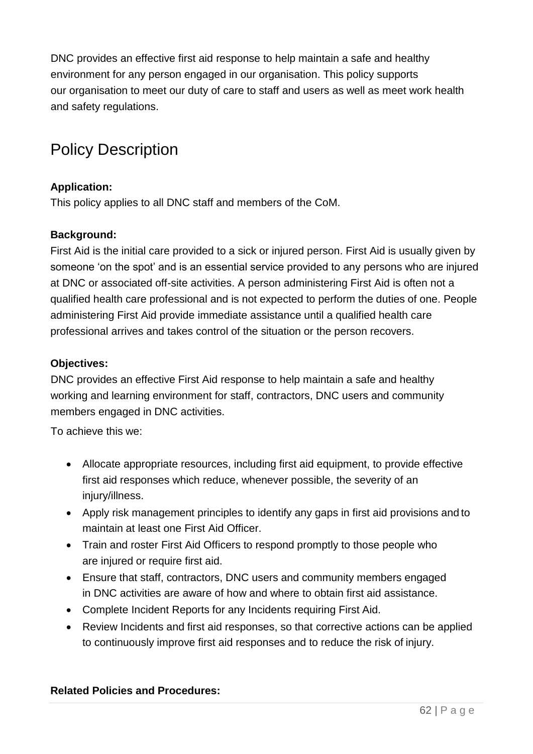DNC provides an effective first aid response to help maintain a safe and healthy environment for any person engaged in our organisation. This policy supports our organisation to meet our duty of care to staff and users as well as meet work health and safety regulations.

# Policy Description

#### **Application:**

This policy applies to all DNC staff and members of the CoM.

#### **Background:**

First Aid is the initial care provided to a sick or injured person. First Aid is usually given by someone 'on the spot' and is an essential service provided to any persons who are injured at DNC or associated off-site activities. A person administering First Aid is often not a qualified health care professional and is not expected to perform the duties of one. People administering First Aid provide immediate assistance until a qualified health care professional arrives and takes control of the situation or the person recovers.

#### **Objectives:**

DNC provides an effective First Aid response to help maintain a safe and healthy working and learning environment for staff, contractors, DNC users and community members engaged in DNC activities.

To achieve this we:

- Allocate appropriate resources, including first aid equipment, to provide effective first aid responses which reduce, whenever possible, the severity of an injury/illness.
- Apply risk management principles to identify any gaps in first aid provisions and to maintain at least one First Aid Officer.
- Train and roster First Aid Officers to respond promptly to those people who are injured or require first aid.
- Ensure that staff, contractors, DNC users and community members engaged in DNC activities are aware of how and where to obtain first aid assistance.
- Complete Incident Reports for any Incidents requiring First Aid.
- Review Incidents and first aid responses, so that corrective actions can be applied to continuously improve first aid responses and to reduce the risk of injury.

#### **Related Policies and Procedures:**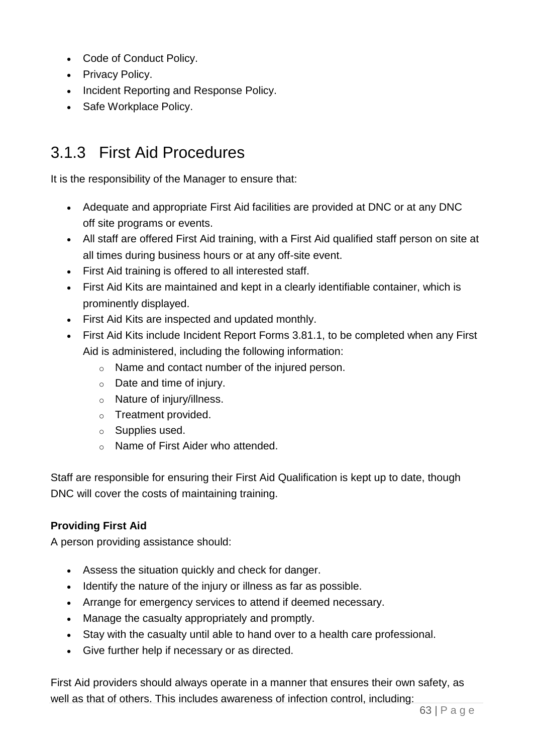- Code of Conduct Policy.
- Privacy Policy.
- Incident Reporting and Response Policy.
- Safe Workplace Policy.

# 3.1.3 First Aid Procedures

It is the responsibility of the Manager to ensure that:

- Adequate and appropriate First Aid facilities are provided at DNC or at any DNC off site programs or events.
- All staff are offered First Aid training, with a First Aid qualified staff person on site at all times during business hours or at any off-site event.
- First Aid training is offered to all interested staff.
- First Aid Kits are maintained and kept in a clearly identifiable container, which is prominently displayed.
- First Aid Kits are inspected and updated monthly.
- First Aid Kits include Incident Report Forms 3.81.1, to be completed when any First Aid is administered, including the following information:
	- o Name and contact number of the injured person.
	- o Date and time of injury.
	- o Nature of injury/illness.
	- o Treatment provided.
	- o Supplies used.
	- o Name of First Aider who attended.

Staff are responsible for ensuring their First Aid Qualification is kept up to date, though DNC will cover the costs of maintaining training.

## **Providing First Aid**

A person providing assistance should:

- Assess the situation quickly and check for danger.
- Identify the nature of the injury or illness as far as possible.
- Arrange for emergency services to attend if deemed necessary.
- Manage the casualty appropriately and promptly.
- Stay with the casualty until able to hand over to a health care professional.
- Give further help if necessary or as directed.

First Aid providers should always operate in a manner that ensures their own safety, as well as that of others. This includes awareness of infection control, including: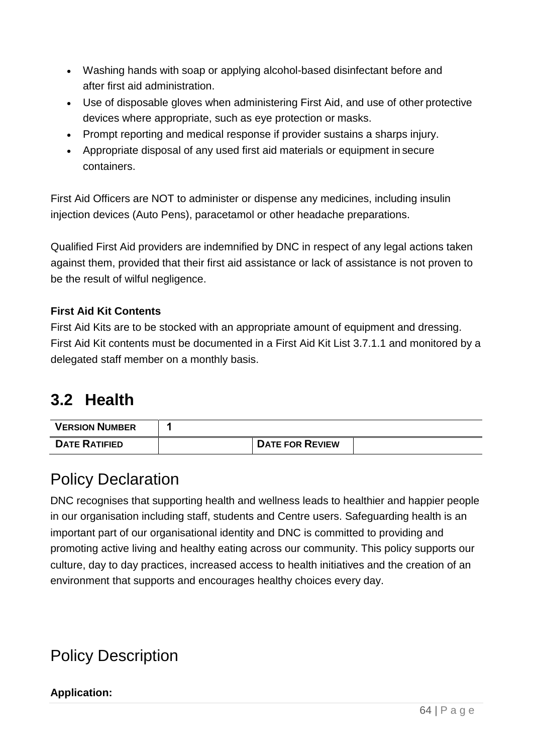- Washing hands with soap or applying alcohol-based disinfectant before and after first aid administration.
- Use of disposable gloves when administering First Aid, and use of other protective devices where appropriate, such as eye protection or masks.
- Prompt reporting and medical response if provider sustains a sharps injury.
- Appropriate disposal of any used first aid materials or equipment in secure containers.

First Aid Officers are NOT to administer or dispense any medicines, including insulin injection devices (Auto Pens), paracetamol or other headache preparations.

Qualified First Aid providers are indemnified by DNC in respect of any legal actions taken against them, provided that their first aid assistance or lack of assistance is not proven to be the result of wilful negligence.

## **First Aid Kit Contents**

First Aid Kits are to be stocked with an appropriate amount of equipment and dressing. First Aid Kit contents must be documented in a First Aid Kit List 3.7.1.1 and monitored by a delegated staff member on a monthly basis.

# **3.2 Health**

| <b>VERSION NUMBER</b> |                        |  |
|-----------------------|------------------------|--|
| <b>DATE RATIFIED</b>  | <b>DATE FOR REVIEW</b> |  |

# Policy Declaration

DNC recognises that supporting health and wellness leads to healthier and happier people in our organisation including staff, students and Centre users. Safeguarding health is an important part of our organisational identity and DNC is committed to providing and promoting active living and healthy eating across our community. This policy supports our culture, day to day practices, increased access to health initiatives and the creation of an environment that supports and encourages healthy choices every day.

# Policy Description

## **Application:**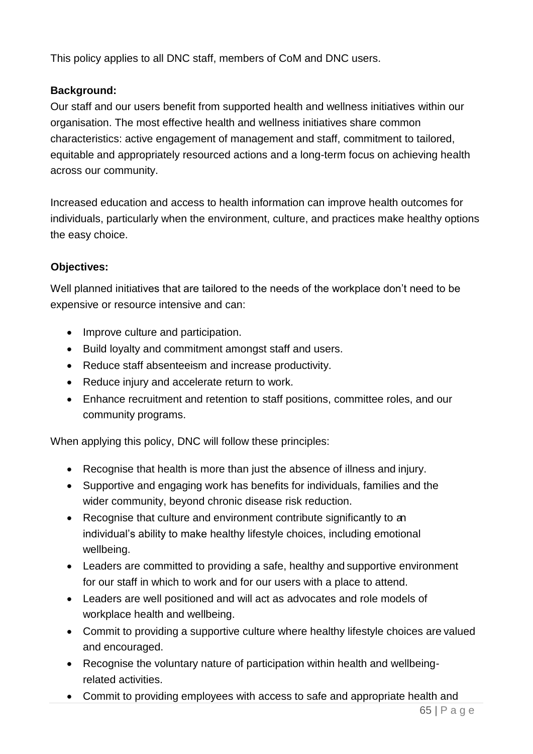This policy applies to all DNC staff, members of CoM and DNC users.

## **Background:**

Our staff and our users benefit from supported health and wellness initiatives within our organisation. The most effective health and wellness initiatives share common characteristics: active engagement of management and staff, commitment to tailored, equitable and appropriately resourced actions and a long-term focus on achieving health across our community.

Increased education and access to health information can improve health outcomes for individuals, particularly when the environment, culture, and practices make healthy options the easy choice.

## **Objectives:**

Well planned initiatives that are tailored to the needs of the workplace don't need to be expensive or resource intensive and can:

- Improve culture and participation.
- Build loyalty and commitment amongst staff and users.
- Reduce staff absenteeism and increase productivity.
- Reduce injury and accelerate return to work.
- Enhance recruitment and retention to staff positions, committee roles, and our community programs.

When applying this policy, DNC will follow these principles:

- Recognise that health is more than just the absence of illness and injury.
- Supportive and engaging work has benefits for individuals, families and the wider community, beyond chronic disease risk reduction.
- Recognise that culture and environment contribute significantly to an individual's ability to make healthy lifestyle choices, including emotional wellbeing.
- Leaders are committed to providing a safe, healthy and supportive environment for our staff in which to work and for our users with a place to attend.
- Leaders are well positioned and will act as advocates and role models of workplace health and wellbeing.
- Commit to providing a supportive culture where healthy lifestyle choices are valued and encouraged.
- Recognise the voluntary nature of participation within health and wellbeingrelated activities.
- Commit to providing employees with access to safe and appropriate health and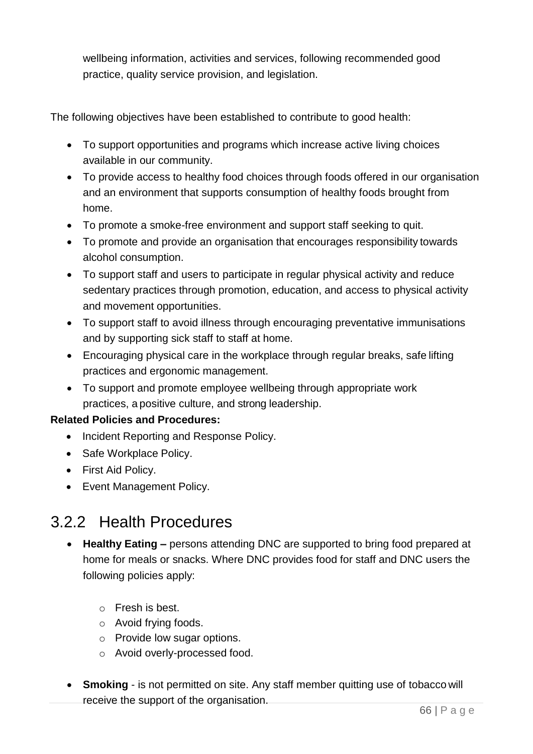wellbeing information, activities and services, following recommended good practice, quality service provision, and legislation.

The following objectives have been established to contribute to good health:

- To support opportunities and programs which increase active living choices available in our community.
- To provide access to healthy food choices through foods offered in our organisation and an environment that supports consumption of healthy foods brought from home.
- To promote a smoke-free environment and support staff seeking to quit.
- To promote and provide an organisation that encourages responsibility towards alcohol consumption.
- To support staff and users to participate in regular physical activity and reduce sedentary practices through promotion, education, and access to physical activity and movement opportunities.
- To support staff to avoid illness through encouraging preventative immunisations and by supporting sick staff to staff at home.
- Encouraging physical care in the workplace through regular breaks, safe lifting practices and ergonomic management.
- To support and promote employee wellbeing through appropriate work practices, a positive culture, and strong leadership.

## **Related Policies and Procedures:**

- Incident Reporting and Response Policy.
- Safe Workplace Policy.
- First Aid Policy.
- Event Management Policy.

# 3.2.2 Health Procedures

- **Healthy Eating –** persons attending DNC are supported to bring food prepared at home for meals or snacks. Where DNC provides food for staff and DNC users the following policies apply:
	- o Fresh is best.
	- o Avoid frying foods.
	- o Provide low sugar options.
	- o Avoid overly-processed food.
- **Smoking**  is not permitted on site. Any staff member quitting use of tobacco will receive the support of the organisation.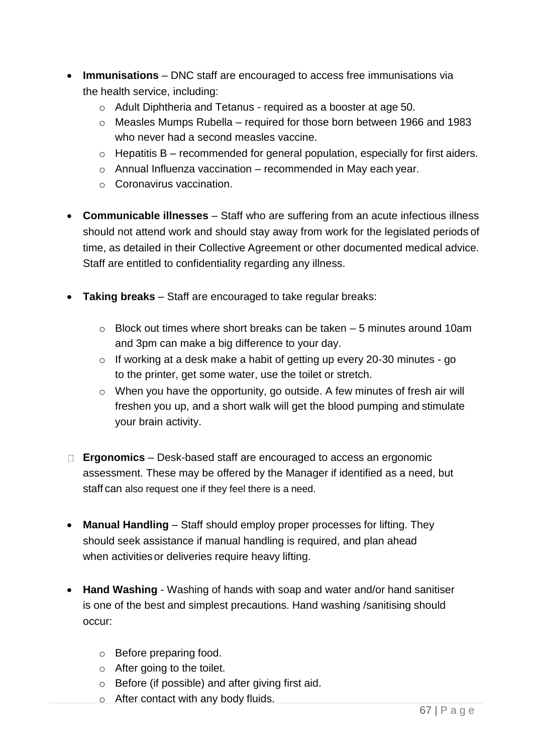- **Immunisations**  DNC staff are encouraged to access free immunisations via the health service, including:
	- o Adult Diphtheria and Tetanus required as a booster at age 50.
	- o Measles Mumps Rubella required for those born between 1966 and 1983 who never had a second measles vaccine.
	- $\circ$  Hepatitis B recommended for general population, especially for first aiders.
	- $\circ$  Annual Influenza vaccination recommended in May each year.
	- o Coronavirus vaccination.
- **Communicable illnesses**  Staff who are suffering from an acute infectious illness should not attend work and should stay away from work for the legislated periods of time, as detailed in their Collective Agreement or other documented medical advice. Staff are entitled to confidentiality regarding any illness.
- **Taking breaks**  Staff are encouraged to take regular breaks:
	- o Block out times where short breaks can be taken 5 minutes around 10am and 3pm can make a big difference to your day.
	- o If working at a desk make a habit of getting up every 20-30 minutes go to the printer, get some water, use the toilet or stretch.
	- o When you have the opportunity, go outside. A few minutes of fresh air will freshen you up, and a short walk will get the blood pumping and stimulate your brain activity.
- **Ergonomics**  Desk-based staff are encouraged to access an ergonomic assessment. These may be offered by the Manager if identified as a need, but staff can also request one if they feel there is a need.
- **Manual Handling**  Staff should employ proper processes for lifting. They should seek assistance if manual handling is required, and plan ahead when activities or deliveries require heavy lifting.
- **Hand Washing**  Washing of hands with soap and water and/or hand sanitiser is one of the best and simplest precautions. Hand washing /sanitising should occur:
	- o Before preparing food.
	- o After going to the toilet.
	- o Before (if possible) and after giving first aid.
	- o After contact with any body fluids.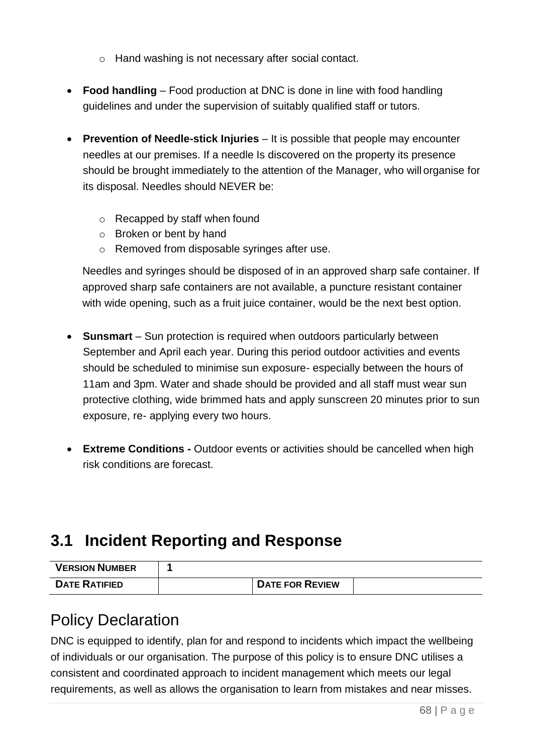- o Hand washing is not necessary after social contact.
- **Food handling**  Food production at DNC is done in line with food handling guidelines and under the supervision of suitably qualified staff or tutors.
- **Prevention of Needle-stick Injuries**  It is possible that people may encounter needles at our premises. If a needle Is discovered on the property its presence should be brought immediately to the attention of the Manager, who will organise for its disposal. Needles should NEVER be:
	- o Recapped by staff when found
	- o Broken or bent by hand
	- o Removed from disposable syringes after use.

Needles and syringes should be disposed of in an approved sharp safe container. If approved sharp safe containers are not available, a puncture resistant container with wide opening, such as a fruit juice container, would be the next best option.

- **Sunsmart**  Sun protection is required when outdoors particularly between September and April each year. During this period outdoor activities and events should be scheduled to minimise sun exposure- especially between the hours of 11am and 3pm. Water and shade should be provided and all staff must wear sun protective clothing, wide brimmed hats and apply sunscreen 20 minutes prior to sun exposure, re- applying every two hours.
- **Extreme Conditions -** Outdoor events or activities should be cancelled when high risk conditions are forecast.

# **3.1 Incident Reporting and Response**

| <b>VERSION NUMBER</b> |                        |  |
|-----------------------|------------------------|--|
| <b>DATE RATIFIED</b>  | <b>DATE FOR REVIEW</b> |  |

# Policy Declaration

DNC is equipped to identify, plan for and respond to incidents which impact the wellbeing of individuals or our organisation. The purpose of this policy is to ensure DNC utilises a consistent and coordinated approach to incident management which meets our legal requirements, as well as allows the organisation to learn from mistakes and near misses.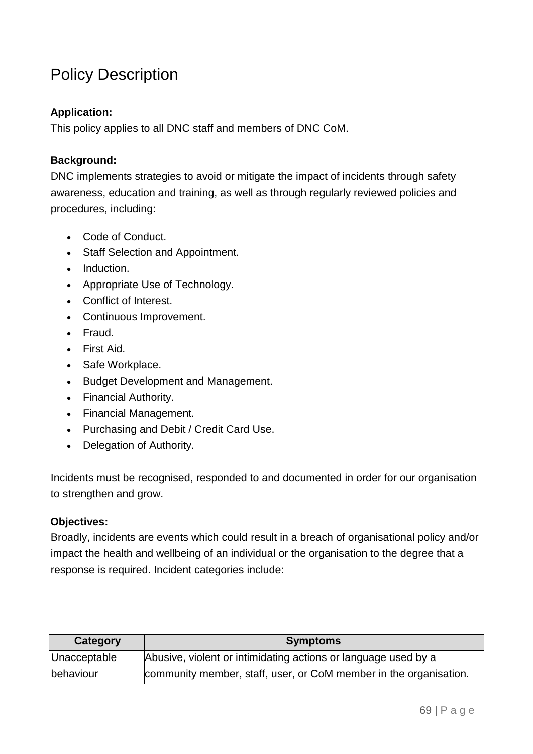# Policy Description

#### **Application:**

This policy applies to all DNC staff and members of DNC CoM.

#### **Background:**

DNC implements strategies to avoid or mitigate the impact of incidents through safety awareness, education and training, as well as through regularly reviewed policies and procedures, including:

- Code of Conduct.
- Staff Selection and Appointment.
- Induction.
- Appropriate Use of Technology.
- Conflict of Interest.
- Continuous Improvement.
- Fraud.
- First Aid.
- Safe Workplace.
- Budget Development and Management.
- Financial Authority.
- Financial Management.
- Purchasing and Debit / Credit Card Use.
- Delegation of Authority.

Incidents must be recognised, responded to and documented in order for our organisation to strengthen and grow.

#### **Objectives:**

Broadly, incidents are events which could result in a breach of organisational policy and/or impact the health and wellbeing of an individual or the organisation to the degree that a response is required. Incident categories include:

| Category     | <b>Symptoms</b>                                                   |
|--------------|-------------------------------------------------------------------|
| Unacceptable | Abusive, violent or intimidating actions or language used by a    |
| behaviour    | community member, staff, user, or CoM member in the organisation. |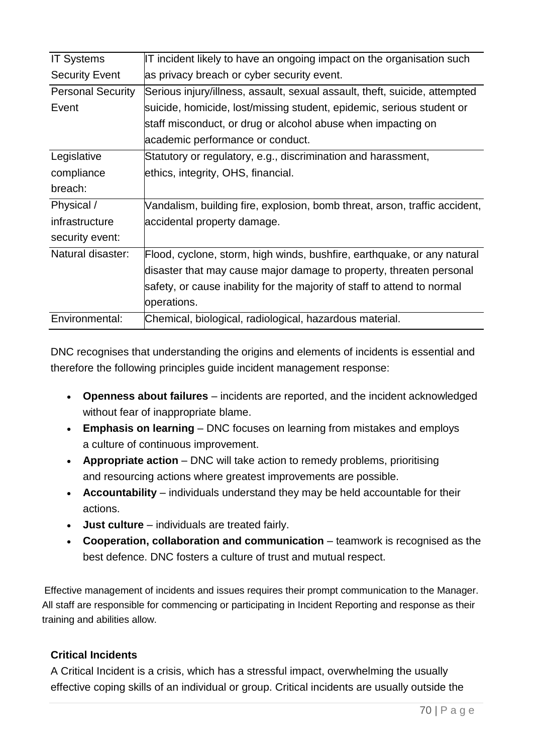| <b>IT Systems</b>        | IT incident likely to have an ongoing impact on the organisation such      |
|--------------------------|----------------------------------------------------------------------------|
| <b>Security Event</b>    | as privacy breach or cyber security event.                                 |
| <b>Personal Security</b> | Serious injury/illness, assault, sexual assault, theft, suicide, attempted |
| Event                    | suicide, homicide, lost/missing student, epidemic, serious student or      |
|                          | staff misconduct, or drug or alcohol abuse when impacting on               |
|                          | academic performance or conduct.                                           |
| Legislative              | Statutory or regulatory, e.g., discrimination and harassment,              |
| compliance               | ethics, integrity, OHS, financial.                                         |
| breach:                  |                                                                            |
| Physical /               | Vandalism, building fire, explosion, bomb threat, arson, traffic accident, |
| infrastructure           | accidental property damage.                                                |
| security event:          |                                                                            |
| Natural disaster:        | Flood, cyclone, storm, high winds, bushfire, earthquake, or any natural    |
|                          | disaster that may cause major damage to property, threaten personal        |
|                          | safety, or cause inability for the majority of staff to attend to normal   |
|                          | operations.                                                                |
| Environmental:           | Chemical, biological, radiological, hazardous material.                    |

DNC recognises that understanding the origins and elements of incidents is essential and therefore the following principles guide incident management response:

- **Openness about failures**  incidents are reported, and the incident acknowledged without fear of inappropriate blame.
- **Emphasis on learning**  DNC focuses on learning from mistakes and employs a culture of continuous improvement.
- **Appropriate action** DNC will take action to remedy problems, prioritising and resourcing actions where greatest improvements are possible.
- **Accountability**  individuals understand they may be held accountable for their actions.
- **Just culture**  individuals are treated fairly.
- Cooperation, collaboration and communication teamwork is recognised as the best defence. DNC fosters a culture of trust and mutual respect.

Effective management of incidents and issues requires their prompt communication to the Manager. All staff are responsible for commencing or participating in Incident Reporting and response as their training and abilities allow.

## **Critical Incidents**

A Critical Incident is a crisis, which has a stressful impact, overwhelming the usually effective coping skills of an individual or group. Critical incidents are usually outside the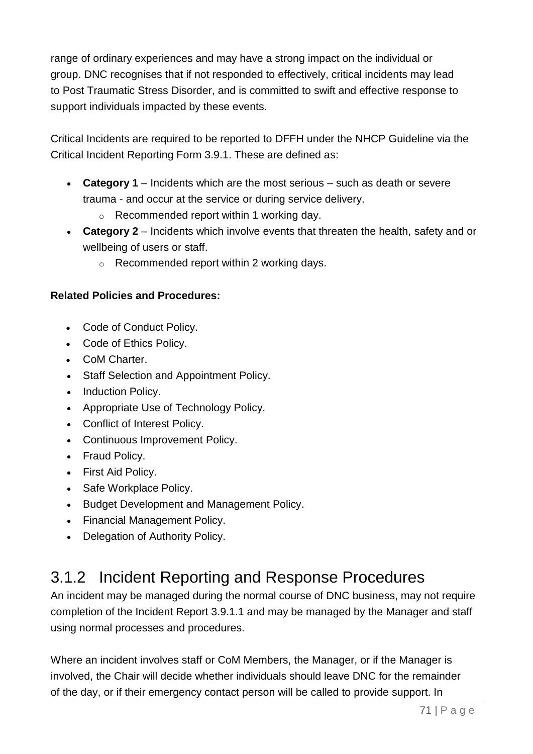range of ordinary experiences and may have a strong impact on the individual or group. DNC recognises that if not responded to effectively, critical incidents may lead to Post Traumatic Stress Disorder, and is committed to swift and effective response to support individuals impacted by these events.

Critical Incidents are required to be reported to DFFH under the NHCP Guideline via the Critical Incident Reporting Form 3.9.1. These are defined as:

- **Category 1**  Incidents which are the most serious such as death or severe trauma - and occur at the service or during service delivery.
	- $\circ$  Recommended report within 1 working day.
- **Category 2**  Incidents which involve events that threaten the health, safety and or wellbeing of users or staff.
	- $\circ$  Recommended report within 2 working days.

## **Related Policies and Procedures:**

- Code of Conduct Policy.
- Code of Ethics Policy.
- CoM Charter.
- Staff Selection and Appointment Policy.
- Induction Policy.
- Appropriate Use of Technology Policy.
- Conflict of Interest Policy.
- Continuous Improvement Policy.
- Fraud Policy.
- First Aid Policy.
- Safe Workplace Policy.
- Budget Development and Management Policy.
- Financial Management Policy.
- Delegation of Authority Policy.

# 3.1.2 Incident Reporting and Response Procedures

An incident may be managed during the normal course of DNC business, may not require completion of the Incident Report 3.9.1.1 and may be managed by the Manager and staff using normal processes and procedures.

Where an incident involves staff or CoM Members, the Manager, or if the Manager is involved, the Chair will decide whether individuals should leave DNC for the remainder of the day, or if their emergency contact person will be called to provide support. In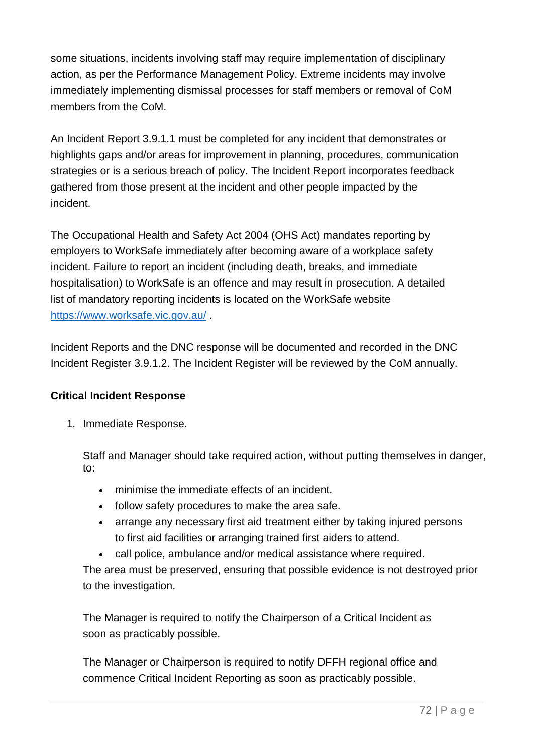some situations, incidents involving staff may require implementation of disciplinary action, as per the Performance Management Policy. Extreme incidents may involve immediately implementing dismissal processes for staff members or removal of CoM members from the CoM.

An Incident Report 3.9.1.1 must be completed for any incident that demonstrates or highlights gaps and/or areas for improvement in planning, procedures, communication strategies or is a serious breach of policy. The Incident Report incorporates feedback gathered from those present at the incident and other people impacted by the incident.

The Occupational Health and Safety Act 2004 (OHS Act) mandates reporting by employers to WorkSafe immediately after becoming aware of a workplace safety incident. Failure to report an incident (including death, breaks, and immediate hospitalisation) to WorkSafe is an offence and may result in prosecution. A detailed list of mandatory reporting incidents is located on the WorkSafe website <https://www.worksafe.vic.gov.au/> .

Incident Reports and the DNC response will be documented and recorded in the DNC Incident Register 3.9.1.2. The Incident Register will be reviewed by the CoM annually.

## **Critical Incident Response**

1. Immediate Response.

Staff and Manager should take required action, without putting themselves in danger, to:

- minimise the immediate effects of an incident.
- follow safety procedures to make the area safe.
- arrange any necessary first aid treatment either by taking injured persons to first aid facilities or arranging trained first aiders to attend.
- call police, ambulance and/or medical assistance where required.

The area must be preserved, ensuring that possible evidence is not destroyed prior to the investigation.

The Manager is required to notify the Chairperson of a Critical Incident as soon as practicably possible.

The Manager or Chairperson is required to notify DFFH regional office and commence Critical Incident Reporting as soon as practicably possible.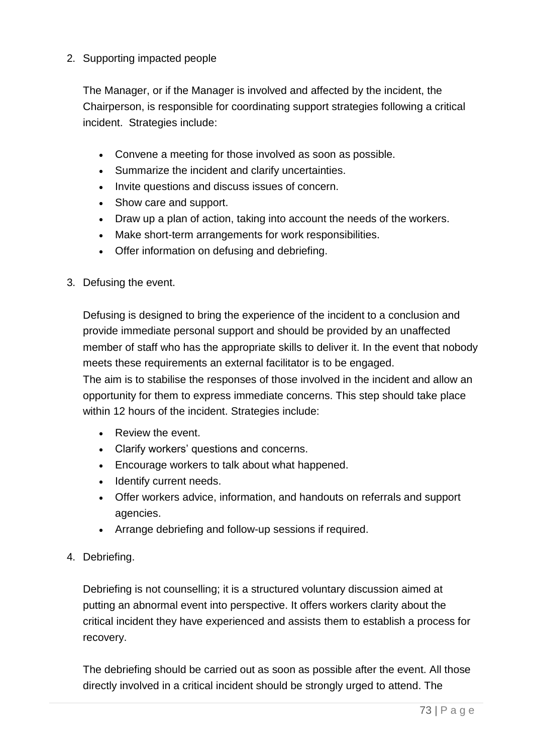### 2. Supporting impacted people

The Manager, or if the Manager is involved and affected by the incident, the Chairperson, is responsible for coordinating support strategies following a critical incident. Strategies include:

- Convene a meeting for those involved as soon as possible.
- Summarize the incident and clarify uncertainties.
- Invite questions and discuss issues of concern.
- Show care and support.
- Draw up a plan of action, taking into account the needs of the workers.
- Make short-term arrangements for work responsibilities.
- Offer information on defusing and debriefing.
- 3. Defusing the event.

Defusing is designed to bring the experience of the incident to a conclusion and provide immediate personal support and should be provided by an unaffected member of staff who has the appropriate skills to deliver it. In the event that nobody meets these requirements an external facilitator is to be engaged.

The aim is to stabilise the responses of those involved in the incident and allow an opportunity for them to express immediate concerns. This step should take place within 12 hours of the incident. Strategies include:

- Review the event.
- Clarify workers' questions and concerns.
- Encourage workers to talk about what happened.
- Identify current needs.
- Offer workers advice, information, and handouts on referrals and support agencies.
- Arrange debriefing and follow-up sessions if required.
- 4. Debriefing.

Debriefing is not counselling; it is a structured voluntary discussion aimed at putting an abnormal event into perspective. It offers workers clarity about the critical incident they have experienced and assists them to establish a process for recovery.

The debriefing should be carried out as soon as possible after the event. All those directly involved in a critical incident should be strongly urged to attend. The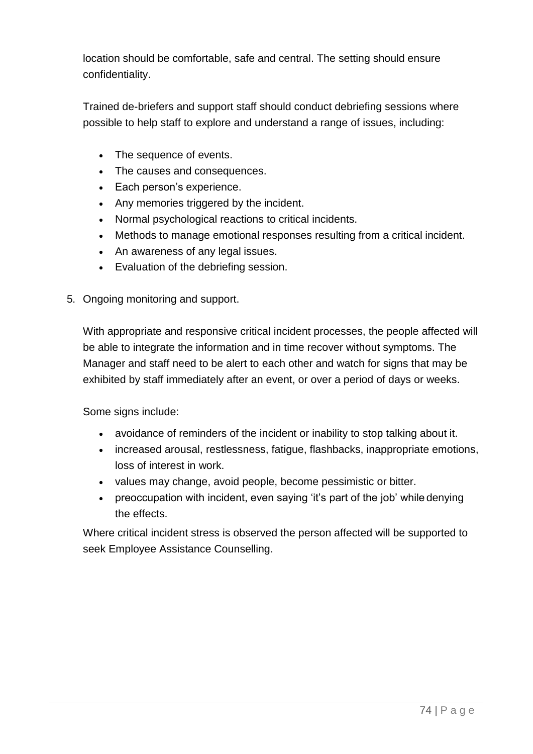location should be comfortable, safe and central. The setting should ensure confidentiality.

Trained de-briefers and support staff should conduct debriefing sessions where possible to help staff to explore and understand a range of issues, including:

- The sequence of events.
- The causes and consequences.
- Each person's experience.
- Any memories triggered by the incident.
- Normal psychological reactions to critical incidents.
- Methods to manage emotional responses resulting from a critical incident.
- An awareness of any legal issues.
- Evaluation of the debriefing session.
- 5. Ongoing monitoring and support.

With appropriate and responsive critical incident processes, the people affected will be able to integrate the information and in time recover without symptoms. The Manager and staff need to be alert to each other and watch for signs that may be exhibited by staff immediately after an event, or over a period of days or weeks.

Some signs include:

- avoidance of reminders of the incident or inability to stop talking about it.
- increased arousal, restlessness, fatigue, flashbacks, inappropriate emotions, loss of interest in work.
- values may change, avoid people, become pessimistic or bitter.
- preoccupation with incident, even saying 'it's part of the job' while denying the effects.

Where critical incident stress is observed the person affected will be supported to seek Employee Assistance Counselling.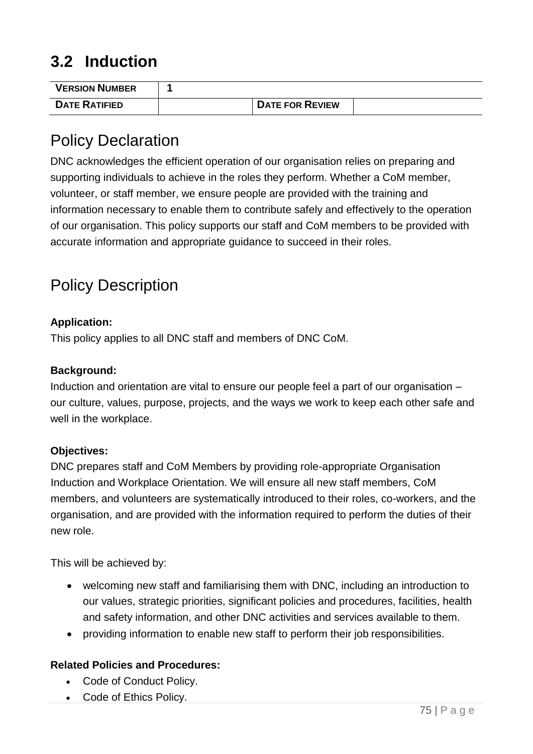# **3.2 Induction**

| <b>VERSION NUMBER</b> |                        |  |
|-----------------------|------------------------|--|
| <b>DATE RATIFIED</b>  | <b>DATE FOR REVIEW</b> |  |

# Policy Declaration

DNC acknowledges the efficient operation of our organisation relies on preparing and supporting individuals to achieve in the roles they perform. Whether a CoM member, volunteer, or staff member, we ensure people are provided with the training and information necessary to enable them to contribute safely and effectively to the operation of our organisation. This policy supports our staff and CoM members to be provided with accurate information and appropriate guidance to succeed in their roles.

# Policy Description

### **Application:**

This policy applies to all DNC staff and members of DNC CoM.

### **Background:**

Induction and orientation are vital to ensure our people feel a part of our organisation – our culture, values, purpose, projects, and the ways we work to keep each other safe and well in the workplace.

### **Objectives:**

DNC prepares staff and CoM Members by providing role-appropriate Organisation Induction and Workplace Orientation. We will ensure all new staff members, CoM members, and volunteers are systematically introduced to their roles, co-workers, and the organisation, and are provided with the information required to perform the duties of their new role.

This will be achieved by:

- welcoming new staff and familiarising them with DNC, including an introduction to our values, strategic priorities, significant policies and procedures, facilities, health and safety information, and other DNC activities and services available to them.
- providing information to enable new staff to perform their job responsibilities.

### **Related Policies and Procedures:**

- Code of Conduct Policy.
- Code of Ethics Policy.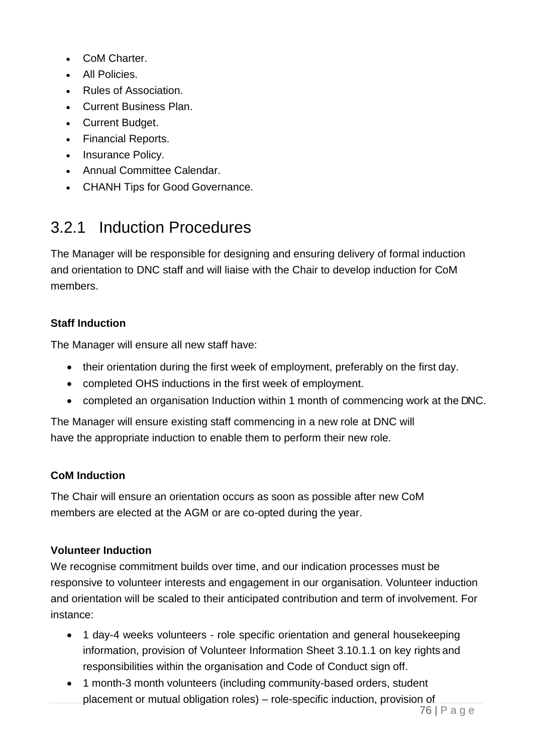- CoM Charter.
- All Policies.
- Rules of Association.
- Current Business Plan.
- Current Budget.
- Financial Reports.
- Insurance Policy.
- Annual Committee Calendar.
- CHANH Tips for Good Governance.

# 3.2.1 Induction Procedures

The Manager will be responsible for designing and ensuring delivery of formal induction and orientation to DNC staff and will liaise with the Chair to develop induction for CoM members.

## **Staff Induction**

The Manager will ensure all new staff have:

- their orientation during the first week of employment, preferably on the first day.
- completed OHS inductions in the first week of employment.
- completed an organisation Induction within 1 month of commencing work at the DNC.

The Manager will ensure existing staff commencing in a new role at DNC will have the appropriate induction to enable them to perform their new role.

### **CoM Induction**

The Chair will ensure an orientation occurs as soon as possible after new CoM members are elected at the AGM or are co-opted during the year.

### **Volunteer Induction**

We recognise commitment builds over time, and our indication processes must be responsive to volunteer interests and engagement in our organisation. Volunteer induction and orientation will be scaled to their anticipated contribution and term of involvement. For instance:

- 1 day-4 weeks volunteers role specific orientation and general housekeeping information, provision of Volunteer Information Sheet 3.10.1.1 on key rights and responsibilities within the organisation and Code of Conduct sign off.
- 1 month-3 month volunteers (including community-based orders, student placement or mutual obligation roles) – role-specific induction, provision of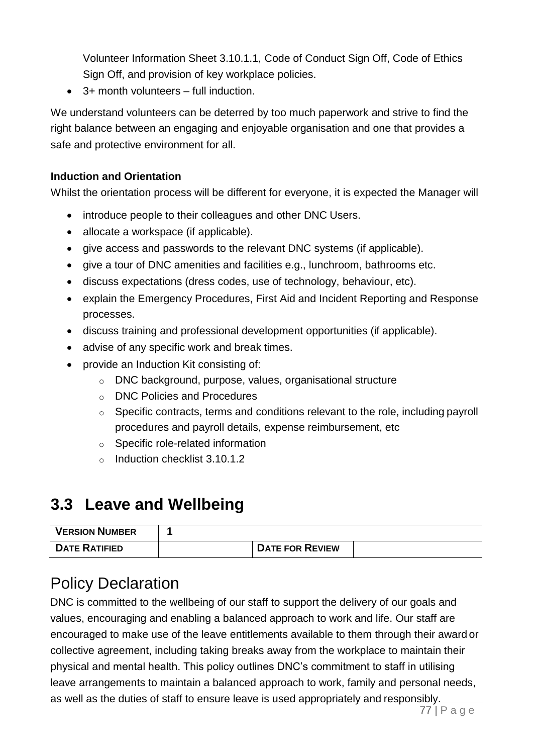Volunteer Information Sheet 3.10.1.1, Code of Conduct Sign Off, Code of Ethics Sign Off, and provision of key workplace policies.

• 3+ month volunteers – full induction.

We understand volunteers can be deterred by too much paperwork and strive to find the right balance between an engaging and enjoyable organisation and one that provides a safe and protective environment for all.

## **Induction and Orientation**

Whilst the orientation process will be different for everyone, it is expected the Manager will

- introduce people to their colleagues and other DNC Users.
- allocate a workspace (if applicable).
- give access and passwords to the relevant DNC systems (if applicable).
- give a tour of DNC amenities and facilities e.g., lunchroom, bathrooms etc.
- discuss expectations (dress codes, use of technology, behaviour, etc).
- explain the Emergency Procedures, First Aid and Incident Reporting and Response processes.
- discuss training and professional development opportunities (if applicable).
- advise of any specific work and break times.
- provide an Induction Kit consisting of:
	- o DNC background, purpose, values, organisational structure
	- o DNC Policies and Procedures
	- $\circ$  Specific contracts, terms and conditions relevant to the role, including payroll procedures and payroll details, expense reimbursement, etc
	- o Specific role-related information
	- o Induction checklist 3.10.1.2

# **3.3 Leave and Wellbeing**

| <b>VERSION NUMBER</b> |                        |  |
|-----------------------|------------------------|--|
| <b>DATE RATIFIED</b>  | <b>DATE FOR REVIEW</b> |  |

# Policy Declaration

DNC is committed to the wellbeing of our staff to support the delivery of our goals and values, encouraging and enabling a balanced approach to work and life. Our staff are encouraged to make use of the leave entitlements available to them through their award or collective agreement, including taking breaks away from the workplace to maintain their physical and mental health. This policy outlines DNC's commitment to staff in utilising leave arrangements to maintain a balanced approach to work, family and personal needs, as well as the duties of staff to ensure leave is used appropriately and responsibly.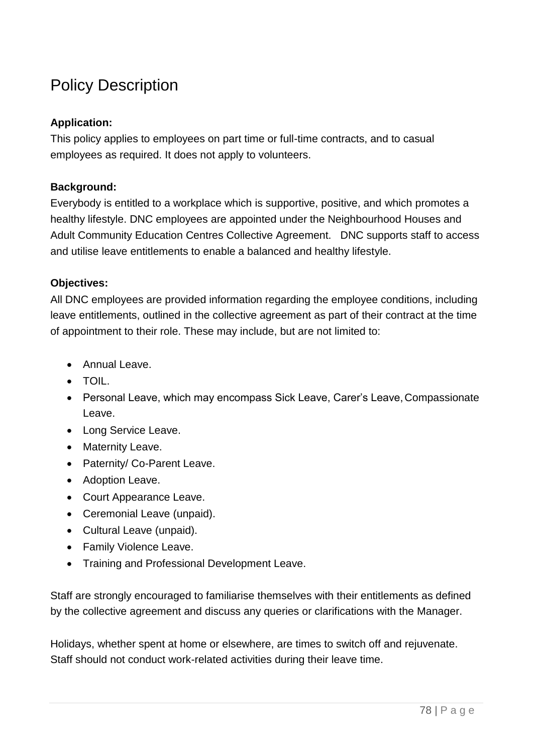# Policy Description

### **Application:**

This policy applies to employees on part time or full-time contracts, and to casual employees as required. It does not apply to volunteers.

### **Background:**

Everybody is entitled to a workplace which is supportive, positive, and which promotes a healthy lifestyle. DNC employees are appointed under the Neighbourhood Houses and Adult Community Education Centres Collective Agreement. DNC supports staff to access and utilise leave entitlements to enable a balanced and healthy lifestyle.

### **Objectives:**

All DNC employees are provided information regarding the employee conditions, including leave entitlements, outlined in the collective agreement as part of their contract at the time of appointment to their role. These may include, but are not limited to:

- Annual Leave.
- TOIL.
- Personal Leave, which may encompass Sick Leave, Carer's Leave, Compassionate Leave.
- Long Service Leave.
- Maternity Leave.
- Paternity/ Co-Parent Leave.
- Adoption Leave.
- Court Appearance Leave.
- Ceremonial Leave (unpaid).
- Cultural Leave (unpaid).
- Family Violence Leave.
- Training and Professional Development Leave.

Staff are strongly encouraged to familiarise themselves with their entitlements as defined by the collective agreement and discuss any queries or clarifications with the Manager.

Holidays, whether spent at home or elsewhere, are times to switch off and rejuvenate. Staff should not conduct work-related activities during their leave time.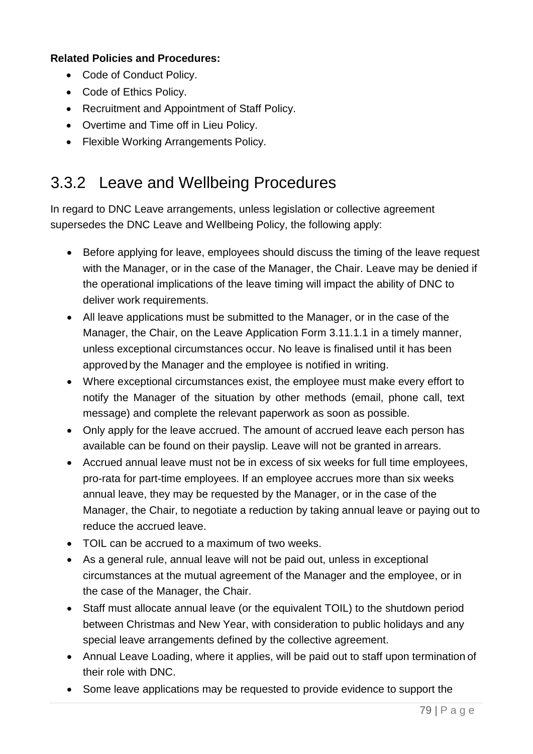### **Related Policies and Procedures:**

- Code of Conduct Policy.
- Code of Ethics Policy.
- Recruitment and Appointment of Staff Policy.
- Overtime and Time off in Lieu Policy.
- Flexible Working Arrangements Policy.

# 3.3.2 Leave and Wellbeing Procedures

In regard to DNC Leave arrangements, unless legislation or collective agreement supersedes the DNC Leave and Wellbeing Policy, the following apply:

- Before applying for leave, employees should discuss the timing of the leave request with the Manager, or in the case of the Manager, the Chair. Leave may be denied if the operational implications of the leave timing will impact the ability of DNC to deliver work requirements.
- All leave applications must be submitted to the Manager, or in the case of the Manager, the Chair, on the Leave Application Form 3.11.1.1 in a timely manner, unless exceptional circumstances occur. No leave is finalised until it has been approved by the Manager and the employee is notified in writing.
- Where exceptional circumstances exist, the employee must make every effort to notify the Manager of the situation by other methods (email, phone call, text message) and complete the relevant paperwork as soon as possible.
- Only apply for the leave accrued. The amount of accrued leave each person has available can be found on their payslip. Leave will not be granted in arrears.
- Accrued annual leave must not be in excess of six weeks for full time employees, pro-rata for part-time employees. If an employee accrues more than six weeks annual leave, they may be requested by the Manager, or in the case of the Manager, the Chair, to negotiate a reduction by taking annual leave or paying out to reduce the accrued leave.
- TOIL can be accrued to a maximum of two weeks.
- As a general rule, annual leave will not be paid out, unless in exceptional circumstances at the mutual agreement of the Manager and the employee, or in the case of the Manager, the Chair.
- Staff must allocate annual leave (or the equivalent TOIL) to the shutdown period between Christmas and New Year, with consideration to public holidays and any special leave arrangements defined by the collective agreement.
- Annual Leave Loading, where it applies, will be paid out to staff upon termination of their role with DNC.
- Some leave applications may be requested to provide evidence to support the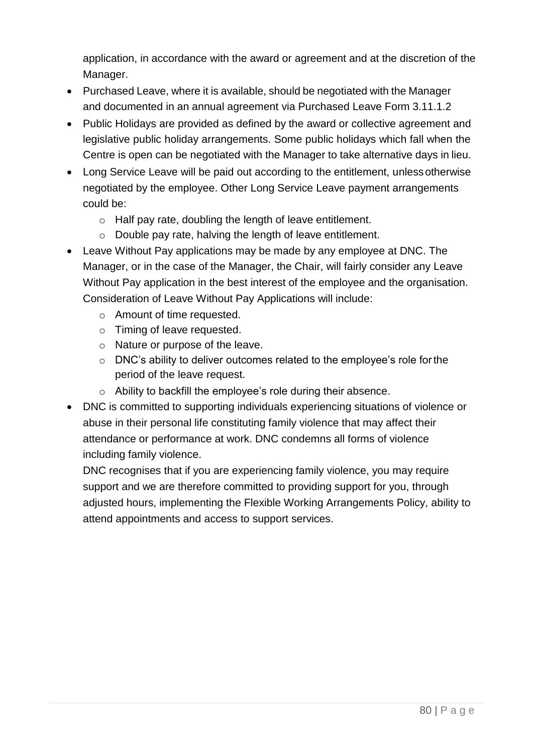application, in accordance with the award or agreement and at the discretion of the Manager.

- Purchased Leave, where it is available, should be negotiated with the Manager and documented in an annual agreement via Purchased Leave Form 3.11.1.2
- Public Holidays are provided as defined by the award or collective agreement and legislative public holiday arrangements. Some public holidays which fall when the Centre is open can be negotiated with the Manager to take alternative days in lieu.
- Long Service Leave will be paid out according to the entitlement, unlessotherwise negotiated by the employee. Other Long Service Leave payment arrangements could be:
	- o Half pay rate, doubling the length of leave entitlement.
	- o Double pay rate, halving the length of leave entitlement.
- Leave Without Pay applications may be made by any employee at DNC. The Manager, or in the case of the Manager, the Chair, will fairly consider any Leave Without Pay application in the best interest of the employee and the organisation. Consideration of Leave Without Pay Applications will include:
	- o Amount of time requested.
	- o Timing of leave requested.
	- o Nature or purpose of the leave.
	- o DNC's ability to deliver outcomes related to the employee's role forthe period of the leave request.
	- o Ability to backfill the employee's role during their absence.
- DNC is committed to supporting individuals experiencing situations of violence or abuse in their personal life constituting family violence that may affect their attendance or performance at work. DNC condemns all forms of violence including family violence.

DNC recognises that if you are experiencing family violence, you may require support and we are therefore committed to providing support for you, through adjusted hours, implementing the Flexible Working Arrangements Policy, ability to attend appointments and access to support services.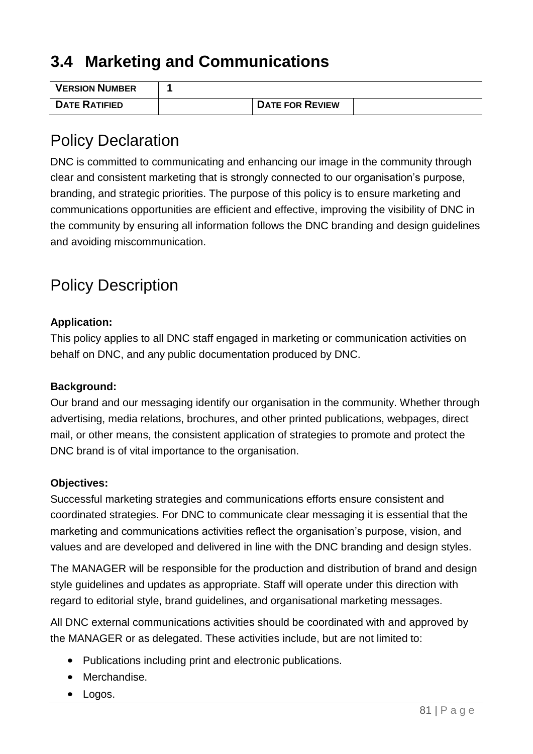# **3.4 Marketing and Communications**

| <b>VERSION NUMBER</b> |                        |  |
|-----------------------|------------------------|--|
| <b>DATE RATIFIED</b>  | <b>DATE FOR REVIEW</b> |  |

# Policy Declaration

DNC is committed to communicating and enhancing our image in the community through clear and consistent marketing that is strongly connected to our organisation's purpose, branding, and strategic priorities. The purpose of this policy is to ensure marketing and communications opportunities are efficient and effective, improving the visibility of DNC in the community by ensuring all information follows the DNC branding and design guidelines and avoiding miscommunication.

# Policy Description

### **Application:**

This policy applies to all DNC staff engaged in marketing or communication activities on behalf on DNC, and any public documentation produced by DNC.

### **Background:**

Our brand and our messaging identify our organisation in the community. Whether through advertising, media relations, brochures, and other printed publications, webpages, direct mail, or other means, the consistent application of strategies to promote and protect the DNC brand is of vital importance to the organisation.

### **Objectives:**

Successful marketing strategies and communications efforts ensure consistent and coordinated strategies. For DNC to communicate clear messaging it is essential that the marketing and communications activities reflect the organisation's purpose, vision, and values and are developed and delivered in line with the DNC branding and design styles.

The MANAGER will be responsible for the production and distribution of brand and design style guidelines and updates as appropriate. Staff will operate under this direction with regard to editorial style, brand guidelines, and organisational marketing messages.

All DNC external communications activities should be coordinated with and approved by the MANAGER or as delegated. These activities include, but are not limited to:

- Publications including print and electronic publications.
- Merchandise.
- Logos.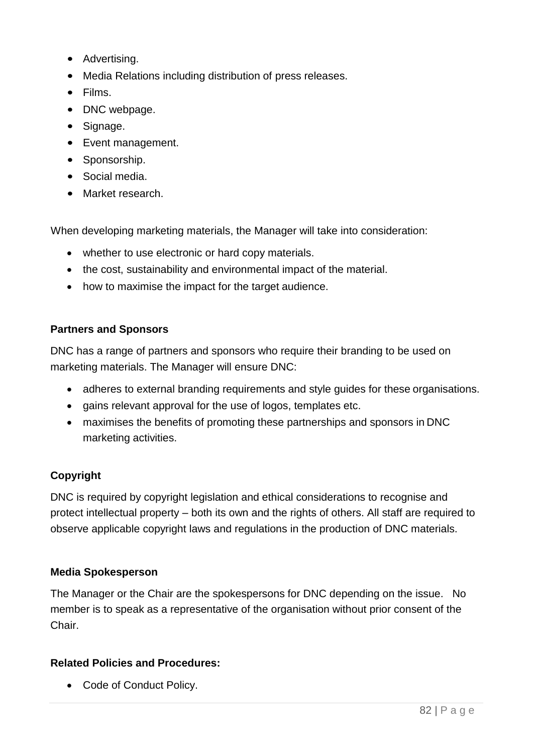- Advertising.
- Media Relations including distribution of press releases.
- Films.
- DNC webpage.
- Signage.
- Event management.
- Sponsorship.
- Social media.
- Market research.

When developing marketing materials, the Manager will take into consideration:

- whether to use electronic or hard copy materials.
- the cost, sustainability and environmental impact of the material.
- how to maximise the impact for the target audience.

### **Partners and Sponsors**

DNC has a range of partners and sponsors who require their branding to be used on marketing materials. The Manager will ensure DNC:

- adheres to external branding requirements and style guides for these organisations.
- gains relevant approval for the use of logos, templates etc.
- maximises the benefits of promoting these partnerships and sponsors in DNC marketing activities.

### **Copyright**

DNC is required by copyright legislation and ethical considerations to recognise and protect intellectual property – both its own and the rights of others. All staff are required to observe applicable copyright laws and regulations in the production of DNC materials.

### **Media Spokesperson**

The Manager or the Chair are the spokespersons for DNC depending on the issue. No member is to speak as a representative of the organisation without prior consent of the Chair.

### **Related Policies and Procedures:**

• Code of Conduct Policy.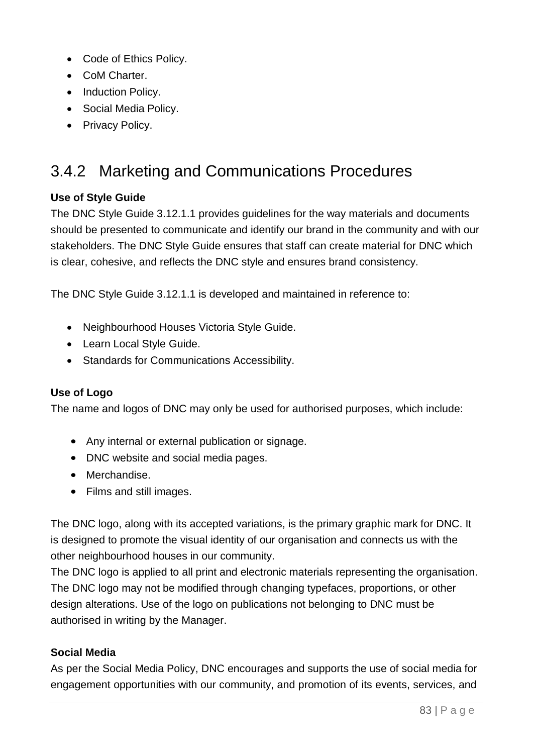- Code of Ethics Policy.
- CoM Charter.
- Induction Policy.
- Social Media Policy.
- Privacy Policy.

# 3.4.2 Marketing and Communications Procedures

### **Use of Style Guide**

The DNC Style Guide 3.12.1.1 provides guidelines for the way materials and documents should be presented to communicate and identify our brand in the community and with our stakeholders. The DNC Style Guide ensures that staff can create material for DNC which is clear, cohesive, and reflects the DNC style and ensures brand consistency.

The DNC Style Guide 3.12.1.1 is developed and maintained in reference to:

- Neighbourhood Houses Victoria Style Guide.
- Learn Local Style Guide.
- Standards for Communications Accessibility.

### **Use of Logo**

The name and logos of DNC may only be used for authorised purposes, which include:

- Any internal or external publication or signage.
- DNC website and social media pages.
- Merchandise.
- Films and still images.

The DNC logo, along with its accepted variations, is the primary graphic mark for DNC. It is designed to promote the visual identity of our organisation and connects us with the other neighbourhood houses in our community.

The DNC logo is applied to all print and electronic materials representing the organisation. The DNC logo may not be modified through changing typefaces, proportions, or other design alterations. Use of the logo on publications not belonging to DNC must be authorised in writing by the Manager.

### **Social Media**

As per the Social Media Policy, DNC encourages and supports the use of social media for engagement opportunities with our community, and promotion of its events, services, and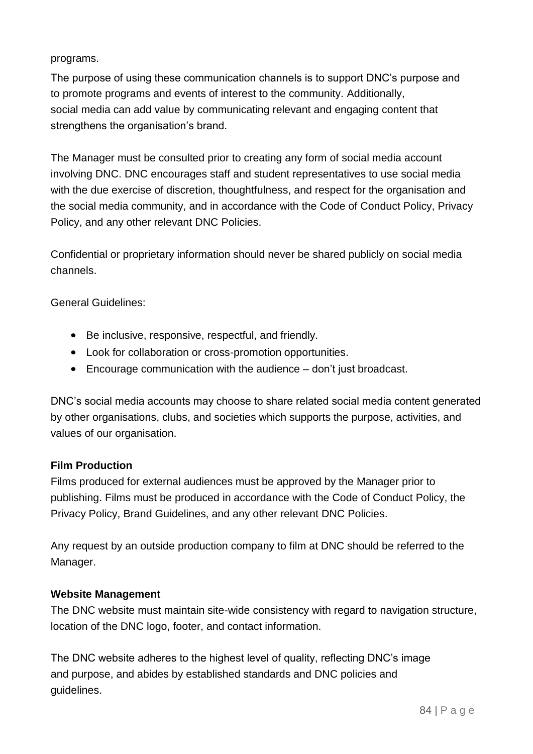#### programs.

The purpose of using these communication channels is to support DNC's purpose and to promote programs and events of interest to the community. Additionally, social media can add value by communicating relevant and engaging content that strengthens the organisation's brand.

The Manager must be consulted prior to creating any form of social media account involving DNC. DNC encourages staff and student representatives to use social media with the due exercise of discretion, thoughtfulness, and respect for the organisation and the social media community, and in accordance with the Code of Conduct Policy, Privacy Policy, and any other relevant DNC Policies.

Confidential or proprietary information should never be shared publicly on social media channels.

General Guidelines:

- Be inclusive, responsive, respectful, and friendly.
- Look for collaboration or cross-promotion opportunities.
- Encourage communication with the audience don't just broadcast.

DNC's social media accounts may choose to share related social media content generated by other organisations, clubs, and societies which supports the purpose, activities, and values of our organisation.

### **Film Production**

Films produced for external audiences must be approved by the Manager prior to publishing. Films must be produced in accordance with the Code of Conduct Policy, the Privacy Policy, Brand Guidelines, and any other relevant DNC Policies.

Any request by an outside production company to film at DNC should be referred to the Manager.

### **Website Management**

The DNC website must maintain site-wide consistency with regard to navigation structure, location of the DNC logo, footer, and contact information.

The DNC website adheres to the highest level of quality, reflecting DNC's image and purpose, and abides by established standards and DNC policies and guidelines.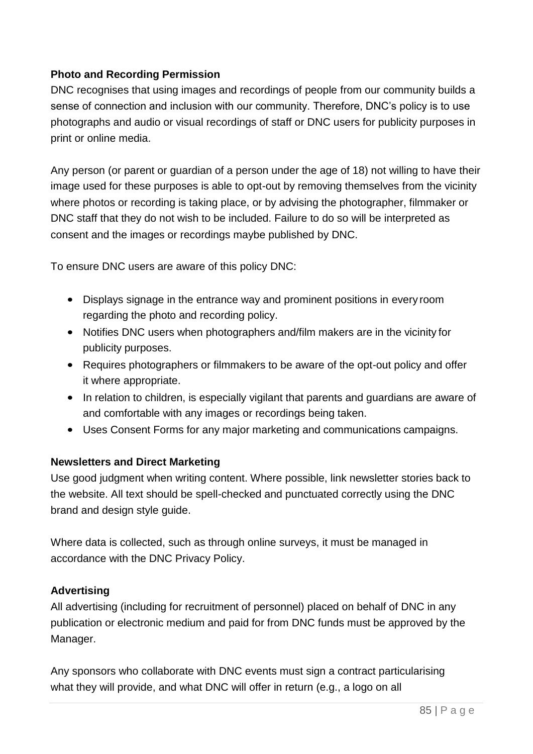### **Photo and Recording Permission**

DNC recognises that using images and recordings of people from our community builds a sense of connection and inclusion with our community. Therefore, DNC's policy is to use photographs and audio or visual recordings of staff or DNC users for publicity purposes in print or online media.

Any person (or parent or guardian of a person under the age of 18) not willing to have their image used for these purposes is able to opt-out by removing themselves from the vicinity where photos or recording is taking place, or by advising the photographer, filmmaker or DNC staff that they do not wish to be included. Failure to do so will be interpreted as consent and the images or recordings maybe published by DNC.

To ensure DNC users are aware of this policy DNC:

- Displays signage in the entrance way and prominent positions in every room regarding the photo and recording policy.
- Notifies DNC users when photographers and/film makers are in the vicinity for publicity purposes.
- Requires photographers or filmmakers to be aware of the opt-out policy and offer it where appropriate.
- In relation to children, is especially vigilant that parents and guardians are aware of and comfortable with any images or recordings being taken.
- Uses Consent Forms for any major marketing and communications campaigns.

### **Newsletters and Direct Marketing**

Use good judgment when writing content. Where possible, link newsletter stories back to the website. All text should be spell-checked and punctuated correctly using the DNC brand and design style guide.

Where data is collected, such as through online surveys, it must be managed in accordance with the DNC Privacy Policy.

### **Advertising**

All advertising (including for recruitment of personnel) placed on behalf of DNC in any publication or electronic medium and paid for from DNC funds must be approved by the Manager.

Any sponsors who collaborate with DNC events must sign a contract particularising what they will provide, and what DNC will offer in return (e.g., a logo on all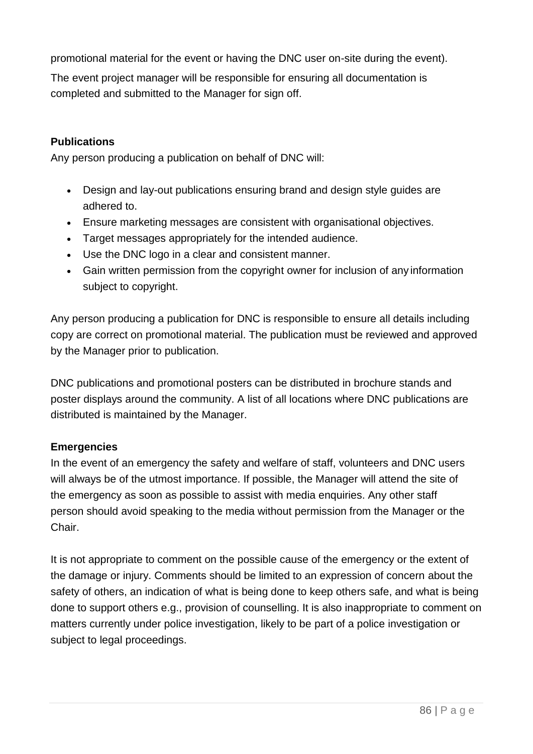promotional material for the event or having the DNC user on-site during the event).

The event project manager will be responsible for ensuring all documentation is completed and submitted to the Manager for sign off.

### **Publications**

Any person producing a publication on behalf of DNC will:

- Design and lay-out publications ensuring brand and design style guides are adhered to.
- Ensure marketing messages are consistent with organisational objectives.
- Target messages appropriately for the intended audience.
- Use the DNC logo in a clear and consistent manner.
- Gain written permission from the copyright owner for inclusion of any information subject to copyright.

Any person producing a publication for DNC is responsible to ensure all details including copy are correct on promotional material. The publication must be reviewed and approved by the Manager prior to publication.

DNC publications and promotional posters can be distributed in brochure stands and poster displays around the community. A list of all locations where DNC publications are distributed is maintained by the Manager.

### **Emergencies**

In the event of an emergency the safety and welfare of staff, volunteers and DNC users will always be of the utmost importance. If possible, the Manager will attend the site of the emergency as soon as possible to assist with media enquiries. Any other staff person should avoid speaking to the media without permission from the Manager or the Chair.

It is not appropriate to comment on the possible cause of the emergency or the extent of the damage or injury. Comments should be limited to an expression of concern about the safety of others, an indication of what is being done to keep others safe, and what is being done to support others e.g., provision of counselling. It is also inappropriate to comment on matters currently under police investigation, likely to be part of a police investigation or subject to legal proceedings.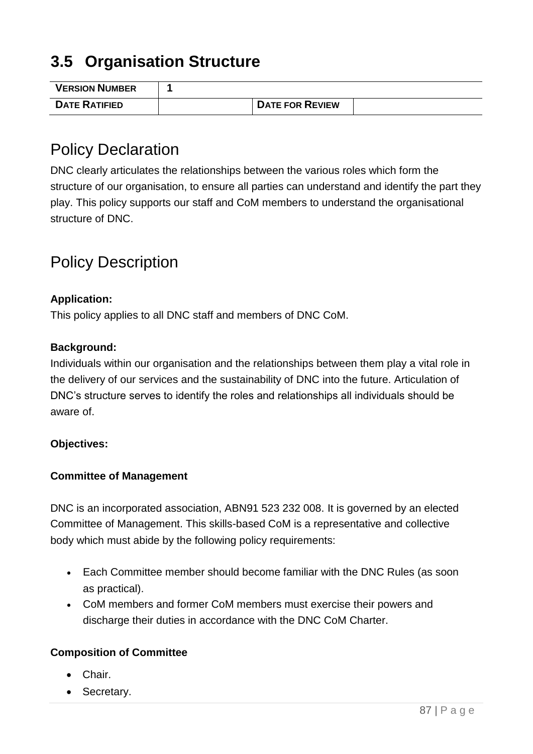# **3.5 Organisation Structure**

| <b>VERSION NUMBER</b> |                        |  |
|-----------------------|------------------------|--|
| <b>DATE RATIFIED</b>  | <b>DATE FOR REVIEW</b> |  |

# Policy Declaration

DNC clearly articulates the relationships between the various roles which form the structure of our organisation, to ensure all parties can understand and identify the part they play. This policy supports our staff and CoM members to understand the organisational structure of DNC.

# Policy Description

### **Application:**

This policy applies to all DNC staff and members of DNC CoM.

#### **Background:**

Individuals within our organisation and the relationships between them play a vital role in the delivery of our services and the sustainability of DNC into the future. Articulation of DNC's structure serves to identify the roles and relationships all individuals should be aware of.

### **Objectives:**

### **Committee of Management**

DNC is an incorporated association, ABN91 523 232 008. It is governed by an elected Committee of Management. This skills-based CoM is a representative and collective body which must abide by the following policy requirements:

- Each Committee member should become familiar with the DNC Rules (as soon as practical).
- CoM members and former CoM members must exercise their powers and discharge their duties in accordance with the DNC CoM Charter.

### **Composition of Committee**

- Chair.
- Secretary.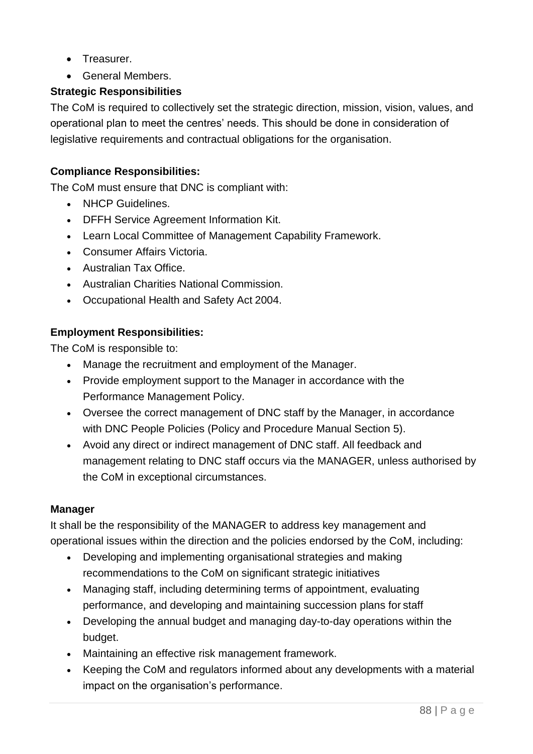- Treasurer.
- General Members.

### **Strategic Responsibilities**

The CoM is required to collectively set the strategic direction, mission, vision, values, and operational plan to meet the centres' needs. This should be done in consideration of legislative requirements and contractual obligations for the organisation.

### **Compliance Responsibilities:**

The CoM must ensure that DNC is compliant with:

- NHCP Guidelines.
- DFFH Service Agreement Information Kit.
- Learn Local Committee of Management Capability Framework.
- Consumer Affairs Victoria.
- Australian Tax Office.
- Australian Charities National Commission.
- Occupational Health and Safety Act 2004.

### **Employment Responsibilities:**

The CoM is responsible to:

- Manage the recruitment and employment of the Manager.
- Provide employment support to the Manager in accordance with the Performance Management Policy.
- Oversee the correct management of DNC staff by the Manager, in accordance with DNC People Policies (Policy and Procedure Manual Section 5).
- Avoid any direct or indirect management of DNC staff. All feedback and management relating to DNC staff occurs via the MANAGER, unless authorised by the CoM in exceptional circumstances.

### **Manager**

It shall be the responsibility of the MANAGER to address key management and operational issues within the direction and the policies endorsed by the CoM, including:

- Developing and implementing organisational strategies and making recommendations to the CoM on significant strategic initiatives
- Managing staff, including determining terms of appointment, evaluating performance, and developing and maintaining succession plans for staff
- Developing the annual budget and managing day-to-day operations within the budget.
- Maintaining an effective risk management framework.
- Keeping the CoM and regulators informed about any developments with a material impact on the organisation's performance.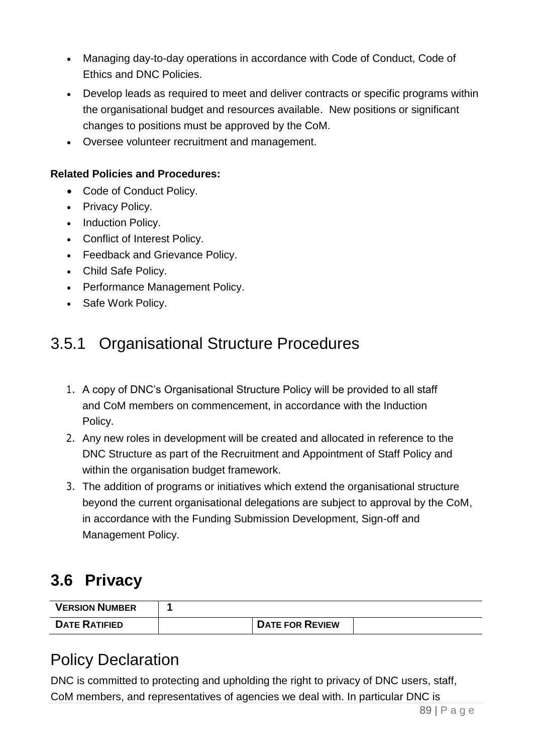- Managing day-to-day operations in accordance with Code of Conduct, Code of Ethics and DNC Policies.
- Develop leads as required to meet and deliver contracts or specific programs within the organisational budget and resources available. New positions or significant changes to positions must be approved by the CoM.
- Oversee volunteer recruitment and management.

### **Related Policies and Procedures:**

- Code of Conduct Policy.
- Privacy Policy.
- Induction Policy.
- Conflict of Interest Policy.
- Feedback and Grievance Policy.
- Child Safe Policy.
- Performance Management Policy.
- Safe Work Policy.

# 3.5.1 Organisational Structure Procedures

- 1. A copy of DNC's Organisational Structure Policy will be provided to all staff and CoM members on commencement, in accordance with the Induction Policy.
- 2. Any new roles in development will be created and allocated in reference to the DNC Structure as part of the Recruitment and Appointment of Staff Policy and within the organisation budget framework.
- 3. The addition of programs or initiatives which extend the organisational structure beyond the current organisational delegations are subject to approval by the CoM, in accordance with the Funding Submission Development, Sign-off and Management Policy.

# **3.6 Privacy**

| <b>VERSION NUMBER</b> |                        |  |
|-----------------------|------------------------|--|
| <b>DATE RATIFIED</b>  | <b>DATE FOR REVIEW</b> |  |

# Policy Declaration

DNC is committed to protecting and upholding the right to privacy of DNC users, staff, CoM members, and representatives of agencies we deal with. In particular DNC is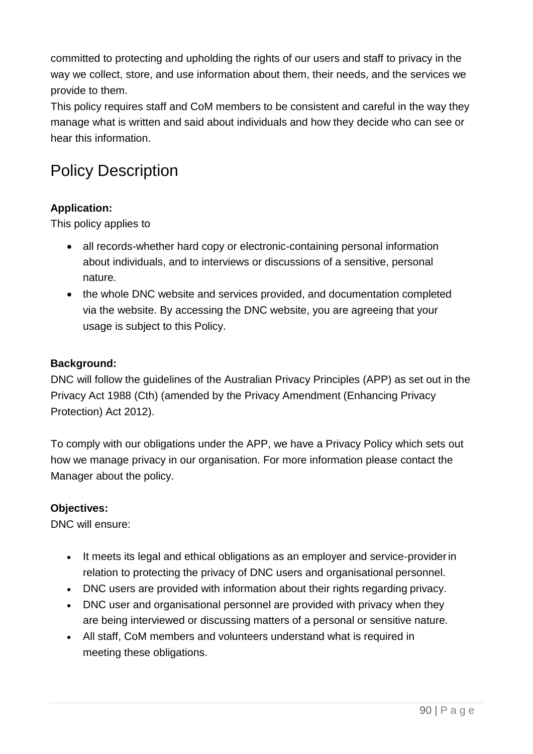committed to protecting and upholding the rights of our users and staff to privacy in the way we collect, store, and use information about them, their needs, and the services we provide to them.

This policy requires staff and CoM members to be consistent and careful in the way they manage what is written and said about individuals and how they decide who can see or hear this information.

# Policy Description

## **Application:**

This policy applies to

- all records-whether hard copy or electronic-containing personal information about individuals, and to interviews or discussions of a sensitive, personal nature.
- the whole DNC website and services provided, and documentation completed via the website. By accessing the DNC website, you are agreeing that your usage is subject to this Policy.

### **Background:**

DNC will follow the guidelines of the Australian Privacy Principles (APP) as set out in the Privacy Act 1988 (Cth) (amended by the Privacy Amendment (Enhancing Privacy Protection) Act 2012).

To comply with our obligations under the APP, we have a Privacy Policy which sets out how we manage privacy in our organisation. For more information please contact the Manager about the policy.

### **Objectives:**

DNC will ensure:

- It meets its legal and ethical obligations as an employer and service-providerin relation to protecting the privacy of DNC users and organisational personnel.
- DNC users are provided with information about their rights regarding privacy.
- DNC user and organisational personnel are provided with privacy when they are being interviewed or discussing matters of a personal or sensitive nature.
- All staff, CoM members and volunteers understand what is required in meeting these obligations.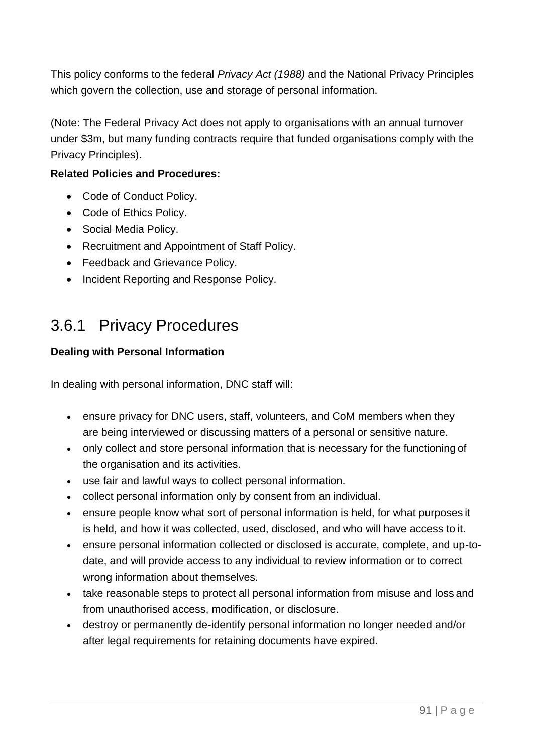This policy conforms to the federal *Privacy Act (1988)* and the National Privacy Principles which govern the collection, use and storage of personal information.

(Note: The Federal Privacy Act does not apply to organisations with an annual turnover under \$3m, but many funding contracts require that funded organisations comply with the Privacy Principles).

### **Related Policies and Procedures:**

- Code of Conduct Policy.
- Code of Ethics Policy.
- Social Media Policy.
- Recruitment and Appointment of Staff Policy.
- Feedback and Grievance Policy.
- Incident Reporting and Response Policy.

# 3.6.1 Privacy Procedures

### **Dealing with Personal Information**

In dealing with personal information, DNC staff will:

- ensure privacy for DNC users, staff, volunteers, and CoM members when they are being interviewed or discussing matters of a personal or sensitive nature.
- only collect and store personal information that is necessary for the functioning of the organisation and its activities.
- use fair and lawful ways to collect personal information.
- collect personal information only by consent from an individual.
- ensure people know what sort of personal information is held, for what purposes it is held, and how it was collected, used, disclosed, and who will have access to it.
- ensure personal information collected or disclosed is accurate, complete, and up-todate, and will provide access to any individual to review information or to correct wrong information about themselves.
- take reasonable steps to protect all personal information from misuse and loss and from unauthorised access, modification, or disclosure.
- destroy or permanently de-identify personal information no longer needed and/or after legal requirements for retaining documents have expired.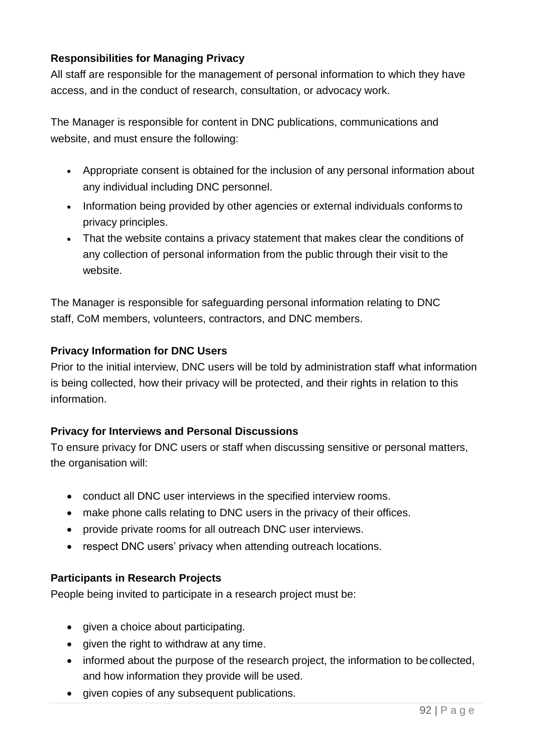### **Responsibilities for Managing Privacy**

All staff are responsible for the management of personal information to which they have access, and in the conduct of research, consultation, or advocacy work.

The Manager is responsible for content in DNC publications, communications and website, and must ensure the following:

- Appropriate consent is obtained for the inclusion of any personal information about any individual including DNC personnel.
- Information being provided by other agencies or external individuals conforms to privacy principles.
- That the website contains a privacy statement that makes clear the conditions of any collection of personal information from the public through their visit to the website.

The Manager is responsible for safeguarding personal information relating to DNC staff, CoM members, volunteers, contractors, and DNC members.

### **Privacy Information for DNC Users**

Prior to the initial interview, DNC users will be told by administration staff what information is being collected, how their privacy will be protected, and their rights in relation to this information.

### **Privacy for Interviews and Personal Discussions**

To ensure privacy for DNC users or staff when discussing sensitive or personal matters, the organisation will:

- conduct all DNC user interviews in the specified interview rooms.
- make phone calls relating to DNC users in the privacy of their offices.
- provide private rooms for all outreach DNC user interviews.
- respect DNC users' privacy when attending outreach locations.

### **Participants in Research Projects**

People being invited to participate in a research project must be:

- given a choice about participating.
- given the right to withdraw at any time.
- informed about the purpose of the research project, the information to be collected, and how information they provide will be used.
- given copies of any subsequent publications.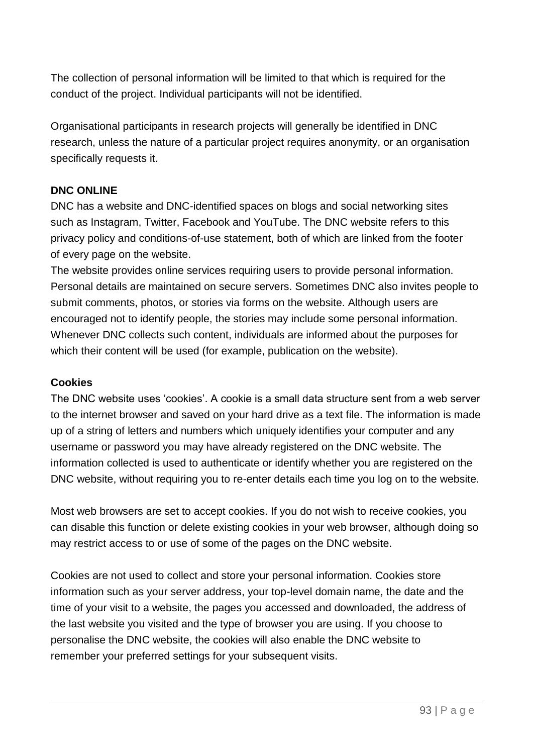The collection of personal information will be limited to that which is required for the conduct of the project. Individual participants will not be identified.

Organisational participants in research projects will generally be identified in DNC research, unless the nature of a particular project requires anonymity, or an organisation specifically requests it.

#### **DNC ONLINE**

DNC has a website and DNC-identified spaces on blogs and social networking sites such as Instagram, Twitter, Facebook and YouTube. The DNC website refers to this privacy policy and conditions-of-use statement, both of which are linked from the footer of every page on the website.

The website provides online services requiring users to provide personal information. Personal details are maintained on secure servers. Sometimes DNC also invites people to submit comments, photos, or stories via forms on the website. Although users are encouraged not to identify people, the stories may include some personal information. Whenever DNC collects such content, individuals are informed about the purposes for which their content will be used (for example, publication on the website).

#### **Cookies**

The DNC website uses 'cookies'. A cookie is a small data structure sent from a web server to the internet browser and saved on your hard drive as a text file. The information is made up of a string of letters and numbers which uniquely identifies your computer and any username or password you may have already registered on the DNC website. The information collected is used to authenticate or identify whether you are registered on the DNC website, without requiring you to re-enter details each time you log on to the website.

Most web browsers are set to accept cookies. If you do not wish to receive cookies, you can disable this function or delete existing cookies in your web browser, although doing so may restrict access to or use of some of the pages on the DNC website.

Cookies are not used to collect and store your personal information. Cookies store information such as your server address, your top-level domain name, the date and the time of your visit to a website, the pages you accessed and downloaded, the address of the last website you visited and the type of browser you are using. If you choose to personalise the DNC website, the cookies will also enable the DNC website to remember your preferred settings for your subsequent visits.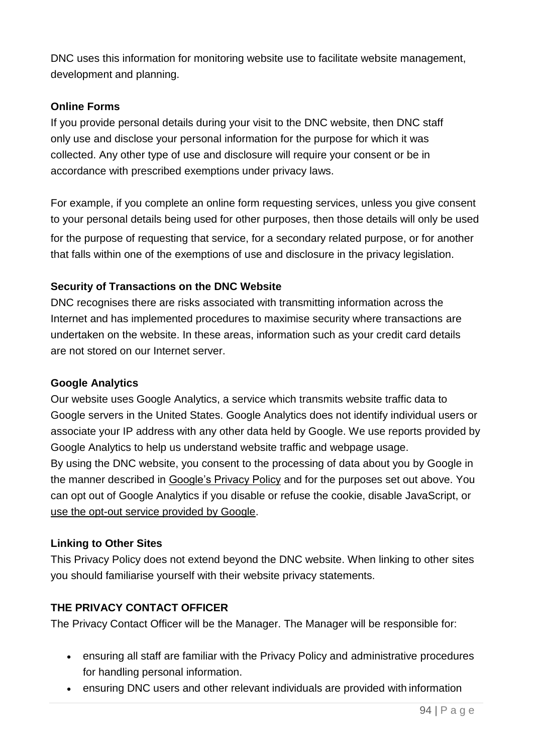DNC uses this information for monitoring website use to facilitate website management, development and planning.

### **Online Forms**

If you provide personal details during your visit to the DNC website, then DNC staff only use and disclose your personal information for the purpose for which it was collected. Any other type of use and disclosure will require your consent or be in accordance with prescribed exemptions under privacy laws.

For example, if you complete an online form requesting services, unless you give consent to your personal details being used for other purposes, then those details will only be used

for the purpose of requesting that service, for a secondary related purpose, or for another that falls within one of the exemptions of use and disclosure in the privacy legislation.

### **Security of Transactions on the DNC Website**

DNC recognises there are risks associated with transmitting information across the Internet and has implemented procedures to maximise security where transactions are undertaken on the website. In these areas, information such as your credit card details are not stored on our Internet server.

### **Google Analytics**

Our website uses Google Analytics, a service which transmits website traffic data to Google servers in the United States. Google Analytics does not identify individual users or associate your IP address with any other data held by Google. We use reports provided by Google Analytics to help us understand website traffic and webpage usage. By using the DNC website, you consent to the processing of data about you by Google in the manner described in [Google's Privacy Policy](http://www.google.com/policies/privacy/) and for the purposes set out above. You can opt out of Google Analytics if you disable or refuse the cookie, disable JavaScript, or [use the opt-out service provided by Google.](https://tools.google.com/dlpage/gaoptout)

### **Linking to Other Sites**

This Privacy Policy does not extend beyond the DNC website. When linking to other sites you should familiarise yourself with their website privacy statements.

### **THE PRIVACY CONTACT OFFICER**

The Privacy Contact Officer will be the Manager. The Manager will be responsible for:

- ensuring all staff are familiar with the Privacy Policy and administrative procedures for handling personal information.
- ensuring DNC users and other relevant individuals are provided with information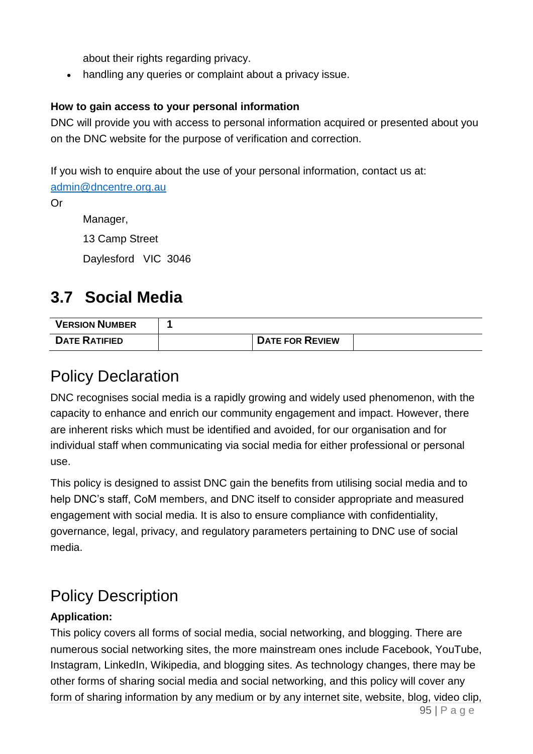about their rights regarding privacy.

• handling any queries or complaint about a privacy issue.

### **How to gain access to your personal information**

DNC will provide you with access to personal information acquired or presented about you on the DNC website for the purpose of verification and correction.

If you wish to enquire about the use of your personal information, contact us at:

[admin@dncentre.org.au](mailto:admin@dncentre.org.au)

Or

Manager,

13 Camp Street

Daylesford VIC 3046

# **3.7 Social Media**

| <b>VERSION NUMBER</b> |                        |  |
|-----------------------|------------------------|--|
| <b>DATE RATIFIED</b>  | <b>DATE FOR REVIEW</b> |  |

# Policy Declaration

DNC recognises social media is a rapidly growing and widely used phenomenon, with the capacity to enhance and enrich our community engagement and impact. However, there are inherent risks which must be identified and avoided, for our organisation and for individual staff when communicating via social media for either professional or personal use.

This policy is designed to assist DNC gain the benefits from utilising social media and to help DNC's staff, CoM members, and DNC itself to consider appropriate and measured engagement with social media. It is also to ensure compliance with confidentiality, governance, legal, privacy, and regulatory parameters pertaining to DNC use of social media.

# Policy Description

# **Application:**

This policy covers all forms of social media, social networking, and blogging. There are numerous social networking sites, the more mainstream ones include Facebook, YouTube, Instagram, LinkedIn, Wikipedia, and blogging sites. As technology changes, there may be other forms of sharing social media and social networking, and this policy will cover any form of sharing information by any medium or by any internet site, website, blog, video clip,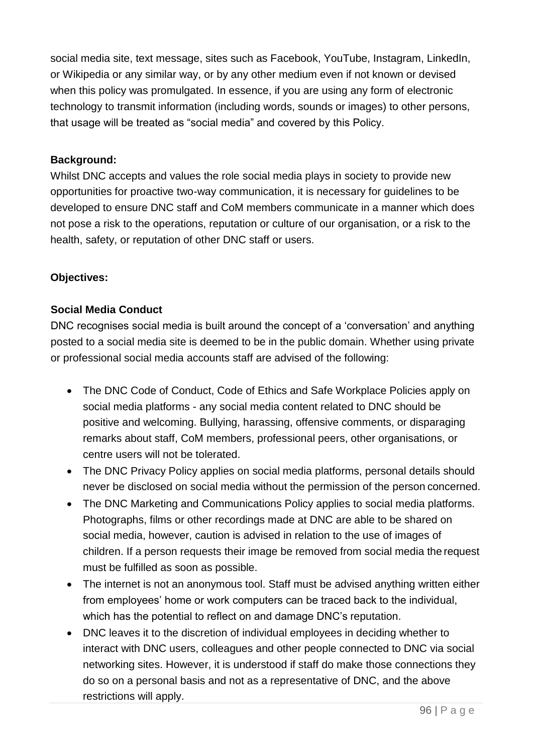social media site, text message, sites such as Facebook, YouTube, Instagram, LinkedIn, or Wikipedia or any similar way, or by any other medium even if not known or devised when this policy was promulgated. In essence, if you are using any form of electronic technology to transmit information (including words, sounds or images) to other persons, that usage will be treated as "social media" and covered by this Policy.

### **Background:**

Whilst DNC accepts and values the role social media plays in society to provide new opportunities for proactive two-way communication, it is necessary for guidelines to be developed to ensure DNC staff and CoM members communicate in a manner which does not pose a risk to the operations, reputation or culture of our organisation, or a risk to the health, safety, or reputation of other DNC staff or users.

### **Objectives:**

### **Social Media Conduct**

DNC recognises social media is built around the concept of a 'conversation' and anything posted to a social media site is deemed to be in the public domain. Whether using private or professional social media accounts staff are advised of the following:

- The DNC Code of Conduct, Code of Ethics and Safe Workplace Policies apply on social media platforms - any social media content related to DNC should be positive and welcoming. Bullying, harassing, offensive comments, or disparaging remarks about staff, CoM members, professional peers, other organisations, or centre users will not be tolerated.
- The DNC Privacy Policy applies on social media platforms, personal details should never be disclosed on social media without the permission of the person concerned.
- The DNC Marketing and Communications Policy applies to social media platforms. Photographs, films or other recordings made at DNC are able to be shared on social media, however, caution is advised in relation to the use of images of children. If a person requests their image be removed from social media the request must be fulfilled as soon as possible.
- The internet is not an anonymous tool. Staff must be advised anything written either from employees' home or work computers can be traced back to the individual, which has the potential to reflect on and damage DNC's reputation.
- DNC leaves it to the discretion of individual employees in deciding whether to interact with DNC users, colleagues and other people connected to DNC via social networking sites. However, it is understood if staff do make those connections they do so on a personal basis and not as a representative of DNC, and the above restrictions will apply.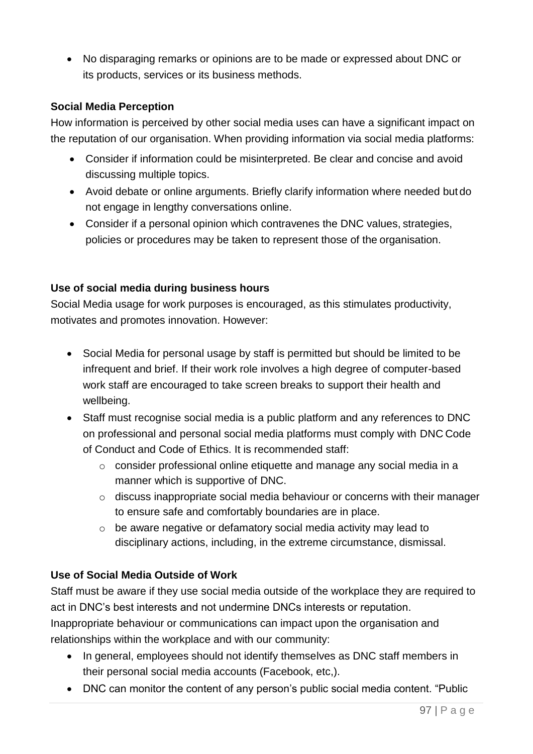• No disparaging remarks or opinions are to be made or expressed about DNC or its products, services or its business methods.

### **Social Media Perception**

How information is perceived by other social media uses can have a significant impact on the reputation of our organisation. When providing information via social media platforms:

- Consider if information could be misinterpreted. Be clear and concise and avoid discussing multiple topics.
- Avoid debate or online arguments. Briefly clarify information where needed but do not engage in lengthy conversations online.
- Consider if a personal opinion which contravenes the DNC values, strategies, policies or procedures may be taken to represent those of the organisation.

### **Use of social media during business hours**

Social Media usage for work purposes is encouraged, as this stimulates productivity, motivates and promotes innovation. However:

- Social Media for personal usage by staff is permitted but should be limited to be infrequent and brief. If their work role involves a high degree of computer-based work staff are encouraged to take screen breaks to support their health and wellbeing.
- Staff must recognise social media is a public platform and any references to DNC on professional and personal social media platforms must comply with DNC Code of Conduct and Code of Ethics. It is recommended staff:
	- o consider professional online etiquette and manage any social media in a manner which is supportive of DNC.
	- o discuss inappropriate social media behaviour or concerns with their manager to ensure safe and comfortably boundaries are in place.
	- o be aware negative or defamatory social media activity may lead to disciplinary actions, including, in the extreme circumstance, dismissal.

### **Use of Social Media Outside of Work**

Staff must be aware if they use social media outside of the workplace they are required to act in DNC's best interests and not undermine DNCs interests or reputation. Inappropriate behaviour or communications can impact upon the organisation and relationships within the workplace and with our community:

- In general, employees should not identify themselves as DNC staff members in their personal social media accounts (Facebook, etc,).
- DNC can monitor the content of any person's public social media content. "Public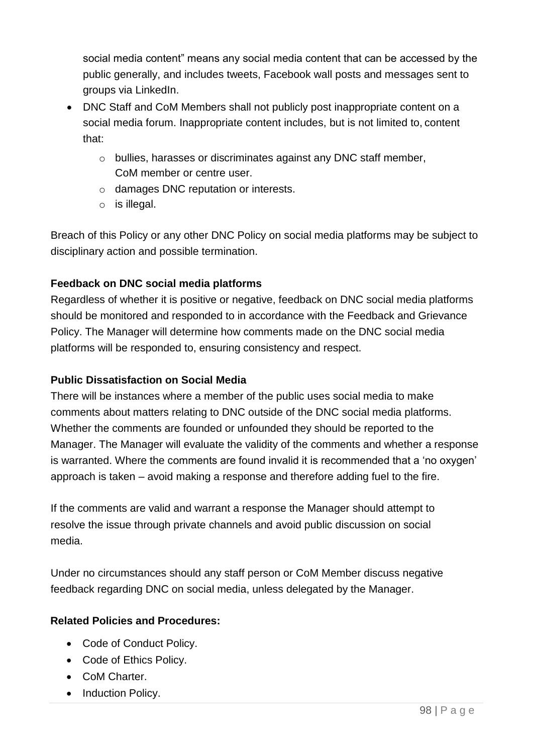social media content" means any social media content that can be accessed by the public generally, and includes tweets, Facebook wall posts and messages sent to groups via LinkedIn.

- DNC Staff and CoM Members shall not publicly post inappropriate content on a social media forum. Inappropriate content includes, but is not limited to, content that:
	- o bullies, harasses or discriminates against any DNC staff member, CoM member or centre user.
	- o damages DNC reputation or interests.
	- o is illegal.

Breach of this Policy or any other DNC Policy on social media platforms may be subject to disciplinary action and possible termination.

# **Feedback on DNC social media platforms**

Regardless of whether it is positive or negative, feedback on DNC social media platforms should be monitored and responded to in accordance with the Feedback and Grievance Policy. The Manager will determine how comments made on the DNC social media platforms will be responded to, ensuring consistency and respect.

### **Public Dissatisfaction on Social Media**

There will be instances where a member of the public uses social media to make comments about matters relating to DNC outside of the DNC social media platforms. Whether the comments are founded or unfounded they should be reported to the Manager. The Manager will evaluate the validity of the comments and whether a response is warranted. Where the comments are found invalid it is recommended that a 'no oxygen' approach is taken – avoid making a response and therefore adding fuel to the fire.

If the comments are valid and warrant a response the Manager should attempt to resolve the issue through private channels and avoid public discussion on social media.

Under no circumstances should any staff person or CoM Member discuss negative feedback regarding DNC on social media, unless delegated by the Manager.

### **Related Policies and Procedures:**

- Code of Conduct Policy.
- Code of Ethics Policy.
- CoM Charter.
- Induction Policy.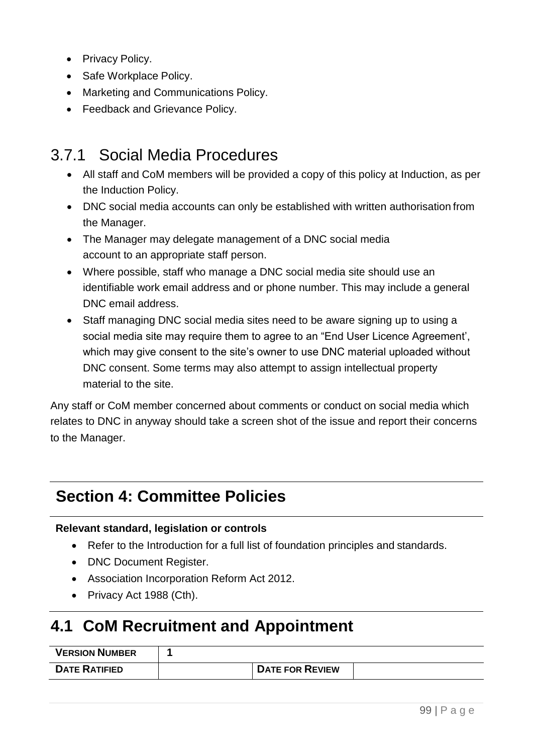- Privacy Policy.
- Safe Workplace Policy.
- Marketing and Communications Policy.
- Feedback and Grievance Policy.

# 3.7.1 Social Media Procedures

- All staff and CoM members will be provided a copy of this policy at Induction, as per the Induction Policy.
- DNC social media accounts can only be established with written authorisation from the Manager.
- The Manager may delegate management of a DNC social media account to an appropriate staff person.
- Where possible, staff who manage a DNC social media site should use an identifiable work email address and or phone number. This may include a general DNC email address.
- Staff managing DNC social media sites need to be aware signing up to using a social media site may require them to agree to an "End User Licence Agreement', which may give consent to the site's owner to use DNC material uploaded without DNC consent. Some terms may also attempt to assign intellectual property material to the site.

Any staff or CoM member concerned about comments or conduct on social media which relates to DNC in anyway should take a screen shot of the issue and report their concerns to the Manager.

# **Section 4: Committee Policies**

#### **Relevant standard, legislation or controls**

- Refer to the Introduction for a full list of foundation principles and standards.
- DNC Document Register.
- Association Incorporation Reform Act 2012.
- Privacy Act 1988 (Cth).

# **4.1 CoM Recruitment and Appointment**

| <b>VERSION NUMBER</b> |                        |  |
|-----------------------|------------------------|--|
| <b>DATE RATIFIED</b>  | <b>DATE FOR REVIEW</b> |  |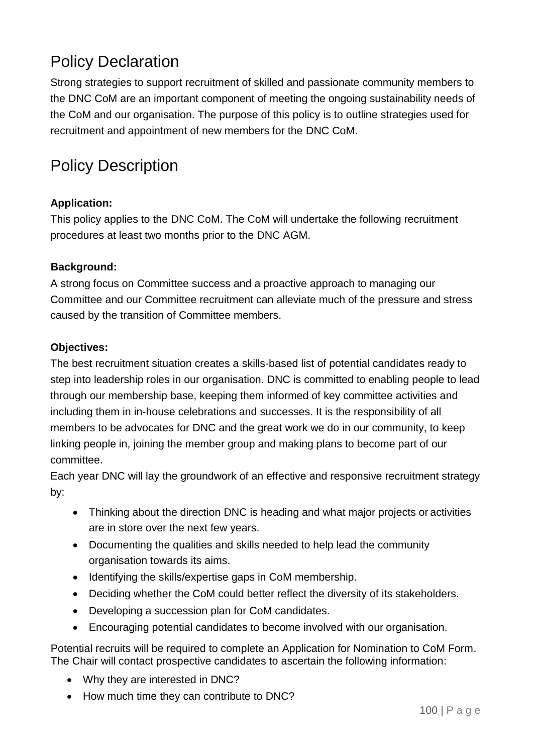# Policy Declaration

Strong strategies to support recruitment of skilled and passionate community members to the DNC CoM are an important component of meeting the ongoing sustainability needs of the CoM and our organisation. The purpose of this policy is to outline strategies used for recruitment and appointment of new members for the DNC CoM.

# Policy Description

## **Application:**

This policy applies to the DNC CoM. The CoM will undertake the following recruitment procedures at least two months prior to the DNC AGM.

### **Background:**

A strong focus on Committee success and a proactive approach to managing our Committee and our Committee recruitment can alleviate much of the pressure and stress caused by the transition of Committee members.

### **Objectives:**

The best recruitment situation creates a skills-based list of potential candidates ready to step into leadership roles in our organisation. DNC is committed to enabling people to lead through our membership base, keeping them informed of key committee activities and including them in in-house celebrations and successes. It is the responsibility of all members to be advocates for DNC and the great work we do in our community, to keep linking people in, joining the member group and making plans to become part of our committee.

Each year DNC will lay the groundwork of an effective and responsive recruitment strategy by:

- Thinking about the direction DNC is heading and what major projects or activities are in store over the next few years.
- Documenting the qualities and skills needed to help lead the community organisation towards its aims.
- Identifying the skills/expertise gaps in CoM membership.
- Deciding whether the CoM could better reflect the diversity of its stakeholders.
- Developing a succession plan for CoM candidates.
- Encouraging potential candidates to become involved with our organisation.

Potential recruits will be required to complete an Application for Nomination to CoM Form. The Chair will contact prospective candidates to ascertain the following information:

- Why they are interested in DNC?
- How much time they can contribute to DNC?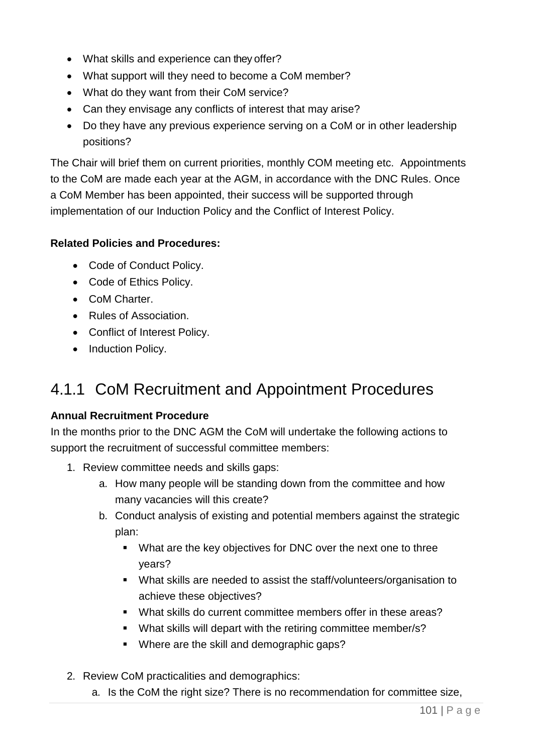- What skills and experience can they offer?
- What support will they need to become a CoM member?
- What do they want from their CoM service?
- Can they envisage any conflicts of interest that may arise?
- Do they have any previous experience serving on a CoM or in other leadership positions?

The Chair will brief them on current priorities, monthly COM meeting etc. Appointments to the CoM are made each year at the AGM, in accordance with the DNC Rules. Once a CoM Member has been appointed, their success will be supported through implementation of our Induction Policy and the Conflict of Interest Policy.

### **Related Policies and Procedures:**

- Code of Conduct Policy.
- Code of Ethics Policy.
- CoM Charter.
- Rules of Association.
- Conflict of Interest Policy.
- Induction Policy.

# 4.1.1 CoM Recruitment and Appointment Procedures

### **Annual Recruitment Procedure**

In the months prior to the DNC AGM the CoM will undertake the following actions to support the recruitment of successful committee members:

- 1. Review committee needs and skills gaps:
	- a. How many people will be standing down from the committee and how many vacancies will this create?
	- b. Conduct analysis of existing and potential members against the strategic plan:
		- What are the key objectives for DNC over the next one to three years?
		- What skills are needed to assist the staff/volunteers/organisation to achieve these objectives?
		- What skills do current committee members offer in these areas?
		- What skills will depart with the retiring committee member/s?
		- Where are the skill and demographic gaps?
- 2. Review CoM practicalities and demographics:
	- a. Is the CoM the right size? There is no recommendation for committee size,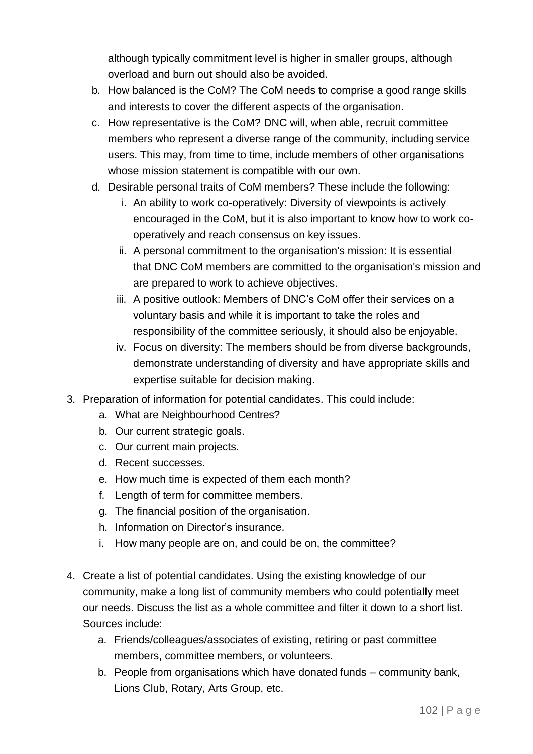although typically commitment level is higher in smaller groups, although overload and burn out should also be avoided.

- b. How balanced is the CoM? The CoM needs to comprise a good range skills and interests to cover the different aspects of the organisation.
- c. How representative is the CoM? DNC will, when able, recruit committee members who represent a diverse range of the community, including service users. This may, from time to time, include members of other organisations whose mission statement is compatible with our own.
- d. Desirable personal traits of CoM members? These include the following:
	- i. An ability to work co-operatively: Diversity of viewpoints is actively encouraged in the CoM, but it is also important to know how to work cooperatively and reach consensus on key issues.
	- ii. A personal commitment to the organisation's mission: It is essential that DNC CoM members are committed to the organisation's mission and are prepared to work to achieve objectives.
	- iii. A positive outlook: Members of DNC's CoM offer their services on a voluntary basis and while it is important to take the roles and responsibility of the committee seriously, it should also be enjoyable.
	- iv. Focus on diversity: The members should be from diverse backgrounds, demonstrate understanding of diversity and have appropriate skills and expertise suitable for decision making.
- 3. Preparation of information for potential candidates. This could include:
	- a. What are Neighbourhood Centres?
	- b. Our current strategic goals.
	- c. Our current main projects.
	- d. Recent successes.
	- e. How much time is expected of them each month?
	- f. Length of term for committee members.
	- g. The financial position of the organisation.
	- h. Information on Director's insurance.
	- i. How many people are on, and could be on, the committee?
- 4. Create a list of potential candidates. Using the existing knowledge of our community, make a long list of community members who could potentially meet our needs. Discuss the list as a whole committee and filter it down to a short list. Sources include:
	- a. Friends/colleagues/associates of existing, retiring or past committee members, committee members, or volunteers.
	- b. People from organisations which have donated funds community bank, Lions Club, Rotary, Arts Group, etc.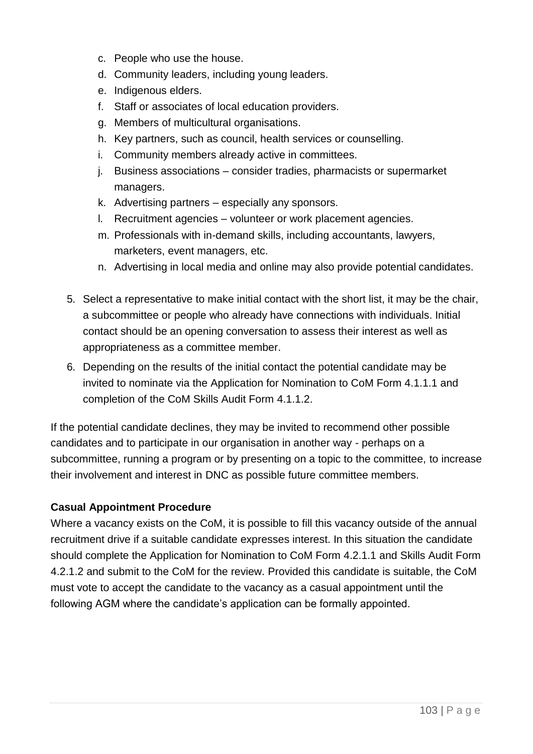- c. People who use the house.
- d. Community leaders, including young leaders.
- e. Indigenous elders.
- f. Staff or associates of local education providers.
- g. Members of multicultural organisations.
- h. Key partners, such as council, health services or counselling.
- i. Community members already active in committees.
- j. Business associations consider tradies, pharmacists or supermarket managers.
- k. Advertising partners especially any sponsors.
- l. Recruitment agencies volunteer or work placement agencies.
- m. Professionals with in-demand skills, including accountants, lawyers, marketers, event managers, etc.
- n. Advertising in local media and online may also provide potential candidates.
- 5. Select a representative to make initial contact with the short list, it may be the chair, a subcommittee or people who already have connections with individuals. Initial contact should be an opening conversation to assess their interest as well as appropriateness as a committee member.
- 6. Depending on the results of the initial contact the potential candidate may be invited to nominate via the Application for Nomination to CoM Form 4.1.1.1 and completion of the CoM Skills Audit Form 4.1.1.2.

If the potential candidate declines, they may be invited to recommend other possible candidates and to participate in our organisation in another way - perhaps on a subcommittee, running a program or by presenting on a topic to the committee, to increase their involvement and interest in DNC as possible future committee members.

### **Casual Appointment Procedure**

Where a vacancy exists on the CoM, it is possible to fill this vacancy outside of the annual recruitment drive if a suitable candidate expresses interest. In this situation the candidate should complete the Application for Nomination to CoM Form 4.2.1.1 and Skills Audit Form 4.2.1.2 and submit to the CoM for the review. Provided this candidate is suitable, the CoM must vote to accept the candidate to the vacancy as a casual appointment until the following AGM where the candidate's application can be formally appointed.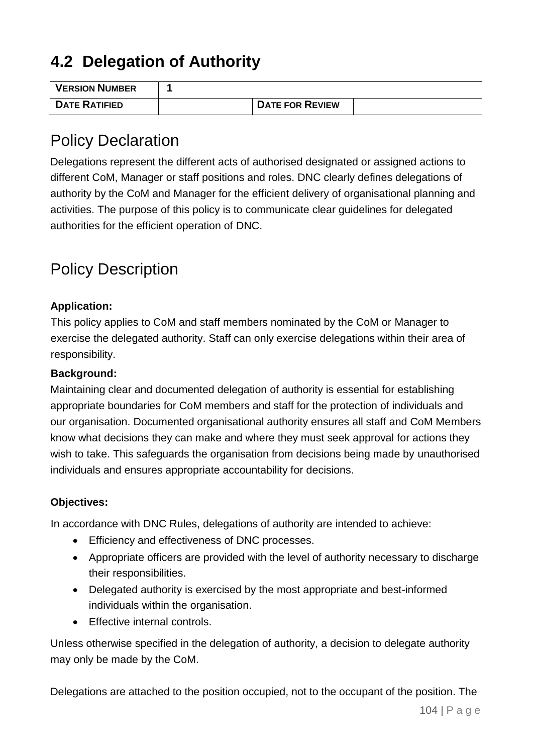# **4.2 Delegation of Authority**

| <b>VERSION NUMBER</b> |                        |  |
|-----------------------|------------------------|--|
| <b>DATE RATIFIED</b>  | <b>DATE FOR REVIEW</b> |  |

# Policy Declaration

Delegations represent the different acts of authorised designated or assigned actions to different CoM, Manager or staff positions and roles. DNC clearly defines delegations of authority by the CoM and Manager for the efficient delivery of organisational planning and activities. The purpose of this policy is to communicate clear guidelines for delegated authorities for the efficient operation of DNC.

# Policy Description

### **Application:**

This policy applies to CoM and staff members nominated by the CoM or Manager to exercise the delegated authority. Staff can only exercise delegations within their area of responsibility.

#### **Background:**

Maintaining clear and documented delegation of authority is essential for establishing appropriate boundaries for CoM members and staff for the protection of individuals and our organisation. Documented organisational authority ensures all staff and CoM Members know what decisions they can make and where they must seek approval for actions they wish to take. This safeguards the organisation from decisions being made by unauthorised individuals and ensures appropriate accountability for decisions.

### **Objectives:**

In accordance with DNC Rules, delegations of authority are intended to achieve:

- Efficiency and effectiveness of DNC processes.
- Appropriate officers are provided with the level of authority necessary to discharge their responsibilities.
- Delegated authority is exercised by the most appropriate and best-informed individuals within the organisation.
- Effective internal controls.

Unless otherwise specified in the delegation of authority, a decision to delegate authority may only be made by the CoM.

Delegations are attached to the position occupied, not to the occupant of the position. The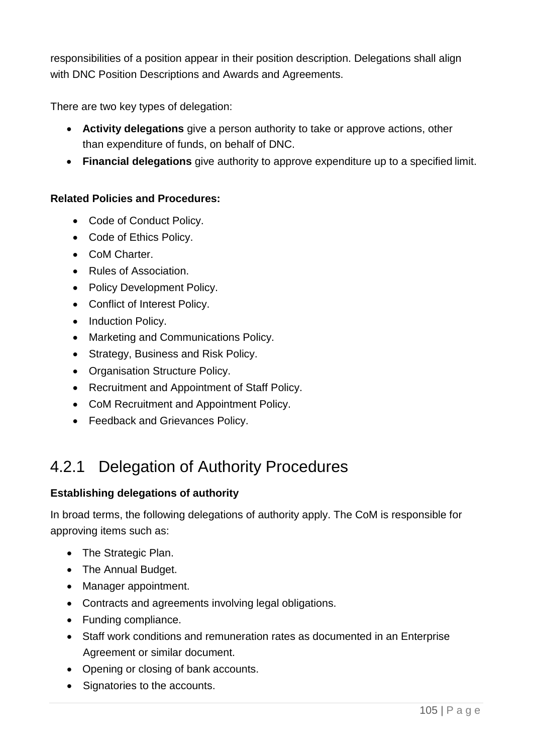responsibilities of a position appear in their position description. Delegations shall align with DNC Position Descriptions and Awards and Agreements.

There are two key types of delegation:

- **Activity delegations** give a person authority to take or approve actions, other than expenditure of funds, on behalf of DNC.
- **Financial delegations** give authority to approve expenditure up to a specified limit.

### **Related Policies and Procedures:**

- Code of Conduct Policy.
- Code of Ethics Policy.
- CoM Charter.
- Rules of Association.
- Policy Development Policy.
- Conflict of Interest Policy.
- Induction Policy.
- Marketing and Communications Policy.
- Strategy, Business and Risk Policy.
- Organisation Structure Policy.
- Recruitment and Appointment of Staff Policy.
- CoM Recruitment and Appointment Policy.
- Feedback and Grievances Policy.

# 4.2.1 Delegation of Authority Procedures

### **Establishing delegations of authority**

In broad terms, the following delegations of authority apply. The CoM is responsible for approving items such as:

- The Strategic Plan.
- The Annual Budget.
- Manager appointment.
- Contracts and agreements involving legal obligations.
- Funding compliance.
- Staff work conditions and remuneration rates as documented in an Enterprise Agreement or similar document.
- Opening or closing of bank accounts.
- Signatories to the accounts.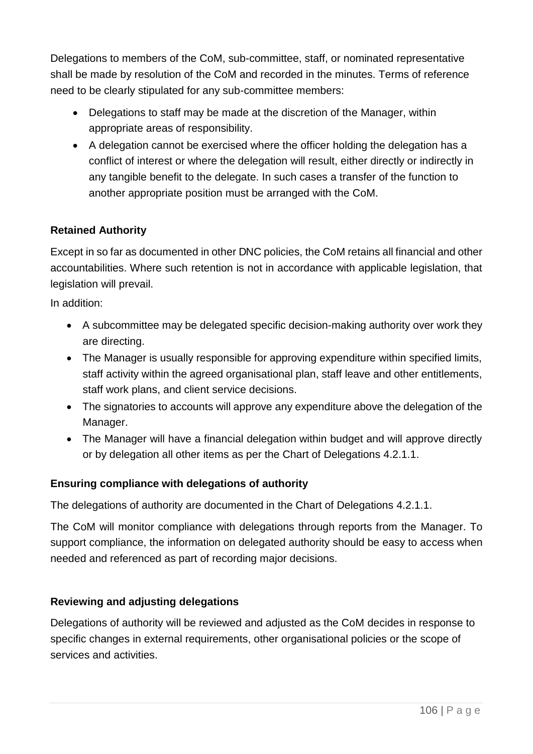Delegations to members of the CoM, sub-committee, staff, or nominated representative shall be made by resolution of the CoM and recorded in the minutes. Terms of reference need to be clearly stipulated for any sub-committee members:

- Delegations to staff may be made at the discretion of the Manager, within appropriate areas of responsibility.
- A delegation cannot be exercised where the officer holding the delegation has a conflict of interest or where the delegation will result, either directly or indirectly in any tangible benefit to the delegate. In such cases a transfer of the function to another appropriate position must be arranged with the CoM.

## **Retained Authority**

Except in so far as documented in other DNC policies, the CoM retains all financial and other accountabilities. Where such retention is not in accordance with applicable legislation, that legislation will prevail.

In addition:

- A subcommittee may be delegated specific decision-making authority over work they are directing.
- The Manager is usually responsible for approving expenditure within specified limits, staff activity within the agreed organisational plan, staff leave and other entitlements, staff work plans, and client service decisions.
- The signatories to accounts will approve any expenditure above the delegation of the Manager.
- The Manager will have a financial delegation within budget and will approve directly or by delegation all other items as per the Chart of Delegations 4.2.1.1.

### **Ensuring compliance with delegations of authority**

The delegations of authority are documented in the Chart of Delegations 4.2.1.1.

The CoM will monitor compliance with delegations through reports from the Manager. To support compliance, the information on delegated authority should be easy to access when needed and referenced as part of recording major decisions.

### **Reviewing and adjusting delegations**

Delegations of authority will be reviewed and adjusted as the CoM decides in response to specific changes in external requirements, other organisational policies or the scope of services and activities.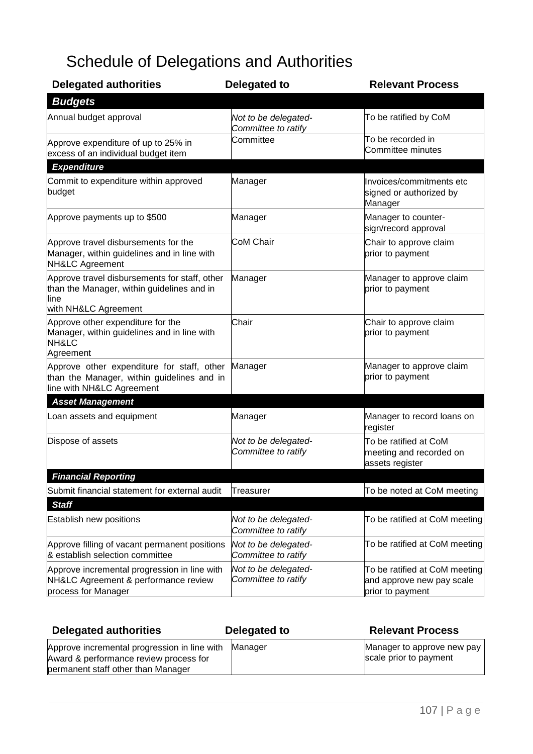# Schedule of Delegations and Authorities

| <b>Delegated authorities</b>                                                                                                | Delegated to                                | <b>Relevant Process</b>                                                        |
|-----------------------------------------------------------------------------------------------------------------------------|---------------------------------------------|--------------------------------------------------------------------------------|
| <b>Budgets</b>                                                                                                              |                                             |                                                                                |
| Annual budget approval                                                                                                      | Not to be delegated-<br>Committee to ratify | To be ratified by CoM                                                          |
| Approve expenditure of up to 25% in<br>excess of an individual budget item                                                  | Committee                                   | To be recorded in<br>Committee minutes                                         |
| <b>Expenditure</b>                                                                                                          |                                             |                                                                                |
| Commit to expenditure within approved<br>budget                                                                             | Manager                                     | Invoices/commitments etc<br>signed or authorized by<br>Manager                 |
| Approve payments up to \$500                                                                                                | Manager                                     | Manager to counter-<br>sign/record approval                                    |
| Approve travel disbursements for the<br>Manager, within guidelines and in line with<br>NH&LC Agreement                      | CoM Chair                                   | Chair to approve claim<br>prior to payment                                     |
| Approve travel disbursements for staff, other<br>than the Manager, within guidelines and in<br>line<br>with NH&LC Agreement | Manager                                     | Manager to approve claim<br>prior to payment                                   |
| Approve other expenditure for the<br>Manager, within guidelines and in line with<br>NH&LC<br>Agreement                      | Chair                                       | Chair to approve claim<br>prior to payment                                     |
| Approve other expenditure for staff, other<br>than the Manager, within guidelines and in<br>line with NH&LC Agreement       | Manager                                     | Manager to approve claim<br>prior to payment                                   |
| <b>Asset Management</b>                                                                                                     |                                             |                                                                                |
| Loan assets and equipment                                                                                                   | Manager                                     | Manager to record loans on<br>register                                         |
| Dispose of assets                                                                                                           | Not to be delegated-<br>Committee to ratify | To be ratified at CoM<br>meeting and recorded on<br>assets register            |
| <b>Financial Reporting</b>                                                                                                  |                                             |                                                                                |
| Submit financial statement for external audit<br><b>Staff</b>                                                               | Treasurer                                   | To be noted at CoM meeting                                                     |
| <b>Establish new positions</b>                                                                                              | Not to be delegated-<br>Committee to ratify | To be ratified at CoM meeting                                                  |
| Approve filling of vacant permanent positions<br>& establish selection committee                                            | Not to be delegated-<br>Committee to ratify | To be ratified at CoM meeting                                                  |
| Approve incremental progression in line with<br>NH&LC Agreement & performance review<br>process for Manager                 | Not to be delegated-<br>Committee to ratify | To be ratified at CoM meeting<br>and approve new pay scale<br>prior to payment |

| <b>Delegated authorities</b>                                                                                                 | Delegated to | <b>Relevant Process</b>                              |
|------------------------------------------------------------------------------------------------------------------------------|--------------|------------------------------------------------------|
| Approve incremental progression in line with<br>Award & performance review process for<br>permanent staff other than Manager | Manager      | Manager to approve new pay<br>scale prior to payment |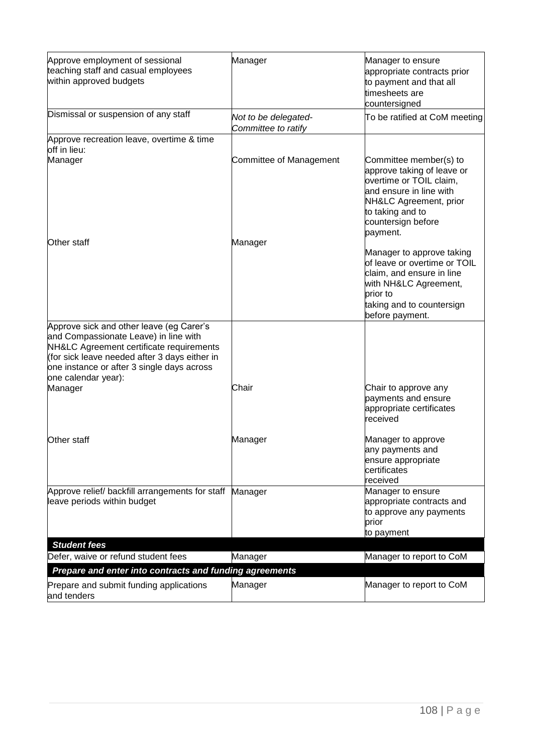| Approve employment of sessional<br>teaching staff and casual employees<br>within approved budgets                                                                                                       | Manager                                     | Manager to ensure<br>appropriate contracts prior<br>to payment and that all<br>timesheets are<br>countersigned                                                                             |
|---------------------------------------------------------------------------------------------------------------------------------------------------------------------------------------------------------|---------------------------------------------|--------------------------------------------------------------------------------------------------------------------------------------------------------------------------------------------|
| Dismissal or suspension of any staff                                                                                                                                                                    | Not to be delegated-<br>Committee to ratify | To be ratified at CoM meeting                                                                                                                                                              |
| Approve recreation leave, overtime & time<br>off in lieu:                                                                                                                                               |                                             |                                                                                                                                                                                            |
| Manager                                                                                                                                                                                                 | Committee of Management                     | Committee member(s) to<br>approve taking of leave or<br>overtime or TOIL claim,<br>and ensure in line with<br>NH&LC Agreement, prior<br>to taking and to<br>countersign before<br>payment. |
| Other staff                                                                                                                                                                                             | Manager                                     |                                                                                                                                                                                            |
|                                                                                                                                                                                                         |                                             | Manager to approve taking<br>of leave or overtime or TOIL<br>claim, and ensure in line<br>with NH&LC Agreement,<br>prior to<br>taking and to countersign<br>before payment.                |
| Approve sick and other leave (eg Carer's                                                                                                                                                                |                                             |                                                                                                                                                                                            |
| and Compassionate Leave) in line with<br>NH&LC Agreement certificate requirements<br>(for sick leave needed after 3 days either in<br>one instance or after 3 single days across<br>one calendar year): |                                             |                                                                                                                                                                                            |
| Manager                                                                                                                                                                                                 | Chair                                       | Chair to approve any<br>payments and ensure<br>appropriate certificates<br>received                                                                                                        |
| Other staff                                                                                                                                                                                             | Manager                                     | Manager to approve<br>any payments and<br>ensure appropriate<br>certificates<br>received                                                                                                   |
| Approve relief/ backfill arrangements for staff<br>leave periods within budget                                                                                                                          | Manager                                     | Manager to ensure<br>appropriate contracts and<br>to approve any payments<br>prior<br>to payment                                                                                           |
| <b>Student fees</b>                                                                                                                                                                                     |                                             |                                                                                                                                                                                            |
| Defer, waive or refund student fees                                                                                                                                                                     | Manager                                     | Manager to report to CoM                                                                                                                                                                   |
| Prepare and enter into contracts and funding agreements                                                                                                                                                 |                                             |                                                                                                                                                                                            |
| Prepare and submit funding applications<br>and tenders                                                                                                                                                  | Manager                                     | Manager to report to CoM                                                                                                                                                                   |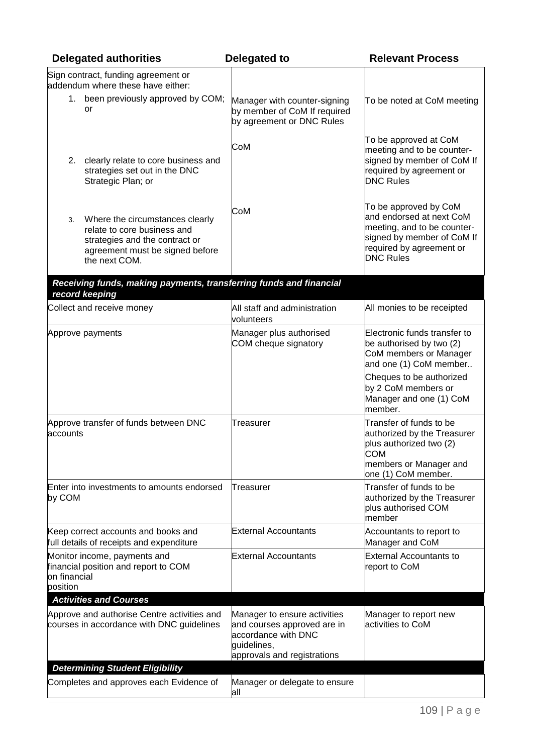| <b>Delegated authorities</b>                                                                                                                               | Delegated to                                                                                                                     | <b>Relevant Process</b>                                                                                                                                        |  |
|------------------------------------------------------------------------------------------------------------------------------------------------------------|----------------------------------------------------------------------------------------------------------------------------------|----------------------------------------------------------------------------------------------------------------------------------------------------------------|--|
| Sign contract, funding agreement or<br>addendum where these have either:                                                                                   |                                                                                                                                  |                                                                                                                                                                |  |
| 1. been previously approved by COM;<br>or                                                                                                                  | Manager with counter-signing<br>by member of CoM If required<br>by agreement or DNC Rules                                        | To be noted at CoM meeting                                                                                                                                     |  |
| clearly relate to core business and<br>2.<br>strategies set out in the DNC<br>Strategic Plan; or                                                           | CoM                                                                                                                              | To be approved at CoM<br>meeting and to be counter-<br>signed by member of CoM If<br>required by agreement or<br><b>DNC Rules</b>                              |  |
| Where the circumstances clearly<br>3.<br>relate to core business and<br>strategies and the contract or<br>agreement must be signed before<br>the next COM. | CoM                                                                                                                              | To be approved by CoM<br>and endorsed at next CoM<br>meeting, and to be counter-<br>signed by member of CoM If<br>required by agreement or<br><b>DNC Rules</b> |  |
| Receiving funds, making payments, transferring funds and financial<br>record keeping                                                                       |                                                                                                                                  |                                                                                                                                                                |  |
| Collect and receive money                                                                                                                                  | All staff and administration<br>volunteers                                                                                       | All monies to be receipted                                                                                                                                     |  |
| Approve payments                                                                                                                                           | Manager plus authorised<br>COM cheque signatory                                                                                  | Electronic funds transfer to<br>be authorised by two (2)<br>CoM members or Manager<br>and one (1) CoM member                                                   |  |
|                                                                                                                                                            |                                                                                                                                  | Cheques to be authorized<br>by 2 CoM members or<br>Manager and one (1) CoM<br>member.                                                                          |  |
| Approve transfer of funds between DNC<br>accounts                                                                                                          | Treasurer                                                                                                                        | Transfer of funds to be<br>authorized by the Treasurer<br>plus authorized two (2)<br>COM<br>members or Manager and<br>one (1) CoM member.                      |  |
| Enter into investments to amounts endorsed<br>by COM                                                                                                       | Treasurer                                                                                                                        | Transfer of funds to be<br>authorized by the Treasurer<br>plus authorised COM<br>member                                                                        |  |
| Keep correct accounts and books and<br>full details of receipts and expenditure                                                                            | <b>External Accountants</b>                                                                                                      | Accountants to report to<br>Manager and CoM                                                                                                                    |  |
| Monitor income, payments and<br>financial position and report to COM<br>on financial<br>position                                                           | <b>External Accountants</b>                                                                                                      | <b>External Accountants to</b><br>report to CoM                                                                                                                |  |
| <b>Activities and Courses</b>                                                                                                                              |                                                                                                                                  |                                                                                                                                                                |  |
| Approve and authorise Centre activities and<br>courses in accordance with DNC guidelines                                                                   | Manager to ensure activities<br>and courses approved are in<br>accordance with DNC<br>guidelines,<br>approvals and registrations | Manager to report new<br>activities to CoM                                                                                                                     |  |
| <b>Determining Student Eligibility</b><br>Completes and approves each Evidence of                                                                          | Manager or delegate to ensure                                                                                                    |                                                                                                                                                                |  |
|                                                                                                                                                            | all                                                                                                                              |                                                                                                                                                                |  |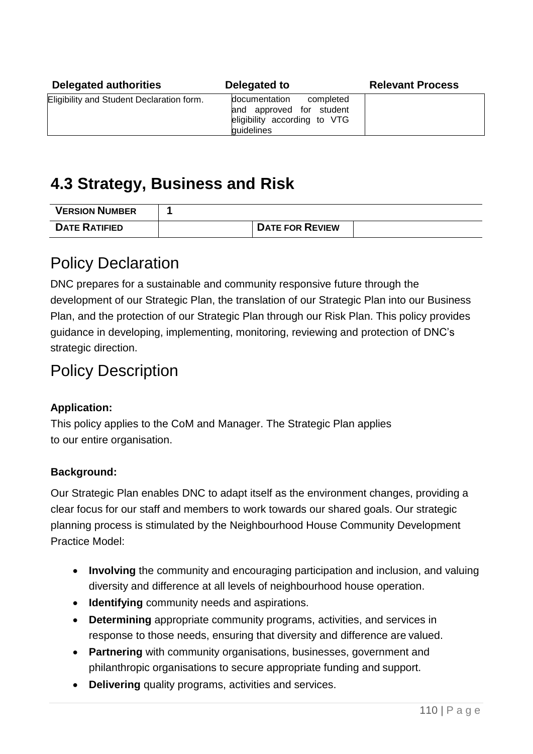| <b>Delegated authorities</b>              | Delegated to                                                                                         | <b>Relevant Process</b> |
|-------------------------------------------|------------------------------------------------------------------------------------------------------|-------------------------|
| Eligibility and Student Declaration form. | documentation<br>completed<br>and approved for student<br>eligibility according to VTG<br>guidelines |                         |

# **4.3 Strategy, Business and Risk**

| <b>VERSION NUMBER</b> |                        |  |
|-----------------------|------------------------|--|
| <b>DATE RATIFIED</b>  | <b>DATE FOR REVIEW</b> |  |

### Policy Declaration

DNC prepares for a sustainable and community responsive future through the development of our Strategic Plan, the translation of our Strategic Plan into our Business Plan, and the protection of our Strategic Plan through our Risk Plan. This policy provides guidance in developing, implementing, monitoring, reviewing and protection of DNC's strategic direction.

### Policy Description

### **Application:**

This policy applies to the CoM and Manager. The Strategic Plan applies to our entire organisation.

### **Background:**

Our Strategic Plan enables DNC to adapt itself as the environment changes, providing a clear focus for our staff and members to work towards our shared goals. Our strategic planning process is stimulated by the Neighbourhood House Community Development Practice Model:

- **Involving** the community and encouraging participation and inclusion, and valuing diversity and difference at all levels of neighbourhood house operation.
- **Identifying** community needs and aspirations.
- **Determining** appropriate community programs, activities, and services in response to those needs, ensuring that diversity and difference are valued.
- **Partnering** with community organisations, businesses, government and philanthropic organisations to secure appropriate funding and support.
- **Delivering** quality programs, activities and services.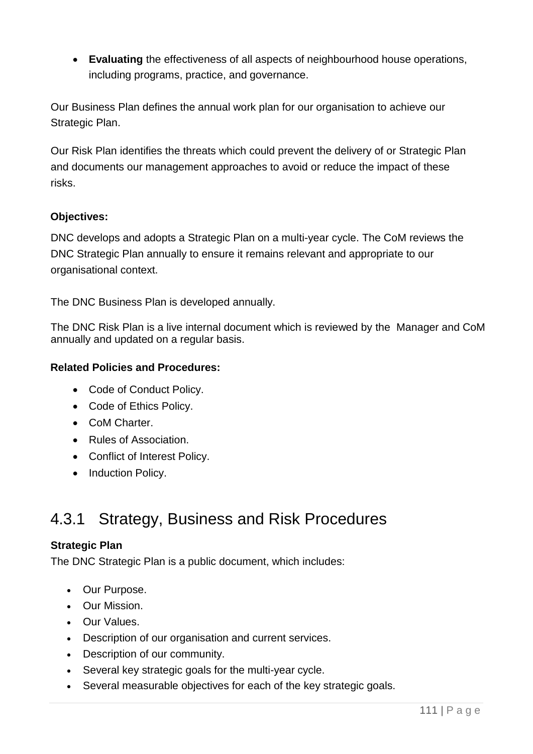• **Evaluating** the effectiveness of all aspects of neighbourhood house operations, including programs, practice, and governance.

Our Business Plan defines the annual work plan for our organisation to achieve our Strategic Plan.

Our Risk Plan identifies the threats which could prevent the delivery of or Strategic Plan and documents our management approaches to avoid or reduce the impact of these risks.

### **Objectives:**

DNC develops and adopts a Strategic Plan on a multi-year cycle. The CoM reviews the DNC Strategic Plan annually to ensure it remains relevant and appropriate to our organisational context.

The DNC Business Plan is developed annually.

The DNC Risk Plan is a live internal document which is reviewed by the Manager and CoM annually and updated on a regular basis.

### **Related Policies and Procedures:**

- Code of Conduct Policy.
- Code of Ethics Policy.
- CoM Charter.
- Rules of Association.
- Conflict of Interest Policy.
- Induction Policy.

# 4.3.1 Strategy, Business and Risk Procedures

### **Strategic Plan**

The DNC Strategic Plan is a public document, which includes:

- Our Purpose.
- Our Mission.
- Our Values.
- Description of our organisation and current services.
- Description of our community.
- Several key strategic goals for the multi-year cycle.
- Several measurable objectives for each of the key strategic goals.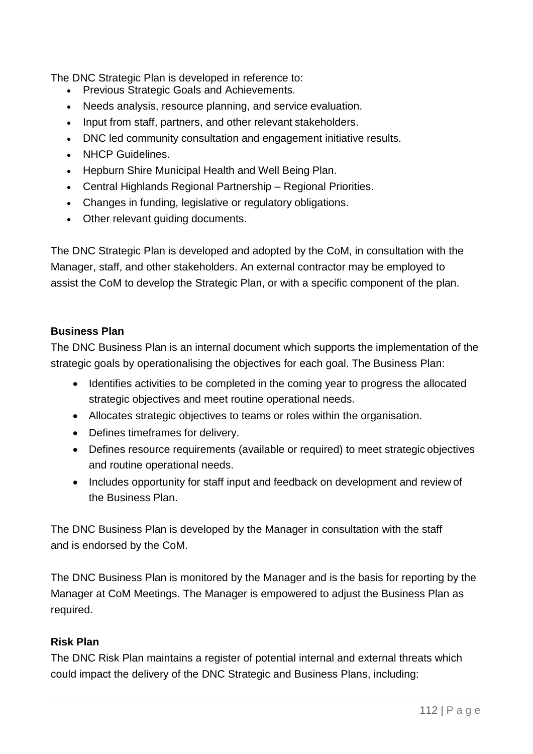The DNC Strategic Plan is developed in reference to:

- Previous Strategic Goals and Achievements.
- Needs analysis, resource planning, and service evaluation.
- Input from staff, partners, and other relevant stakeholders.
- DNC led community consultation and engagement initiative results.
- NHCP Guidelines.
- Hepburn Shire Municipal Health and Well Being Plan.
- Central Highlands Regional Partnership Regional Priorities.
- Changes in funding, legislative or regulatory obligations.
- Other relevant guiding documents.

The DNC Strategic Plan is developed and adopted by the CoM, in consultation with the Manager, staff, and other stakeholders. An external contractor may be employed to assist the CoM to develop the Strategic Plan, or with a specific component of the plan.

### **Business Plan**

The DNC Business Plan is an internal document which supports the implementation of the strategic goals by operationalising the objectives for each goal. The Business Plan:

- Identifies activities to be completed in the coming year to progress the allocated strategic objectives and meet routine operational needs.
- Allocates strategic objectives to teams or roles within the organisation.
- Defines timeframes for delivery.
- Defines resource requirements (available or required) to meet strategic objectives and routine operational needs.
- Includes opportunity for staff input and feedback on development and review of the Business Plan.

The DNC Business Plan is developed by the Manager in consultation with the staff and is endorsed by the CoM.

The DNC Business Plan is monitored by the Manager and is the basis for reporting by the Manager at CoM Meetings. The Manager is empowered to adjust the Business Plan as required.

### **Risk Plan**

The DNC Risk Plan maintains a register of potential internal and external threats which could impact the delivery of the DNC Strategic and Business Plans, including: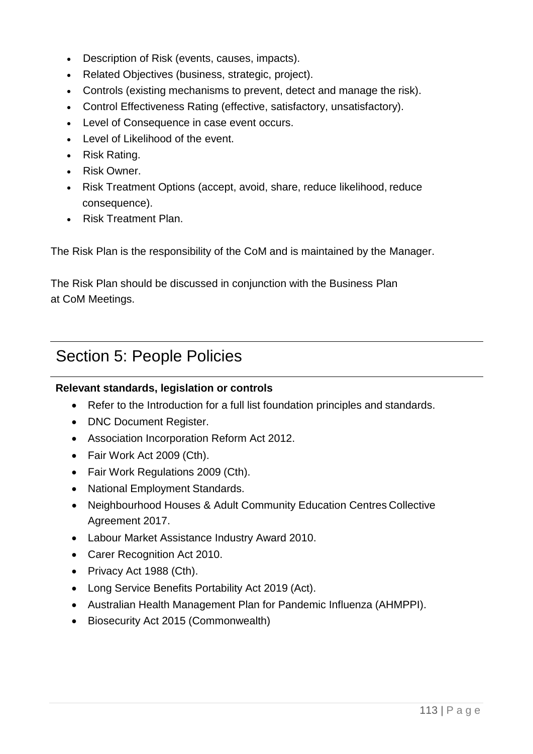- Description of Risk (events, causes, impacts).
- Related Objectives (business, strategic, project).
- Controls (existing mechanisms to prevent, detect and manage the risk).
- Control Effectiveness Rating (effective, satisfactory, unsatisfactory).
- Level of Consequence in case event occurs.
- Level of Likelihood of the event.
- Risk Rating.
- Risk Owner.
- Risk Treatment Options (accept, avoid, share, reduce likelihood, reduce consequence).
- Risk Treatment Plan.

The Risk Plan is the responsibility of the CoM and is maintained by the Manager.

The Risk Plan should be discussed in conjunction with the Business Plan at CoM Meetings.

### Section 5: People Policies

### **Relevant standards, legislation or controls**

- Refer to the Introduction for a full list foundation principles and standards.
- DNC Document Register.
- Association Incorporation Reform Act 2012.
- Fair Work Act 2009 (Cth).
- Fair Work Regulations 2009 (Cth).
- National Employment Standards.
- Neighbourhood Houses & Adult Community Education Centres Collective Agreement 2017.
- Labour Market Assistance Industry Award 2010.
- Carer Recognition Act 2010.
- Privacy Act 1988 (Cth).
- Long Service Benefits Portability Act 2019 (Act).
- Australian Health Management Plan for Pandemic Influenza (AHMPPI).
- Biosecurity Act 2015 (Commonwealth)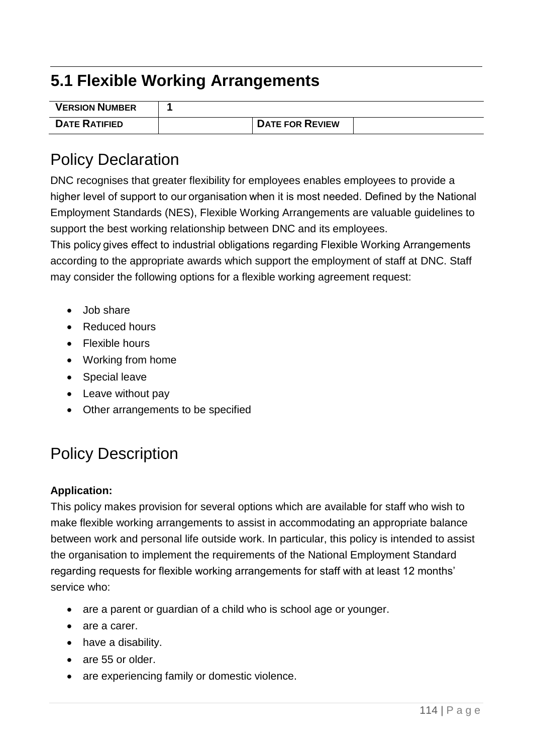# **5.1 Flexible Working Arrangements**

| <b>VERSION NUMBER</b> |                        |  |
|-----------------------|------------------------|--|
| <b>DATE RATIFIED</b>  | <b>DATE FOR REVIEW</b> |  |

### Policy Declaration

DNC recognises that greater flexibility for employees enables employees to provide a higher level of support to our organisation when it is most needed. Defined by the National Employment Standards (NES), Flexible Working Arrangements are valuable guidelines to support the best working relationship between DNC and its employees.

This policy gives effect to industrial obligations regarding Flexible Working Arrangements according to the appropriate awards which support the employment of staff at DNC. Staff may consider the following options for a flexible working agreement request:

- Job share
- Reduced hours
- Flexible hours
- Working from home
- Special leave
- Leave without pay
- Other arrangements to be specified

# Policy Description

### **Application:**

This policy makes provision for several options which are available for staff who wish to make flexible working arrangements to assist in accommodating an appropriate balance between work and personal life outside work. In particular, this policy is intended to assist the organisation to implement the requirements of the National Employment Standard regarding requests for flexible working arrangements for staff with at least 12 months' service who:

- are a parent or guardian of a child who is school age or younger.
- are a carer.
- have a disability.
- are 55 or older.
- are experiencing family or domestic violence.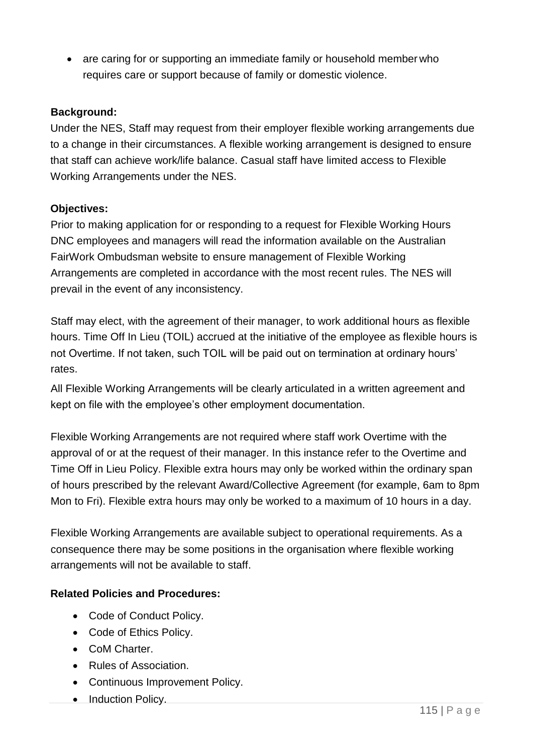• are caring for or supporting an immediate family or household member who requires care or support because of family or domestic violence.

### **Background:**

Under the NES, Staff may request from their employer flexible working arrangements due to a change in their circumstances. A flexible working arrangement is designed to ensure that staff can achieve work/life balance. Casual staff have limited access to Flexible Working Arrangements under the NES.

### **Objectives:**

Prior to making application for or responding to a request for Flexible Working Hours DNC employees and managers will read the information available on the Australian FairWork Ombudsman website to ensure management of Flexible Working Arrangements are completed in accordance with the most recent rules. The NES will prevail in the event of any inconsistency.

Staff may elect, with the agreement of their manager, to work additional hours as flexible hours. Time Off In Lieu (TOIL) accrued at the initiative of the employee as flexible hours is not Overtime. If not taken, such TOIL will be paid out on termination at ordinary hours' rates.

All Flexible Working Arrangements will be clearly articulated in a written agreement and kept on file with the employee's other employment documentation.

Flexible Working Arrangements are not required where staff work Overtime with the approval of or at the request of their manager. In this instance refer to the Overtime and Time Off in Lieu Policy. Flexible extra hours may only be worked within the ordinary span of hours prescribed by the relevant Award/Collective Agreement (for example, 6am to 8pm Mon to Fri). Flexible extra hours may only be worked to a maximum of 10 hours in a day.

Flexible Working Arrangements are available subject to operational requirements. As a consequence there may be some positions in the organisation where flexible working arrangements will not be available to staff.

### **Related Policies and Procedures:**

- Code of Conduct Policy.
- Code of Ethics Policy.
- CoM Charter.
- Rules of Association.
- Continuous Improvement Policy.
- Induction Policy.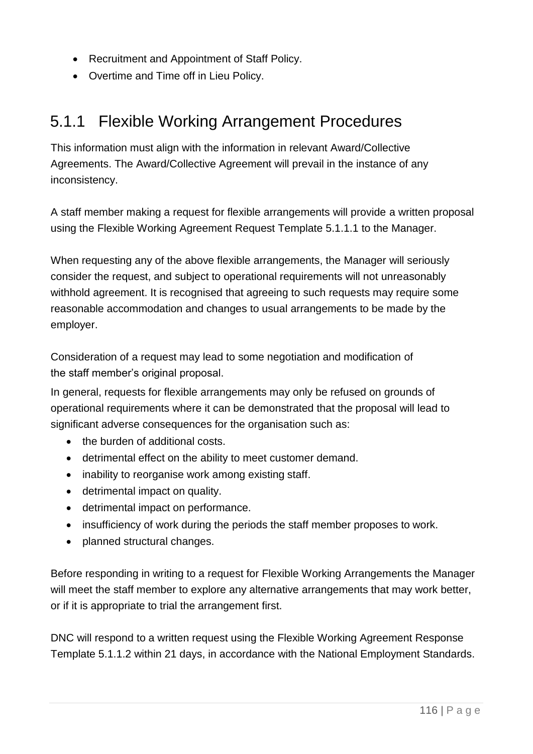- Recruitment and Appointment of Staff Policy.
- Overtime and Time off in Lieu Policy.

# 5.1.1 Flexible Working Arrangement Procedures

This information must align with the information in relevant Award/Collective Agreements. The Award/Collective Agreement will prevail in the instance of any inconsistency.

A staff member making a request for flexible arrangements will provide a written proposal using the Flexible Working Agreement Request Template 5.1.1.1 to the Manager.

When requesting any of the above flexible arrangements, the Manager will seriously consider the request, and subject to operational requirements will not unreasonably withhold agreement. It is recognised that agreeing to such requests may require some reasonable accommodation and changes to usual arrangements to be made by the employer.

Consideration of a request may lead to some negotiation and modification of the staff member's original proposal.

In general, requests for flexible arrangements may only be refused on grounds of operational requirements where it can be demonstrated that the proposal will lead to significant adverse consequences for the organisation such as:

- the burden of additional costs.
- detrimental effect on the ability to meet customer demand.
- inability to reorganise work among existing staff.
- detrimental impact on quality.
- detrimental impact on performance.
- insufficiency of work during the periods the staff member proposes to work.
- planned structural changes.

Before responding in writing to a request for Flexible Working Arrangements the Manager will meet the staff member to explore any alternative arrangements that may work better, or if it is appropriate to trial the arrangement first.

DNC will respond to a written request using the Flexible Working Agreement Response Template 5.1.1.2 within 21 days, in accordance with the National Employment Standards.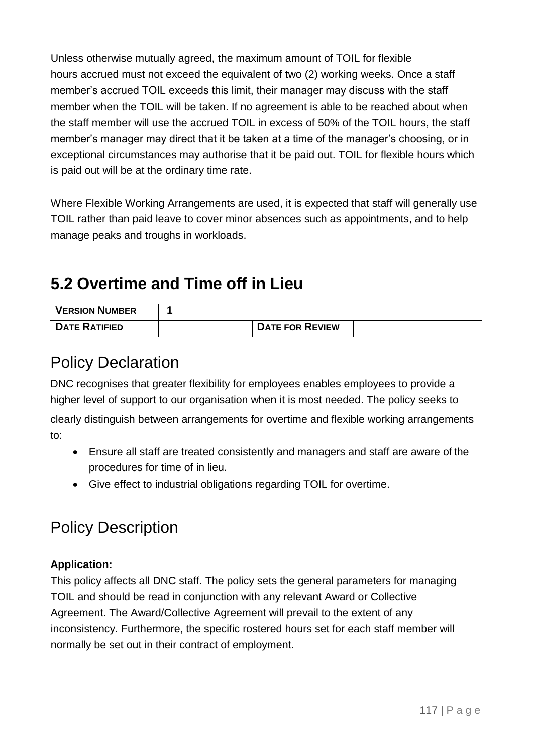Unless otherwise mutually agreed, the maximum amount of TOIL for flexible hours accrued must not exceed the equivalent of two (2) working weeks. Once a staff member's accrued TOIL exceeds this limit, their manager may discuss with the staff member when the TOIL will be taken. If no agreement is able to be reached about when the staff member will use the accrued TOIL in excess of 50% of the TOIL hours, the staff member's manager may direct that it be taken at a time of the manager's choosing, or in exceptional circumstances may authorise that it be paid out. TOIL for flexible hours which is paid out will be at the ordinary time rate.

Where Flexible Working Arrangements are used, it is expected that staff will generally use TOIL rather than paid leave to cover minor absences such as appointments, and to help manage peaks and troughs in workloads.

# **5.2 Overtime and Time off in Lieu**

| <b>VERSION NUMBER</b> |                        |  |
|-----------------------|------------------------|--|
| <b>DATE RATIFIED</b>  | <b>DATE FOR REVIEW</b> |  |

### Policy Declaration

DNC recognises that greater flexibility for employees enables employees to provide a higher level of support to our organisation when it is most needed. The policy seeks to clearly distinguish between arrangements for overtime and flexible working arrangements to:

- Ensure all staff are treated consistently and managers and staff are aware of the procedures for time of in lieu.
- Give effect to industrial obligations regarding TOIL for overtime.

# Policy Description

### **Application:**

This policy affects all DNC staff. The policy sets the general parameters for managing TOIL and should be read in conjunction with any relevant Award or Collective Agreement. The Award/Collective Agreement will prevail to the extent of any inconsistency. Furthermore, the specific rostered hours set for each staff member will normally be set out in their contract of employment.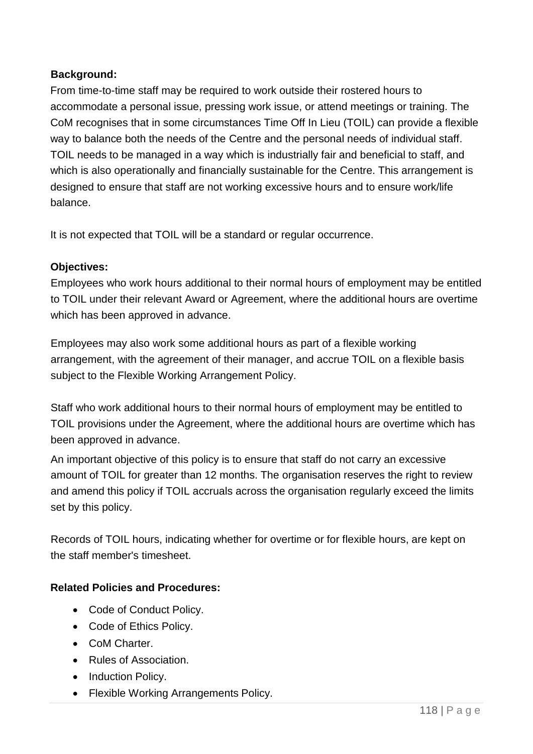### **Background:**

From time-to-time staff may be required to work outside their rostered hours to accommodate a personal issue, pressing work issue, or attend meetings or training. The CoM recognises that in some circumstances Time Off In Lieu (TOIL) can provide a flexible way to balance both the needs of the Centre and the personal needs of individual staff. TOIL needs to be managed in a way which is industrially fair and beneficial to staff, and which is also operationally and financially sustainable for the Centre. This arrangement is designed to ensure that staff are not working excessive hours and to ensure work/life balance.

It is not expected that TOIL will be a standard or regular occurrence.

### **Objectives:**

Employees who work hours additional to their normal hours of employment may be entitled to TOIL under their relevant Award or Agreement, where the additional hours are overtime which has been approved in advance.

Employees may also work some additional hours as part of a flexible working arrangement, with the agreement of their manager, and accrue TOIL on a flexible basis subject to the Flexible Working Arrangement Policy.

Staff who work additional hours to their normal hours of employment may be entitled to TOIL provisions under the Agreement, where the additional hours are overtime which has been approved in advance.

An important objective of this policy is to ensure that staff do not carry an excessive amount of TOIL for greater than 12 months. The organisation reserves the right to review and amend this policy if TOIL accruals across the organisation regularly exceed the limits set by this policy.

Records of TOIL hours, indicating whether for overtime or for flexible hours, are kept on the staff member's timesheet.

### **Related Policies and Procedures:**

- Code of Conduct Policy.
- Code of Ethics Policy.
- CoM Charter.
- Rules of Association.
- Induction Policy.
- Flexible Working Arrangements Policy.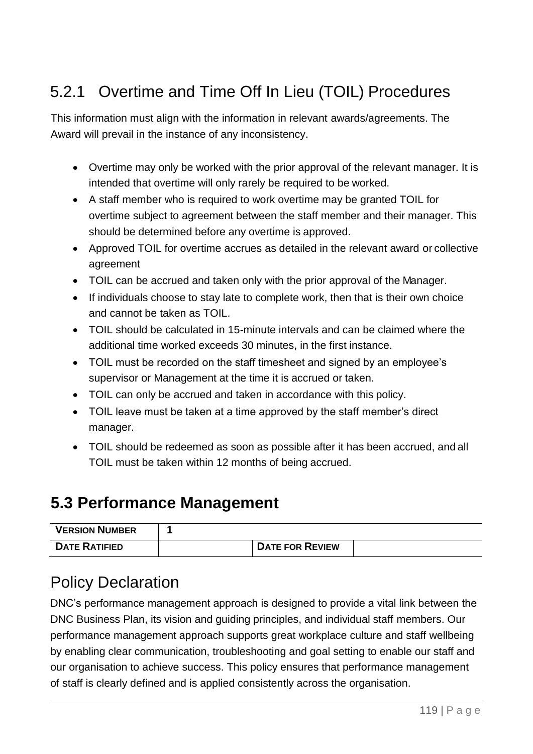# 5.2.1 Overtime and Time Off In Lieu (TOIL) Procedures

This information must align with the information in relevant awards/agreements. The Award will prevail in the instance of any inconsistency.

- Overtime may only be worked with the prior approval of the relevant manager. It is intended that overtime will only rarely be required to be worked.
- A staff member who is required to work overtime may be granted TOIL for overtime subject to agreement between the staff member and their manager. This should be determined before any overtime is approved.
- Approved TOIL for overtime accrues as detailed in the relevant award or collective agreement
- TOIL can be accrued and taken only with the prior approval of the Manager.
- If individuals choose to stay late to complete work, then that is their own choice and cannot be taken as TOIL.
- TOIL should be calculated in 15-minute intervals and can be claimed where the additional time worked exceeds 30 minutes, in the first instance.
- TOIL must be recorded on the staff timesheet and signed by an employee's supervisor or Management at the time it is accrued or taken.
- TOIL can only be accrued and taken in accordance with this policy.
- TOIL leave must be taken at a time approved by the staff member's direct manager.
- TOIL should be redeemed as soon as possible after it has been accrued, and all TOIL must be taken within 12 months of being accrued.

### **5.3 Performance Management**

| <b>VERSION NUMBER</b> |                        |  |
|-----------------------|------------------------|--|
| <b>DATE RATIFIED</b>  | <b>DATE FOR REVIEW</b> |  |

# Policy Declaration

DNC's performance management approach is designed to provide a vital link between the DNC Business Plan, its vision and guiding principles, and individual staff members. Our performance management approach supports great workplace culture and staff wellbeing by enabling clear communication, troubleshooting and goal setting to enable our staff and our organisation to achieve success. This policy ensures that performance management of staff is clearly defined and is applied consistently across the organisation.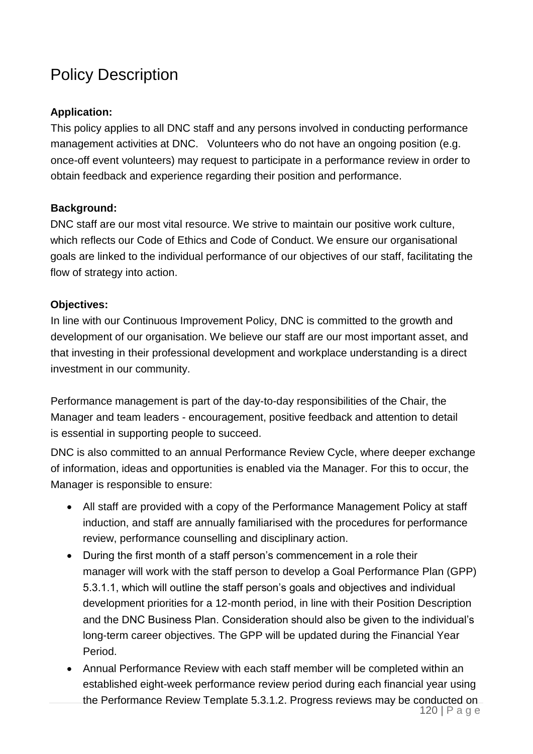# Policy Description

### **Application:**

This policy applies to all DNC staff and any persons involved in conducting performance management activities at DNC. Volunteers who do not have an ongoing position (e.g. once-off event volunteers) may request to participate in a performance review in order to obtain feedback and experience regarding their position and performance.

### **Background:**

DNC staff are our most vital resource. We strive to maintain our positive work culture, which reflects our Code of Ethics and Code of Conduct. We ensure our organisational goals are linked to the individual performance of our objectives of our staff, facilitating the flow of strategy into action.

### **Objectives:**

In line with our Continuous Improvement Policy, DNC is committed to the growth and development of our organisation. We believe our staff are our most important asset, and that investing in their professional development and workplace understanding is a direct investment in our community.

Performance management is part of the day-to-day responsibilities of the Chair, the Manager and team leaders - encouragement, positive feedback and attention to detail is essential in supporting people to succeed.

DNC is also committed to an annual Performance Review Cycle, where deeper exchange of information, ideas and opportunities is enabled via the Manager. For this to occur, the Manager is responsible to ensure:

- All staff are provided with a copy of the Performance Management Policy at staff induction, and staff are annually familiarised with the procedures for performance review, performance counselling and disciplinary action.
- During the first month of a staff person's commencement in a role their manager will work with the staff person to develop a Goal Performance Plan (GPP) 5.3.1.1, which will outline the staff person's goals and objectives and individual development priorities for a 12-month period, in line with their Position Description and the DNC Business Plan. Consideration should also be given to the individual's long-term career objectives. The GPP will be updated during the Financial Year Period.
- Annual Performance Review with each staff member will be completed within an established eight-week performance review period during each financial year using the Performance Review Template 5.3.1.2. Progress reviews may be conducted on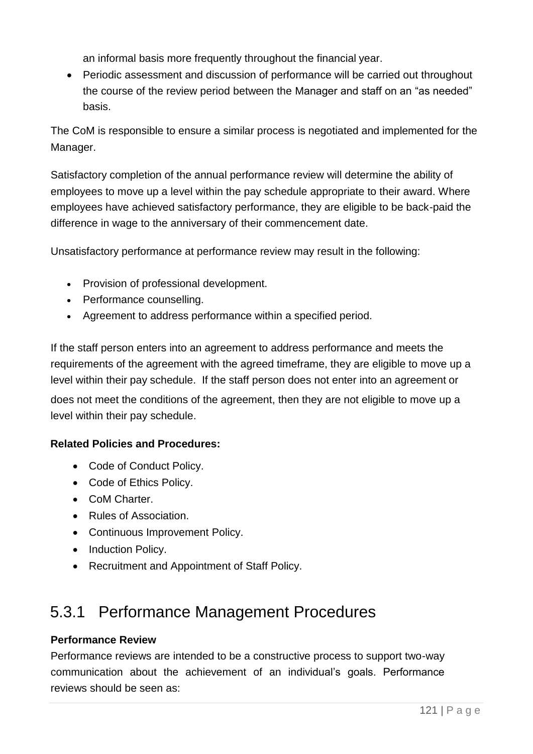an informal basis more frequently throughout the financial year.

• Periodic assessment and discussion of performance will be carried out throughout the course of the review period between the Manager and staff on an "as needed" basis.

The CoM is responsible to ensure a similar process is negotiated and implemented for the Manager.

Satisfactory completion of the annual performance review will determine the ability of employees to move up a level within the pay schedule appropriate to their award. Where employees have achieved satisfactory performance, they are eligible to be back-paid the difference in wage to the anniversary of their commencement date.

Unsatisfactory performance at performance review may result in the following:

- Provision of professional development.
- Performance counselling.
- Agreement to address performance within a specified period.

If the staff person enters into an agreement to address performance and meets the requirements of the agreement with the agreed timeframe, they are eligible to move up a level within their pay schedule. If the staff person does not enter into an agreement or does not meet the conditions of the agreement, then they are not eligible to move up a

level within their pay schedule.

### **Related Policies and Procedures:**

- Code of Conduct Policy.
- Code of Ethics Policy.
- CoM Charter.
- Rules of Association.
- Continuous Improvement Policy.
- Induction Policy.
- Recruitment and Appointment of Staff Policy.

### 5.3.1 Performance Management Procedures

### **Performance Review**

Performance reviews are intended to be a constructive process to support two-way communication about the achievement of an individual's goals. Performance reviews should be seen as: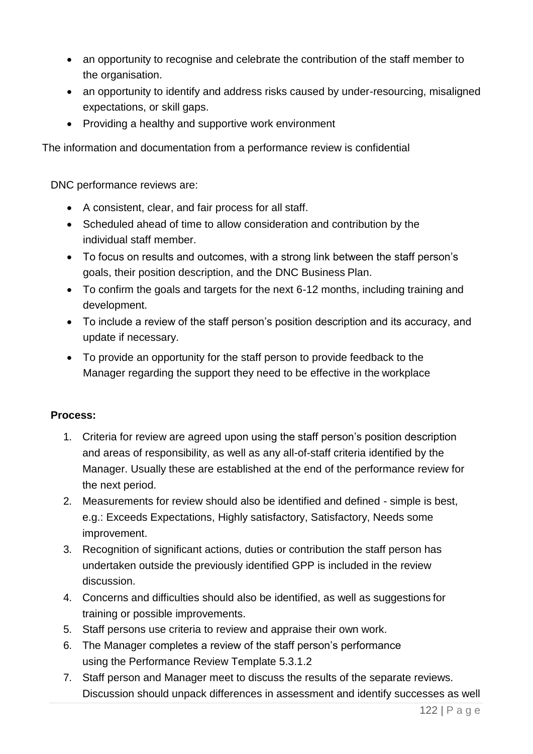- an opportunity to recognise and celebrate the contribution of the staff member to the organisation.
- an opportunity to identify and address risks caused by under-resourcing, misaligned expectations, or skill gaps.
- Providing a healthy and supportive work environment

The information and documentation from a performance review is confidential

DNC performance reviews are:

- A consistent, clear, and fair process for all staff.
- Scheduled ahead of time to allow consideration and contribution by the individual staff member.
- To focus on results and outcomes, with a strong link between the staff person's goals, their position description, and the DNC Business Plan.
- To confirm the goals and targets for the next 6-12 months, including training and development.
- To include a review of the staff person's position description and its accuracy, and update if necessary.
- To provide an opportunity for the staff person to provide feedback to the Manager regarding the support they need to be effective in the workplace

#### **Process:**

- 1. Criteria for review are agreed upon using the staff person's position description and areas of responsibility, as well as any all-of-staff criteria identified by the Manager. Usually these are established at the end of the performance review for the next period.
- 2. Measurements for review should also be identified and defined simple is best, e.g.: Exceeds Expectations, Highly satisfactory, Satisfactory, Needs some improvement.
- 3. Recognition of significant actions, duties or contribution the staff person has undertaken outside the previously identified GPP is included in the review discussion.
- 4. Concerns and difficulties should also be identified, as well as suggestions for training or possible improvements.
- 5. Staff persons use criteria to review and appraise their own work.
- 6. The Manager completes a review of the staff person's performance using the Performance Review Template 5.3.1.2
- 7. Staff person and Manager meet to discuss the results of the separate reviews. Discussion should unpack differences in assessment and identify successes as well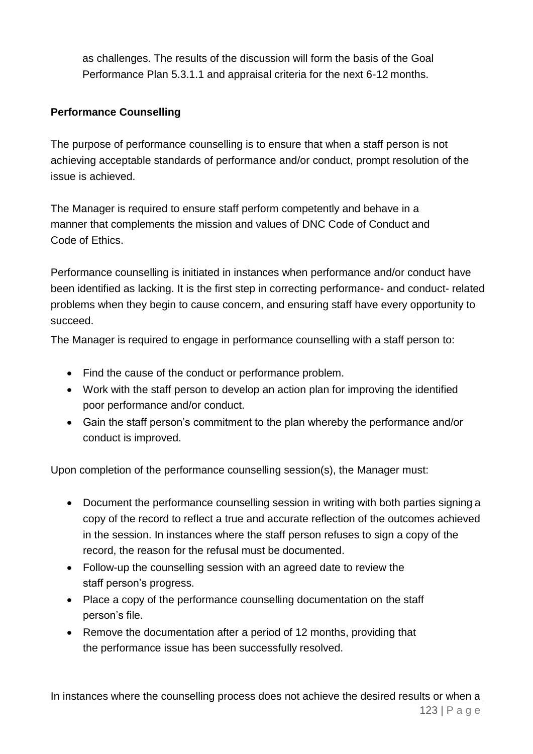as challenges. The results of the discussion will form the basis of the Goal Performance Plan 5.3.1.1 and appraisal criteria for the next 6-12 months.

### **Performance Counselling**

The purpose of performance counselling is to ensure that when a staff person is not achieving acceptable standards of performance and/or conduct, prompt resolution of the issue is achieved.

The Manager is required to ensure staff perform competently and behave in a manner that complements the mission and values of DNC Code of Conduct and Code of Ethics.

Performance counselling is initiated in instances when performance and/or conduct have been identified as lacking. It is the first step in correcting performance- and conduct- related problems when they begin to cause concern, and ensuring staff have every opportunity to succeed.

The Manager is required to engage in performance counselling with a staff person to:

- Find the cause of the conduct or performance problem.
- Work with the staff person to develop an action plan for improving the identified poor performance and/or conduct.
- Gain the staff person's commitment to the plan whereby the performance and/or conduct is improved.

Upon completion of the performance counselling session(s), the Manager must:

- Document the performance counselling session in writing with both parties signing a copy of the record to reflect a true and accurate reflection of the outcomes achieved in the session. In instances where the staff person refuses to sign a copy of the record, the reason for the refusal must be documented.
- Follow-up the counselling session with an agreed date to review the staff person's progress.
- Place a copy of the performance counselling documentation on the staff person's file.
- Remove the documentation after a period of 12 months, providing that the performance issue has been successfully resolved.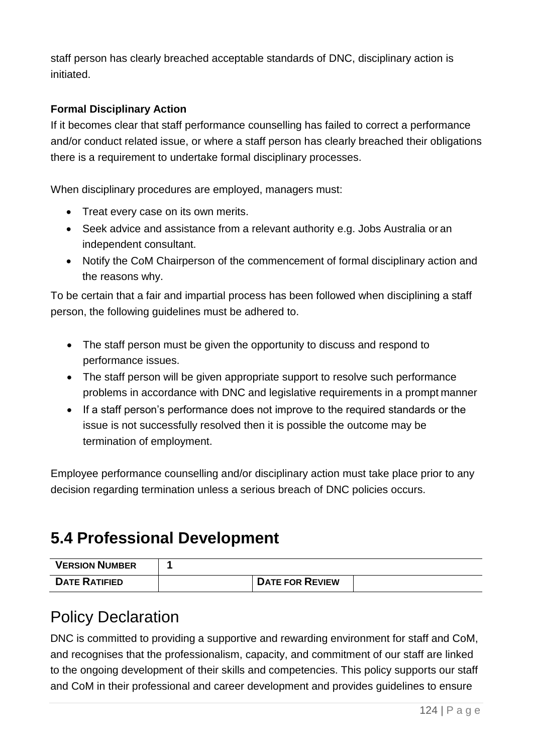staff person has clearly breached acceptable standards of DNC, disciplinary action is initiated.

### **Formal Disciplinary Action**

If it becomes clear that staff performance counselling has failed to correct a performance and/or conduct related issue, or where a staff person has clearly breached their obligations there is a requirement to undertake formal disciplinary processes.

When disciplinary procedures are employed, managers must:

- Treat every case on its own merits.
- Seek advice and assistance from a relevant authority e.g. Jobs Australia or an independent consultant.
- Notify the CoM Chairperson of the commencement of formal disciplinary action and the reasons why.

To be certain that a fair and impartial process has been followed when disciplining a staff person, the following guidelines must be adhered to.

- The staff person must be given the opportunity to discuss and respond to performance issues.
- The staff person will be given appropriate support to resolve such performance problems in accordance with DNC and legislative requirements in a prompt manner
- If a staff person's performance does not improve to the required standards or the issue is not successfully resolved then it is possible the outcome may be termination of employment.

Employee performance counselling and/or disciplinary action must take place prior to any decision regarding termination unless a serious breach of DNC policies occurs.

### **5.4 Professional Development**

| <b>VERSION NUMBER</b> |                        |  |
|-----------------------|------------------------|--|
| <b>DATE RATIFIED</b>  | <b>DATE FOR REVIEW</b> |  |

### Policy Declaration

DNC is committed to providing a supportive and rewarding environment for staff and CoM, and recognises that the professionalism, capacity, and commitment of our staff are linked to the ongoing development of their skills and competencies. This policy supports our staff and CoM in their professional and career development and provides guidelines to ensure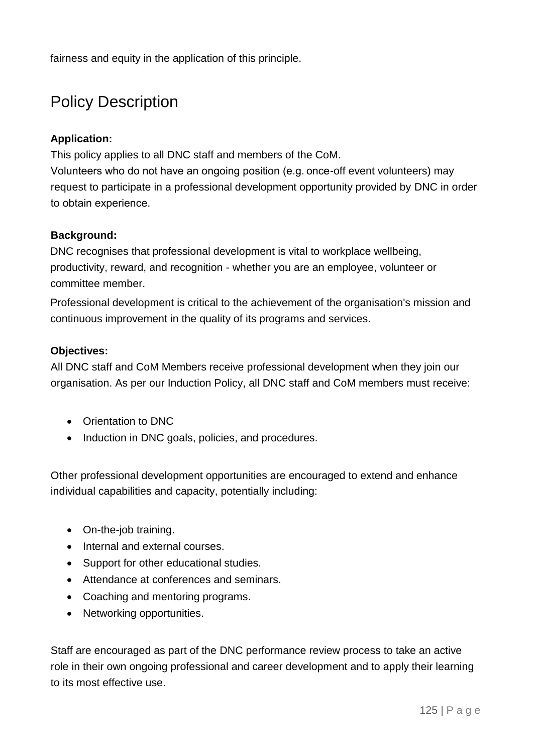fairness and equity in the application of this principle.

# Policy Description

### **Application:**

This policy applies to all DNC staff and members of the CoM.

Volunteers who do not have an ongoing position (e.g. once-off event volunteers) may request to participate in a professional development opportunity provided by DNC in order to obtain experience.  

### **Background:**

DNC recognises that professional development is vital to workplace wellbeing, productivity, reward, and recognition - whether you are an employee, volunteer or committee member.

Professional development is critical to the achievement of the organisation's mission and continuous improvement in the quality of its programs and services.

### **Objectives:**

All DNC staff and CoM Members receive professional development when they join our organisation. As per our Induction Policy, all DNC staff and CoM members must receive:

- Orientation to DNC
- Induction in DNC goals, policies, and procedures.

Other professional development opportunities are encouraged to extend and enhance individual capabilities and capacity, potentially including:

- On-the-job training.
- Internal and external courses.
- Support for other educational studies.
- Attendance at conferences and seminars.
- Coaching and mentoring programs.
- Networking opportunities.

Staff are encouraged as part of the DNC performance review process to take an active role in their own ongoing professional and career development and to apply their learning to its most effective use.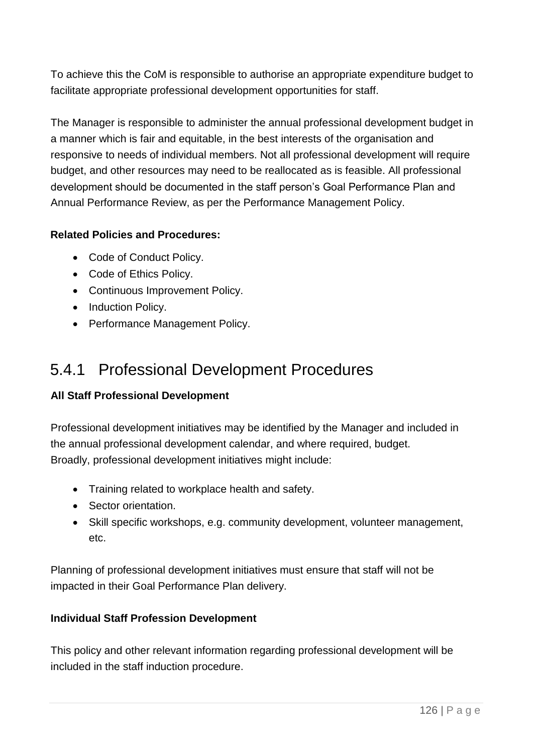To achieve this the CoM is responsible to authorise an appropriate expenditure budget to facilitate appropriate professional development opportunities for staff.

The Manager is responsible to administer the annual professional development budget in a manner which is fair and equitable, in the best interests of the organisation and responsive to needs of individual members. Not all professional development will require budget, and other resources may need to be reallocated as is feasible. All professional development should be documented in the staff person's Goal Performance Plan and Annual Performance Review, as per the Performance Management Policy.

### **Related Policies and Procedures:**

- Code of Conduct Policy.
- Code of Ethics Policy.
- Continuous Improvement Policy.
- Induction Policy.
- Performance Management Policy.

### 5.4.1 Professional Development Procedures

### **All Staff Professional Development**

Professional development initiatives may be identified by the Manager and included in the annual professional development calendar, and where required, budget. Broadly, professional development initiatives might include:

- Training related to workplace health and safety.
- Sector orientation.
- Skill specific workshops, e.g. community development, volunteer management, etc.

Planning of professional development initiatives must ensure that staff will not be impacted in their Goal Performance Plan delivery.

### **Individual Staff Profession Development**

This policy and other relevant information regarding professional development will be included in the staff induction procedure.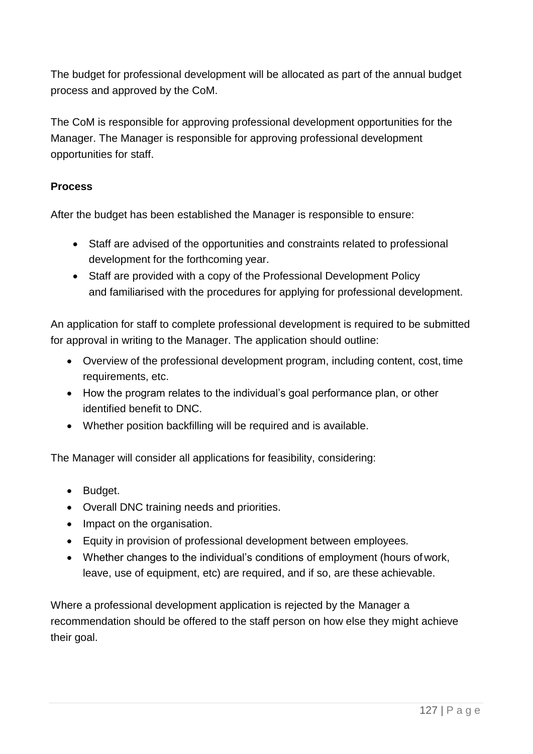The budget for professional development will be allocated as part of the annual budget process and approved by the CoM.

The CoM is responsible for approving professional development opportunities for the Manager. The Manager is responsible for approving professional development opportunities for staff.

### **Process**

After the budget has been established the Manager is responsible to ensure:

- Staff are advised of the opportunities and constraints related to professional development for the forthcoming year.
- Staff are provided with a copy of the Professional Development Policy and familiarised with the procedures for applying for professional development.

An application for staff to complete professional development is required to be submitted for approval in writing to the Manager. The application should outline:

- Overview of the professional development program, including content, cost, time requirements, etc.
- How the program relates to the individual's goal performance plan, or other identified benefit to DNC.
- Whether position backfilling will be required and is available.

The Manager will consider all applications for feasibility, considering:

- Budget.
- Overall DNC training needs and priorities.
- Impact on the organisation.
- Equity in provision of professional development between employees.
- Whether changes to the individual's conditions of employment (hours of work, leave, use of equipment, etc) are required, and if so, are these achievable.

Where a professional development application is rejected by the Manager a recommendation should be offered to the staff person on how else they might achieve their goal.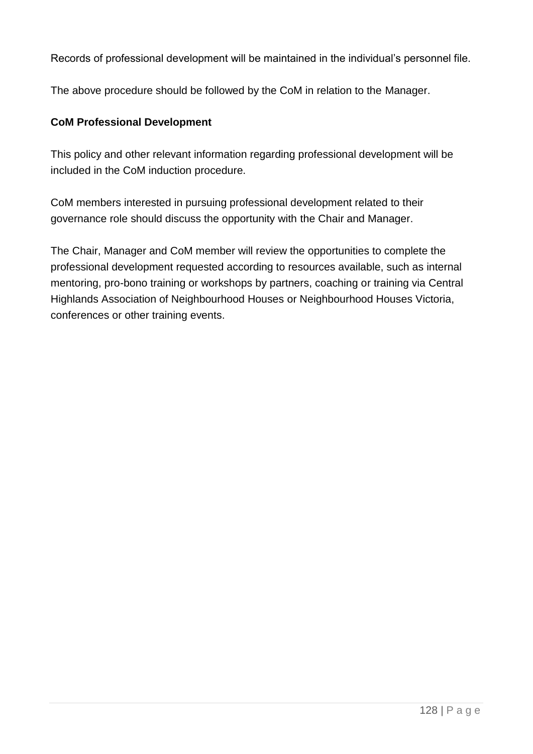Records of professional development will be maintained in the individual's personnel file.

The above procedure should be followed by the CoM in relation to the Manager.

### **CoM Professional Development**

This policy and other relevant information regarding professional development will be included in the CoM induction procedure.

CoM members interested in pursuing professional development related to their governance role should discuss the opportunity with the Chair and Manager.

The Chair, Manager and CoM member will review the opportunities to complete the professional development requested according to resources available, such as internal mentoring, pro-bono training or workshops by partners, coaching or training via Central Highlands Association of Neighbourhood Houses or Neighbourhood Houses Victoria, conferences or other training events.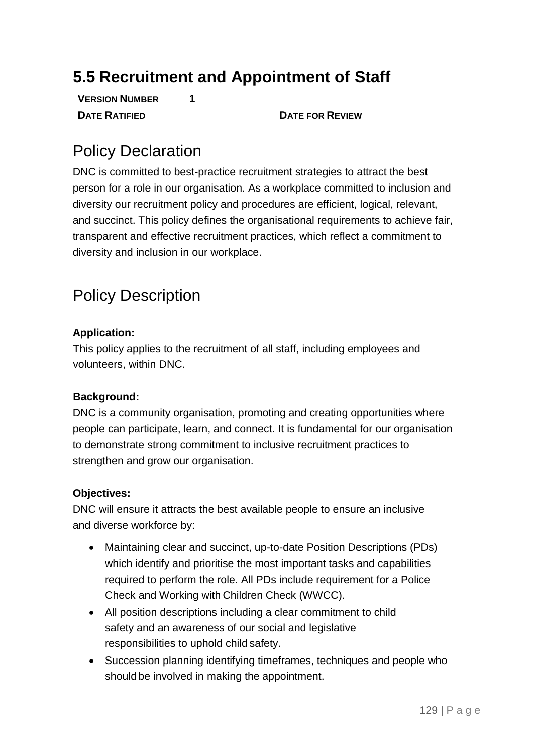### **5.5 Recruitment and Appointment of Staff**

| <b>VERSION NUMBER</b> |                        |  |
|-----------------------|------------------------|--|
| <b>DATE RATIFIED</b>  | <b>DATE FOR REVIEW</b> |  |

### Policy Declaration

DNC is committed to best-practice recruitment strategies to attract the best person for a role in our organisation. As a workplace committed to inclusion and diversity our recruitment policy and procedures are efficient, logical, relevant, and succinct. This policy defines the organisational requirements to achieve fair, transparent and effective recruitment practices, which reflect a commitment to diversity and inclusion in our workplace.

# Policy Description

### **Application:**

This policy applies to the recruitment of all staff, including employees and volunteers, within DNC.

### **Background:**

DNC is a community organisation, promoting and creating opportunities where people can participate, learn, and connect. It is fundamental for our organisation to demonstrate strong commitment to inclusive recruitment practices to strengthen and grow our organisation.

### **Objectives:**

DNC will ensure it attracts the best available people to ensure an inclusive and diverse workforce by:

- Maintaining clear and succinct, up-to-date Position Descriptions (PDs) which identify and prioritise the most important tasks and capabilities required to perform the role. All PDs include requirement for a Police Check and Working with Children Check (WWCC).
- All position descriptions including a clear commitment to child safety and an awareness of our social and legislative responsibilities to uphold child safety.
- Succession planning identifying timeframes, techniques and people who should be involved in making the appointment.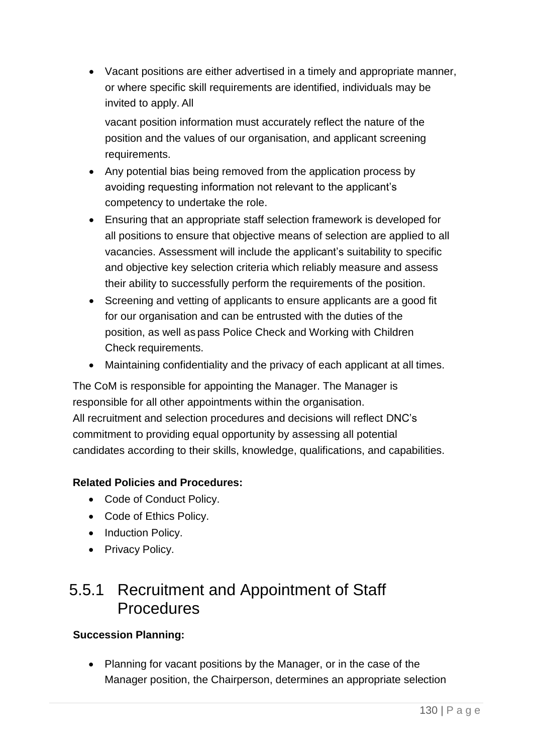• Vacant positions are either advertised in a timely and appropriate manner, or where specific skill requirements are identified, individuals may be invited to apply. All

vacant position information must accurately reflect the nature of the position and the values of our organisation, and applicant screening requirements.

- Any potential bias being removed from the application process by avoiding requesting information not relevant to the applicant's competency to undertake the role.
- Ensuring that an appropriate staff selection framework is developed for all positions to ensure that objective means of selection are applied to all vacancies. Assessment will include the applicant's suitability to specific and objective key selection criteria which reliably measure and assess their ability to successfully perform the requirements of the position.
- Screening and vetting of applicants to ensure applicants are a good fit for our organisation and can be entrusted with the duties of the position, as well as pass Police Check and Working with Children Check requirements.
- Maintaining confidentiality and the privacy of each applicant at all times.

The CoM is responsible for appointing the Manager. The Manager is responsible for all other appointments within the organisation. All recruitment and selection procedures and decisions will reflect DNC's commitment to providing equal opportunity by assessing all potential candidates according to their skills, knowledge, qualifications, and capabilities.

### **Related Policies and Procedures:**

- Code of Conduct Policy.
- Code of Ethics Policy.
- Induction Policy.
- Privacy Policy.

### 5.5.1 Recruitment and Appointment of Staff **Procedures**

### **Succession Planning:**

• Planning for vacant positions by the Manager, or in the case of the Manager position, the Chairperson, determines an appropriate selection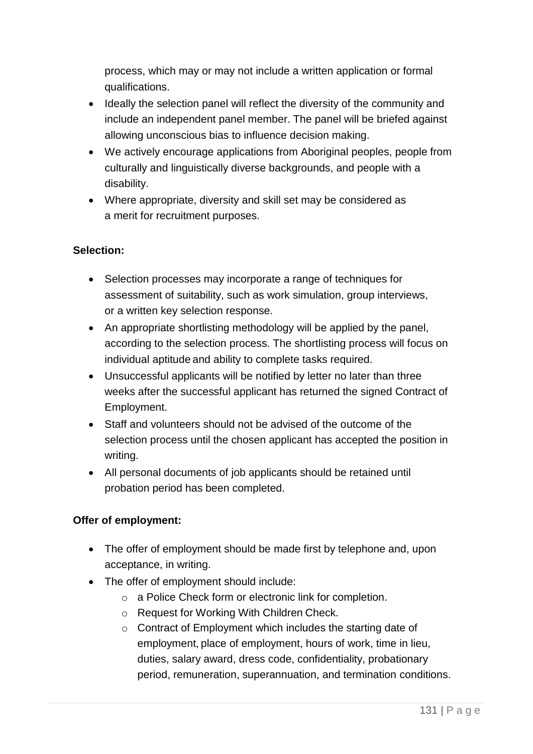process, which may or may not include a written application or formal qualifications.

- Ideally the selection panel will reflect the diversity of the community and include an independent panel member. The panel will be briefed against allowing unconscious bias to influence decision making.
- We actively encourage applications from Aboriginal peoples, people from culturally and linguistically diverse backgrounds, and people with a disability.
- Where appropriate, diversity and skill set may be considered as a merit for recruitment purposes.

### **Selection:**

- Selection processes may incorporate a range of techniques for assessment of suitability, such as work simulation, group interviews, or a written key selection response.
- An appropriate shortlisting methodology will be applied by the panel, according to the selection process. The shortlisting process will focus on individual aptitude and ability to complete tasks required.
- Unsuccessful applicants will be notified by letter no later than three weeks after the successful applicant has returned the signed Contract of Employment.
- Staff and volunteers should not be advised of the outcome of the selection process until the chosen applicant has accepted the position in writing.
- All personal documents of job applicants should be retained until probation period has been completed.

### **Offer of employment:**

- The offer of employment should be made first by telephone and, upon acceptance, in writing.
- The offer of employment should include:
	- o a Police Check form or electronic link for completion.
	- o Request for Working With Children Check.
	- o Contract of Employment which includes the starting date of employment, place of employment, hours of work, time in lieu, duties, salary award, dress code, confidentiality, probationary period, remuneration, superannuation, and termination conditions.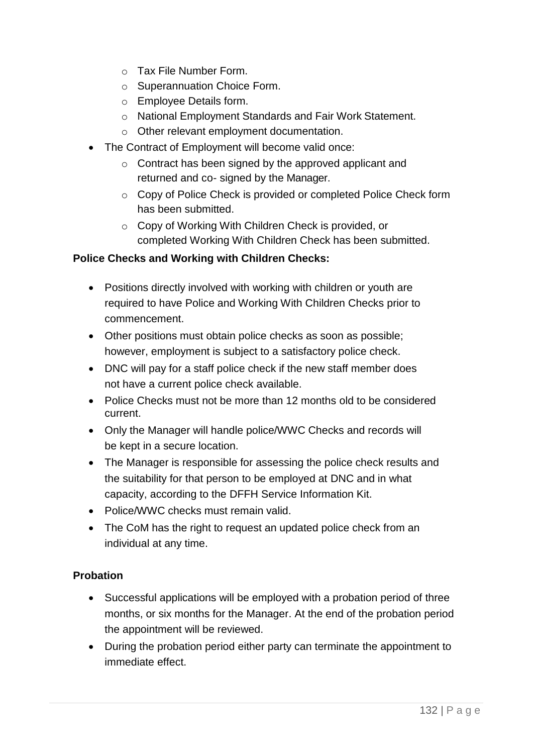- o Tax File Number Form.
- o Superannuation Choice Form.
- o Employee Details form.
- o National Employment Standards and Fair Work Statement.
- o Other relevant employment documentation.
- The Contract of Employment will become valid once:
	- o Contract has been signed by the approved applicant and returned and co- signed by the Manager.
	- o Copy of Police Check is provided or completed Police Check form has been submitted.
	- o Copy of Working With Children Check is provided, or completed Working With Children Check has been submitted.

### **Police Checks and Working with Children Checks:**

- Positions directly involved with working with children or youth are required to have Police and Working With Children Checks prior to commencement.
- Other positions must obtain police checks as soon as possible; however, employment is subject to a satisfactory police check.
- DNC will pay for a staff police check if the new staff member does not have a current police check available.
- Police Checks must not be more than 12 months old to be considered current.
- Only the Manager will handle police/WWC Checks and records will be kept in a secure location.
- The Manager is responsible for assessing the police check results and the suitability for that person to be employed at DNC and in what capacity, according to the DFFH Service Information Kit.
- Police/WWC checks must remain valid.
- The CoM has the right to request an updated police check from an individual at any time.

### **Probation**

- Successful applications will be employed with a probation period of three months, or six months for the Manager. At the end of the probation period the appointment will be reviewed.
- During the probation period either party can terminate the appointment to immediate effect.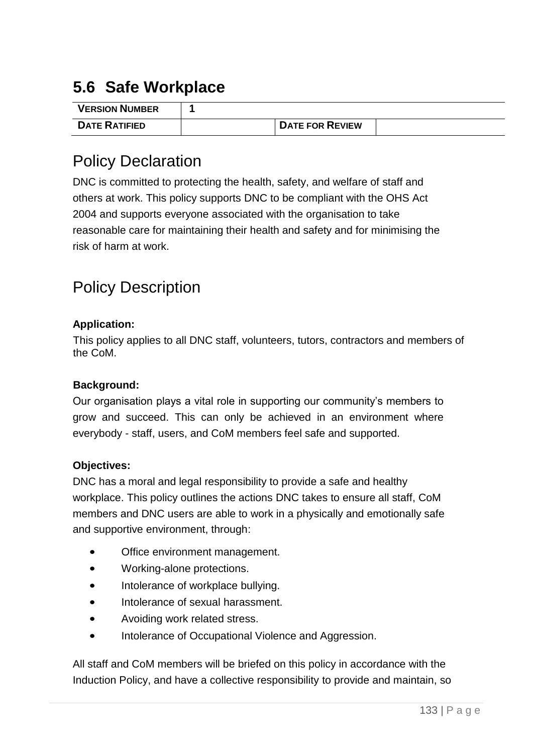# **5.6 Safe Workplace**

| <b>VERSION NUMBER</b> |                        |  |
|-----------------------|------------------------|--|
| <b>DATE RATIFIED</b>  | <b>DATE FOR REVIEW</b> |  |

### Policy Declaration

DNC is committed to protecting the health, safety, and welfare of staff and others at work. This policy supports DNC to be compliant with the OHS Act 2004 and supports everyone associated with the organisation to take reasonable care for maintaining their health and safety and for minimising the risk of harm at work.

# Policy Description

### **Application:**

This policy applies to all DNC staff, volunteers, tutors, contractors and members of the CoM.

### **Background:**

Our organisation plays a vital role in supporting our community's members to grow and succeed. This can only be achieved in an environment where everybody - staff, users, and CoM members feel safe and supported.

### **Objectives:**

DNC has a moral and legal responsibility to provide a safe and healthy workplace. This policy outlines the actions DNC takes to ensure all staff, CoM members and DNC users are able to work in a physically and emotionally safe and supportive environment, through:

- Office environment management.
- Working-alone protections.
- Intolerance of workplace bullying.
- Intolerance of sexual harassment.
- Avoiding work related stress.
- Intolerance of Occupational Violence and Aggression.

All staff and CoM members will be briefed on this policy in accordance with the Induction Policy, and have a collective responsibility to provide and maintain, so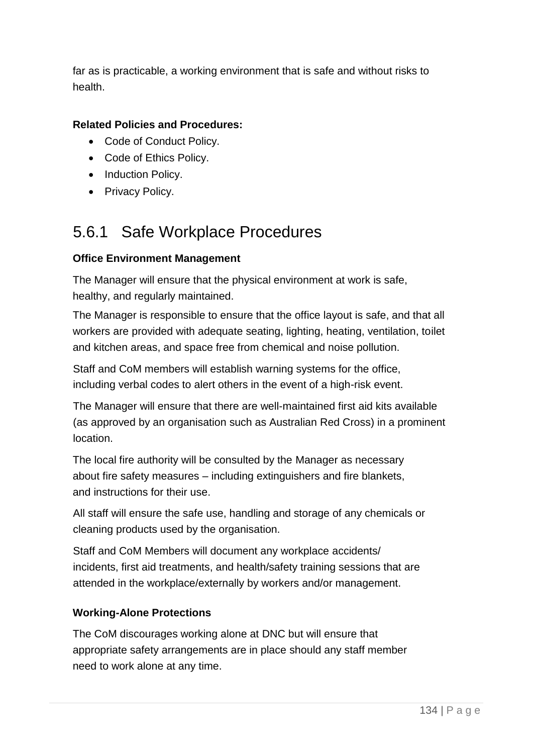far as is practicable, a working environment that is safe and without risks to health.

### **Related Policies and Procedures:**

- Code of Conduct Policy.
- Code of Ethics Policy.
- Induction Policy.
- Privacy Policy.

# 5.6.1 Safe Workplace Procedures

### **Office Environment Management**

The Manager will ensure that the physical environment at work is safe, healthy, and regularly maintained.

The Manager is responsible to ensure that the office layout is safe, and that all workers are provided with adequate seating, lighting, heating, ventilation, toilet and kitchen areas, and space free from chemical and noise pollution.

Staff and CoM members will establish warning systems for the office, including verbal codes to alert others in the event of a high-risk event.

The Manager will ensure that there are well-maintained first aid kits available (as approved by an organisation such as Australian Red Cross) in a prominent location.

The local fire authority will be consulted by the Manager as necessary about fire safety measures – including extinguishers and fire blankets, and instructions for their use.

All staff will ensure the safe use, handling and storage of any chemicals or cleaning products used by the organisation.

Staff and CoM Members will document any workplace accidents/ incidents, first aid treatments, and health/safety training sessions that are attended in the workplace/externally by workers and/or management.

### **Working-Alone Protections**

The CoM discourages working alone at DNC but will ensure that appropriate safety arrangements are in place should any staff member need to work alone at any time.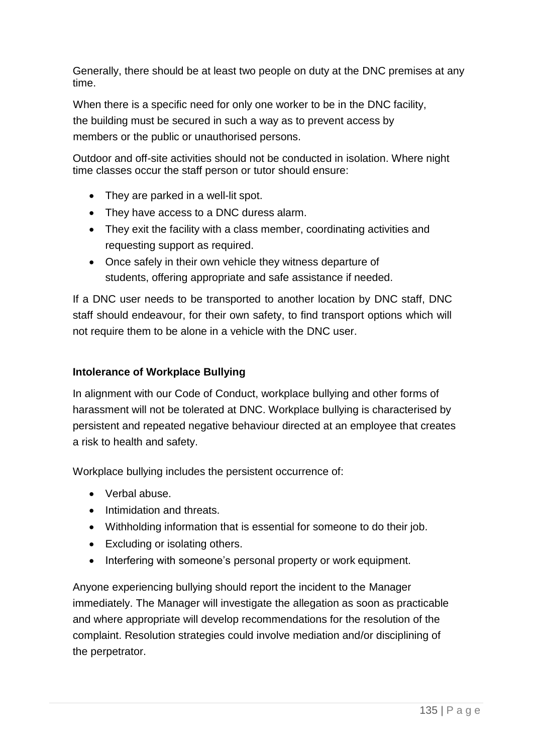Generally, there should be at least two people on duty at the DNC premises at any time.

When there is a specific need for only one worker to be in the DNC facility, the building must be secured in such a way as to prevent access by members or the public or unauthorised persons.

Outdoor and off-site activities should not be conducted in isolation. Where night time classes occur the staff person or tutor should ensure:

- They are parked in a well-lit spot.
- They have access to a DNC duress alarm.
- They exit the facility with a class member, coordinating activities and requesting support as required.
- Once safely in their own vehicle they witness departure of students, offering appropriate and safe assistance if needed.

If a DNC user needs to be transported to another location by DNC staff, DNC staff should endeavour, for their own safety, to find transport options which will not require them to be alone in a vehicle with the DNC user.

### **Intolerance of Workplace Bullying**

In alignment with our Code of Conduct, workplace bullying and other forms of harassment will not be tolerated at DNC. Workplace bullying is characterised by persistent and repeated negative behaviour directed at an employee that creates a risk to health and safety.

Workplace bullying includes the persistent occurrence of:

- Verbal abuse.
- Intimidation and threats.
- Withholding information that is essential for someone to do their job.
- Excluding or isolating others.
- Interfering with someone's personal property or work equipment.

Anyone experiencing bullying should report the incident to the Manager immediately. The Manager will investigate the allegation as soon as practicable and where appropriate will develop recommendations for the resolution of the complaint. Resolution strategies could involve mediation and/or disciplining of the perpetrator.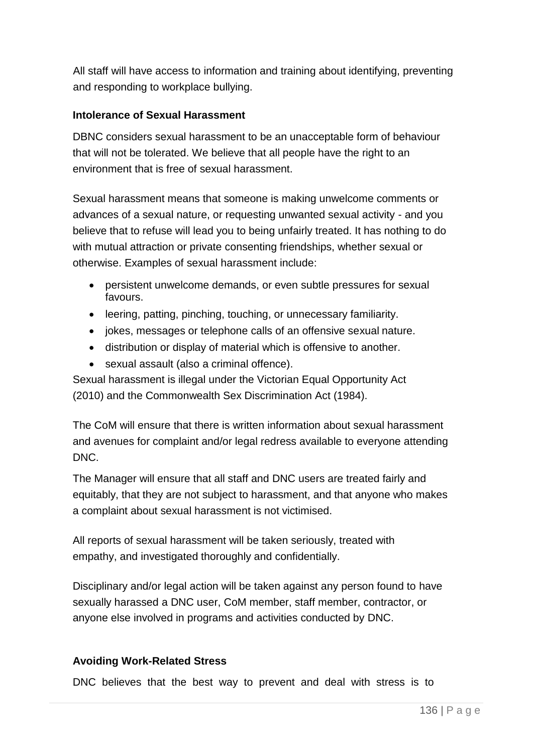All staff will have access to information and training about identifying, preventing and responding to workplace bullying.

### **Intolerance of Sexual Harassment**

DBNC considers sexual harassment to be an unacceptable form of behaviour that will not be tolerated. We believe that all people have the right to an environment that is free of sexual harassment.

Sexual harassment means that someone is making unwelcome comments or advances of a sexual nature, or requesting unwanted sexual activity - and you believe that to refuse will lead you to being unfairly treated. It has nothing to do with mutual attraction or private consenting friendships, whether sexual or otherwise. Examples of sexual harassment include:

- persistent unwelcome demands, or even subtle pressures for sexual favours.
- leering, patting, pinching, touching, or unnecessary familiarity.
- jokes, messages or telephone calls of an offensive sexual nature.
- distribution or display of material which is offensive to another.
- sexual assault (also a criminal offence).

Sexual harassment is illegal under the Victorian Equal Opportunity Act (2010) and the Commonwealth Sex Discrimination Act (1984).

The CoM will ensure that there is written information about sexual harassment and avenues for complaint and/or legal redress available to everyone attending DNC.

The Manager will ensure that all staff and DNC users are treated fairly and equitably, that they are not subject to harassment, and that anyone who makes a complaint about sexual harassment is not victimised.

All reports of sexual harassment will be taken seriously, treated with empathy, and investigated thoroughly and confidentially.

Disciplinary and/or legal action will be taken against any person found to have sexually harassed a DNC user, CoM member, staff member, contractor, or anyone else involved in programs and activities conducted by DNC.

### **Avoiding Work-Related Stress**

DNC believes that the best way to prevent and deal with stress is to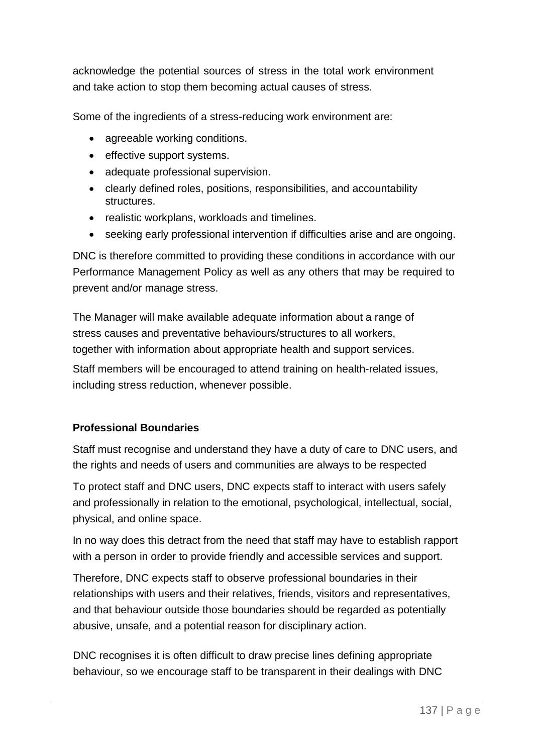acknowledge the potential sources of stress in the total work environment and take action to stop them becoming actual causes of stress.

Some of the ingredients of a stress-reducing work environment are:

- agreeable working conditions.
- effective support systems.
- adequate professional supervision.
- clearly defined roles, positions, responsibilities, and accountability structures.
- realistic workplans, workloads and timelines.
- seeking early professional intervention if difficulties arise and are ongoing.

DNC is therefore committed to providing these conditions in accordance with our Performance Management Policy as well as any others that may be required to prevent and/or manage stress.

The Manager will make available adequate information about a range of stress causes and preventative behaviours/structures to all workers, together with information about appropriate health and support services.

Staff members will be encouraged to attend training on health-related issues, including stress reduction, whenever possible.

### **Professional Boundaries**

Staff must recognise and understand they have a duty of care to DNC users, and the rights and needs of users and communities are always to be respected

To protect staff and DNC users, DNC expects staff to interact with users safely and professionally in relation to the emotional, psychological, intellectual, social, physical, and online space.

In no way does this detract from the need that staff may have to establish rapport with a person in order to provide friendly and accessible services and support.

Therefore, DNC expects staff to observe professional boundaries in their relationships with users and their relatives, friends, visitors and representatives, and that behaviour outside those boundaries should be regarded as potentially abusive, unsafe, and a potential reason for disciplinary action.

DNC recognises it is often difficult to draw precise lines defining appropriate behaviour, so we encourage staff to be transparent in their dealings with DNC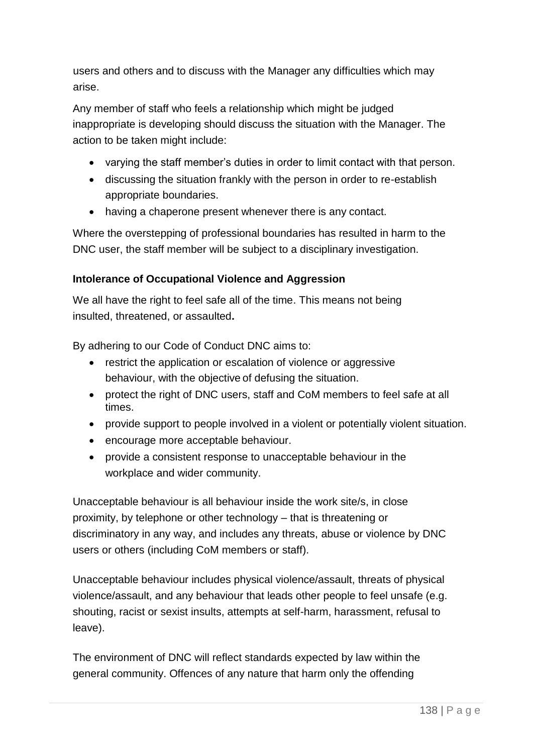users and others and to discuss with the Manager any difficulties which may arise.

Any member of staff who feels a relationship which might be judged inappropriate is developing should discuss the situation with the Manager. The action to be taken might include:

- varying the staff member's duties in order to limit contact with that person.
- discussing the situation frankly with the person in order to re-establish appropriate boundaries.
- having a chaperone present whenever there is any contact.

Where the overstepping of professional boundaries has resulted in harm to the DNC user, the staff member will be subject to a disciplinary investigation.

### **Intolerance of Occupational Violence and Aggression**

We all have the right to feel safe all of the time. This means not being insulted, threatened, or assaulted**.**

By adhering to our Code of Conduct DNC aims to:

- restrict the application or escalation of violence or aggressive behaviour, with the objective of defusing the situation.
- protect the right of DNC users, staff and CoM members to feel safe at all times.
- provide support to people involved in a violent or potentially violent situation.
- encourage more acceptable behaviour.
- provide a consistent response to unacceptable behaviour in the workplace and wider community.

Unacceptable behaviour is all behaviour inside the work site/s, in close proximity, by telephone or other technology – that is threatening or discriminatory in any way, and includes any threats, abuse or violence by DNC users or others (including CoM members or staff).

Unacceptable behaviour includes physical violence/assault, threats of physical violence/assault, and any behaviour that leads other people to feel unsafe (e.g. shouting, racist or sexist insults, attempts at self-harm, harassment, refusal to leave).

The environment of DNC will reflect standards expected by law within the general community. Offences of any nature that harm only the offending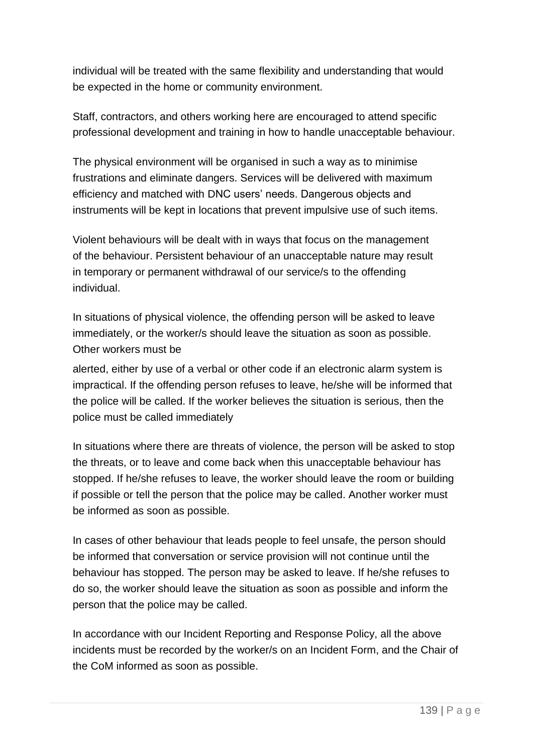individual will be treated with the same flexibility and understanding that would be expected in the home or community environment.

Staff, contractors, and others working here are encouraged to attend specific professional development and training in how to handle unacceptable behaviour.

The physical environment will be organised in such a way as to minimise frustrations and eliminate dangers. Services will be delivered with maximum efficiency and matched with DNC users' needs. Dangerous objects and instruments will be kept in locations that prevent impulsive use of such items.

Violent behaviours will be dealt with in ways that focus on the management of the behaviour. Persistent behaviour of an unacceptable nature may result in temporary or permanent withdrawal of our service/s to the offending individual.

In situations of physical violence, the offending person will be asked to leave immediately, or the worker/s should leave the situation as soon as possible. Other workers must be

alerted, either by use of a verbal or other code if an electronic alarm system is impractical. If the offending person refuses to leave, he/she will be informed that the police will be called. If the worker believes the situation is serious, then the police must be called immediately

In situations where there are threats of violence, the person will be asked to stop the threats, or to leave and come back when this unacceptable behaviour has stopped. If he/she refuses to leave, the worker should leave the room or building if possible or tell the person that the police may be called. Another worker must be informed as soon as possible.

In cases of other behaviour that leads people to feel unsafe, the person should be informed that conversation or service provision will not continue until the behaviour has stopped. The person may be asked to leave. If he/she refuses to do so, the worker should leave the situation as soon as possible and inform the person that the police may be called.

In accordance with our Incident Reporting and Response Policy, all the above incidents must be recorded by the worker/s on an Incident Form, and the Chair of the CoM informed as soon as possible.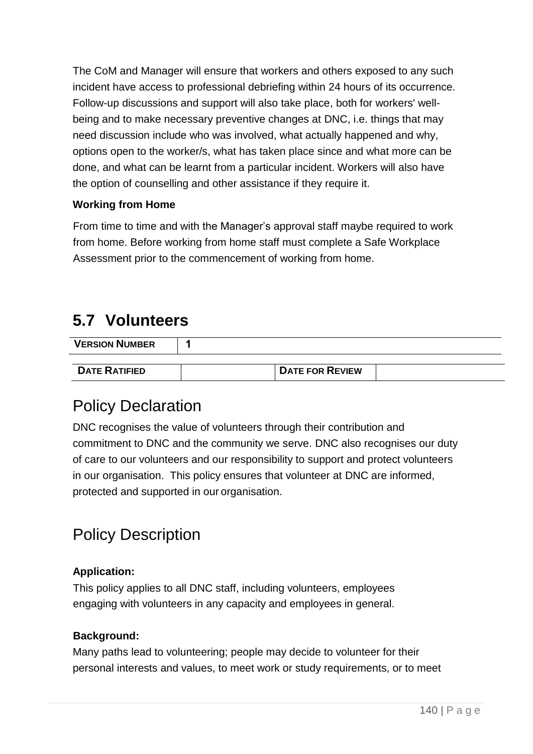The CoM and Manager will ensure that workers and others exposed to any such incident have access to professional debriefing within 24 hours of its occurrence. Follow-up discussions and support will also take place, both for workers' wellbeing and to make necessary preventive changes at DNC, i.e. things that may need discussion include who was involved, what actually happened and why, options open to the worker/s, what has taken place since and what more can be done, and what can be learnt from a particular incident. Workers will also have the option of counselling and other assistance if they require it.

### **Working from Home**

From time to time and with the Manager's approval staff maybe required to work from home. Before working from home staff must complete a Safe Workplace Assessment prior to the commencement of working from home.

### **5.7 Volunteers**

| <b>VERSION NUMBER</b> |  |  |
|-----------------------|--|--|

# **DATE RATIFIED DATE FOR REVIEW**

### Policy Declaration

DNC recognises the value of volunteers through their contribution and commitment to DNC and the community we serve. DNC also recognises our duty of care to our volunteers and our responsibility to support and protect volunteers in our organisation. This policy ensures that volunteer at DNC are informed, protected and supported in our organisation.

# Policy Description

### **Application:**

This policy applies to all DNC staff, including volunteers, employees engaging with volunteers in any capacity and employees in general.

### **Background:**

Many paths lead to volunteering; people may decide to volunteer for their personal interests and values, to meet work or study requirements, or to meet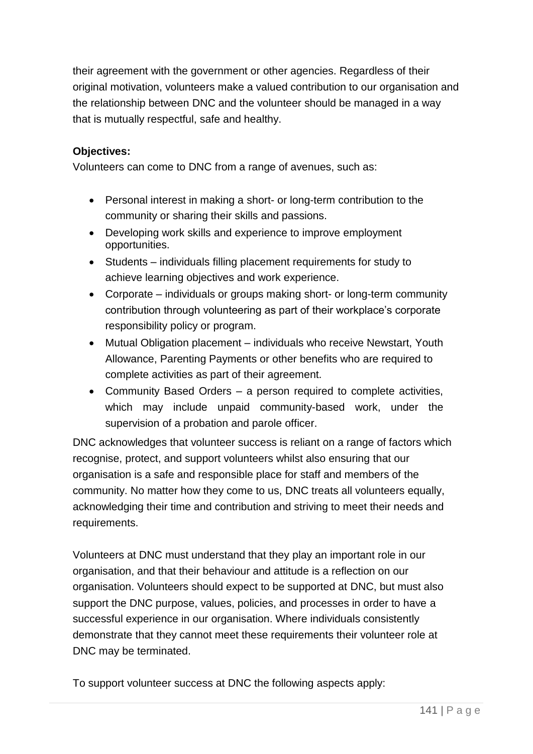their agreement with the government or other agencies. Regardless of their original motivation, volunteers make a valued contribution to our organisation and the relationship between DNC and the volunteer should be managed in a way that is mutually respectful, safe and healthy.

### **Objectives:**

Volunteers can come to DNC from a range of avenues, such as:

- Personal interest in making a short- or long-term contribution to the community or sharing their skills and passions.
- Developing work skills and experience to improve employment opportunities.
- Students individuals filling placement requirements for study to achieve learning objectives and work experience.
- Corporate individuals or groups making short- or long-term community contribution through volunteering as part of their workplace's corporate responsibility policy or program.
- Mutual Obligation placement individuals who receive Newstart, Youth Allowance, Parenting Payments or other benefits who are required to complete activities as part of their agreement.
- Community Based Orders a person required to complete activities, which may include unpaid community-based work, under the supervision of a probation and parole officer.

DNC acknowledges that volunteer success is reliant on a range of factors which recognise, protect, and support volunteers whilst also ensuring that our organisation is a safe and responsible place for staff and members of the community. No matter how they come to us, DNC treats all volunteers equally, acknowledging their time and contribution and striving to meet their needs and requirements.

Volunteers at DNC must understand that they play an important role in our organisation, and that their behaviour and attitude is a reflection on our organisation. Volunteers should expect to be supported at DNC, but must also support the DNC purpose, values, policies, and processes in order to have a successful experience in our organisation. Where individuals consistently demonstrate that they cannot meet these requirements their volunteer role at DNC may be terminated.

To support volunteer success at DNC the following aspects apply: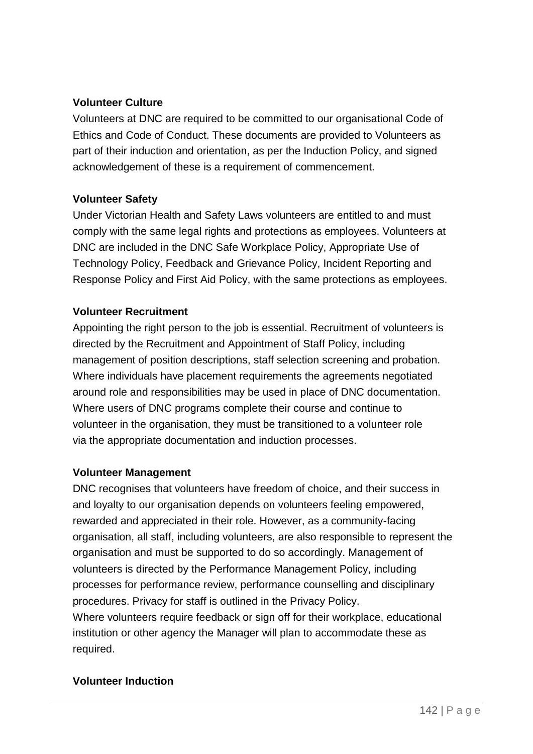### **Volunteer Culture**

Volunteers at DNC are required to be committed to our organisational Code of Ethics and Code of Conduct. These documents are provided to Volunteers as part of their induction and orientation, as per the Induction Policy, and signed acknowledgement of these is a requirement of commencement.

### **Volunteer Safety**

Under Victorian Health and Safety Laws volunteers are entitled to and must comply with the same legal rights and protections as employees. Volunteers at DNC are included in the DNC Safe Workplace Policy, Appropriate Use of Technology Policy, Feedback and Grievance Policy, Incident Reporting and Response Policy and First Aid Policy, with the same protections as employees.

### **Volunteer Recruitment**

Appointing the right person to the job is essential. Recruitment of volunteers is directed by the Recruitment and Appointment of Staff Policy, including management of position descriptions, staff selection screening and probation. Where individuals have placement requirements the agreements negotiated around role and responsibilities may be used in place of DNC documentation. Where users of DNC programs complete their course and continue to volunteer in the organisation, they must be transitioned to a volunteer role via the appropriate documentation and induction processes.

### **Volunteer Management**

DNC recognises that volunteers have freedom of choice, and their success in and loyalty to our organisation depends on volunteers feeling empowered, rewarded and appreciated in their role. However, as a community-facing organisation, all staff, including volunteers, are also responsible to represent the organisation and must be supported to do so accordingly. Management of volunteers is directed by the Performance Management Policy, including processes for performance review, performance counselling and disciplinary procedures. Privacy for staff is outlined in the Privacy Policy. Where volunteers require feedback or sign off for their workplace, educational institution or other agency the Manager will plan to accommodate these as required.

### **Volunteer Induction**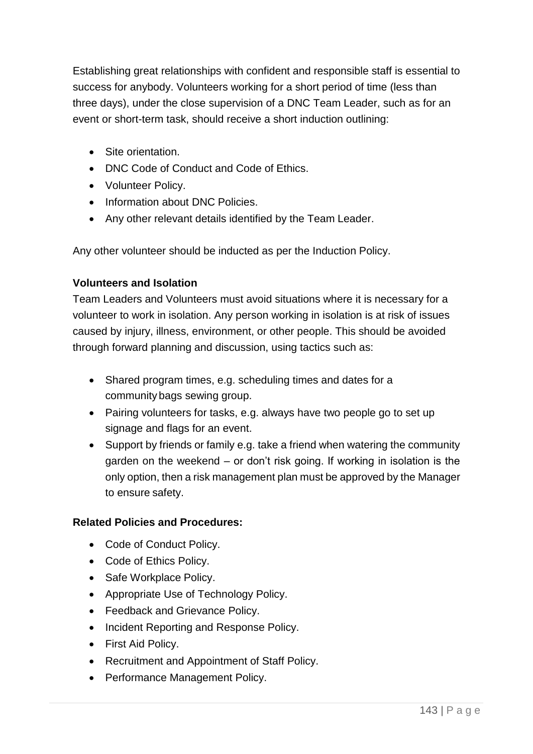Establishing great relationships with confident and responsible staff is essential to success for anybody. Volunteers working for a short period of time (less than three days), under the close supervision of a DNC Team Leader, such as for an event or short-term task, should receive a short induction outlining:

- Site orientation.
- DNC Code of Conduct and Code of Ethics.
- Volunteer Policy.
- Information about DNC Policies.
- Any other relevant details identified by the Team Leader.

Any other volunteer should be inducted as per the Induction Policy.

### **Volunteers and Isolation**

Team Leaders and Volunteers must avoid situations where it is necessary for a volunteer to work in isolation. Any person working in isolation is at risk of issues caused by injury, illness, environment, or other people. This should be avoided through forward planning and discussion, using tactics such as:

- Shared program times, e.g. scheduling times and dates for a community bags sewing group.
- Pairing volunteers for tasks, e.g. always have two people go to set up signage and flags for an event.
- Support by friends or family e.g. take a friend when watering the community garden on the weekend – or don't risk going. If working in isolation is the only option, then a risk management plan must be approved by the Manager to ensure safety.

### **Related Policies and Procedures:**

- Code of Conduct Policy.
- Code of Ethics Policy.
- Safe Workplace Policy.
- Appropriate Use of Technology Policy.
- Feedback and Grievance Policy.
- Incident Reporting and Response Policy.
- First Aid Policy.
- Recruitment and Appointment of Staff Policy.
- Performance Management Policy.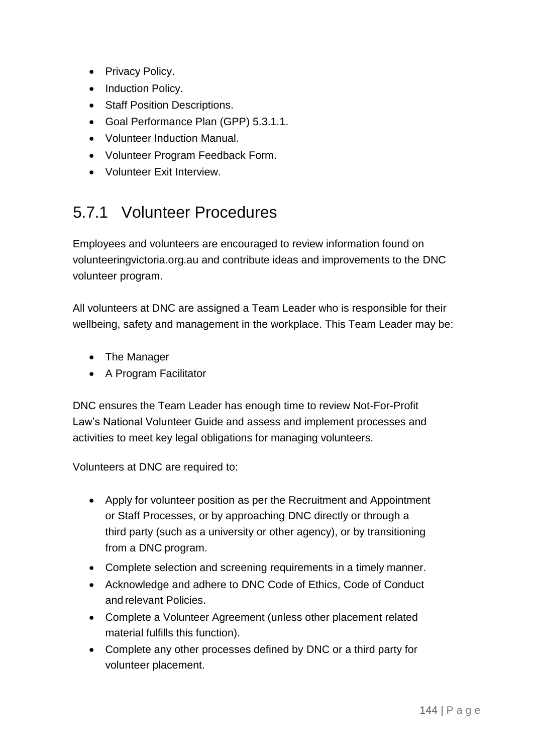- Privacy Policy.
- Induction Policy.
- Staff Position Descriptions.
- Goal Performance Plan (GPP) 5.3.1.1.
- Volunteer Induction Manual.
- Volunteer Program Feedback Form.
- Volunteer Exit Interview.

### 5.7.1 Volunteer Procedures

Employees and volunteers are encouraged to review information found on volunteeringvictoria.org.au and contribute ideas and improvements to the DNC volunteer program.

All volunteers at DNC are assigned a Team Leader who is responsible for their wellbeing, safety and management in the workplace. This Team Leader may be:

- The Manager
- A Program Facilitator

DNC ensures the Team Leader has enough time to review Not-For-Profit Law's National Volunteer Guide and assess and implement processes and activities to meet key legal obligations for managing volunteers.

Volunteers at DNC are required to:

- Apply for volunteer position as per the Recruitment and Appointment or Staff Processes, or by approaching DNC directly or through a third party (such as a university or other agency), or by transitioning from a DNC program.
- Complete selection and screening requirements in a timely manner.
- Acknowledge and adhere to DNC Code of Ethics, Code of Conduct and relevant Policies.
- Complete a Volunteer Agreement (unless other placement related material fulfills this function).
- Complete any other processes defined by DNC or a third party for volunteer placement.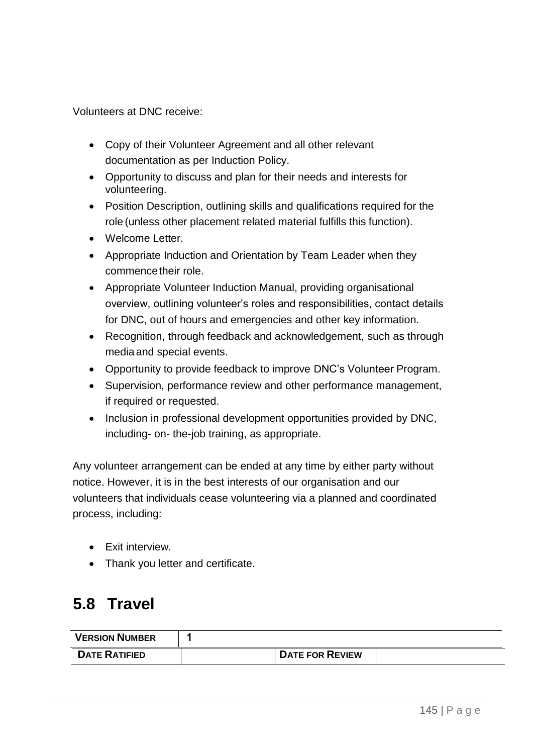Volunteers at DNC receive:

- Copy of their Volunteer Agreement and all other relevant documentation as per Induction Policy.
- Opportunity to discuss and plan for their needs and interests for volunteering.
- Position Description, outlining skills and qualifications required for the role (unless other placement related material fulfills this function).
- Welcome Letter.
- Appropriate Induction and Orientation by Team Leader when they commence their role.
- Appropriate Volunteer Induction Manual, providing organisational overview, outlining volunteer's roles and responsibilities, contact details for DNC, out of hours and emergencies and other key information.
- Recognition, through feedback and acknowledgement, such as through media and special events.
- Opportunity to provide feedback to improve DNC's Volunteer Program.
- Supervision, performance review and other performance management, if required or requested.
- Inclusion in professional development opportunities provided by DNC, including- on- the-job training, as appropriate.

Any volunteer arrangement can be ended at any time by either party without notice. However, it is in the best interests of our organisation and our volunteers that individuals cease volunteering via a planned and coordinated process, including:

- Exit interview.
- Thank you letter and certificate.

## **5.8 Travel**

| <b>VERSION NUMBER</b> |                        |  |
|-----------------------|------------------------|--|
| <b>DATE RATIFIED</b>  | <b>DATE FOR REVIEW</b> |  |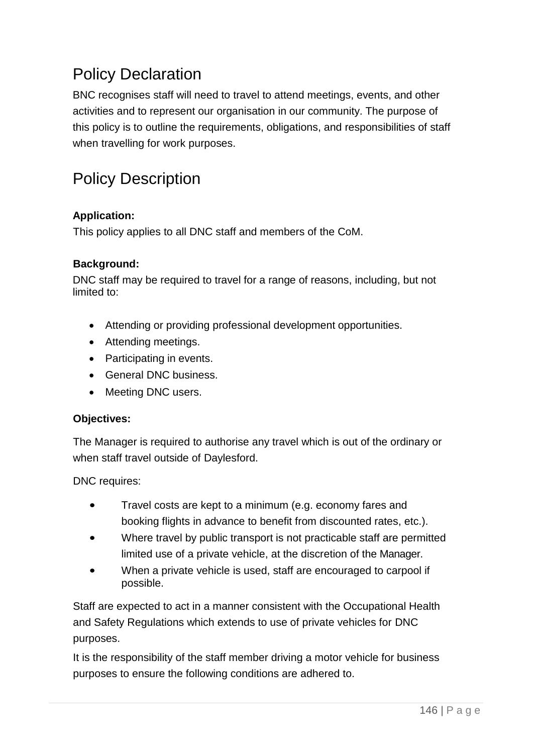## Policy Declaration

BNC recognises staff will need to travel to attend meetings, events, and other activities and to represent our organisation in our community. The purpose of this policy is to outline the requirements, obligations, and responsibilities of staff when travelling for work purposes.

## Policy Description

### **Application:**

This policy applies to all DNC staff and members of the CoM.

#### **Background:**

DNC staff may be required to travel for a range of reasons, including, but not limited to:

- Attending or providing professional development opportunities.
- Attending meetings.
- Participating in events.
- General DNC business.
- Meeting DNC users.

#### **Objectives:**

The Manager is required to authorise any travel which is out of the ordinary or when staff travel outside of Daylesford.

DNC requires:

- Travel costs are kept to a minimum (e.g. economy fares and booking flights in advance to benefit from discounted rates, etc.).
- Where travel by public transport is not practicable staff are permitted limited use of a private vehicle, at the discretion of the Manager.
- When a private vehicle is used, staff are encouraged to carpool if possible.

Staff are expected to act in a manner consistent with the Occupational Health and Safety Regulations which extends to use of private vehicles for DNC purposes.

It is the responsibility of the staff member driving a motor vehicle for business purposes to ensure the following conditions are adhered to.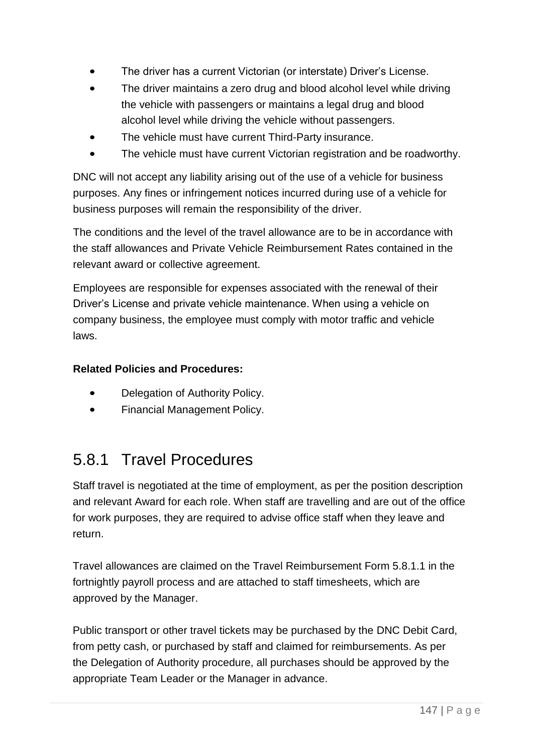- The driver has a current Victorian (or interstate) Driver's License.
- The driver maintains a zero drug and blood alcohol level while driving the vehicle with passengers or maintains a legal drug and blood alcohol level while driving the vehicle without passengers.
- The vehicle must have current Third-Party insurance.
- The vehicle must have current Victorian registration and be roadworthy.

DNC will not accept any liability arising out of the use of a vehicle for business purposes. Any fines or infringement notices incurred during use of a vehicle for business purposes will remain the responsibility of the driver.

The conditions and the level of the travel allowance are to be in accordance with the staff allowances and Private Vehicle Reimbursement Rates contained in the relevant award or collective agreement.

Employees are responsible for expenses associated with the renewal of their Driver's License and private vehicle maintenance. When using a vehicle on company business, the employee must comply with motor traffic and vehicle laws.

### **Related Policies and Procedures:**

- Delegation of Authority Policy.
- Financial Management Policy.

## 5.8.1 Travel Procedures

Staff travel is negotiated at the time of employment, as per the position description and relevant Award for each role. When staff are travelling and are out of the office for work purposes, they are required to advise office staff when they leave and return.

Travel allowances are claimed on the Travel Reimbursement Form 5.8.1.1 in the fortnightly payroll process and are attached to staff timesheets, which are approved by the Manager.

Public transport or other travel tickets may be purchased by the DNC Debit Card, from petty cash, or purchased by staff and claimed for reimbursements. As per the Delegation of Authority procedure, all purchases should be approved by the appropriate Team Leader or the Manager in advance.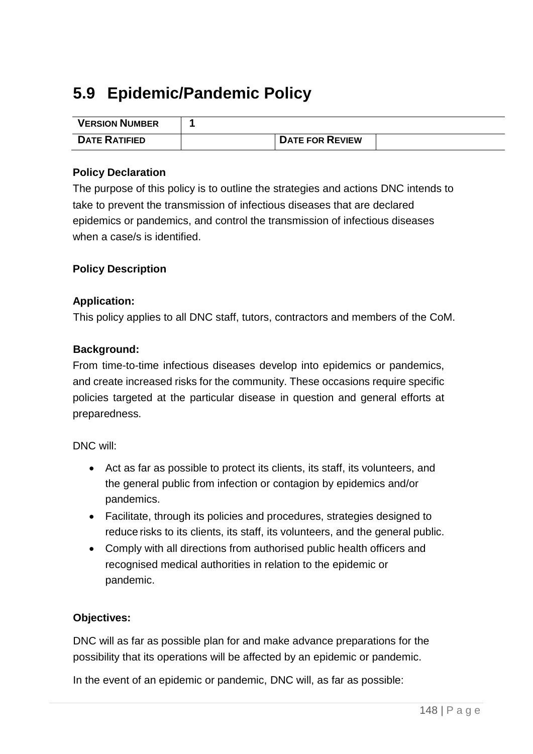# **5.9 Epidemic/Pandemic Policy**

| <b>VERSION NUMBER</b> |                        |  |
|-----------------------|------------------------|--|
| <b>DATE RATIFIED</b>  | <b>DATE FOR REVIEW</b> |  |

#### **Policy Declaration**

The purpose of this policy is to outline the strategies and actions DNC intends to take to prevent the transmission of infectious diseases that are declared epidemics or pandemics, and control the transmission of infectious diseases when a case/s is identified.

#### **Policy Description**

#### **Application:**

This policy applies to all DNC staff, tutors, contractors and members of the CoM.

#### **Background:**

From time-to-time infectious diseases develop into epidemics or pandemics, and create increased risks for the community. These occasions require specific policies targeted at the particular disease in question and general efforts at preparedness.

DNC will:

- Act as far as possible to protect its clients, its staff, its volunteers, and the general public from infection or contagion by epidemics and/or pandemics.
- Facilitate, through its policies and procedures, strategies designed to reduce risks to its clients, its staff, its volunteers, and the general public.
- Comply with all directions from authorised public health officers and recognised medical authorities in relation to the epidemic or pandemic.

#### **Objectives:**

DNC will as far as possible plan for and make advance preparations for the possibility that its operations will be affected by an epidemic or pandemic.

In the event of an epidemic or pandemic, DNC will, as far as possible: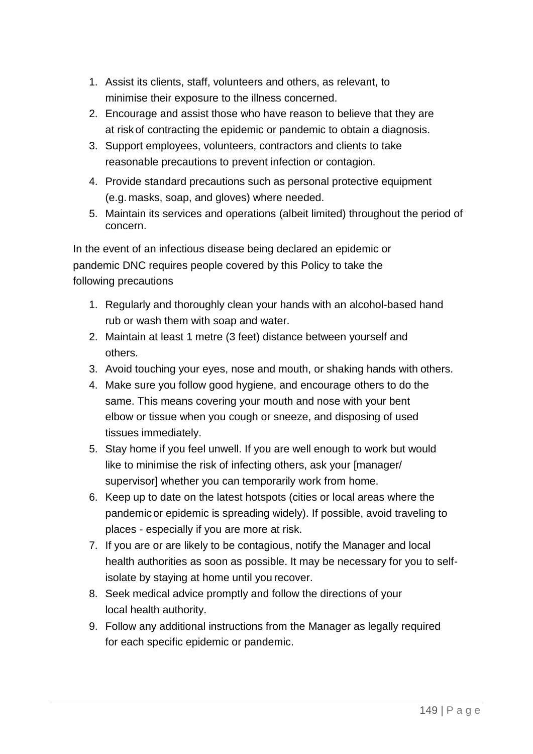- 1. Assist its clients, staff, volunteers and others, as relevant, to minimise their exposure to the illness concerned.
- 2. Encourage and assist those who have reason to believe that they are at risk of contracting the epidemic or pandemic to obtain a diagnosis.
- 3. Support employees, volunteers, contractors and clients to take reasonable precautions to prevent infection or contagion.
- 4. Provide standard precautions such as personal protective equipment (e.g. masks, soap, and gloves) where needed.
- 5. Maintain its services and operations (albeit limited) throughout the period of concern.

In the event of an infectious disease being declared an epidemic or pandemic DNC requires people covered by this Policy to take the following precautions

- 1. Regularly and thoroughly clean your hands with an alcohol-based hand rub or wash them with soap and water.
- 2. Maintain at least 1 metre (3 feet) distance between yourself and others.
- 3. Avoid touching your eyes, nose and mouth, or shaking hands with others.
- 4. Make sure you follow good hygiene, and encourage others to do the same. This means covering your mouth and nose with your bent elbow or tissue when you cough or sneeze, and disposing of used tissues immediately.
- 5. Stay home if you feel unwell. If you are well enough to work but would like to minimise the risk of infecting others, ask your [manager/ supervisor] whether you can temporarily work from home.
- 6. Keep up to date on the latest hotspots (cities or local areas where the pandemicor epidemic is spreading widely). If possible, avoid traveling to places - especially if you are more at risk.
- 7. If you are or are likely to be contagious, notify the Manager and local health authorities as soon as possible. It may be necessary for you to selfisolate by staying at home until you recover.
- 8. Seek medical advice promptly and follow the directions of your local health authority.
- 9. Follow any additional instructions from the Manager as legally required for each specific epidemic or pandemic.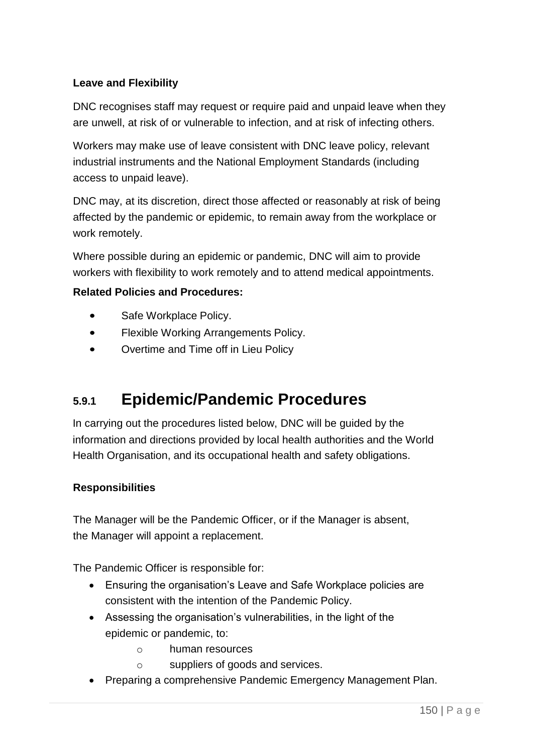### **Leave and Flexibility**

DNC recognises staff may request or require paid and unpaid leave when they are unwell, at risk of or vulnerable to infection, and at risk of infecting others.

Workers may make use of leave consistent with DNC leave policy, relevant industrial instruments and the National Employment Standards (including access to unpaid leave).

DNC may, at its discretion, direct those affected or reasonably at risk of being affected by the pandemic or epidemic, to remain away from the workplace or work remotely.

Where possible during an epidemic or pandemic, DNC will aim to provide workers with flexibility to work remotely and to attend medical appointments.

#### **Related Policies and Procedures:**

- Safe Workplace Policy.
- Flexible Working Arrangements Policy.
- Overtime and Time off in Lieu Policy

## **5.9.1 Epidemic/Pandemic Procedures**

In carrying out the procedures listed below, DNC will be guided by the information and directions provided by local health authorities and the World Health Organisation, and its occupational health and safety obligations.

#### **Responsibilities**

The Manager will be the Pandemic Officer, or if the Manager is absent, the Manager will appoint a replacement.

The Pandemic Officer is responsible for:

- Ensuring the organisation's Leave and Safe Workplace policies are consistent with the intention of the Pandemic Policy.
- Assessing the organisation's vulnerabilities, in the light of the epidemic or pandemic, to:
	- o human resources
	- o suppliers of goods and services.
- Preparing a comprehensive Pandemic Emergency Management Plan.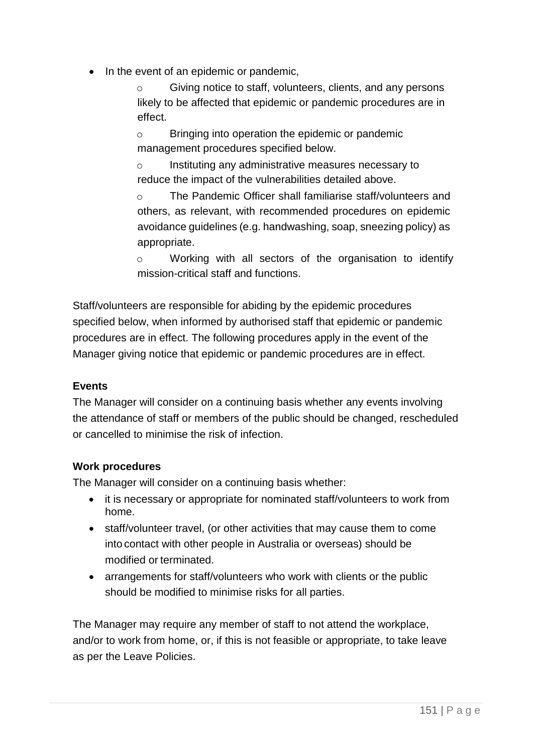In the event of an epidemic or pandemic,

Giving notice to staff, volunteers, clients, and any persons likely to be affected that epidemic or pandemic procedures are in effect.

o Bringing into operation the epidemic or pandemic management procedures specified below.

o Instituting any administrative measures necessary to reduce the impact of the vulnerabilities detailed above.

o The Pandemic Officer shall familiarise staff/volunteers and others, as relevant, with recommended procedures on epidemic avoidance guidelines (e.g. handwashing, soap, sneezing policy) as appropriate.

o Working with all sectors of the organisation to identify mission-critical staff and functions.

Staff/volunteers are responsible for abiding by the epidemic procedures specified below, when informed by authorised staff that epidemic or pandemic procedures are in effect. The following procedures apply in the event of the Manager giving notice that epidemic or pandemic procedures are in effect.

### **Events**

The Manager will consider on a continuing basis whether any events involving the attendance of staff or members of the public should be changed, rescheduled or cancelled to minimise the risk of infection.

#### **Work procedures**

The Manager will consider on a continuing basis whether:

- it is necessary or appropriate for nominated staff/volunteers to work from home.
- staff/volunteer travel, (or other activities that may cause them to come into contact with other people in Australia or overseas) should be modified or terminated.
- arrangements for staff/volunteers who work with clients or the public should be modified to minimise risks for all parties.

The Manager may require any member of staff to not attend the workplace, and/or to work from home, or, if this is not feasible or appropriate, to take leave as per the Leave Policies.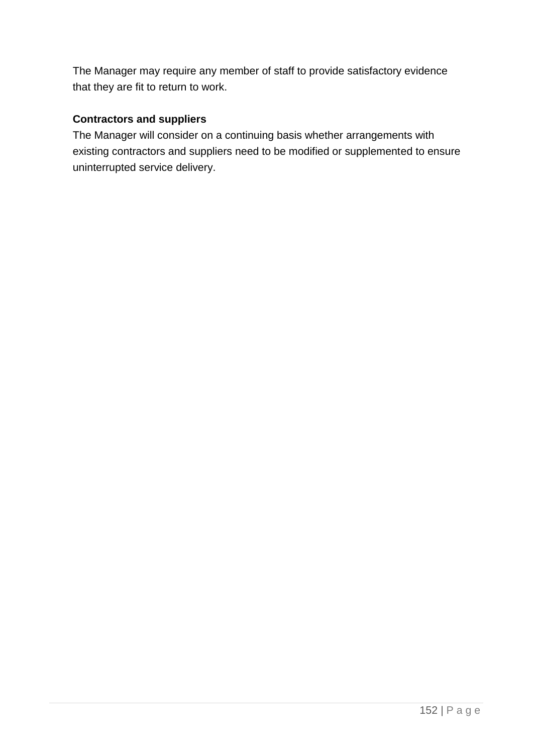The Manager may require any member of staff to provide satisfactory evidence that they are fit to return to work.

### **Contractors and suppliers**

The Manager will consider on a continuing basis whether arrangements with existing contractors and suppliers need to be modified or supplemented to ensure uninterrupted service delivery.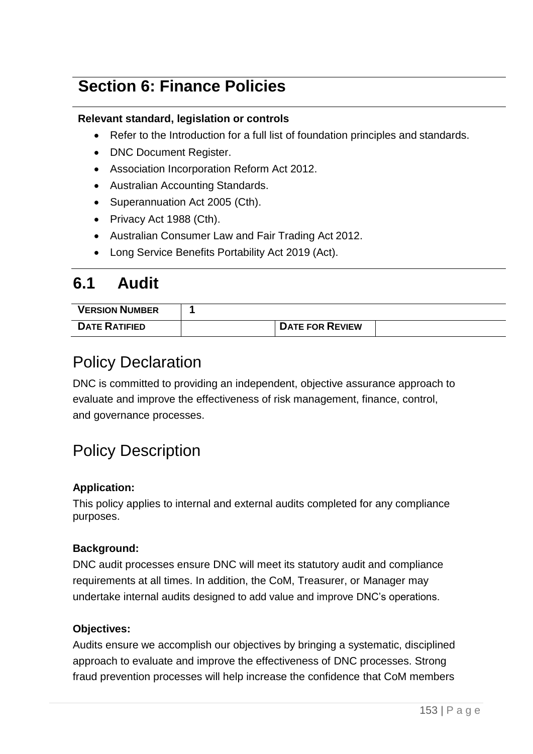## **Section 6: Finance Policies**

#### **Relevant standard, legislation or controls**

- Refer to the Introduction for a full list of foundation principles and standards.
- DNC Document Register.
- Association Incorporation Reform Act 2012.
- Australian Accounting Standards.
- Superannuation Act 2005 (Cth).
- Privacy Act 1988 (Cth).
- Australian Consumer Law and Fair Trading Act 2012.
- Long Service Benefits Portability Act 2019 (Act).

## **6.1 Audit**

| <b>VERSION NUMBER</b> |                        |  |
|-----------------------|------------------------|--|
| <b>DATE RATIFIED</b>  | <b>DATE FOR REVIEW</b> |  |

## Policy Declaration

DNC is committed to providing an independent, objective assurance approach to evaluate and improve the effectiveness of risk management, finance, control, and governance processes.

## Policy Description

#### **Application:**

This policy applies to internal and external audits completed for any compliance purposes.

#### **Background:**

DNC audit processes ensure DNC will meet its statutory audit and compliance requirements at all times. In addition, the CoM, Treasurer, or Manager may undertake internal audits designed to add value and improve DNC's operations.

#### **Objectives:**

Audits ensure we accomplish our objectives by bringing a systematic, disciplined approach to evaluate and improve the effectiveness of DNC processes. Strong fraud prevention processes will help increase the confidence that CoM members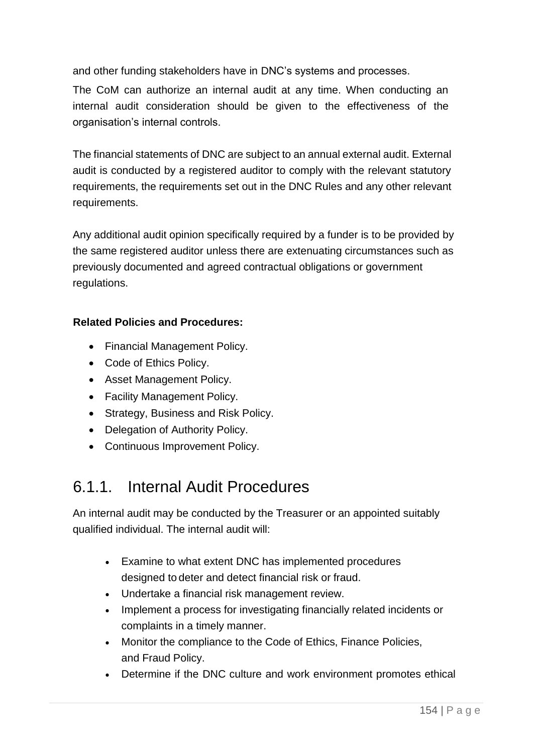and other funding stakeholders have in DNC's systems and processes.

The CoM can authorize an internal audit at any time. When conducting an internal audit consideration should be given to the effectiveness of the organisation's internal controls.

The financial statements of DNC are subject to an annual external audit. External audit is conducted by a registered auditor to comply with the relevant statutory requirements, the requirements set out in the DNC Rules and any other relevant requirements.

Any additional audit opinion specifically required by a funder is to be provided by the same registered auditor unless there are extenuating circumstances such as previously documented and agreed contractual obligations or government regulations.

#### **Related Policies and Procedures:**

- Financial Management Policy.
- Code of Ethics Policy.
- Asset Management Policy.
- Facility Management Policy.
- Strategy, Business and Risk Policy.
- Delegation of Authority Policy.
- Continuous Improvement Policy.

## 6.1.1. Internal Audit Procedures

An internal audit may be conducted by the Treasurer or an appointed suitably qualified individual. The internal audit will:

- Examine to what extent DNC has implemented procedures designed to deter and detect financial risk or fraud.
- Undertake a financial risk management review.
- Implement a process for investigating financially related incidents or complaints in a timely manner.
- Monitor the compliance to the Code of Ethics, Finance Policies, and Fraud Policy.
- Determine if the DNC culture and work environment promotes ethical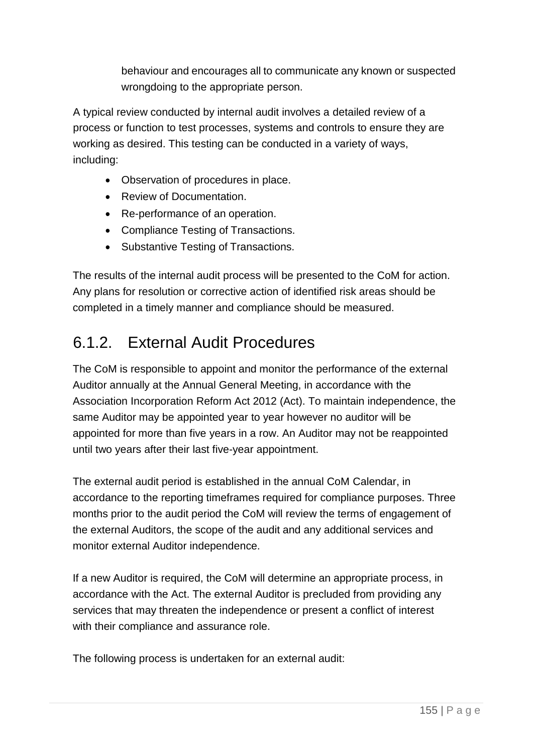behaviour and encourages all to communicate any known or suspected wrongdoing to the appropriate person.

A typical review conducted by internal audit involves a detailed review of a process or function to test processes, systems and controls to ensure they are working as desired. This testing can be conducted in a variety of ways, including:

- Observation of procedures in place.
- Review of Documentation.
- Re-performance of an operation.
- Compliance Testing of Transactions.
- Substantive Testing of Transactions.

The results of the internal audit process will be presented to the CoM for action. Any plans for resolution or corrective action of identified risk areas should be completed in a timely manner and compliance should be measured.

# 6.1.2. External Audit Procedures

The CoM is responsible to appoint and monitor the performance of the external Auditor annually at the Annual General Meeting, in accordance with the Association Incorporation Reform Act 2012 (Act). To maintain independence, the same Auditor may be appointed year to year however no auditor will be appointed for more than five years in a row. An Auditor may not be reappointed until two years after their last five-year appointment.

The external audit period is established in the annual CoM Calendar, in accordance to the reporting timeframes required for compliance purposes. Three months prior to the audit period the CoM will review the terms of engagement of the external Auditors, the scope of the audit and any additional services and monitor external Auditor independence.

If a new Auditor is required, the CoM will determine an appropriate process, in accordance with the Act. The external Auditor is precluded from providing any services that may threaten the independence or present a conflict of interest with their compliance and assurance role.

The following process is undertaken for an external audit: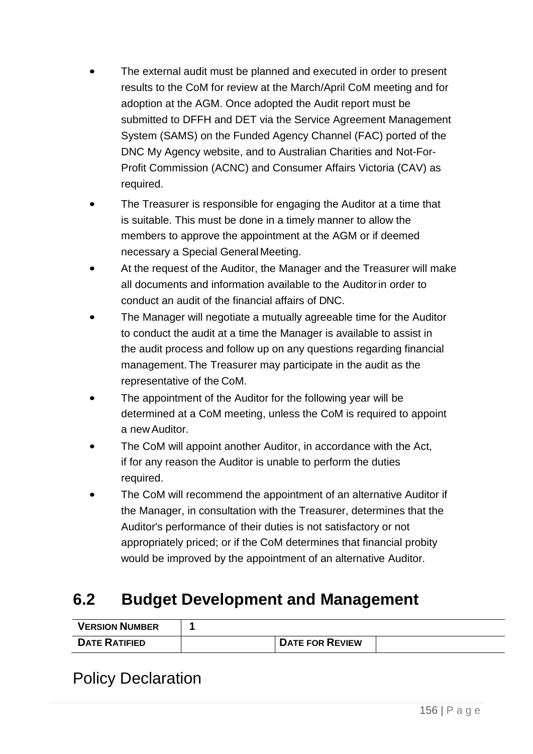- The external audit must be planned and executed in order to present results to the CoM for review at the March/April CoM meeting and for adoption at the AGM. Once adopted the Audit report must be submitted to DFFH and DET via the Service Agreement Management System (SAMS) on the Funded Agency Channel (FAC) ported of the DNC My Agency website, and to Australian Charities and Not-For-Profit Commission (ACNC) and Consumer Affairs Victoria (CAV) as required.
- The Treasurer is responsible for engaging the Auditor at a time that is suitable. This must be done in a timely manner to allow the members to approve the appointment at the AGM or if deemed necessary a Special General Meeting.
- At the request of the Auditor, the Manager and the Treasurer will make all documents and information available to the Auditorin order to conduct an audit of the financial affairs of DNC.
- The Manager will negotiate a mutually agreeable time for the Auditor to conduct the audit at a time the Manager is available to assist in the audit process and follow up on any questions regarding financial management. The Treasurer may participate in the audit as the representative of the CoM.
- The appointment of the Auditor for the following year will be determined at a CoM meeting, unless the CoM is required to appoint a new Auditor.
- The CoM will appoint another Auditor, in accordance with the Act, if for any reason the Auditor is unable to perform the duties required.
- The CoM will recommend the appointment of an alternative Auditor if the Manager, in consultation with the Treasurer, determines that the Auditor's performance of their duties is not satisfactory or not appropriately priced; or if the CoM determines that financial probity would be improved by the appointment of an alternative Auditor.

## **6.2 Budget Development and Management**

| <b>VERSION NUMBER</b> |                        |  |
|-----------------------|------------------------|--|
| <b>DATE RATIFIED</b>  | <b>DATE FOR REVIEW</b> |  |

## Policy Declaration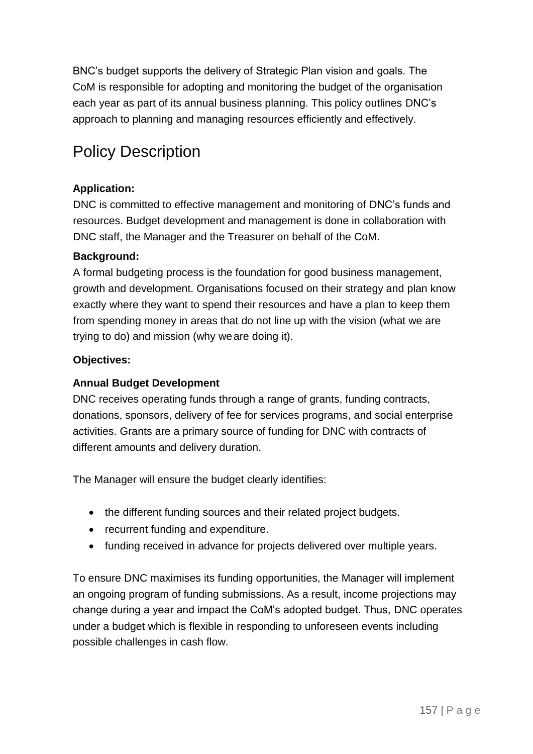BNC's budget supports the delivery of Strategic Plan vision and goals. The CoM is responsible for adopting and monitoring the budget of the organisation each year as part of its annual business planning. This policy outlines DNC's approach to planning and managing resources efficiently and effectively.

# Policy Description

### **Application:**

DNC is committed to effective management and monitoring of DNC's funds and resources. Budget development and management is done in collaboration with DNC staff, the Manager and the Treasurer on behalf of the CoM.

### **Background:**

A formal budgeting process is the foundation for good business management, growth and development. Organisations focused on their strategy and plan know exactly where they want to spend their resources and have a plan to keep them from spending money in areas that do not line up with the vision (what we are trying to do) and mission (why weare doing it).

### **Objectives:**

### **Annual Budget Development**

DNC receives operating funds through a range of grants, funding contracts, donations, sponsors, delivery of fee for services programs, and social enterprise activities. Grants are a primary source of funding for DNC with contracts of different amounts and delivery duration.

The Manager will ensure the budget clearly identifies:

- the different funding sources and their related project budgets.
- recurrent funding and expenditure.
- funding received in advance for projects delivered over multiple years.

To ensure DNC maximises its funding opportunities, the Manager will implement an ongoing program of funding submissions. As a result, income projections may change during a year and impact the CoM's adopted budget. Thus, DNC operates under a budget which is flexible in responding to unforeseen events including possible challenges in cash flow.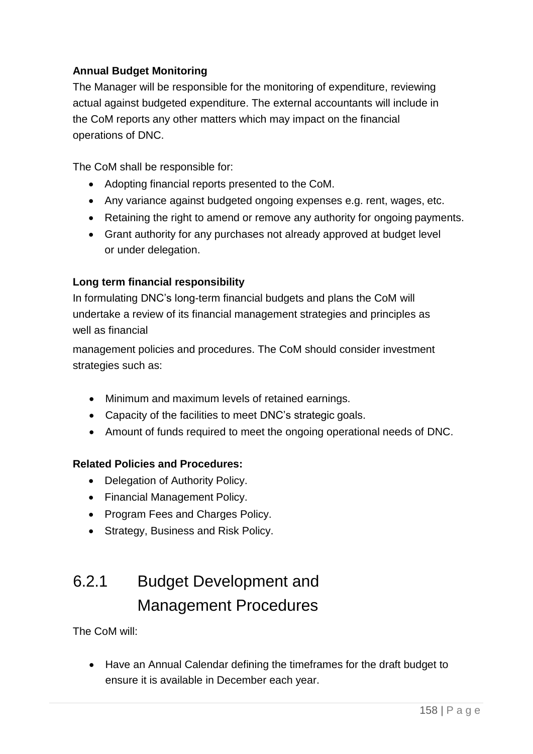### **Annual Budget Monitoring**

The Manager will be responsible for the monitoring of expenditure, reviewing actual against budgeted expenditure. The external accountants will include in the CoM reports any other matters which may impact on the financial operations of DNC.

The CoM shall be responsible for:

- Adopting financial reports presented to the CoM.
- Any variance against budgeted ongoing expenses e.g. rent, wages, etc.
- Retaining the right to amend or remove any authority for ongoing payments.
- Grant authority for any purchases not already approved at budget level or under delegation.

### **Long term financial responsibility**

In formulating DNC's long-term financial budgets and plans the CoM will undertake a review of its financial management strategies and principles as well as financial

management policies and procedures. The CoM should consider investment strategies such as:

- Minimum and maximum levels of retained earnings.
- Capacity of the facilities to meet DNC's strategic goals.
- Amount of funds required to meet the ongoing operational needs of DNC.

#### **Related Policies and Procedures:**

- Delegation of Authority Policy.
- Financial Management Policy.
- Program Fees and Charges Policy.
- Strategy, Business and Risk Policy.

# 6.2.1 Budget Development and Management Procedures

The CoM will:

• Have an Annual Calendar defining the timeframes for the draft budget to ensure it is available in December each year.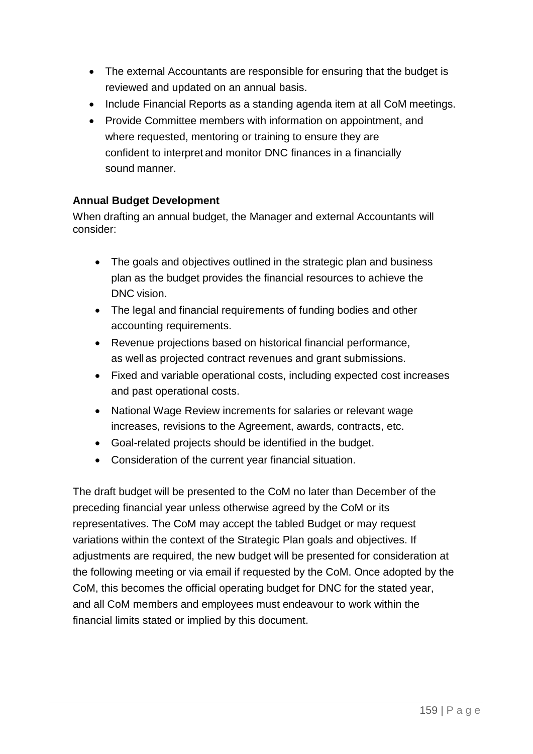- The external Accountants are responsible for ensuring that the budget is reviewed and updated on an annual basis.
- Include Financial Reports as a standing agenda item at all CoM meetings.
- Provide Committee members with information on appointment, and where requested, mentoring or training to ensure they are confident to interpret and monitor DNC finances in a financially sound manner.

### **Annual Budget Development**

When drafting an annual budget, the Manager and external Accountants will consider:

- The goals and objectives outlined in the strategic plan and business plan as the budget provides the financial resources to achieve the DNC vision.
- The legal and financial requirements of funding bodies and other accounting requirements.
- Revenue projections based on historical financial performance, as well as projected contract revenues and grant submissions.
- Fixed and variable operational costs, including expected cost increases and past operational costs.
- National Wage Review increments for salaries or relevant wage increases, revisions to the Agreement, awards, contracts, etc.
- Goal-related projects should be identified in the budget.
- Consideration of the current year financial situation.

The draft budget will be presented to the CoM no later than December of the preceding financial year unless otherwise agreed by the CoM or its representatives. The CoM may accept the tabled Budget or may request variations within the context of the Strategic Plan goals and objectives. If adjustments are required, the new budget will be presented for consideration at the following meeting or via email if requested by the CoM. Once adopted by the CoM, this becomes the official operating budget for DNC for the stated year, and all CoM members and employees must endeavour to work within the financial limits stated or implied by this document.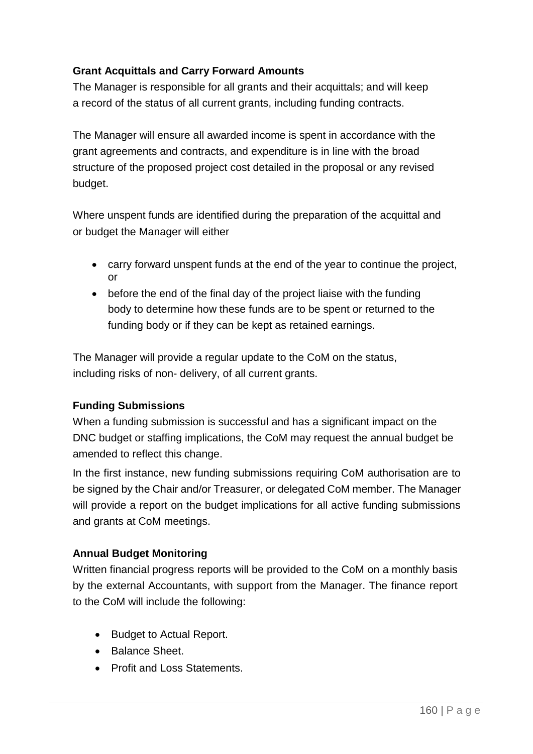### **Grant Acquittals and Carry Forward Amounts**

The Manager is responsible for all grants and their acquittals; and will keep a record of the status of all current grants, including funding contracts.

The Manager will ensure all awarded income is spent in accordance with the grant agreements and contracts, and expenditure is in line with the broad structure of the proposed project cost detailed in the proposal or any revised budget.

Where unspent funds are identified during the preparation of the acquittal and or budget the Manager will either

- carry forward unspent funds at the end of the year to continue the project, or
- before the end of the final day of the project liaise with the funding body to determine how these funds are to be spent or returned to the funding body or if they can be kept as retained earnings.

The Manager will provide a regular update to the CoM on the status, including risks of non- delivery, of all current grants.

#### **Funding Submissions**

When a funding submission is successful and has a significant impact on the DNC budget or staffing implications, the CoM may request the annual budget be amended to reflect this change.

In the first instance, new funding submissions requiring CoM authorisation are to be signed by the Chair and/or Treasurer, or delegated CoM member. The Manager will provide a report on the budget implications for all active funding submissions and grants at CoM meetings.

#### **Annual Budget Monitoring**

Written financial progress reports will be provided to the CoM on a monthly basis by the external Accountants, with support from the Manager. The finance report to the CoM will include the following:

- Budget to Actual Report.
- Balance Sheet.
- Profit and Loss Statements.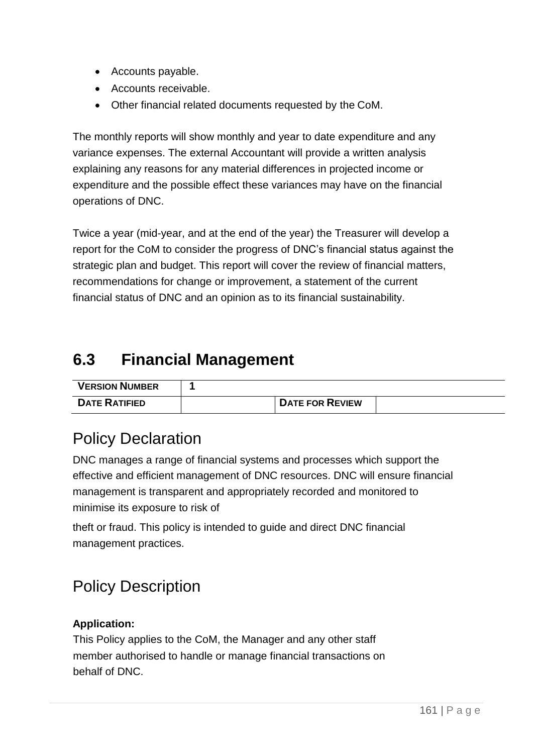- Accounts payable.
- Accounts receivable.
- Other financial related documents requested by the CoM.

The monthly reports will show monthly and year to date expenditure and any variance expenses. The external Accountant will provide a written analysis explaining any reasons for any material differences in projected income or expenditure and the possible effect these variances may have on the financial operations of DNC.

Twice a year (mid-year, and at the end of the year) the Treasurer will develop a report for the CoM to consider the progress of DNC's financial status against the strategic plan and budget. This report will cover the review of financial matters, recommendations for change or improvement, a statement of the current financial status of DNC and an opinion as to its financial sustainability.

## **6.3 Financial Management**

| <b>VERSION NUMBER</b> |                        |  |
|-----------------------|------------------------|--|
| <b>DATE RATIFIED</b>  | <b>DATE FOR REVIEW</b> |  |

## Policy Declaration

DNC manages a range of financial systems and processes which support the effective and efficient management of DNC resources. DNC will ensure financial management is transparent and appropriately recorded and monitored to minimise its exposure to risk of

theft or fraud. This policy is intended to guide and direct DNC financial management practices.

## Policy Description

### **Application:**

This Policy applies to the CoM, the Manager and any other staff member authorised to handle or manage financial transactions on behalf of DNC.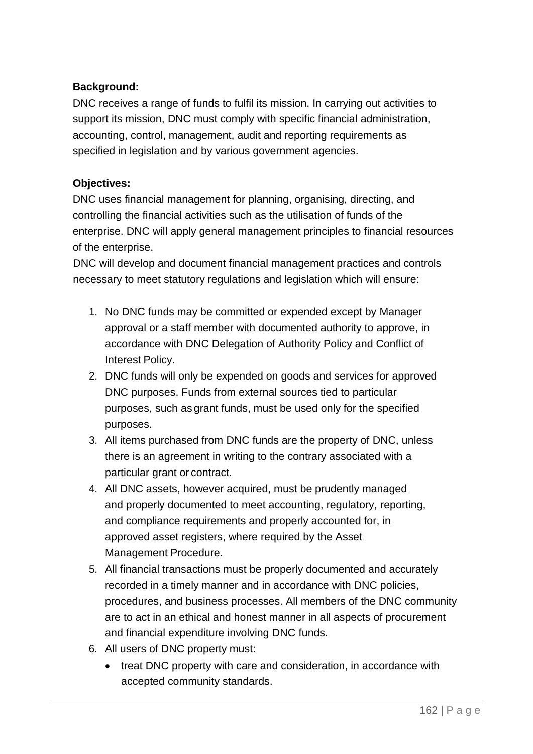### **Background:**

DNC receives a range of funds to fulfil its mission. In carrying out activities to support its mission, DNC must comply with specific financial administration, accounting, control, management, audit and reporting requirements as specified in legislation and by various government agencies.

#### **Objectives:**

DNC uses financial management for planning, organising, directing, and controlling the financial activities such as the utilisation of funds of the enterprise. DNC will apply general management principles to financial resources of the enterprise.

DNC will develop and document financial management practices and controls necessary to meet statutory regulations and legislation which will ensure:

- 1. No DNC funds may be committed or expended except by Manager approval or a staff member with documented authority to approve, in accordance with DNC Delegation of Authority Policy and Conflict of Interest Policy.
- 2. DNC funds will only be expended on goods and services for approved DNC purposes. Funds from external sources tied to particular purposes, such as grant funds, must be used only for the specified purposes.
- 3. All items purchased from DNC funds are the property of DNC, unless there is an agreement in writing to the contrary associated with a particular grant or contract.
- 4. All DNC assets, however acquired, must be prudently managed and properly documented to meet accounting, regulatory, reporting, and compliance requirements and properly accounted for, in approved asset registers, where required by the Asset Management Procedure.
- 5. All financial transactions must be properly documented and accurately recorded in a timely manner and in accordance with DNC policies, procedures, and business processes. All members of the DNC community are to act in an ethical and honest manner in all aspects of procurement and financial expenditure involving DNC funds.
- 6. All users of DNC property must:
	- treat DNC property with care and consideration, in accordance with accepted community standards.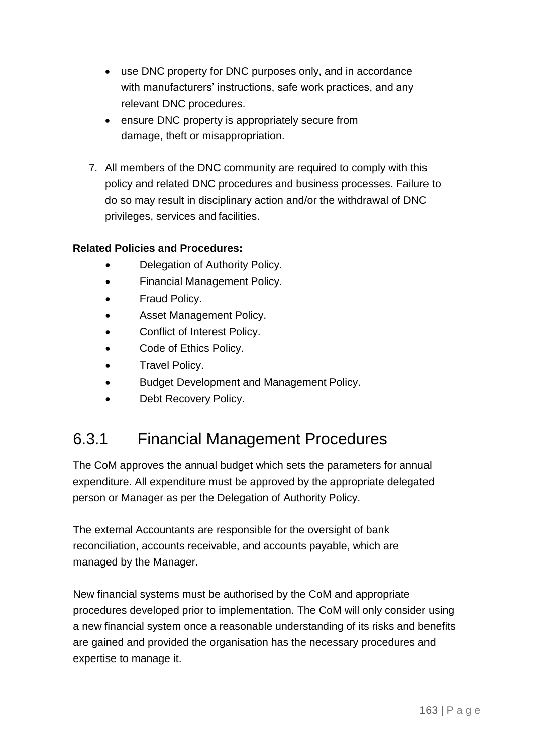- use DNC property for DNC purposes only, and in accordance with manufacturers' instructions, safe work practices, and any relevant DNC procedures.
- ensure DNC property is appropriately secure from damage, theft or misappropriation.
- 7. All members of the DNC community are required to comply with this policy and related DNC procedures and business processes. Failure to do so may result in disciplinary action and/or the withdrawal of DNC privileges, services and facilities.

### **Related Policies and Procedures:**

- Delegation of Authority Policy.
- Financial Management Policy.
- Fraud Policy.
- Asset Management Policy.
- Conflict of Interest Policy.
- Code of Ethics Policy.
- Travel Policy.
- Budget Development and Management Policy.
- Debt Recovery Policy.

## 6.3.1 Financial Management Procedures

The CoM approves the annual budget which sets the parameters for annual expenditure. All expenditure must be approved by the appropriate delegated person or Manager as per the Delegation of Authority Policy.

The external Accountants are responsible for the oversight of bank reconciliation, accounts receivable, and accounts payable, which are managed by the Manager.

New financial systems must be authorised by the CoM and appropriate procedures developed prior to implementation. The CoM will only consider using a new financial system once a reasonable understanding of its risks and benefits are gained and provided the organisation has the necessary procedures and expertise to manage it.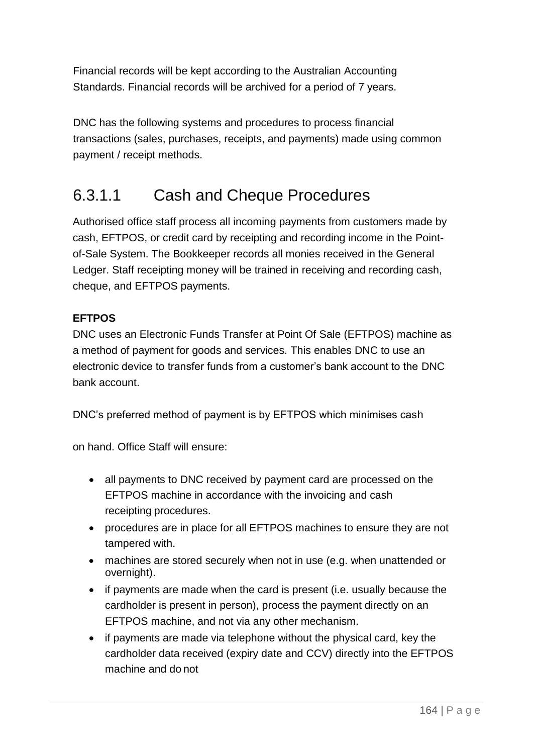Financial records will be kept according to the Australian Accounting Standards. Financial records will be archived for a period of 7 years.

DNC has the following systems and procedures to process financial transactions (sales, purchases, receipts, and payments) made using common payment / receipt methods.

## 6.3.1.1 Cash and Cheque Procedures

Authorised office staff process all incoming payments from customers made by cash, EFTPOS, or credit card by receipting and recording income in the Pointof-Sale System. The Bookkeeper records all monies received in the General Ledger. Staff receipting money will be trained in receiving and recording cash, cheque, and EFTPOS payments.

### **EFTPOS**

DNC uses an Electronic Funds Transfer at Point Of Sale (EFTPOS) machine as a method of payment for goods and services. This enables DNC to use an electronic device to transfer funds from a customer's bank account to the DNC bank account.

DNC's preferred method of payment is by EFTPOS which minimises cash

on hand. Office Staff will ensure:

- all payments to DNC received by payment card are processed on the EFTPOS machine in accordance with the invoicing and cash receipting procedures.
- procedures are in place for all EFTPOS machines to ensure they are not tampered with.
- machines are stored securely when not in use (e.g. when unattended or overnight).
- if payments are made when the card is present (i.e. usually because the cardholder is present in person), process the payment directly on an EFTPOS machine, and not via any other mechanism.
- if payments are made via telephone without the physical card, key the cardholder data received (expiry date and CCV) directly into the EFTPOS machine and do not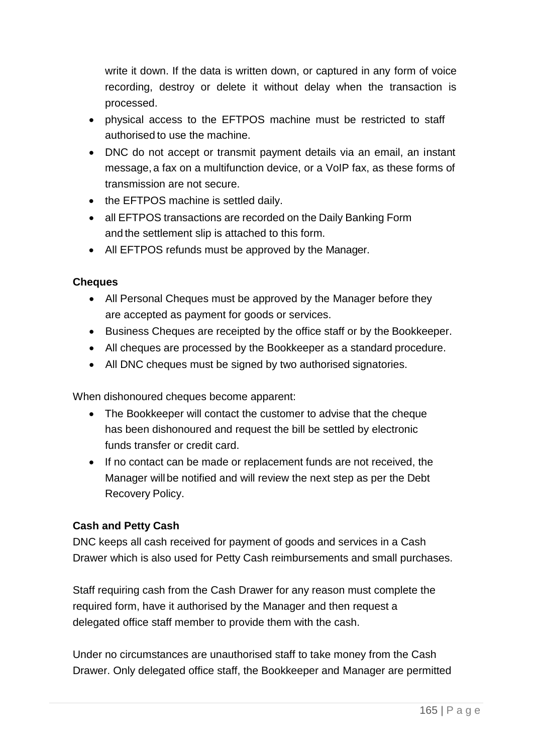write it down. If the data is written down, or captured in any form of voice recording, destroy or delete it without delay when the transaction is processed.

- physical access to the EFTPOS machine must be restricted to staff authorised to use the machine.
- DNC do not accept or transmit payment details via an email, an instant message, a fax on a multifunction device, or a VoIP fax, as these forms of transmission are not secure.
- the EFTPOS machine is settled daily.
- all EFTPOS transactions are recorded on the Daily Banking Form and the settlement slip is attached to this form.
- All EFTPOS refunds must be approved by the Manager.

#### **Cheques**

- All Personal Cheques must be approved by the Manager before they are accepted as payment for goods or services.
- Business Cheques are receipted by the office staff or by the Bookkeeper.
- All cheques are processed by the Bookkeeper as a standard procedure.
- All DNC cheques must be signed by two authorised signatories.

When dishonoured cheques become apparent:

- The Bookkeeper will contact the customer to advise that the cheque has been dishonoured and request the bill be settled by electronic funds transfer or credit card.
- If no contact can be made or replacement funds are not received, the Manager will be notified and will review the next step as per the Debt Recovery Policy.

#### **Cash and Petty Cash**

DNC keeps all cash received for payment of goods and services in a Cash Drawer which is also used for Petty Cash reimbursements and small purchases.

Staff requiring cash from the Cash Drawer for any reason must complete the required form, have it authorised by the Manager and then request a delegated office staff member to provide them with the cash.

Under no circumstances are unauthorised staff to take money from the Cash Drawer. Only delegated office staff, the Bookkeeper and Manager are permitted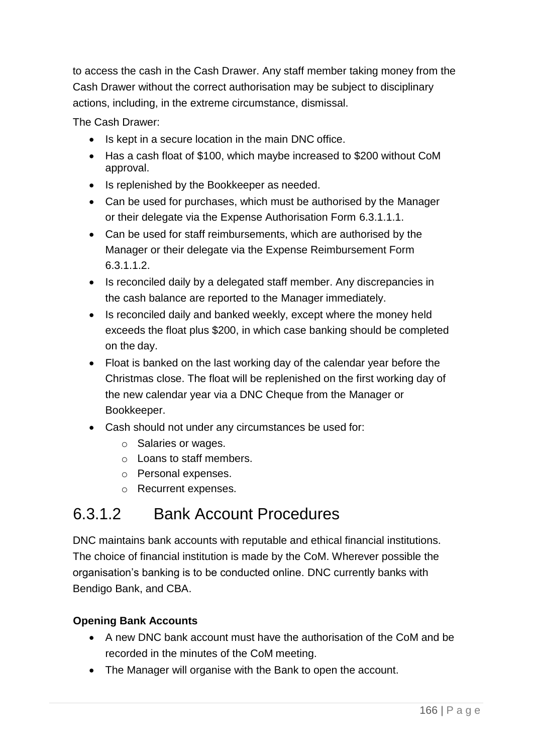to access the cash in the Cash Drawer. Any staff member taking money from the Cash Drawer without the correct authorisation may be subject to disciplinary actions, including, in the extreme circumstance, dismissal.

The Cash Drawer:

- Is kept in a secure location in the main DNC office.
- Has a cash float of \$100, which maybe increased to \$200 without CoM approval.
- Is replenished by the Bookkeeper as needed.
- Can be used for purchases, which must be authorised by the Manager or their delegate via the Expense Authorisation Form 6.3.1.1.1.
- Can be used for staff reimbursements, which are authorised by the Manager or their delegate via the Expense Reimbursement Form 6.3.1.1.2.
- Is reconciled daily by a delegated staff member. Any discrepancies in the cash balance are reported to the Manager immediately.
- Is reconciled daily and banked weekly, except where the money held exceeds the float plus \$200, in which case banking should be completed on the day.
- Float is banked on the last working day of the calendar year before the Christmas close. The float will be replenished on the first working day of the new calendar year via a DNC Cheque from the Manager or Bookkeeper.
- Cash should not under any circumstances be used for:
	- o Salaries or wages.
	- o Loans to staff members.
	- o Personal expenses.
	- o Recurrent expenses.

## 6.3.1.2 Bank Account Procedures

DNC maintains bank accounts with reputable and ethical financial institutions. The choice of financial institution is made by the CoM. Wherever possible the organisation's banking is to be conducted online. DNC currently banks with Bendigo Bank, and CBA.

### **Opening Bank Accounts**

- A new DNC bank account must have the authorisation of the CoM and be recorded in the minutes of the CoM meeting.
- The Manager will organise with the Bank to open the account.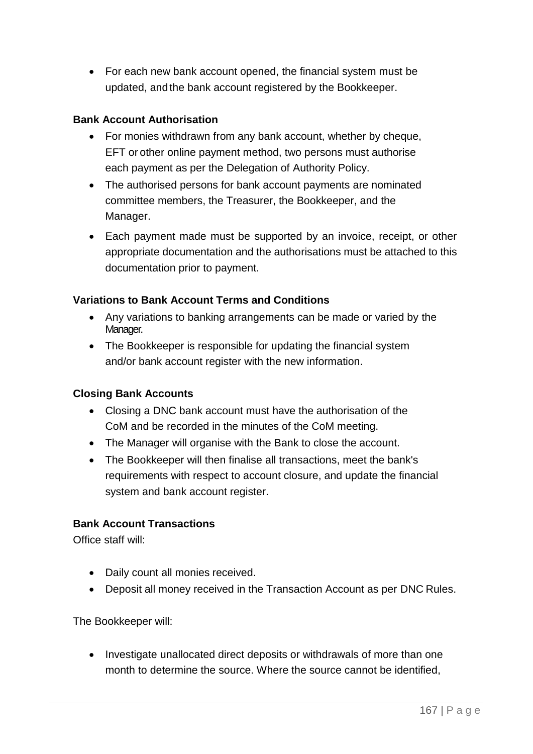• For each new bank account opened, the financial system must be updated, and the bank account registered by the Bookkeeper.

#### **Bank Account Authorisation**

- For monies withdrawn from any bank account, whether by cheque, EFT or other online payment method, two persons must authorise each payment as per the Delegation of Authority Policy.
- The authorised persons for bank account payments are nominated committee members, the Treasurer, the Bookkeeper, and the Manager.
- Each payment made must be supported by an invoice, receipt, or other appropriate documentation and the authorisations must be attached to this documentation prior to payment.

#### **Variations to Bank Account Terms and Conditions**

- Any variations to banking arrangements can be made or varied by the Manager.
- The Bookkeeper is responsible for updating the financial system and/or bank account register with the new information.

#### **Closing Bank Accounts**

- Closing a DNC bank account must have the authorisation of the CoM and be recorded in the minutes of the CoM meeting.
- The Manager will organise with the Bank to close the account.
- The Bookkeeper will then finalise all transactions, meet the bank's requirements with respect to account closure, and update the financial system and bank account register.

#### **Bank Account Transactions**

Office staff will:

- Daily count all monies received.
- Deposit all money received in the Transaction Account as per DNC Rules.

The Bookkeeper will:

• Investigate unallocated direct deposits or withdrawals of more than one month to determine the source. Where the source cannot be identified,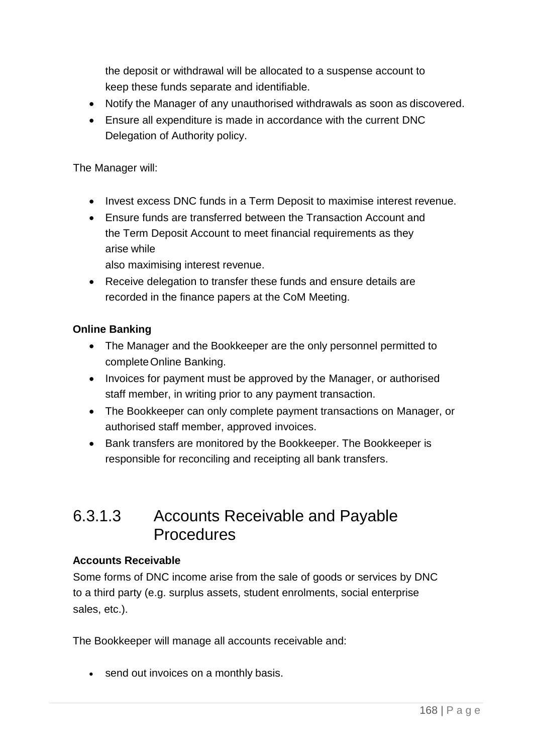the deposit or withdrawal will be allocated to a suspense account to keep these funds separate and identifiable.

- Notify the Manager of any unauthorised withdrawals as soon as discovered.
- Ensure all expenditure is made in accordance with the current DNC Delegation of Authority policy.

The Manager will:

- Invest excess DNC funds in a Term Deposit to maximise interest revenue.
- Ensure funds are transferred between the Transaction Account and the Term Deposit Account to meet financial requirements as they arise while

also maximising interest revenue.

• Receive delegation to transfer these funds and ensure details are recorded in the finance papers at the CoM Meeting.

### **Online Banking**

- The Manager and the Bookkeeper are the only personnel permitted to completeOnline Banking.
- Invoices for payment must be approved by the Manager, or authorised staff member, in writing prior to any payment transaction.
- The Bookkeeper can only complete payment transactions on Manager, or authorised staff member, approved invoices.
- Bank transfers are monitored by the Bookkeeper. The Bookkeeper is responsible for reconciling and receipting all bank transfers.

## 6.3.1.3 Accounts Receivable and Payable **Procedures**

### **Accounts Receivable**

Some forms of DNC income arise from the sale of goods or services by DNC to a third party (e.g. surplus assets, student enrolments, social enterprise sales, etc.).

The Bookkeeper will manage all accounts receivable and:

• send out invoices on a monthly basis.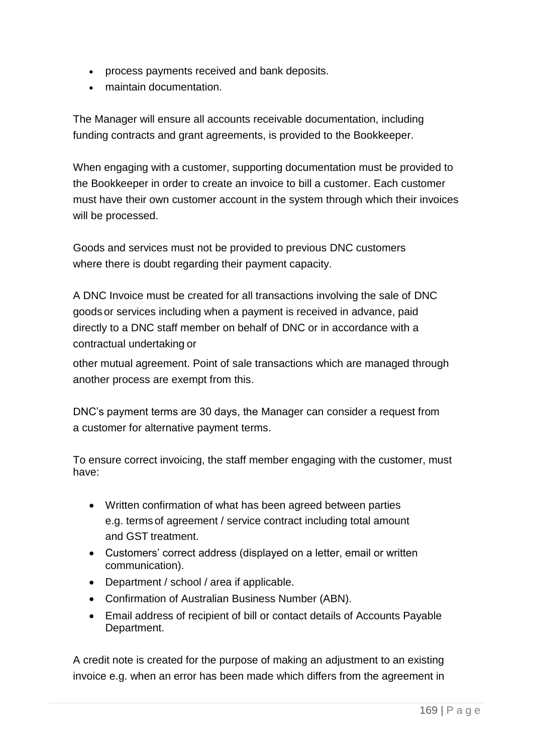- process payments received and bank deposits.
- maintain documentation.

The Manager will ensure all accounts receivable documentation, including funding contracts and grant agreements, is provided to the Bookkeeper.

When engaging with a customer, supporting documentation must be provided to the Bookkeeper in order to create an invoice to bill a customer. Each customer must have their own customer account in the system through which their invoices will be processed.

Goods and services must not be provided to previous DNC customers where there is doubt regarding their payment capacity.

A DNC Invoice must be created for all transactions involving the sale of DNC goods or services including when a payment is received in advance, paid directly to a DNC staff member on behalf of DNC or in accordance with a contractual undertaking or

other mutual agreement. Point of sale transactions which are managed through another process are exempt from this.

DNC's payment terms are 30 days, the Manager can consider a request from a customer for alternative payment terms.

To ensure correct invoicing, the staff member engaging with the customer, must have:

- Written confirmation of what has been agreed between parties e.g. terms of agreement / service contract including total amount and GST treatment.
- Customers' correct address (displayed on a letter, email or written communication).
- Department / school / area if applicable.
- Confirmation of Australian Business Number (ABN).
- Email address of recipient of bill or contact details of Accounts Payable Department.

A credit note is created for the purpose of making an adjustment to an existing invoice e.g. when an error has been made which differs from the agreement in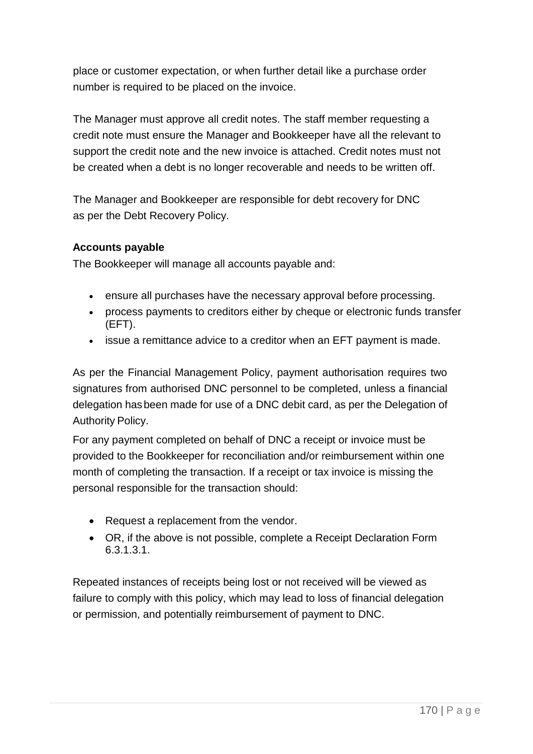place or customer expectation, or when further detail like a purchase order number is required to be placed on the invoice.

The Manager must approve all credit notes. The staff member requesting a credit note must ensure the Manager and Bookkeeper have all the relevant to support the credit note and the new invoice is attached. Credit notes must not be created when a debt is no longer recoverable and needs to be written off.

The Manager and Bookkeeper are responsible for debt recovery for DNC as per the Debt Recovery Policy.

### **Accounts payable**

The Bookkeeper will manage all accounts payable and:

- ensure all purchases have the necessary approval before processing.
- process payments to creditors either by cheque or electronic funds transfer (EFT).
- issue a remittance advice to a creditor when an EFT payment is made.

As per the Financial Management Policy, payment authorisation requires two signatures from authorised DNC personnel to be completed, unless a financial delegation hasbeen made for use of a DNC debit card, as per the Delegation of Authority Policy.

For any payment completed on behalf of DNC a receipt or invoice must be provided to the Bookkeeper for reconciliation and/or reimbursement within one month of completing the transaction. If a receipt or tax invoice is missing the personal responsible for the transaction should:

- Request a replacement from the vendor.
- OR, if the above is not possible, complete a Receipt Declaration Form 6.3.1.3.1.

Repeated instances of receipts being lost or not received will be viewed as failure to comply with this policy, which may lead to loss of financial delegation or permission, and potentially reimbursement of payment to DNC.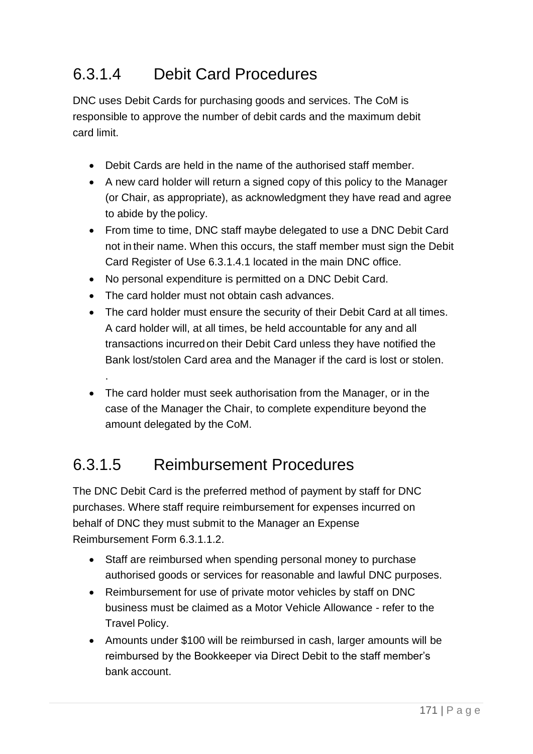## 6.3.1.4 Debit Card Procedures

DNC uses Debit Cards for purchasing goods and services. The CoM is responsible to approve the number of debit cards and the maximum debit card limit.

- Debit Cards are held in the name of the authorised staff member.
- A new card holder will return a signed copy of this policy to the Manager (or Chair, as appropriate), as acknowledgment they have read and agree to abide by the policy.
- From time to time, DNC staff maybe delegated to use a DNC Debit Card not in their name. When this occurs, the staff member must sign the Debit Card Register of Use 6.3.1.4.1 located in the main DNC office.
- No personal expenditure is permitted on a DNC Debit Card.
- The card holder must not obtain cash advances.

.

- The card holder must ensure the security of their Debit Card at all times. A card holder will, at all times, be held accountable for any and all transactions incurred on their Debit Card unless they have notified the Bank lost/stolen Card area and the Manager if the card is lost or stolen.
- The card holder must seek authorisation from the Manager, or in the case of the Manager the Chair, to complete expenditure beyond the amount delegated by the CoM.

## 6.3.1.5 Reimbursement Procedures

The DNC Debit Card is the preferred method of payment by staff for DNC purchases. Where staff require reimbursement for expenses incurred on behalf of DNC they must submit to the Manager an Expense Reimbursement Form 6.3.1.1.2.

- Staff are reimbursed when spending personal money to purchase authorised goods or services for reasonable and lawful DNC purposes.
- Reimbursement for use of private motor vehicles by staff on DNC business must be claimed as a Motor Vehicle Allowance - refer to the Travel Policy.
- Amounts under \$100 will be reimbursed in cash, larger amounts will be reimbursed by the Bookkeeper via Direct Debit to the staff member's bank account.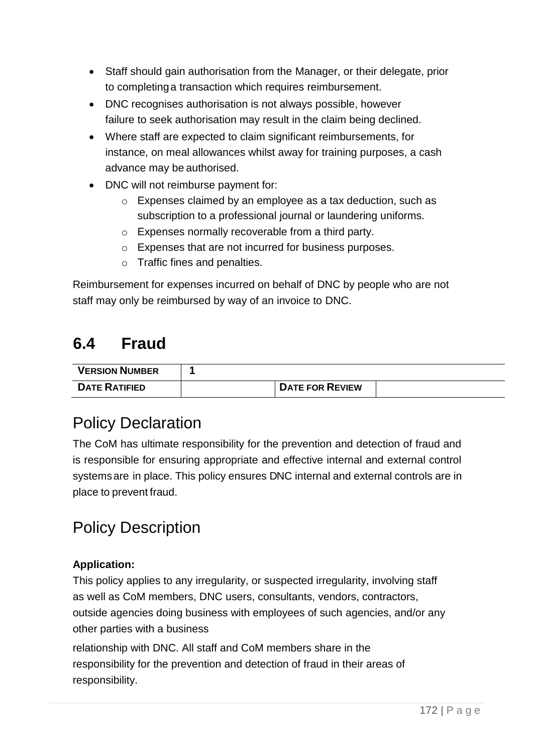- Staff should gain authorisation from the Manager, or their delegate, prior to completinga transaction which requires reimbursement.
- DNC recognises authorisation is not always possible, however failure to seek authorisation may result in the claim being declined.
- Where staff are expected to claim significant reimbursements, for instance, on meal allowances whilst away for training purposes, a cash advance may be authorised.
- DNC will not reimburse payment for:
	- o Expenses claimed by an employee as a tax deduction, such as subscription to a professional journal or laundering uniforms.
	- o Expenses normally recoverable from a third party.
	- o Expenses that are not incurred for business purposes.
	- o Traffic fines and penalties.

Reimbursement for expenses incurred on behalf of DNC by people who are not staff may only be reimbursed by way of an invoice to DNC.

## **6.4 Fraud**

| <b>VERSION NUMBER</b> |                        |  |
|-----------------------|------------------------|--|
| <b>DATE RATIFIED</b>  | <b>DATE FOR REVIEW</b> |  |

## Policy Declaration

The CoM has ultimate responsibility for the prevention and detection of fraud and is responsible for ensuring appropriate and effective internal and external control systemsare in place. This policy ensures DNC internal and external controls are in place to prevent fraud.

## Policy Description

#### **Application:**

This policy applies to any irregularity, or suspected irregularity, involving staff as well as CoM members, DNC users, consultants, vendors, contractors, outside agencies doing business with employees of such agencies, and/or any other parties with a business

relationship with DNC. All staff and CoM members share in the responsibility for the prevention and detection of fraud in their areas of responsibility.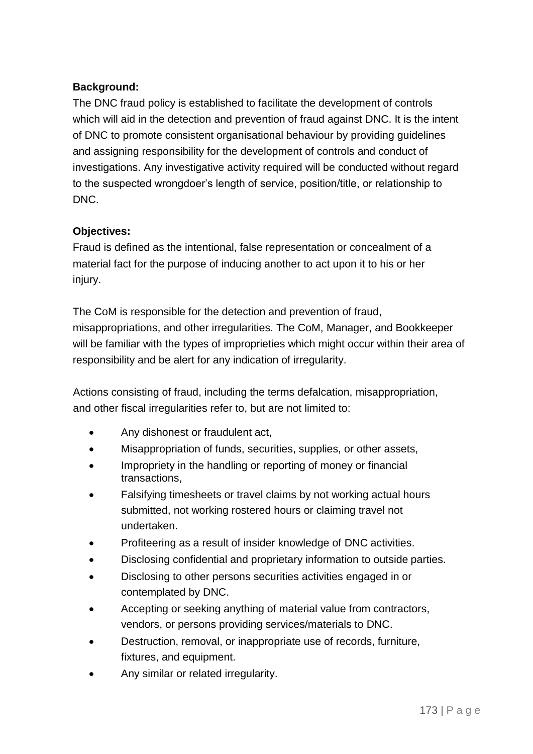### **Background:**

The DNC fraud policy is established to facilitate the development of controls which will aid in the detection and prevention of fraud against DNC. It is the intent of DNC to promote consistent organisational behaviour by providing guidelines and assigning responsibility for the development of controls and conduct of investigations. Any investigative activity required will be conducted without regard to the suspected wrongdoer's length of service, position/title, or relationship to DNC.

#### **Objectives:**

Fraud is defined as the intentional, false representation or concealment of a material fact for the purpose of inducing another to act upon it to his or her injury.

The CoM is responsible for the detection and prevention of fraud, misappropriations, and other irregularities. The CoM, Manager, and Bookkeeper will be familiar with the types of improprieties which might occur within their area of responsibility and be alert for any indication of irregularity.

Actions consisting of fraud, including the terms defalcation, misappropriation, and other fiscal irregularities refer to, but are not limited to:

- Any dishonest or fraudulent act,
- Misappropriation of funds, securities, supplies, or other assets,
- Impropriety in the handling or reporting of money or financial transactions,
- Falsifying timesheets or travel claims by not working actual hours submitted, not working rostered hours or claiming travel not undertaken.
- Profiteering as a result of insider knowledge of DNC activities.
- Disclosing confidential and proprietary information to outside parties.
- Disclosing to other persons securities activities engaged in or contemplated by DNC.
- Accepting or seeking anything of material value from contractors, vendors, or persons providing services/materials to DNC.
- Destruction, removal, or inappropriate use of records, furniture, fixtures, and equipment.
- Any similar or related irregularity.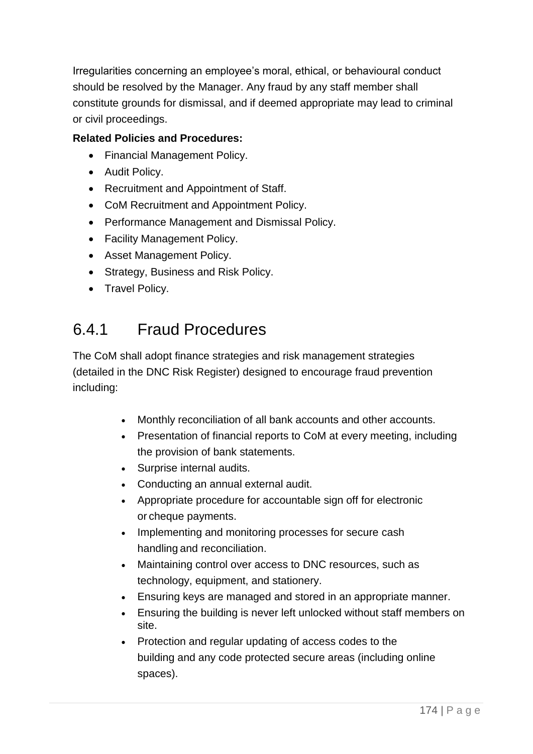Irregularities concerning an employee's moral, ethical, or behavioural conduct should be resolved by the Manager. Any fraud by any staff member shall constitute grounds for dismissal, and if deemed appropriate may lead to criminal or civil proceedings.

### **Related Policies and Procedures:**

- Financial Management Policy.
- Audit Policy.
- Recruitment and Appointment of Staff.
- CoM Recruitment and Appointment Policy.
- Performance Management and Dismissal Policy.
- Facility Management Policy.
- Asset Management Policy.
- Strategy, Business and Risk Policy.
- Travel Policy.

## 6.4.1 Fraud Procedures

The CoM shall adopt finance strategies and risk management strategies (detailed in the DNC Risk Register) designed to encourage fraud prevention including:

- Monthly reconciliation of all bank accounts and other accounts.
- Presentation of financial reports to CoM at every meeting, including the provision of bank statements.
- Surprise internal audits.
- Conducting an annual external audit.
- Appropriate procedure for accountable sign off for electronic or cheque payments.
- Implementing and monitoring processes for secure cash handling and reconciliation.
- Maintaining control over access to DNC resources, such as technology, equipment, and stationery.
- Ensuring keys are managed and stored in an appropriate manner.
- Ensuring the building is never left unlocked without staff members on site.
- Protection and regular updating of access codes to the building and any code protected secure areas (including online spaces).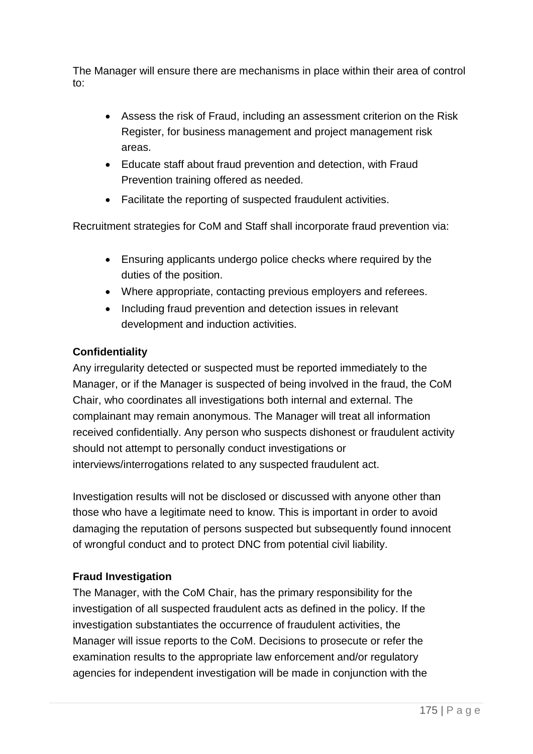The Manager will ensure there are mechanisms in place within their area of control to:

- Assess the risk of Fraud, including an assessment criterion on the Risk Register, for business management and project management risk areas.
- Educate staff about fraud prevention and detection, with Fraud Prevention training offered as needed.
- Facilitate the reporting of suspected fraudulent activities.

Recruitment strategies for CoM and Staff shall incorporate fraud prevention via:

- Ensuring applicants undergo police checks where required by the duties of the position.
- Where appropriate, contacting previous employers and referees.
- Including fraud prevention and detection issues in relevant development and induction activities.

### **Confidentiality**

Any irregularity detected or suspected must be reported immediately to the Manager, or if the Manager is suspected of being involved in the fraud, the CoM Chair, who coordinates all investigations both internal and external. The complainant may remain anonymous. The Manager will treat all information received confidentially. Any person who suspects dishonest or fraudulent activity should not attempt to personally conduct investigations or interviews/interrogations related to any suspected fraudulent act.

Investigation results will not be disclosed or discussed with anyone other than those who have a legitimate need to know. This is important in order to avoid damaging the reputation of persons suspected but subsequently found innocent of wrongful conduct and to protect DNC from potential civil liability.

### **Fraud Investigation**

The Manager, with the CoM Chair, has the primary responsibility for the investigation of all suspected fraudulent acts as defined in the policy. If the investigation substantiates the occurrence of fraudulent activities, the Manager will issue reports to the CoM. Decisions to prosecute or refer the examination results to the appropriate law enforcement and/or regulatory agencies for independent investigation will be made in conjunction with the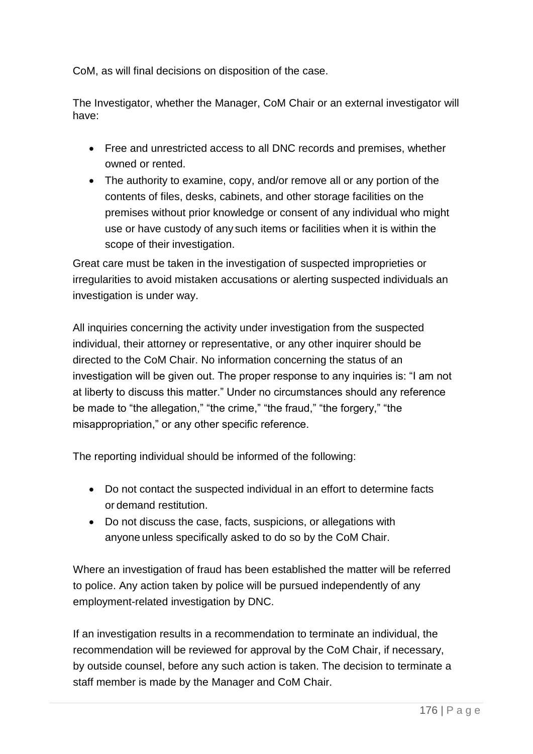CoM, as will final decisions on disposition of the case.

The Investigator, whether the Manager, CoM Chair or an external investigator will have:

- Free and unrestricted access to all DNC records and premises, whether owned or rented.
- The authority to examine, copy, and/or remove all or any portion of the contents of files, desks, cabinets, and other storage facilities on the premises without prior knowledge or consent of any individual who might use or have custody of any such items or facilities when it is within the scope of their investigation.

Great care must be taken in the investigation of suspected improprieties or irregularities to avoid mistaken accusations or alerting suspected individuals an investigation is under way.

All inquiries concerning the activity under investigation from the suspected individual, their attorney or representative, or any other inquirer should be directed to the CoM Chair. No information concerning the status of an investigation will be given out. The proper response to any inquiries is: "I am not at liberty to discuss this matter." Under no circumstances should any reference be made to "the allegation," "the crime," "the fraud," "the forgery," "the misappropriation," or any other specific reference.

The reporting individual should be informed of the following:

- Do not contact the suspected individual in an effort to determine facts or demand restitution.
- Do not discuss the case, facts, suspicions, or allegations with anyone unless specifically asked to do so by the CoM Chair.

Where an investigation of fraud has been established the matter will be referred to police. Any action taken by police will be pursued independently of any employment-related investigation by DNC.

If an investigation results in a recommendation to terminate an individual, the recommendation will be reviewed for approval by the CoM Chair, if necessary, by outside counsel, before any such action is taken. The decision to terminate a staff member is made by the Manager and CoM Chair.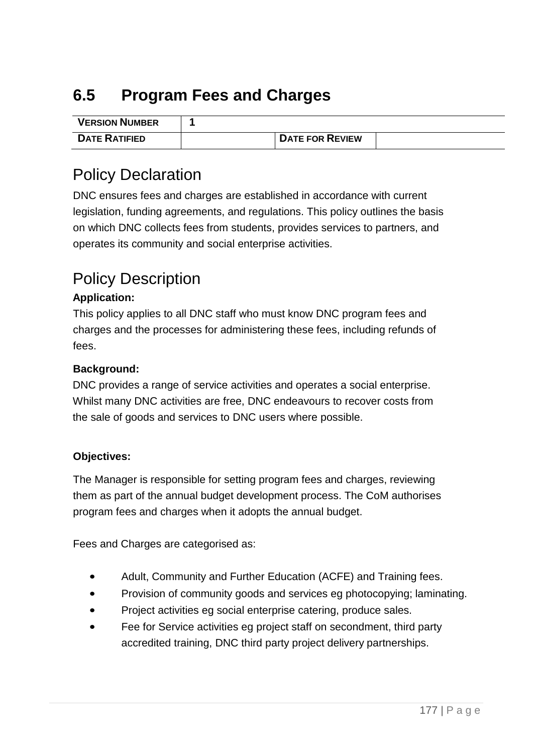# **6.5 Program Fees and Charges**

| <b>VERSION NUMBER</b> |                        |  |
|-----------------------|------------------------|--|
| <b>DATE RATIFIED</b>  | <b>DATE FOR REVIEW</b> |  |

## Policy Declaration

DNC ensures fees and charges are established in accordance with current legislation, funding agreements, and regulations. This policy outlines the basis on which DNC collects fees from students, provides services to partners, and operates its community and social enterprise activities.

## Policy Description

### **Application:**

This policy applies to all DNC staff who must know DNC program fees and charges and the processes for administering these fees, including refunds of fees.

### **Background:**

DNC provides a range of service activities and operates a social enterprise. Whilst many DNC activities are free, DNC endeavours to recover costs from the sale of goods and services to DNC users where possible.

#### **Objectives:**

The Manager is responsible for setting program fees and charges, reviewing them as part of the annual budget development process. The CoM authorises program fees and charges when it adopts the annual budget.

Fees and Charges are categorised as:

- Adult, Community and Further Education (ACFE) and Training fees.
- Provision of community goods and services eg photocopying; laminating.
- Project activities eg social enterprise catering, produce sales.
- Fee for Service activities eg project staff on secondment, third party accredited training, DNC third party project delivery partnerships.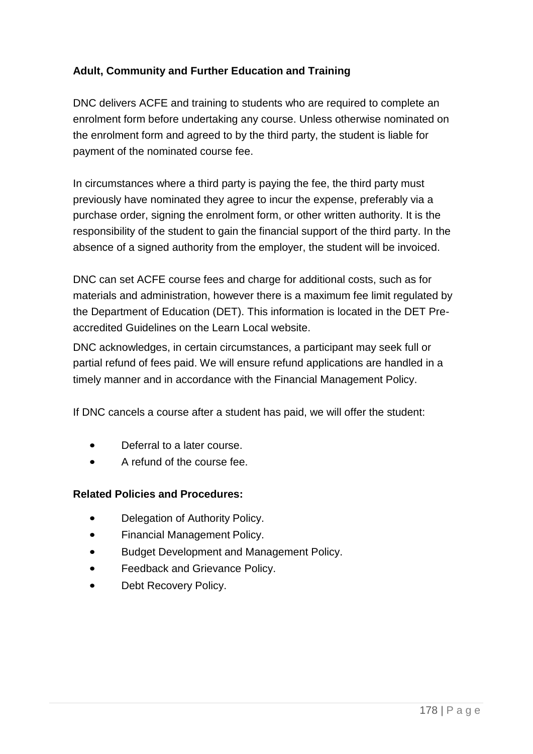### **Adult, Community and Further Education and Training**

DNC delivers ACFE and training to students who are required to complete an enrolment form before undertaking any course. Unless otherwise nominated on the enrolment form and agreed to by the third party, the student is liable for payment of the nominated course fee.

In circumstances where a third party is paying the fee, the third party must previously have nominated they agree to incur the expense, preferably via a purchase order, signing the enrolment form, or other written authority. It is the responsibility of the student to gain the financial support of the third party. In the absence of a signed authority from the employer, the student will be invoiced.

DNC can set ACFE course fees and charge for additional costs, such as for materials and administration, however there is a maximum fee limit regulated by the Department of Education (DET). This information is located in the DET Preaccredited Guidelines on the Learn Local website.

DNC acknowledges, in certain circumstances, a participant may seek full or partial refund of fees paid. We will ensure refund applications are handled in a timely manner and in accordance with the Financial Management Policy.

If DNC cancels a course after a student has paid, we will offer the student:

- Deferral to a later course.
- A refund of the course fee.

### **Related Policies and Procedures:**

- Delegation of Authority Policy.
- Financial Management Policy.
- Budget Development and Management Policy.
- Feedback and Grievance Policy.
- Debt Recovery Policy.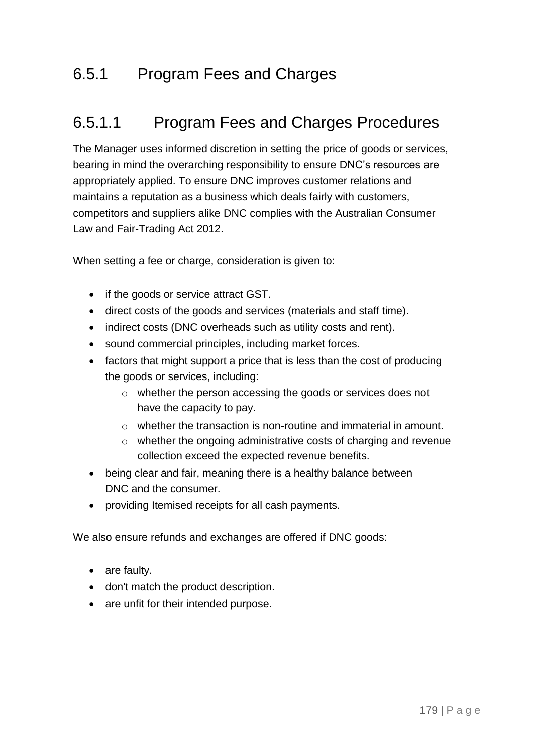## 6.5.1 Program Fees and Charges

## 6.5.1.1 Program Fees and Charges Procedures

The Manager uses informed discretion in setting the price of goods or services, bearing in mind the overarching responsibility to ensure DNC's resources are appropriately applied. To ensure DNC improves customer relations and maintains a reputation as a business which deals fairly with customers, competitors and suppliers alike DNC complies with the Australian Consumer Law and Fair-Trading Act 2012.

When setting a fee or charge, consideration is given to:

- if the goods or service attract GST.
- direct costs of the goods and services (materials and staff time).
- indirect costs (DNC overheads such as utility costs and rent).
- sound commercial principles, including market forces.
- factors that might support a price that is less than the cost of producing the goods or services, including:
	- o whether the person accessing the goods or services does not have the capacity to pay.
	- o whether the transaction is non-routine and immaterial in amount.
	- o whether the ongoing administrative costs of charging and revenue collection exceed the expected revenue benefits.
- being clear and fair, meaning there is a healthy balance between DNC and the consumer.
- providing Itemised receipts for all cash payments.

We also ensure refunds and exchanges are offered if DNC goods:

- are faulty.
- don't match the product description.
- are unfit for their intended purpose.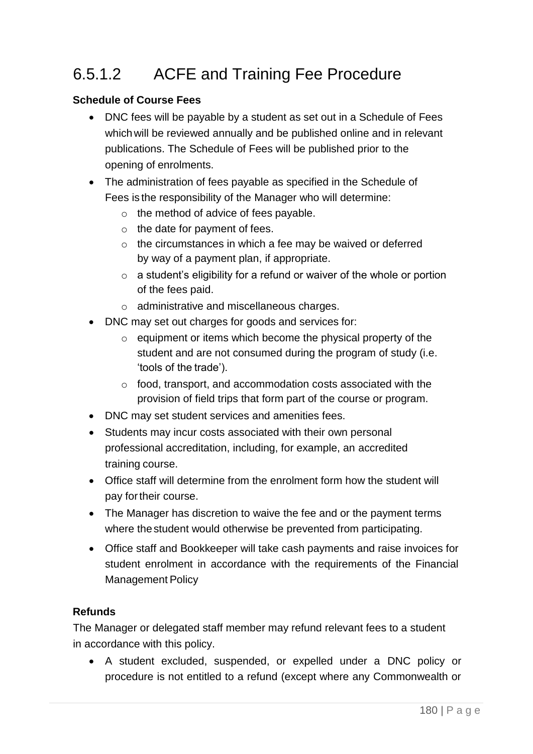# 6.5.1.2 ACFE and Training Fee Procedure

### **Schedule of Course Fees**

- DNC fees will be payable by a student as set out in a Schedule of Fees whichwill be reviewed annually and be published online and in relevant publications. The Schedule of Fees will be published prior to the opening of enrolments.
- The administration of fees payable as specified in the Schedule of Fees is the responsibility of the Manager who will determine:
	- o the method of advice of fees payable.
	- $\circ$  the date for payment of fees.
	- o the circumstances in which a fee may be waived or deferred by way of a payment plan, if appropriate.
	- o a student's eligibility for a refund or waiver of the whole or portion of the fees paid.
	- o administrative and miscellaneous charges.
- DNC may set out charges for goods and services for:
	- o equipment or items which become the physical property of the student and are not consumed during the program of study (i.e. 'tools of the trade').
	- o food, transport, and accommodation costs associated with the provision of field trips that form part of the course or program.
- DNC may set student services and amenities fees.
- Students may incur costs associated with their own personal professional accreditation, including, for example, an accredited training course.
- Office staff will determine from the enrolment form how the student will pay fortheir course.
- The Manager has discretion to waive the fee and or the payment terms where the student would otherwise be prevented from participating.
- Office staff and Bookkeeper will take cash payments and raise invoices for student enrolment in accordance with the requirements of the Financial Management Policy

#### **Refunds**

The Manager or delegated staff member may refund relevant fees to a student in accordance with this policy.

• A student excluded, suspended, or expelled under a DNC policy or procedure is not entitled to a refund (except where any Commonwealth or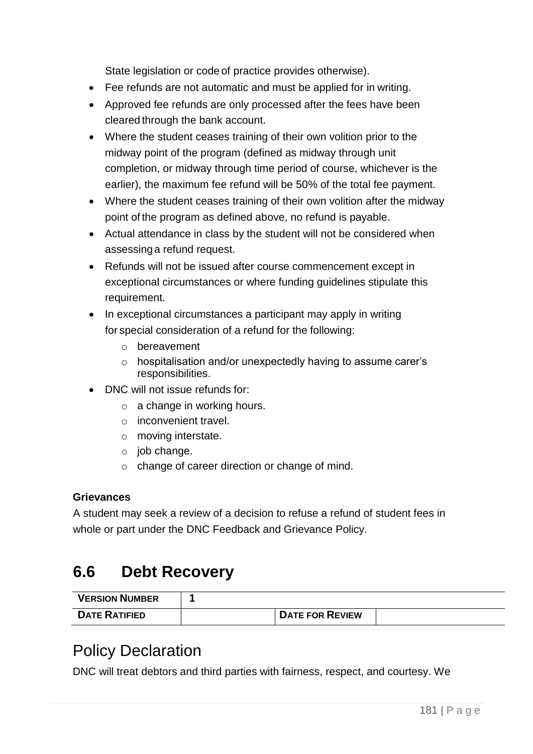State legislation or code of practice provides otherwise).

- Fee refunds are not automatic and must be applied for in writing.
- Approved fee refunds are only processed after the fees have been cleared through the bank account.
- Where the student ceases training of their own volition prior to the midway point of the program (defined as midway through unit completion, or midway through time period of course, whichever is the earlier), the maximum fee refund will be 50% of the total fee payment.
- Where the student ceases training of their own volition after the midway point of the program as defined above, no refund is payable.
- Actual attendance in class by the student will not be considered when assessinga refund request.
- Refunds will not be issued after course commencement except in exceptional circumstances or where funding guidelines stipulate this requirement.
- In exceptional circumstances a participant may apply in writing for special consideration of a refund for the following:
	- o bereavement
	- o hospitalisation and/or unexpectedly having to assume carer's responsibilities.
- DNC will not issue refunds for:
	- o a change in working hours.
	- o inconvenient travel.
	- o moving interstate.
	- o job change.
	- o change of career direction or change of mind.

### **Grievances**

A student may seek a review of a decision to refuse a refund of student fees in whole or part under the DNC Feedback and Grievance Policy.

# **6.6 Debt Recovery**

| <b>VERSION NUMBER</b> |                        |  |
|-----------------------|------------------------|--|
| <b>DATE RATIFIED</b>  | <b>DATE FOR REVIEW</b> |  |

### Policy Declaration

DNC will treat debtors and third parties with fairness, respect, and courtesy. We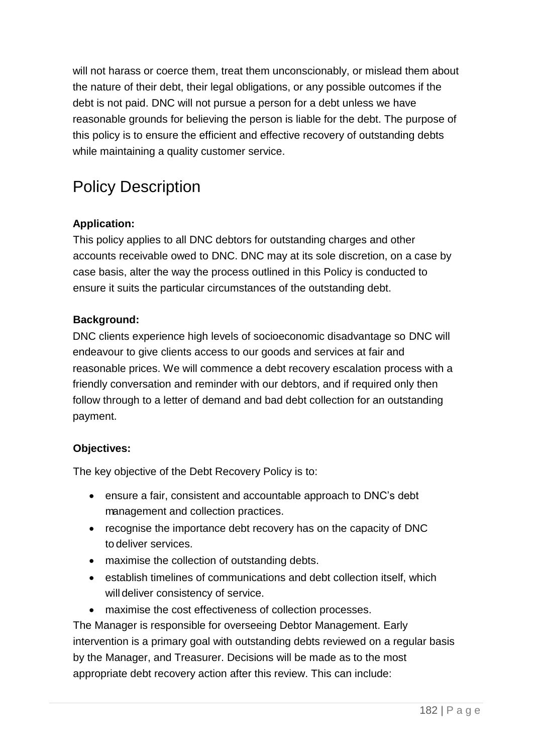will not harass or coerce them, treat them unconscionably, or mislead them about the nature of their debt, their legal obligations, or any possible outcomes if the debt is not paid. DNC will not pursue a person for a debt unless we have reasonable grounds for believing the person is liable for the debt. The purpose of this policy is to ensure the efficient and effective recovery of outstanding debts while maintaining a quality customer service.

# Policy Description

### **Application:**

This policy applies to all DNC debtors for outstanding charges and other accounts receivable owed to DNC. DNC may at its sole discretion, on a case by case basis, alter the way the process outlined in this Policy is conducted to ensure it suits the particular circumstances of the outstanding debt.

### **Background:**

DNC clients experience high levels of socioeconomic disadvantage so DNC will endeavour to give clients access to our goods and services at fair and reasonable prices. We will commence a debt recovery escalation process with a friendly conversation and reminder with our debtors, and if required only then follow through to a letter of demand and bad debt collection for an outstanding payment.

### **Objectives:**

The key objective of the Debt Recovery Policy is to:

- ensure a fair, consistent and accountable approach to DNC's debt management and collection practices.
- recognise the importance debt recovery has on the capacity of DNC to deliver services.
- maximise the collection of outstanding debts.
- establish timelines of communications and debt collection itself, which will deliver consistency of service.
- maximise the cost effectiveness of collection processes.

The Manager is responsible for overseeing Debtor Management. Early intervention is a primary goal with outstanding debts reviewed on a regular basis by the Manager, and Treasurer. Decisions will be made as to the most appropriate debt recovery action after this review. This can include: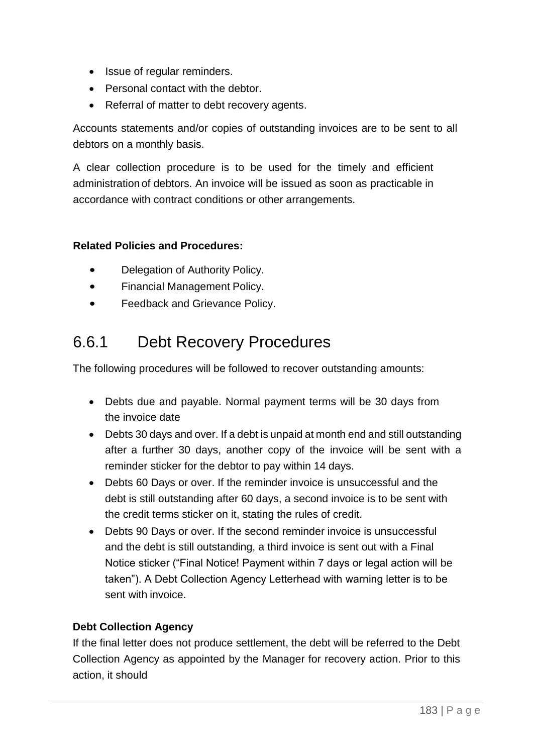- Issue of regular reminders.
- Personal contact with the debtor.
- Referral of matter to debt recovery agents.

Accounts statements and/or copies of outstanding invoices are to be sent to all debtors on a monthly basis.

A clear collection procedure is to be used for the timely and efficient administration of debtors. An invoice will be issued as soon as practicable in accordance with contract conditions or other arrangements.

#### **Related Policies and Procedures:**

- Delegation of Authority Policy.
- Financial Management Policy.
- Feedback and Grievance Policy.

# 6.6.1 Debt Recovery Procedures

The following procedures will be followed to recover outstanding amounts:

- Debts due and payable. Normal payment terms will be 30 days from the invoice date
- Debts 30 days and over. If a debt is unpaid at month end and still outstanding after a further 30 days, another copy of the invoice will be sent with a reminder sticker for the debtor to pay within 14 days.
- Debts 60 Days or over. If the reminder invoice is unsuccessful and the debt is still outstanding after 60 days, a second invoice is to be sent with the credit terms sticker on it, stating the rules of credit.
- Debts 90 Days or over. If the second reminder invoice is unsuccessful and the debt is still outstanding, a third invoice is sent out with a Final Notice sticker ("Final Notice! Payment within 7 days or legal action will be taken"). A Debt Collection Agency Letterhead with warning letter is to be sent with invoice.

### **Debt Collection Agency**

If the final letter does not produce settlement, the debt will be referred to the Debt Collection Agency as appointed by the Manager for recovery action. Prior to this action, it should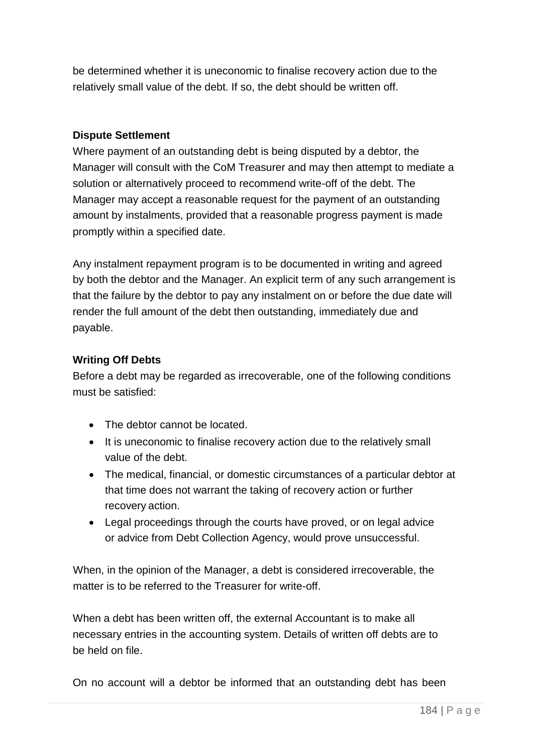be determined whether it is uneconomic to finalise recovery action due to the relatively small value of the debt. If so, the debt should be written off.

### **Dispute Settlement**

Where payment of an outstanding debt is being disputed by a debtor, the Manager will consult with the CoM Treasurer and may then attempt to mediate a solution or alternatively proceed to recommend write-off of the debt. The Manager may accept a reasonable request for the payment of an outstanding amount by instalments, provided that a reasonable progress payment is made promptly within a specified date.

Any instalment repayment program is to be documented in writing and agreed by both the debtor and the Manager. An explicit term of any such arrangement is that the failure by the debtor to pay any instalment on or before the due date will render the full amount of the debt then outstanding, immediately due and payable.

### **Writing Off Debts**

Before a debt may be regarded as irrecoverable, one of the following conditions must be satisfied:

- The debtor cannot be located.
- It is uneconomic to finalise recovery action due to the relatively small value of the debt.
- The medical, financial, or domestic circumstances of a particular debtor at that time does not warrant the taking of recovery action or further recovery action.
- Legal proceedings through the courts have proved, or on legal advice or advice from Debt Collection Agency, would prove unsuccessful.

When, in the opinion of the Manager, a debt is considered irrecoverable, the matter is to be referred to the Treasurer for write-off.

When a debt has been written off, the external Accountant is to make all necessary entries in the accounting system. Details of written off debts are to be held on file.

On no account will a debtor be informed that an outstanding debt has been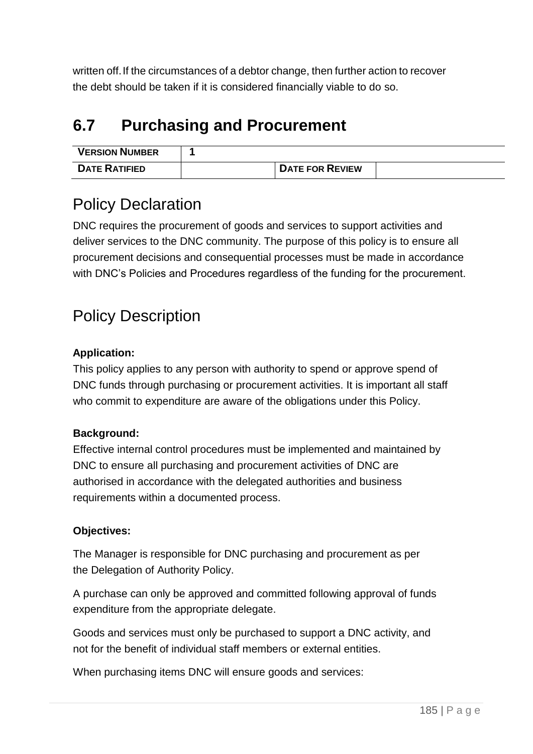written off.If the circumstances of a debtor change, then further action to recover the debt should be taken if it is considered financially viable to do so.

# **6.7 Purchasing and Procurement**

| <b>VERSION NUMBER</b> |                        |  |
|-----------------------|------------------------|--|
| <b>DATE RATIFIED</b>  | <b>DATE FOR REVIEW</b> |  |

# Policy Declaration

DNC requires the procurement of goods and services to support activities and deliver services to the DNC community. The purpose of this policy is to ensure all procurement decisions and consequential processes must be made in accordance with DNC's Policies and Procedures regardless of the funding for the procurement.

# Policy Description

### **Application:**

This policy applies to any person with authority to spend or approve spend of DNC funds through purchasing or procurement activities. It is important all staff who commit to expenditure are aware of the obligations under this Policy.

### **Background:**

Effective internal control procedures must be implemented and maintained by DNC to ensure all purchasing and procurement activities of DNC are authorised in accordance with the delegated authorities and business requirements within a documented process.

### **Objectives:**

The Manager is responsible for DNC purchasing and procurement as per the Delegation of Authority Policy.

A purchase can only be approved and committed following approval of funds expenditure from the appropriate delegate.

Goods and services must only be purchased to support a DNC activity, and not for the benefit of individual staff members or external entities.

When purchasing items DNC will ensure goods and services: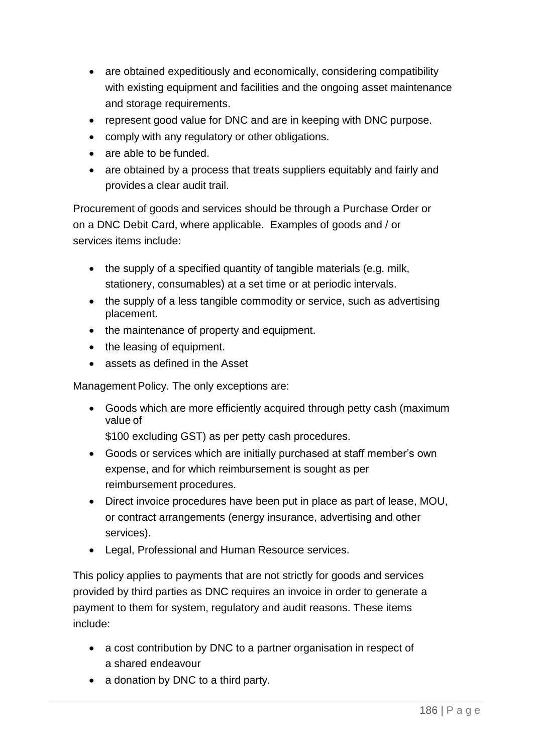- are obtained expeditiously and economically, considering compatibility with existing equipment and facilities and the ongoing asset maintenance and storage requirements.
- represent good value for DNC and are in keeping with DNC purpose.
- comply with any regulatory or other obligations.
- are able to be funded.
- are obtained by a process that treats suppliers equitably and fairly and provides a clear audit trail.

Procurement of goods and services should be through a Purchase Order or on a DNC Debit Card, where applicable. Examples of goods and / or services items include:

- the supply of a specified quantity of tangible materials (e.g. milk, stationery, consumables) at a set time or at periodic intervals.
- the supply of a less tangible commodity or service, such as advertising placement.
- the maintenance of property and equipment.
- the leasing of equipment.
- assets as defined in the Asset

Management Policy. The only exceptions are:

• Goods which are more efficiently acquired through petty cash (maximum value of

\$100 excluding GST) as per petty cash procedures.

- Goods or services which are initially purchased at staff member's own expense, and for which reimbursement is sought as per reimbursement procedures.
- Direct invoice procedures have been put in place as part of lease, MOU, or contract arrangements (energy insurance, advertising and other services).
- Legal, Professional and Human Resource services.

This policy applies to payments that are not strictly for goods and services provided by third parties as DNC requires an invoice in order to generate a payment to them for system, regulatory and audit reasons. These items include:

- a cost contribution by DNC to a partner organisation in respect of a shared endeavour
- a donation by DNC to a third party.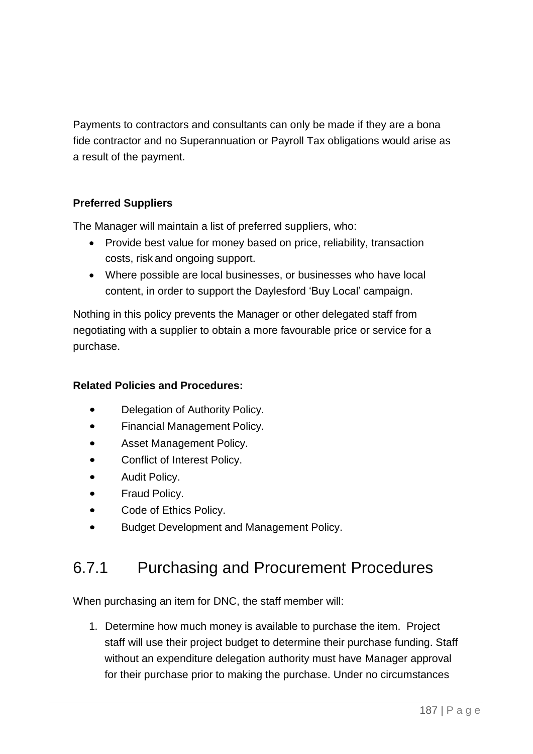Payments to contractors and consultants can only be made if they are a bona fide contractor and no Superannuation or Payroll Tax obligations would arise as a result of the payment.

### **Preferred Suppliers**

The Manager will maintain a list of preferred suppliers, who:

- Provide best value for money based on price, reliability, transaction costs, risk and ongoing support.
- Where possible are local businesses, or businesses who have local content, in order to support the Daylesford 'Buy Local' campaign.

Nothing in this policy prevents the Manager or other delegated staff from negotiating with a supplier to obtain a more favourable price or service for a purchase.

### **Related Policies and Procedures:**

- Delegation of Authority Policy.
- Financial Management Policy.
- Asset Management Policy.
- Conflict of Interest Policy.
- Audit Policy.
- Fraud Policy.
- Code of Ethics Policy.
- Budget Development and Management Policy.

### 6.7.1 Purchasing and Procurement Procedures

When purchasing an item for DNC, the staff member will:

1. Determine how much money is available to purchase the item. Project staff will use their project budget to determine their purchase funding. Staff without an expenditure delegation authority must have Manager approval for their purchase prior to making the purchase. Under no circumstances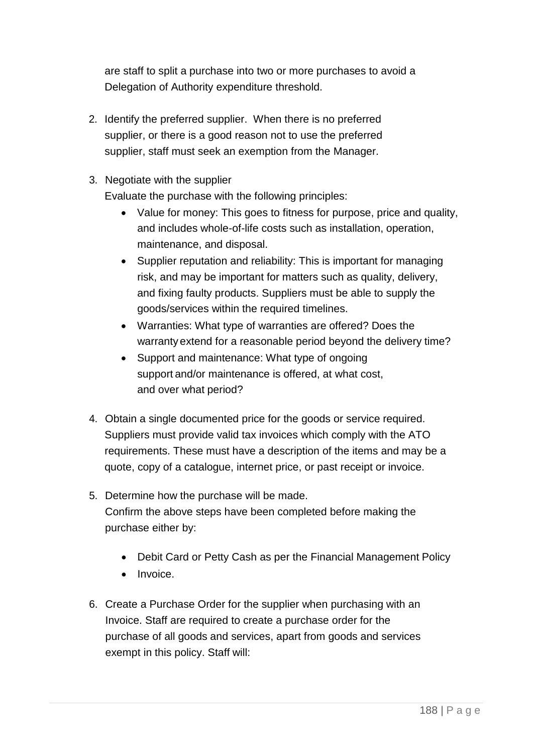are staff to split a purchase into two or more purchases to avoid a Delegation of Authority expenditure threshold.

- 2. Identify the preferred supplier. When there is no preferred supplier, or there is a good reason not to use the preferred supplier, staff must seek an exemption from the Manager.
- 3. Negotiate with the supplier

Evaluate the purchase with the following principles:

- Value for money: This goes to fitness for purpose, price and quality, and includes whole-of-life costs such as installation, operation, maintenance, and disposal.
- Supplier reputation and reliability: This is important for managing risk, and may be important for matters such as quality, delivery, and fixing faulty products. Suppliers must be able to supply the goods/services within the required timelines.
- Warranties: What type of warranties are offered? Does the warranty extend for a reasonable period beyond the delivery time?
- Support and maintenance: What type of ongoing support and/or maintenance is offered, at what cost, and over what period?
- 4. Obtain a single documented price for the goods or service required. Suppliers must provide valid tax invoices which comply with the ATO requirements. These must have a description of the items and may be a quote, copy of a catalogue, internet price, or past receipt or invoice.
- 5. Determine how the purchase will be made. Confirm the above steps have been completed before making the purchase either by:
	- Debit Card or Petty Cash as per the Financial Management Policy
	- Invoice.
- 6. Create a Purchase Order for the supplier when purchasing with an Invoice. Staff are required to create a purchase order for the purchase of all goods and services, apart from goods and services exempt in this policy. Staff will: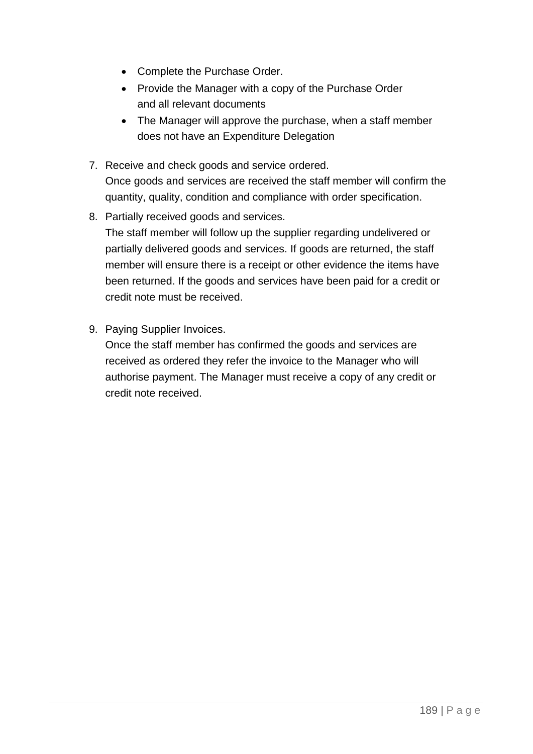- Complete the Purchase Order.
- Provide the Manager with a copy of the Purchase Order and all relevant documents
- The Manager will approve the purchase, when a staff member does not have an Expenditure Delegation
- 7. Receive and check goods and service ordered. Once goods and services are received the staff member will confirm the quantity, quality, condition and compliance with order specification.
- 8. Partially received goods and services.

The staff member will follow up the supplier regarding undelivered or partially delivered goods and services. If goods are returned, the staff member will ensure there is a receipt or other evidence the items have been returned. If the goods and services have been paid for a credit or credit note must be received.

9. Paying Supplier Invoices.

Once the staff member has confirmed the goods and services are received as ordered they refer the invoice to the Manager who will authorise payment. The Manager must receive a copy of any credit or credit note received.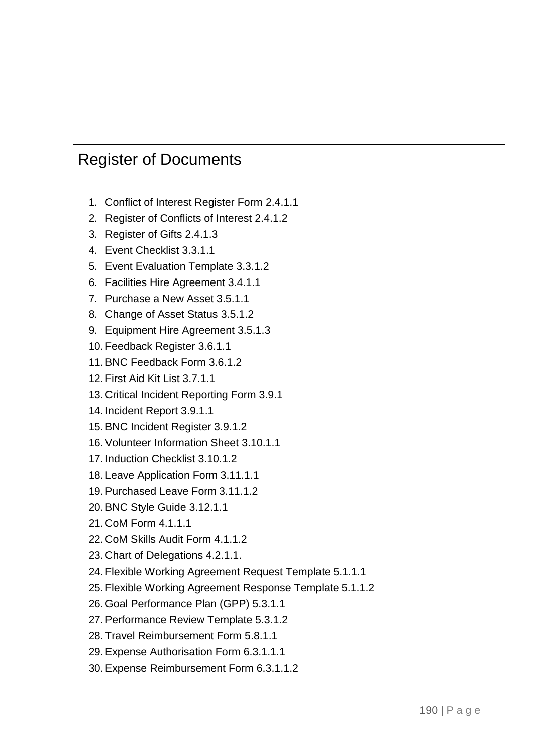### Register of Documents

- 1. Conflict of Interest Register Form 2.4.1.1
- 2. Register of Conflicts of Interest 2.4.1.2
- 3. Register of Gifts 2.4.1.3
- 4. Event Checklist 3.3.1.1
- 5. Event Evaluation Template 3.3.1.2
- 6. Facilities Hire Agreement 3.4.1.1
- 7. Purchase a New Asset 3.5.1.1
- 8. Change of Asset Status 3.5.1.2
- 9. Equipment Hire Agreement 3.5.1.3
- 10. Feedback Register 3.6.1.1
- 11. BNC Feedback Form 3.6.1.2
- 12. First Aid Kit List 3.7.1.1
- 13. Critical Incident Reporting Form 3.9.1
- 14. Incident Report 3.9.1.1
- 15. BNC Incident Register 3.9.1.2
- 16. Volunteer Information Sheet 3.10.1.1
- 17. Induction Checklist 3.10.1.2
- 18. Leave Application Form 3.11.1.1
- 19. Purchased Leave Form 3.11.1.2
- 20. BNC Style Guide 3.12.1.1
- 21. CoM Form 4.1.1.1
- 22. CoM Skills Audit Form 4.1.1.2
- 23. Chart of Delegations 4.2.1.1.
- 24. Flexible Working Agreement Request Template 5.1.1.1
- 25. Flexible Working Agreement Response Template 5.1.1.2
- 26. Goal Performance Plan (GPP) 5.3.1.1
- 27. Performance Review Template 5.3.1.2
- 28. Travel Reimbursement Form 5.8.1.1
- 29. Expense Authorisation Form 6.3.1.1.1
- 30. Expense Reimbursement Form 6.3.1.1.2